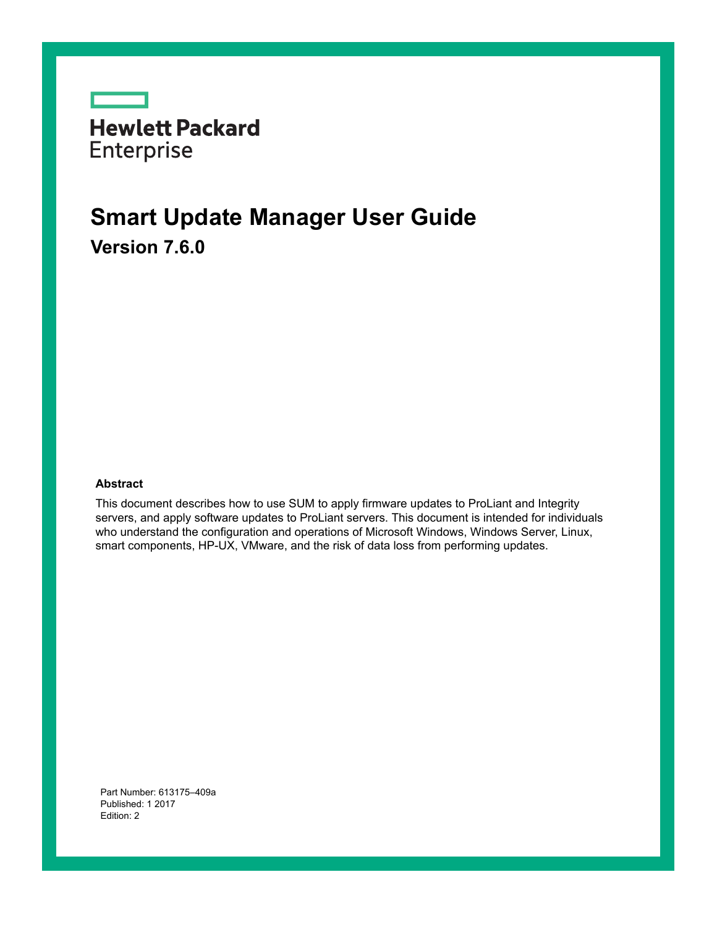

## **Smart Update Manager User Guide 7.6.0 Version**

#### **Abstract**

This document describes how to use SUM to apply firmware updates to ProLiant and Integrity servers, and apply software updates to ProLiant servers. This document is intended for individuals who understand the configuration and operations of Microsoft Windows, Windows Server, Linux, smart components, HP-UX, VMware, and the risk of data loss from performing updates.

Part Number: 613175-409a Published: 1 2017 Edition: 2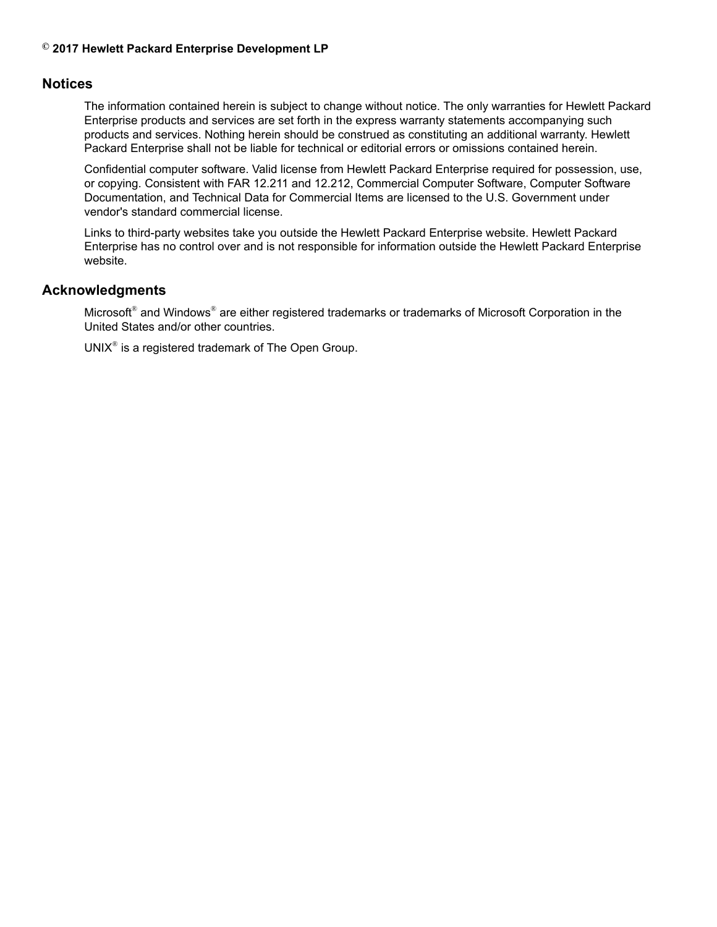### $\odot$  2017 Hewlett Packard Enterprise Development LP

### **Notices**

The information contained herein is subject to change without notice. The only warranties for Hewlett Packard Enterprise products and services are set forth in the express warranty statements accompanying such products and services. Nothing herein should be construed as constituting an additional warranty. Hewlett Packard Enterprise shall not be liable for technical or editorial errors or omissions contained herein.

Confidential computer software. Valid license from Hewlett Packard Enterprise required for possession, use, or copying. Consistent with FAR 12.211 and 12.212, Commercial Computer Software, Computer Software Documentation, and Technical Data for Commercial Items are licensed to the U.S. Government under vendor's standard commercial license.

Links to third-party websites take you outside the Hewlett Packard Enterprise website. Hewlett Packard Enterprise has no control over and is not responsible for information outside the Hewlett Packard Enterprise website.

### **Acknowledgments**

Microsoft® and Windows® are either registered trademarks or trademarks of Microsoft Corporation in the United States and/or other countries.

UNIX $^{\circ}$  is a registered trademark of The Open Group.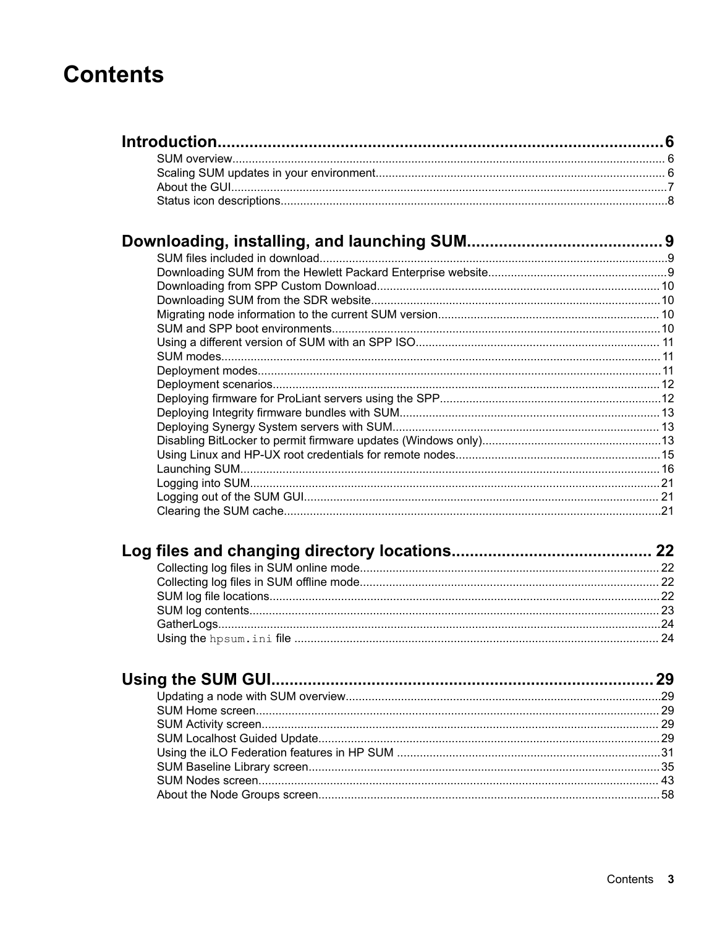## **Contents**

| 22 |
|----|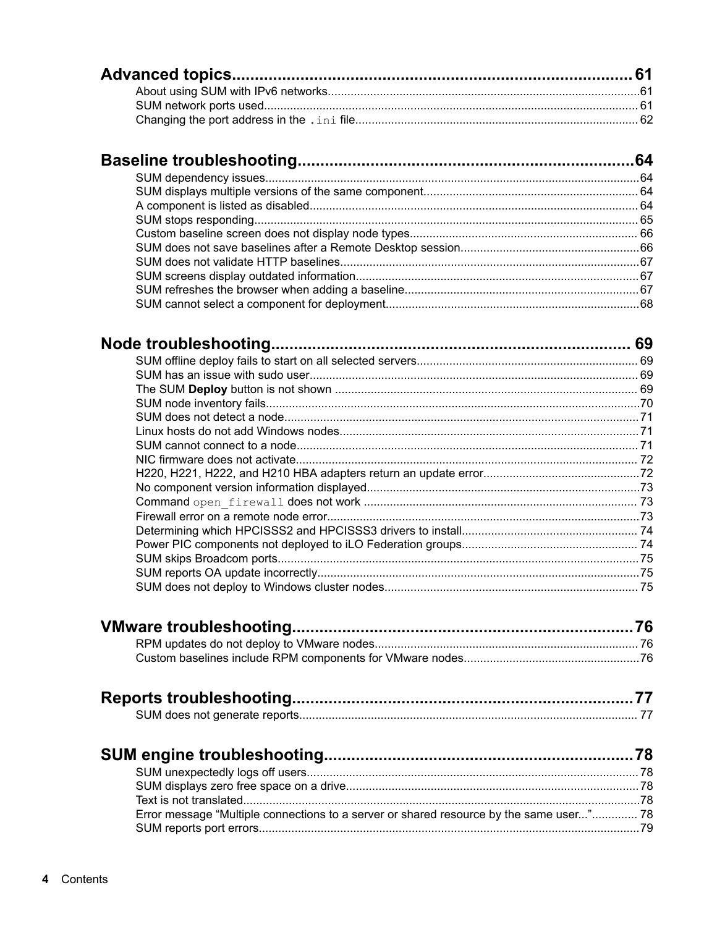| Error message "Multiple connections to a server or shared resource by the same user" 78 |  |
|-----------------------------------------------------------------------------------------|--|
|                                                                                         |  |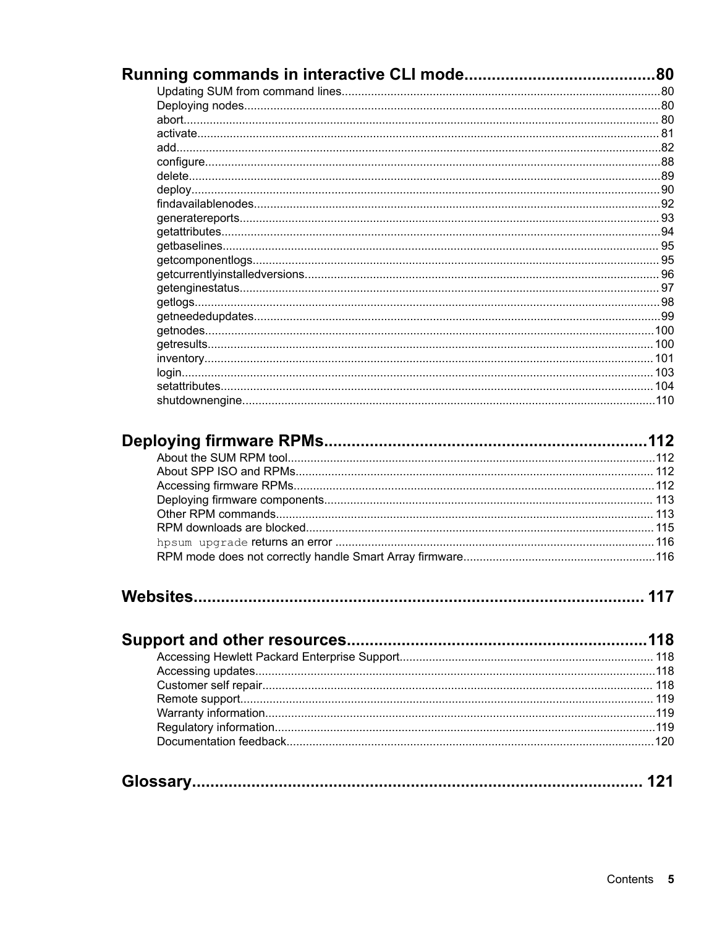| 113 |
|-----|
|     |
|     |
|     |
|     |
|     |
|     |
|     |
|     |
|     |
|     |
|     |
|     |
|     |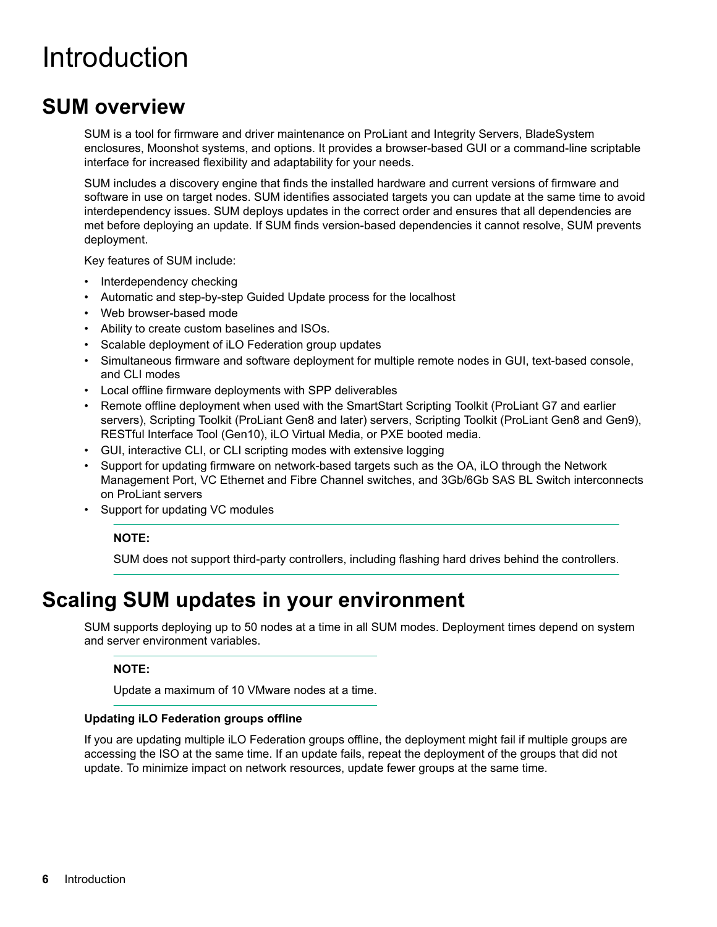## <span id="page-5-0"></span>Introduction

## **SUM** overview

SUM is a tool for firmware and driver maintenance on ProLiant and Integrity Servers, BladeSystem enclosures. Moonshot systems, and options. It provides a browser-based GUI or a command-line scriptable interface for increased flexibility and adaptability for your needs.

SUM includes a discovery engine that finds the installed hardware and current versions of firmware and software in use on target nodes. SUM identifies associated targets you can update at the same time to avoid interdependency issues. SUM deploys updates in the correct order and ensures that all dependencies are met before deploying an update. If SUM finds version-based dependencies it cannot resolve. SUM prevents deployment.

Key features of SUM include:

- Interdependency checking
- Automatic and step-by-step Guided Update process for the localhost
- Web browser-based mode
- Ability to create custom baselines and ISOs.
- Scalable deployment of iLO Federation group updates
- Simultaneous firmware and software deployment for multiple remote nodes in GUI, text-based console, and CLI modes
- Local offline firmware deployments with SPP deliverables
- Remote offline deployment when used with the SmartStart Scripting Toolkit (ProLiant G7 and earlier servers), Scripting Toolkit (ProLiant Gen8 and later) servers, Scripting Toolkit (ProLiant Gen8 and Gen9), RESTful Interface Tool (Gen10), iLO Virtual Media, or PXE booted media.
- GUI, interactive CLI, or CLI scripting modes with extensive logging
- Support for updating firmware on network-based targets such as the OA, iLO through the Network Management Port, VC Ethernet and Fibre Channel switches, and 3Gb/6Gb SAS BL Switch interconnects on ProLiant servers
- Support for updating VC modules

### **:NOTE**

SUM does not support third-party controllers, including flashing hard drives behind the controllers.

## **Scaling SUM updates in your environment**

SUM supports deploying up to 50 nodes at a time in all SUM modes. Deployment times depend on system and server environment variables.

### **:NOTE**

Update a maximum of 10 VMware nodes at a time.

### **Updating iLO Federation groups offline**

If you are updating multiple iLO Federation groups offline, the deployment might fail if multiple groups are accessing the ISO at the same time. If an update fails, repeat the deployment of the groups that did not update. To minimize impact on network resources, update fewer groups at the same time.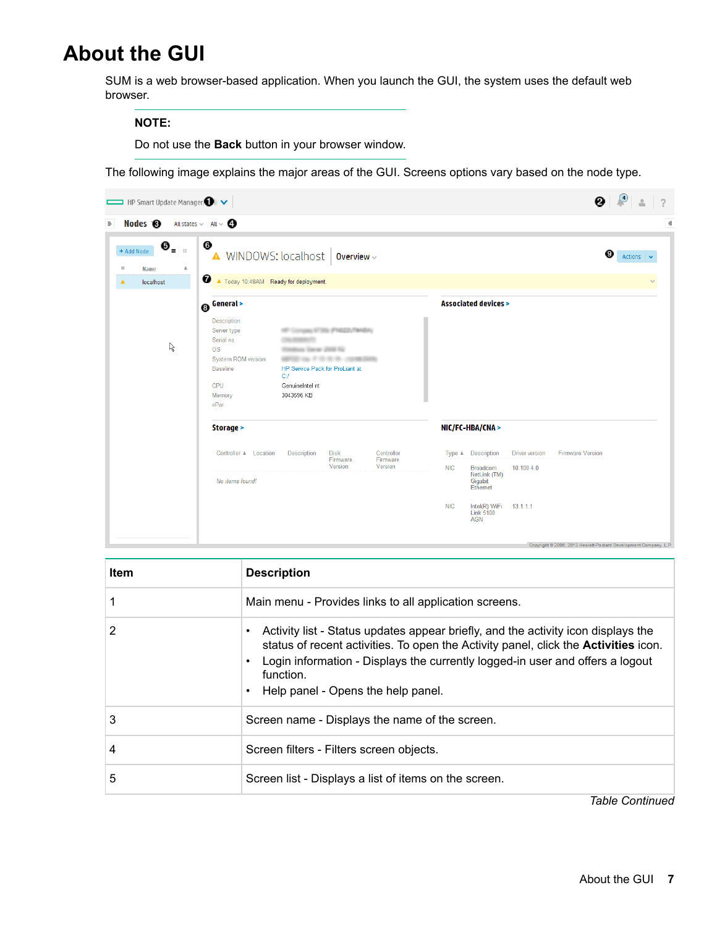## <span id="page-6-0"></span>**About the GUI**

SUM is a web browser-based application. When you launch the GUI, the system uses the default web .browser

#### **:NOTE**

Do not use the **Back** button in your browser window.

The following image explains the major areas of the GUI. Screens options vary based on the node type.



| Item | <b>Description</b>                                                                                                                                                                                                                                                                                                  |
|------|---------------------------------------------------------------------------------------------------------------------------------------------------------------------------------------------------------------------------------------------------------------------------------------------------------------------|
|      | Main menu - Provides links to all application screens.                                                                                                                                                                                                                                                              |
| 2    | Activity list - Status updates appear briefly, and the activity icon displays the<br>status of recent activities. To open the Activity panel, click the <b>Activities</b> icon.<br>Login information - Displays the currently logged-in user and offers a logout<br>function.<br>Help panel - Opens the help panel. |
| 3    | Screen name - Displays the name of the screen.                                                                                                                                                                                                                                                                      |
| 4    | Screen filters - Filters screen objects.                                                                                                                                                                                                                                                                            |
| 5    | Screen list - Displays a list of items on the screen.                                                                                                                                                                                                                                                               |

*Continued Table*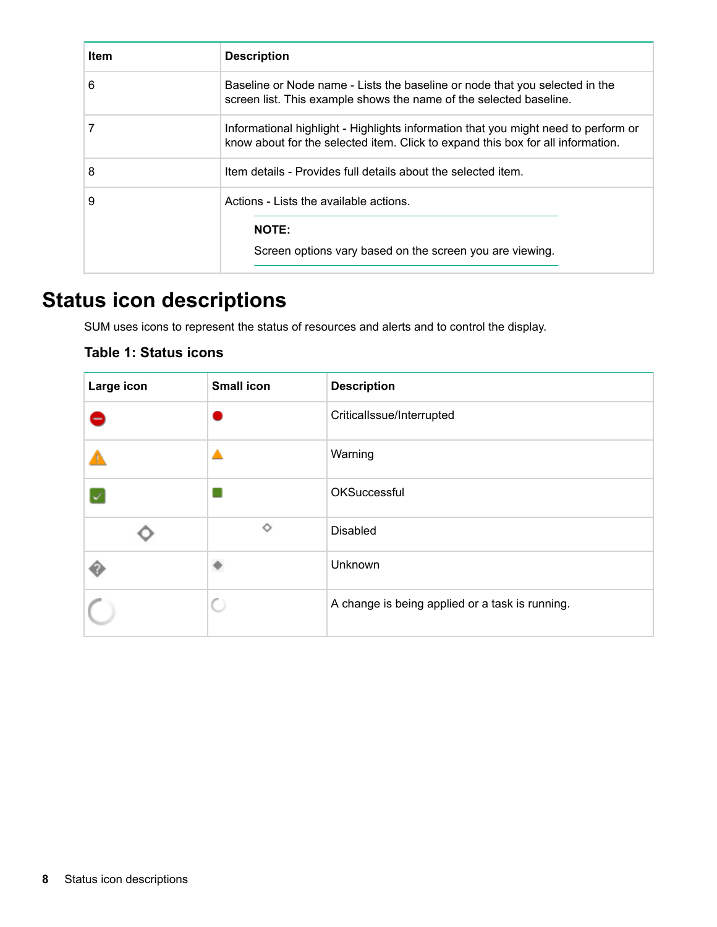<span id="page-7-0"></span>

| <b>Item</b> | <b>Description</b>                                                                                                                                                    |
|-------------|-----------------------------------------------------------------------------------------------------------------------------------------------------------------------|
| 6           | Baseline or Node name - Lists the baseline or node that you selected in the<br>screen list. This example shows the name of the selected baseline.                     |
|             | Informational highlight - Highlights information that you might need to perform or<br>know about for the selected item. Click to expand this box for all information. |
| 8           | Item details - Provides full details about the selected item.                                                                                                         |
| 9           | Actions - Lists the available actions.<br><b>NOTE:</b><br>Screen options vary based on the screen you are viewing.                                                    |

## **Status icon descriptions**

SUM uses icons to represent the status of resources and alerts and to control the display.

### **Table 1: Status icons**

| Large icon | <b>Small icon</b> | <b>Description</b>                              |  |
|------------|-------------------|-------------------------------------------------|--|
|            |                   | CriticalIssue/Interrupted                       |  |
|            |                   | Warning                                         |  |
|            |                   | OKSuccessful                                    |  |
|            | ♦                 | <b>Disabled</b>                                 |  |
|            |                   | Unknown                                         |  |
|            | O                 | A change is being applied or a task is running. |  |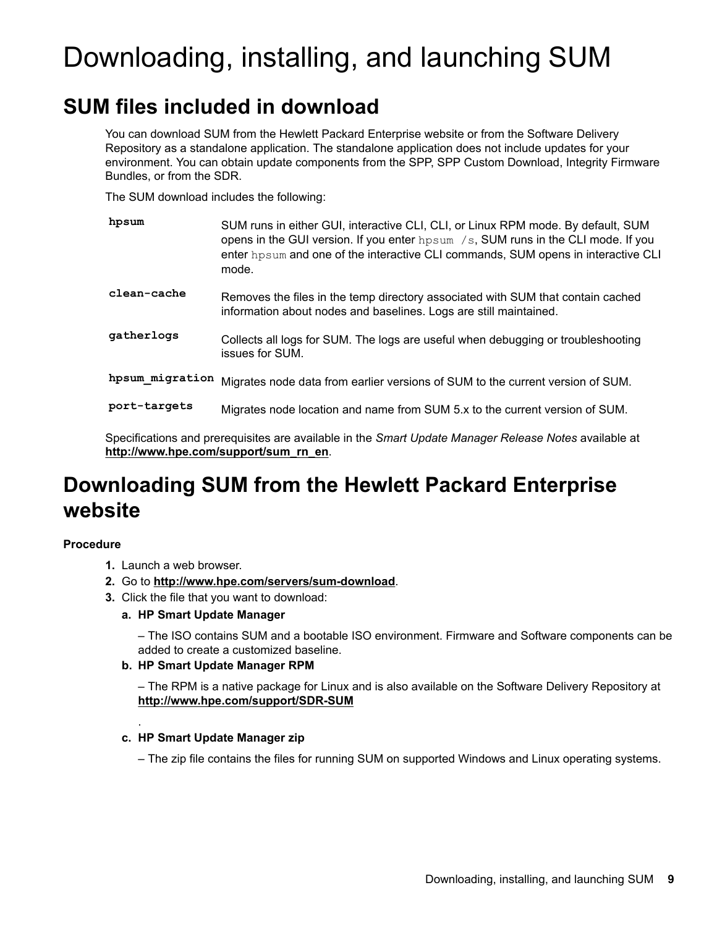# <span id="page-8-0"></span>Downloading, installing, and launching SUM

## **SUM files included in download**

You can download SUM from the Hewlett Packard Enterprise website or from the Software Delivery Repository as a standalone application. The standalone application does not include updates for your environment. You can obtain update components from the SPP, SPP Custom Download, Integrity Firmware Bundles, or from the SDR.

The SUM download includes the following:

| hpsum           | SUM runs in either GUI, interactive CLI, CLI, or Linux RPM mode. By default, SUM<br>opens in the GUI version. If you enter $hpsum /s$ , SUM runs in the CLI mode. If you<br>enter hpsum and one of the interactive CLI commands, SUM opens in interactive CLI<br>mode. |
|-----------------|------------------------------------------------------------------------------------------------------------------------------------------------------------------------------------------------------------------------------------------------------------------------|
| clean-cache     | Removes the files in the temp directory associated with SUM that contain cached<br>information about nodes and baselines. Logs are still maintained.                                                                                                                   |
| gatherlogs      | Collects all logs for SUM. The logs are useful when debugging or troubleshooting<br>issues for SUM.                                                                                                                                                                    |
| hpsum migration | Migrates node data from earlier versions of SUM to the current version of SUM.                                                                                                                                                                                         |
| port-targets    | Migrates node location and name from SUM 5.x to the current version of SUM.                                                                                                                                                                                            |

Specifications and prerequisites are available in the Smart Update Manager Release Notes available at http://www.hpe.com/support/sum rn en.

## **Downloading SUM from the Hewlett Packard Enterprise website**

### **Procedure**

1. Launch a web browser.

.

- 2. Go to http://www.hpe.com/servers/sum-download.
- 3. Click the file that you want to download:
	- **a. HP Smart Update Manager**

- The ISO contains SUM and a bootable ISO environment. Firmware and Software components can be added to create a customized baseline.

### **b. HP Smart Update Manager RPM**

- The RPM is a native package for Linux and is also available on the Software Delivery Repository at http://www.hpe.com/support/SDR-SUM

### **z**. HP Smart Update Manager zip

- The zip file contains the files for running SUM on supported Windows and Linux operating systems.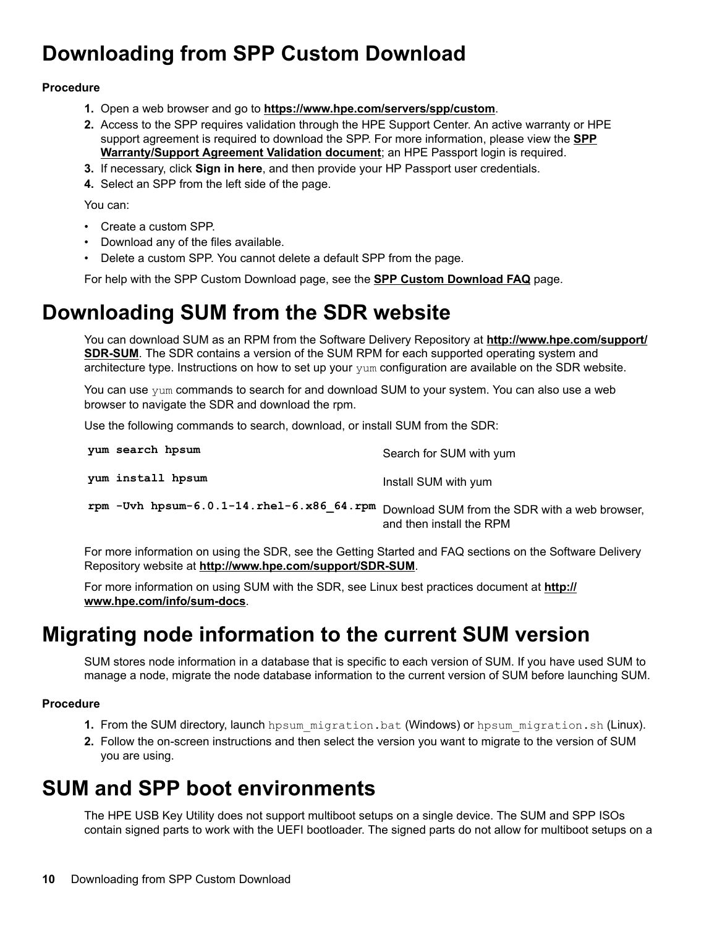## <span id="page-9-0"></span>**Downloading from SPP Custom Download**

### **Procedure**

- 1. Open a web browser and go to **https://www.hpe.com/servers/spp/custom**.
- 2. Access to the SPP requires validation through the HPE Support Center. An active warranty or HPE support agreement is required to download the [SPP](http://h17007.www1.hpe.com/us/en/enterprise/servers/products/service_pack/spp/sppvalidation.pdf). For more information, please view the **SPP** Warranty/Support Agreement Validation document; an HPE Passport login is required.
- 3. If necessary, click Sign in here, and then provide your HP Passport user credentials.
- 4. Select an SPP from the left side of the page.

You can:

- Create a custom SPP.
- Download any of the files available.
- . Delete a custom SPP. You cannot delete a default SPP from the page.

For help with the SPP Custom Download page, see the **SPP Custom Download FAQ** page.

## **Downloading SUM from the SDR website**

You can download SUM as an RPM from the Software Delivery Repository at **http://www.hpe.com/support/ SDR-SUM**. The SDR contains a version of the SUM RPM for each supported operating system and architecture type. Instructions on how to set up your yum configuration are available on the SDR website.

You can use yum commands to search for and download SUM to your system. You can also use a web browser to navigate the SDR and download the rpm.

Use the following commands to search, download, or install SUM from the SDR:

| yum search hpsum                                       | Search for SUM with yum                                                   |
|--------------------------------------------------------|---------------------------------------------------------------------------|
| yum install hpsum                                      | Install SUM with yum                                                      |
| rpm $-$ Uvh $h$ psum $-6.0.1-14$ .rhel $-6.186$ 64.rpm | Download SUM from the SDR with a web browser,<br>and then install the RPM |

For more information on using the SDR, see the Getting Started and FAQ sections on the Software Delivery Repository website at http://www.hpe.com/support/SDR-SUM.

For more information on using SUM with the SDR, see Linux best practices document at http:// www.hpe.com/info/sum-docs.

## **Migrating node information to the current SUM version**

SUM stores node information in a database that is specific to each version of SUM. If you have used SUM to manage a node, migrate the node database information to the current version of SUM before launching SUM.

### **Procedure**

- 1. From the SUM directory, launch hpsum migration.bat (Windows) or hpsum migration.sh (Linux).
- 2. Follow the on-screen instructions and then select the version you want to migrate to the version of SUM vou are using.

## **SUM and SPP boot environments**

The HPE USB Key Utility does not support multiboot setups on a single device. The SUM and SPP ISOs contain signed parts to work with the UEFI bootloader. The signed parts do not allow for multiboot setups on a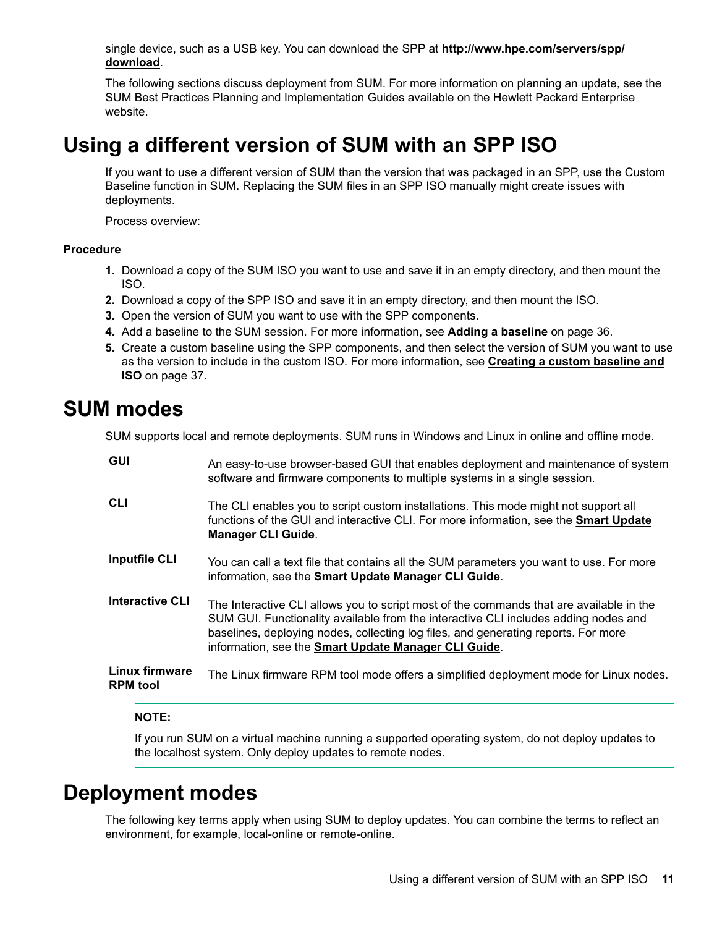<span id="page-10-0"></span>single device, such as a USB key. You can download the SPP at **http://www.hpe.com/servers/spp/** .**[download](http://www.hpe.com/servers/spp/download)**

The following sections discuss deployment from SUM. For more information on planning an update, see the SUM Best Practices Planning and Implementation Guides available on the Hewlett Packard Enterprise .website

## **Using a different version of SUM with an SPP ISO**

If you want to use a different version of SUM than the version that was packaged in an SPP, use the Custom Baseline function in SUM. Replacing the SUM files in an SPP ISO manually might create issues with deployments.

Process overview:

### **Procedure**

- 1. Download a copy of the SUM ISO you want to use and save it in an empty directory, and then mount the .ISO
- **2.** Download a copy of the SPP ISO and save it in an empty directory, and then mount the ISO.
- 3. Open the version of SUM you want to use with the SPP components.
- 4. Add a baseline to the SUM session. For more information, see Adding a baseline on page 36.
- 5. Create a custom baseline using the SPP components, and then select the version of SUM you want to use as the version to include in the custom ISO. For more information, see **Creating a custom baseline and [ISO](#page-36-0)** on page 37.

### **SUM** modes

SUM supports local and remote deployments. SUM runs in Windows and Linux in online and offline mode.

| <b>GUI</b>                               | An easy-to-use browser-based GUI that enables deployment and maintenance of system<br>software and firmware components to multiple systems in a single session.                                                                                                                                                              |
|------------------------------------------|------------------------------------------------------------------------------------------------------------------------------------------------------------------------------------------------------------------------------------------------------------------------------------------------------------------------------|
| <b>CLI</b>                               | The CLI enables you to script custom installations. This mode might not support all<br>functions of the GUI and interactive CLI. For more information, see the Smart Update<br><b>Manager CLI Guide.</b>                                                                                                                     |
| <b>Inputfile CLI</b>                     | You can call a text file that contains all the SUM parameters you want to use. For more<br>information, see the Smart Update Manager CLI Guide.                                                                                                                                                                              |
| <b>Interactive CLI</b>                   | The Interactive CLI allows you to script most of the commands that are available in the<br>SUM GUI. Functionality available from the interactive CLI includes adding nodes and<br>baselines, deploying nodes, collecting log files, and generating reports. For more<br>information, see the Smart Update Manager CLI Guide. |
| <b>Linux firmware</b><br><b>RPM</b> tool | The Linux firmware RPM tool mode offers a simplified deployment mode for Linux nodes.                                                                                                                                                                                                                                        |

#### **:NOTE**

If you run SUM on a virtual machine running a supported operating system, do not deploy updates to the localhost system. Only deploy updates to remote nodes.

## **Deployment** modes

The following key terms apply when using SUM to deploy updates. You can combine the terms to reflect an environment, for example, local-online or remote-online.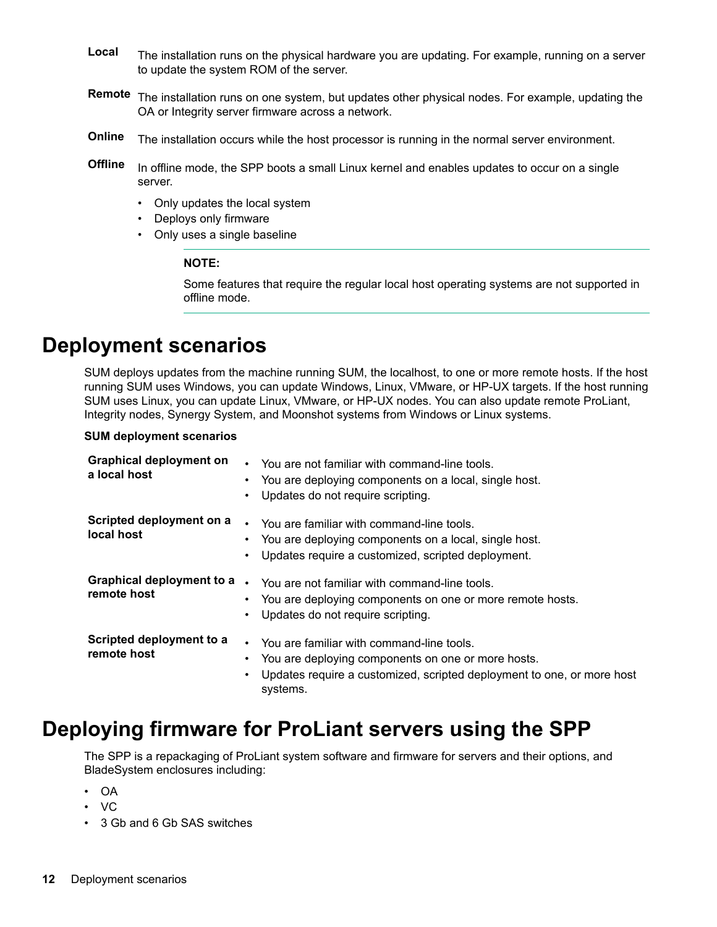- <span id="page-11-0"></span>Local The installation runs on the physical hardware you are updating. For example, running on a server to update the system ROM of the server.
- Remote The installation runs on one system, but updates other physical nodes. For example, updating the OA or Integrity server firmware across a network.
- Online The installation occurs while the host processor is running in the normal server environment.
- Offline In offline mode, the SPP boots a small Linux kernel and enables updates to occur on a single server.
	- Only updates the local system
	- Deploys only firmware
	- Only uses a single baseline

#### **:NOTE**

Some features that require the regular local host operating systems are not supported in offline mode.

### **Deployment scenarios**

SUM deploys updates from the machine running SUM, the localhost, to one or more remote hosts. If the host running SUM uses Windows, you can update Windows, Linux, VMware, or HP-UX targets. If the host running SUM uses Linux, you can update Linux, VMware, or HP-UX nodes. You can also update remote ProLiant, Integrity nodes, Synergy System, and Moonshot systems from Windows or Linux systems.

#### **SUM** deployment scenarios

| <b>Graphical deployment on</b><br>a local host | You are not familiar with command-line tools.<br>You are deploying components on a local, single host.<br>$\bullet$<br>Updates do not require scripting.                                     |
|------------------------------------------------|----------------------------------------------------------------------------------------------------------------------------------------------------------------------------------------------|
| Scripted deployment on a<br>local host         | You are familiar with command-line tools.<br>$\bullet$<br>You are deploying components on a local, single host.<br>Updates require a customized, scripted deployment.<br>٠                   |
| Graphical deployment to a<br>remote host       | $\bullet$<br>You are not familiar with command-line tools.<br>You are deploying components on one or more remote hosts.<br>Updates do not require scripting.<br>٠                            |
| Scripted deployment to a<br>remote host        | • You are familiar with command-line tools.<br>You are deploying components on one or more hosts.<br>Updates require a customized, scripted deployment to one, or more host<br>٠<br>systems. |

### Deploying firmware for ProLiant servers using the SPP

The SPP is a repackaging of ProLiant system software and firmware for servers and their options, and BladeSystem enclosures including:

- OA•
- VC
- 3 Gb and 6 Gb SAS switches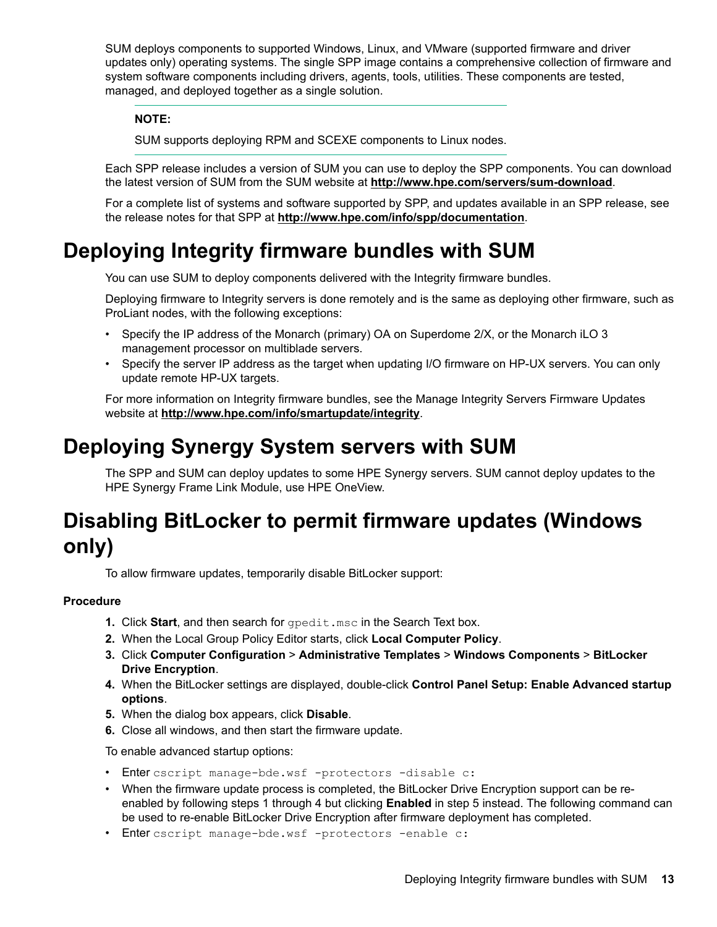<span id="page-12-0"></span>SUM deploys components to supported Windows, Linux, and VMware (supported firmware and driver updates only) operating systems. The single SPP image contains a comprehensive collection of firmware and system software components including drivers, agents, tools, utilities. These components are tested, managed, and deployed together as a single solution.

### **:NOTE**

SUM supports deploying RPM and SCEXE components to Linux nodes.

Each SPP release includes a version of SUM you can use to deploy the SPP components. You can download the latest version of SUM from the SUM website at http://www.hpe.com/servers/sum-download.

For a complete list of systems and software supported by SPP, and updates available in an SPP release, see the release notes for that SPP at http://www.hpe.com/info/spp/documentation.

## **Deploying Integrity firmware bundles with SUM**

You can use SUM to deploy components delivered with the Integrity firmware bundles.

Deploying firmware to Integrity servers is done remotely and is the same as deploying other firmware, such as ProLiant nodes, with the following exceptions:

- Specify the IP address of the Monarch (primary) OA on Superdome 2/X, or the Monarch iLO 3 management processor on multiblade servers.
- Specify the server IP address as the target when updating I/O firmware on HP-UX servers. You can only update remote HP-UX targets.

For more information on Integrity firmware bundles, see the Manage Integrity Servers Firmware Updates website at http://www.hpe.com/info/smartupdate/integrity.

## **Deploying Synergy System servers with SUM**

The SPP and SUM can deploy updates to some HPE Synergy servers. SUM cannot deploy updates to the HPE Synergy Frame Link Module, use HPE OneView.

## **Disabling BitLocker to permit firmware updates (Windows (only**

To allow firmware updates, temporarily disable BitLocker support:

### **Procedure**

- **1.** Click Start, and then search for gpedit . msc. in the Search Text box.
- 2. When the Local Group Policy Editor starts, click **Local Computer Policy**.
- **3. Click Computer Configuration > Administrative Templates > Windows Components > BitLocker Drive Encryption.**
- 4. When the BitLocker settings are displayed, double-click Control Panel Setup: Enable Advanced startup .**options**
- 5. When the dialog box appears, click Disable.
- 6. Close all windows, and then start the firmware update.

To enable advanced startup options:

- · Enter cscript manage-bde.wsf -protectors -disable c:
- enabled by following steps 1 through 4 but clicking **Enabled** in step 5 instead. The following command can • When the firmware update process is completed, the BitLocker Drive Encryption support can be rebe used to re-enable BitLocker Drive Encryption after firmware deployment has completed.
- · Enter cscript manage-bde.wsf -protectors -enable c: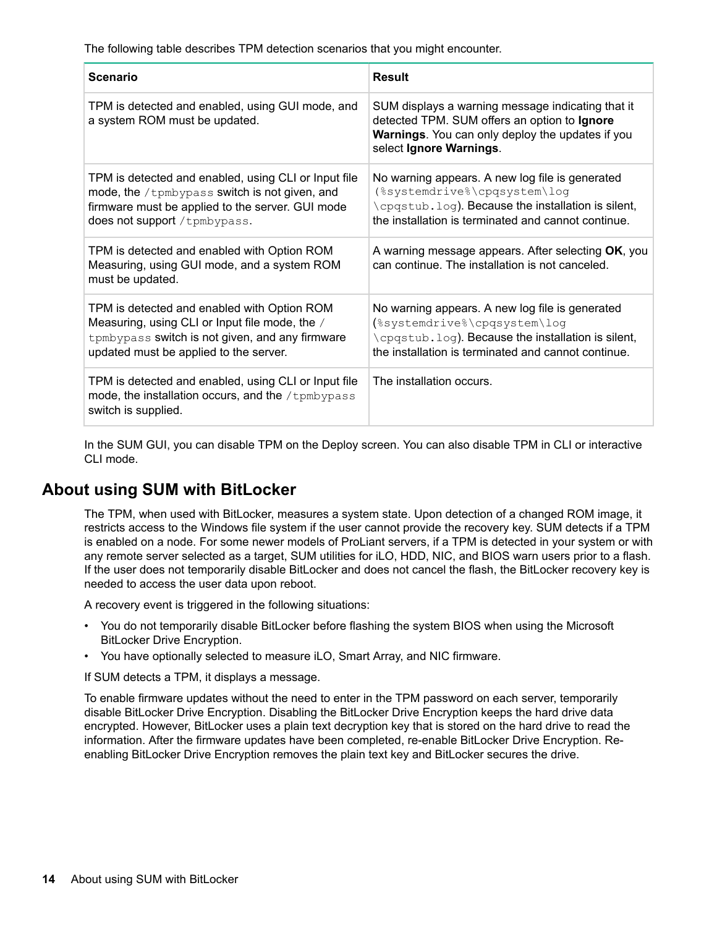The following table describes TPM detection scenarios that you might encounter.

| <b>Scenario</b>                                                                                                                                                                            | <b>Result</b>                                                                                                                                                                                |  |  |
|--------------------------------------------------------------------------------------------------------------------------------------------------------------------------------------------|----------------------------------------------------------------------------------------------------------------------------------------------------------------------------------------------|--|--|
| TPM is detected and enabled, using GUI mode, and<br>a system ROM must be updated.                                                                                                          | SUM displays a warning message indicating that it<br>detected TPM. SUM offers an option to Ignore<br><b>Warnings.</b> You can only deploy the updates if you<br>select Ignore Warnings.      |  |  |
| TPM is detected and enabled, using CLI or Input file<br>mode, the /tpmbypass switch is not given, and<br>firmware must be applied to the server. GUI mode<br>does not support / tpmbypass. | No warning appears. A new log file is generated<br>(%systemdrive%\cpqsystem\log<br>\cpqstub.log). Because the installation is silent,<br>the installation is terminated and cannot continue. |  |  |
| TPM is detected and enabled with Option ROM<br>Measuring, using GUI mode, and a system ROM<br>must be updated.                                                                             | A warning message appears. After selecting OK, you<br>can continue. The installation is not canceled.                                                                                        |  |  |
| TPM is detected and enabled with Option ROM<br>Measuring, using CLI or Input file mode, the /<br>tpmbypass switch is not given, and any firmware<br>updated must be applied to the server. | No warning appears. A new log file is generated<br>(%systemdrive%\cpqsystem\log<br>\cpqstub.log). Because the installation is silent,<br>the installation is terminated and cannot continue. |  |  |
| TPM is detected and enabled, using CLI or Input file<br>mode, the installation occurs, and the $/$ tpmbypass<br>switch is supplied.                                                        | The installation occurs.                                                                                                                                                                     |  |  |

In the SUM GUI, you can disable TPM on the Deploy screen. You can also disable TPM in CLI or interactive CLI mode.

### **About using SUM with BitLocker**

The TPM, when used with BitLocker, measures a system state. Upon detection of a changed ROM image, it restricts access to the Windows file system if the user cannot provide the recovery key. SUM detects if a TPM is enabled on a node. For some newer models of ProLiant servers, if a TPM is detected in your system or with any remote server selected as a target, SUM utilities for iLO, HDD, NIC, and BIOS warn users prior to a flash. If the user does not temporarily disable BitLocker and does not cancel the flash, the BitLocker recovery key is needed to access the user data upon reboot.

A recovery event is triggered in the following situations:

- You do not temporarily disable BitLocker before flashing the system BIOS when using the Microsoft BitLocker Drive Encryption.
- You have optionally selected to measure iLO, Smart Array, and NIC firmware.

If SUM detects a TPM, it displays a message.

To enable firmware updates without the need to enter in the TPM password on each server, temporarily disable BitLocker Drive Encryption. Disabling the BitLocker Drive Encryption keeps the hard drive data encrypted. However, BitLocker uses a plain text decryption key that is stored on the hard drive to read the information. After the firmware updates have been completed, re-enable BitLocker Drive Encryption. Re-<br>enabling BitLocker Drive Encryption removes the plain text key and BitLocker secures the drive.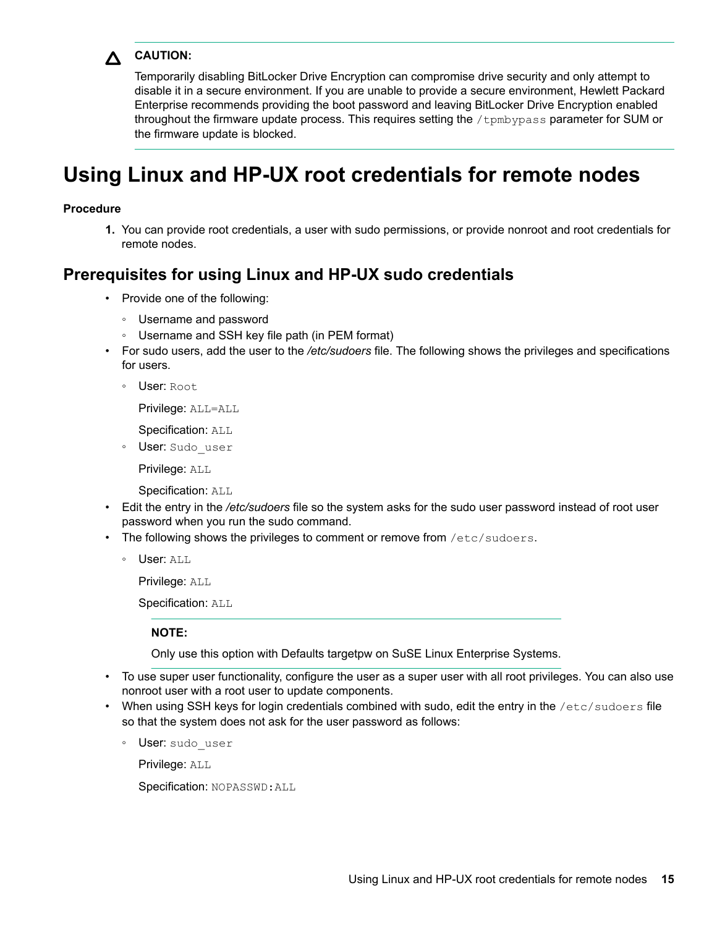<span id="page-14-0"></span>

### **:CAUTION**

Temporarily disabling BitLocker Drive Encryption can compromise drive security and only attempt to disable it in a secure environment. If you are unable to provide a secure environment, Hewlett Packard Enterprise recommends providing the boot password and leaving BitLocker Drive Encryption enabled throughout the firmware update process. This requires setting the /tpmbypass parameter for SUM or the firmware update is blocked.

## Using Linux and HP-UX root credentials for remote nodes

#### **Procedure**

1. You can provide root credentials, a user with sudo permissions, or provide nonroot and root credentials for remote nodes.

### **Prerequisites for using Linux and HP-UX sudo credentials**

- Provide one of the following:
	- ∘ Username and password
	- ⊙ Username and SSH key file path (in PEM format)
- For sudo users, add the user to the */etc/sudoers* file. The following shows the privileges and specifications for users.
	- ∘ User: Root

Privilege: ALL=ALL

Specification: ALL

◦ User: Sudo user

Privilege: ALL

Specification: ALL

- Edit the entry in the /etc/sudoers file so the system asks for the sudo user password instead of root user password when you run the sudo command.
- The following shows the privileges to comment or remove from  $/etc/sudoers$ .
	- ∘ User: ALL

Privilege: ALL

Specification: ALL

**:NOTE**

Only use this option with Defaults targetpw on SuSE Linux Enterprise Systems.

- To use super user functionality, configure the user as a super user with all root privileges. You can also use nonroot user with a root user to update components.
- When using SSH keys for login credentials combined with sudo, edit the entry in the /etc/sudoers file so that the system does not ask for the user password as follows:
	- User: sudo user

Privilege: ALL

Specification: NOPASSWD: ALL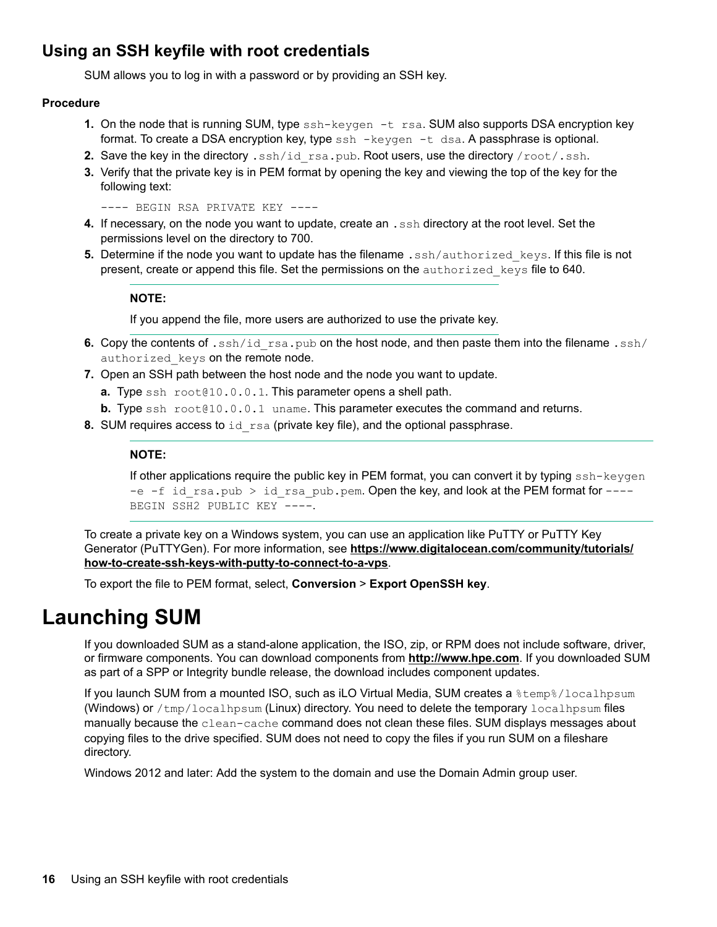### <span id="page-15-0"></span>**Using an SSH keyfile with root credentials**

SUM allows you to log in with a password or by providing an SSH key.

### **Procedure**

- 1. On the node that is running SUM, type ssh-keygen -t rsa. SUM also supports DSA encryption key format. To create a DSA encryption key, type  $\sin - \text{keygen} - t \text{ ds}$ . A passphrase is optional.
- 2. Save the key in the directory  $\cdot$  ssh/id  $\text{rsa}.$  pub. Root users, use the directory  $\text{/root/}.\text{ssh}.$
- **3.** Verify that the private key is in PEM format by opening the key and viewing the top of the key for the following text:

---- BEGIN RSA PRIVATE KEY ----

- 4. If necessary, on the node you want to update, create an .ssh directory at the root level. Set the permissions level on the directory to 700.
- 5. Determine if the node you want to update has the filename .ssh/authorized keys. If this file is not present, create or append this file. Set the permissions on the authorized keys file to 640.

### **:NOTE**

If you append the file, more users are authorized to use the private key.

- 6. Copy the contents of .ssh/id rsa.pub on the host node, and then paste them into the filename .ssh/ authorized keys on the remote node.
- 7. Open an SSH path between the host node and the node you want to update.
	- a. Type ssh root@10.0.0.1. This parameter opens a shell path.
	- **b.** Type  $\text{ssh } \text{root} \geq 0.0.1$  uname. This parameter executes the command and returns.
- 8. SUM requires access to id rsa (private key file), and the optional passphrase.

### **:NOTE**

If other applications require the public key in PEM format, you can convert it by typing  $\text{ssh-kevgen}$ -e -f id rsa.pub > id rsa pub.pem. Open the key, and look at the PEM format for  $---$ BEGIN SSH2 PUBLIC KEY ----.

To create a private key on a Windows system, you can use an application like PuTTY or PuTTY Key Generator (PuTTYGen). For more information, see https://www.digitalocean.com/community/tutorials/ how-to-create-ssh-keys-with-putty-to-connect-to-a-vps.

To export the file to PEM format, select, **Conversion** > Export OpenSSH key.

## **Launching SUM**

If you downloaded SUM as a stand-alone application, the ISO, zip, or RPM does not include software, driver, or firmware components. You can download components from http://www.hpe.com. If you downloaded SUM as part of a SPP or Integrity bundle release, the download includes component updates.

If you launch SUM from a mounted ISO, such as iLO Virtual Media, SUM creates a  $\text{\%temp}\% /$ localhpsum (Windows) or /tmp/localhpsum (Linux) directory. You need to delete the temporary localhpsum files manually because the clean-cache command does not clean these files. SUM displays messages about copying files to the drive specified. SUM does not need to copy the files if you run SUM on a fileshare directory.

Windows 2012 and later: Add the system to the domain and use the Domain Admin group user.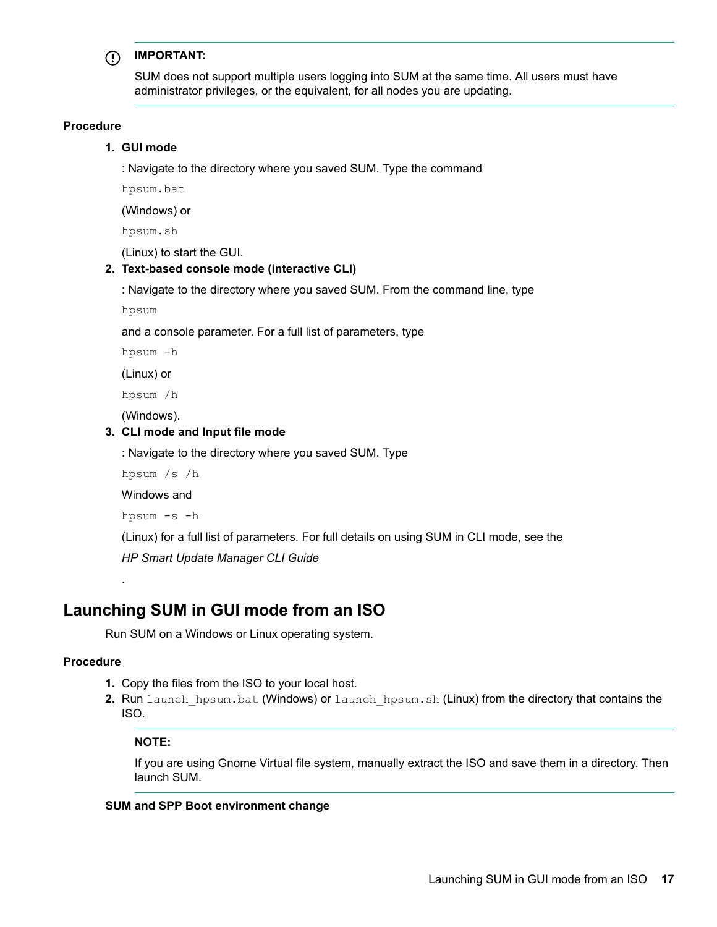#### **:IMPORTANT**  $\left( \Gamma \right)$

SUM does not support multiple users logging into SUM at the same time. All users must have administrator privileges, or the equivalent, for all nodes you are updating.

#### **Procedure**

#### 1. GUI mode

: Navigate to the directory where you saved SUM. Type the command

hpsum.bat

(Windows) or

hpsum.sh

 $(Linux)$  to start the GUI.

#### 2. Text-based console mode (interactive CLI)

: Navigate to the directory where you saved SUM. From the command line, type

hpsum

and a console parameter. For a full list of parameters, type

hpsum -h

(Linux) or

hpsum /h

(Windows).

#### **3. CLI mode and Input file mode**

: Navigate to the directory where you saved SUM. Type

hpsum  $/s / h$ 

Windows and

hpsum -s -h

(Linux) for a full list of parameters. For full details on using SUM in CLI mode, see the

**HP Smart Update Manager CLI Guide** 

### **Launching SUM in GUI mode from an ISO**

Run SUM on a Windows or Linux operating system.

#### **Procedure**

.

- 1. Copy the files from the ISO to your local host.
- 2. Run launch hpsum.bat (Windows) or launch hpsum.sh (Linux) from the directory that contains the .ISO

#### **:NOTE**

If you are using Gnome Virtual file system, manually extract the ISO and save them in a directory. Then launch SUM.

#### **SUM and SPP Boot environment change**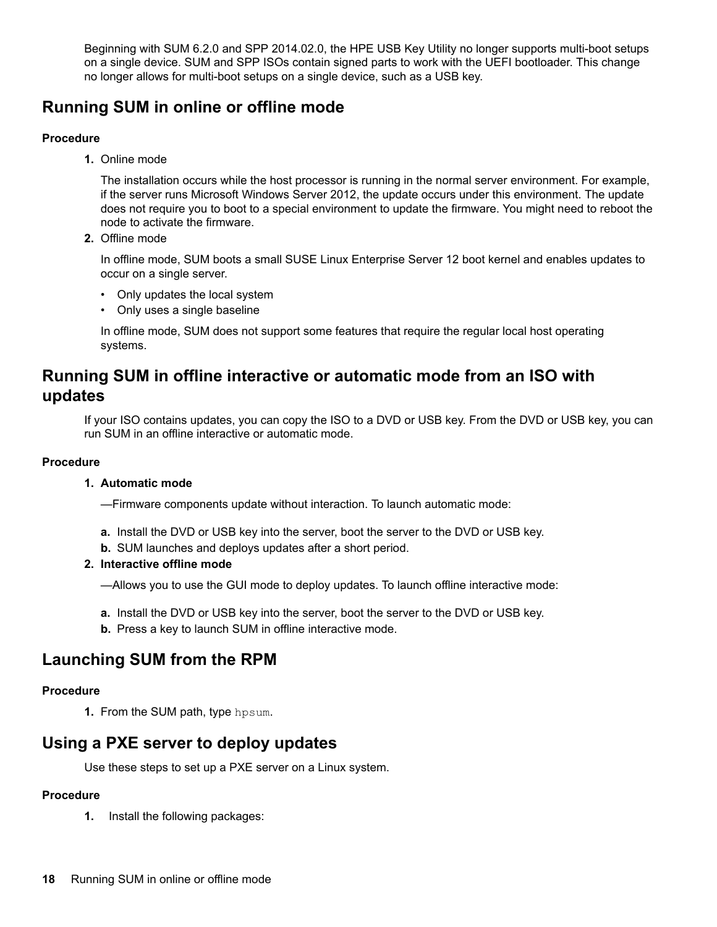Beginning with SUM 6.2.0 and SPP 2014.02.0, the HPE USB Key Utility no longer supports multi-boot setups on a single device. SUM and SPP ISOs contain signed parts to work with the UEFI bootloader. This change no longer allows for multi-boot setups on a single device, such as a USB key.

### **Running SUM in online or offline mode**

### **Procedure**

1. Online mode

The installation occurs while the host processor is running in the normal server environment. For example, if the server runs Microsoft Windows Server 2012, the update occurs under this environment. The update does not require you to boot to a special environment to update the firmware. You might need to reboot the node to activate the firmware.

2. Offline mode

In offline mode, SUM boots a small SUSE Linux Enterprise Server 12 boot kernel and enables updates to occur on a single server.

- Only updates the local system
- Only uses a single baseline

In offline mode, SUM does not support some features that require the regular local host operating systems.

### **Running SUM in offline interactive or automatic mode from an ISO with updates**

If your ISO contains updates, you can copy the ISO to a DVD or USB key. From the DVD or USB key, you can run SUM in an offline interactive or automatic mode.

### **Procedure**

### **1. Automatic mode**

--Firmware components update without interaction. To launch automatic mode:

- **a.** Install the DVD or USB key into the server, boot the server to the DVD or USB key.
- **b.** SUM launches and deploys updates after a short period.

### **2.** Interactive offline mode

-Allows you to use the GUI mode to deploy updates. To launch offline interactive mode:

- a. Install the DVD or USB key into the server, boot the server to the DVD or USB key.
- **b.** Press a key to launch SUM in offline interactive mode.

### **Launching SUM from the RPM**

### **Procedure**

1. From the SUM path, type hpsum.

### **Using a PXE server to deploy updates**

Use these steps to set up a PXE server on a Linux system.

### **Procedure**

1. Install the following packages: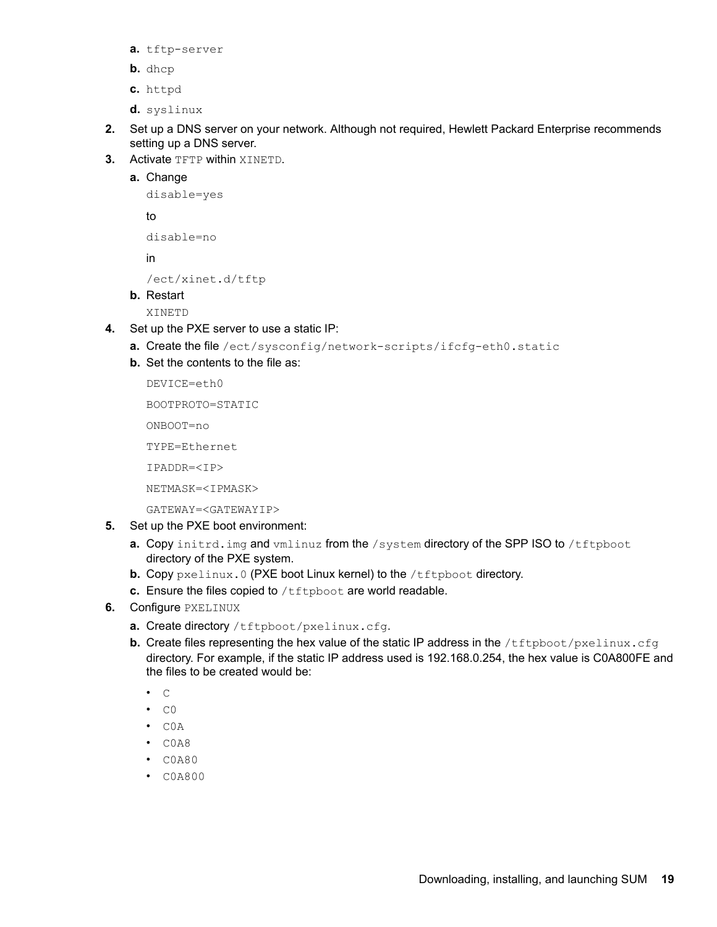- a. tftp-server
- **b.** dhcp
- httpd **.c**
- d. syslinux
- 2. Set up a DNS server on your network. Although not required, Hewlett Packard Enterprise recommends setting up a DNS server.
- 3. Activate TFTP within XINETD.
	- Change **.a**

```
disable=yes
```
to

```
disable=no
```
in

```
/ect/xinet.d/tftp
```
**b.** Restart

XINETD

- 4. Set up the PXE server to use a static IP:
	- a. Create the file /ect/sysconfig/network-scripts/ifcfg-eth0.static
	- **b.** Set the contents to the file as:

DEVICE=eth0

BOOTPROTO=STATIC

ONBOOT=no

TYPE=Ethernet

IPADDR=<IP>

NETMASK=<IPMASK>

GATEWAY=<GATEWAYIP>

- 5. Set up the PXE boot environment:
	- **a.** Copy initrd. img and  $vmlinuz$  from the /system directory of the SPP ISO to /tftpboot directory of the PXE system.
	- **b.** Copy pxelinux. 0 (PXE boot Linux kernel) to the /tftpboot directory.
	- c. Ensure the files copied to /tftpboot are world readable.
- 6. Configure **PXELINUX** 
	- a. Create directory /tftpboot/ pxelinux.cfg.
	- **b.** Create files representing the hex value of the static IP address in the  $/t$ ftpboot/pxelinux.cfg directory. For example, if the static IP address used is 192.168.0.254, the hex value is C0A800FE and the files to be created would be:
		- $\bullet$   $\quad$   $\quad$   $\quad$   $\quad$   $\quad$
		- $\bullet$  CO
		- $\cdot$  COA
		- $\cdot$  COA8
		- $\cdot$  COA80
		- COA800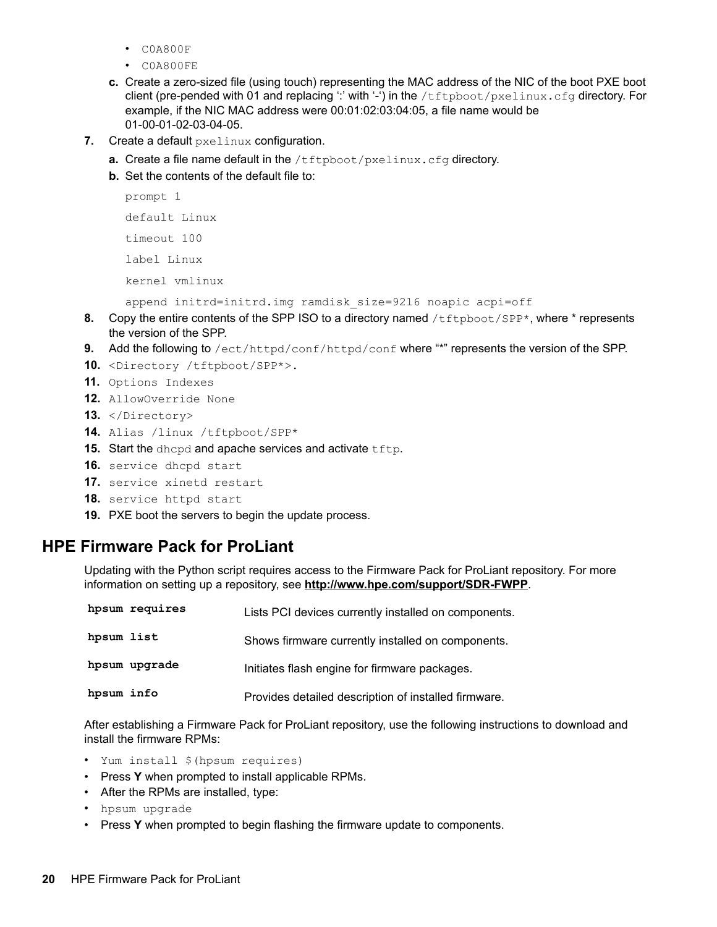- $\cdot$  COA800F
- $\cdot$  COA800FE
- c. Create a zero-sized file (using touch) representing the MAC address of the NIC of the boot PXE boot client (pre-pended with 01 and replacing ":' with '-') in the /tftpboot/pxelinux.cfg directory. For example, if the NIC MAC address were  $00:01:02:03:04:05$ , a file name would be 01-00-01-02-03-04-05.
- 7. Create a default pxelinux configuration.
	- a. Create a file name default in the /tftpboot/pxelinux.cfg directory.
	- **b.** Set the contents of the default file to:

```
1 prompt
default Linux
timeout 100
Linux label
kernel vmlinux
```

```
append initrd=initrd.img ramdisk size=9216 noapic acpi=off
```
- 8. Copy the entire contents of the SPP ISO to a directory named /tftpboot/SPP\*, where \* represents the version of the SPP.
- 9. Add the following to /ect/httpd/conf/httpd/conf where "\*" represents the version of the SPP.
- 10. <Directory /tftpboot/SPP\*>.
- 11. Options Indexes
- 12. AllowOverride None
- 13.  $\langle$ Directory>
- 14. Alias / linux / tftpboot/ SPP\*
- 15. Start the dhepd and apache services and activate tftp.
- 16. service dhcpd start
- 17. service xinetd restart
- 18. service httpd start
- 19. PXE boot the servers to begin the update process.

### **HPE Firmware Pack for ProLiant**

Updating with the Python script requires access to the Firmware Pack for ProLiant repository. For more information on setting up a repository, see http://www.hpe.com/support/SDR-FWPP.

|            | hpsum requires | Lists PCI devices currently installed on components. |
|------------|----------------|------------------------------------------------------|
| hpsum list |                | Shows firmware currently installed on components.    |
|            | hpsum upgrade  | Initiates flash engine for firmware packages.        |
| hpsum info |                | Provides detailed description of installed firmware. |

After establishing a Firmware Pack for ProLiant repository, use the following instructions to download and install the firmware RPMs:

- Yum install \$ (hpsum requires)
- Press Y when prompted to install applicable RPMs.
- After the RPMs are installed, type:
- hpsum upgrade
- Press Y when prompted to begin flashing the firmware update to components.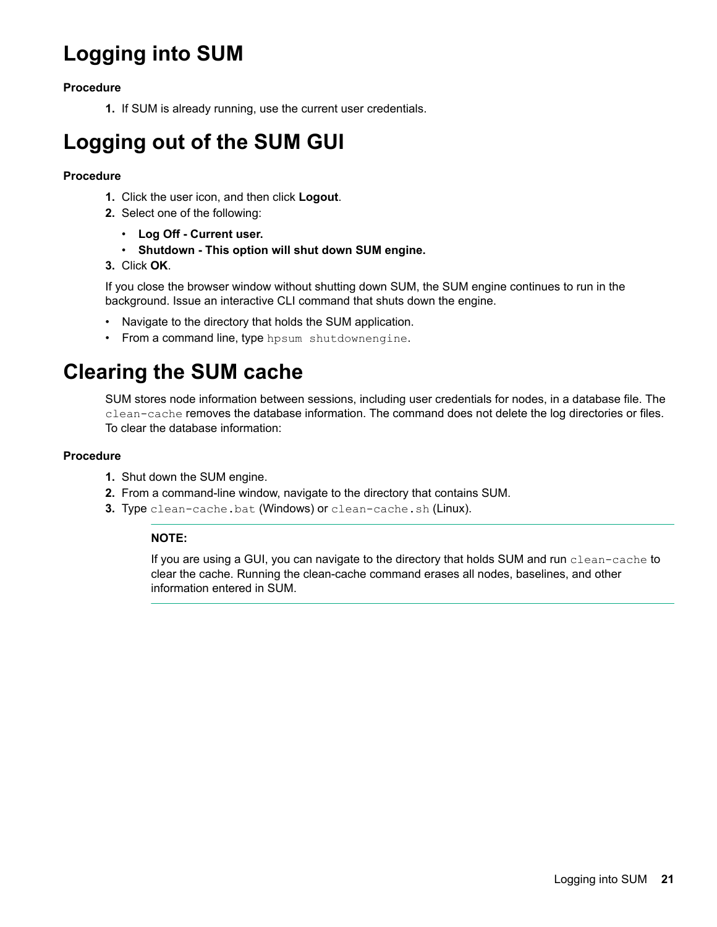## <span id="page-20-0"></span>**Logging into SUM**

### **Procedure**

1. If SUM is already running, use the current user credentials.

## **Logging out of the SUM GUI**

### **Procedure**

- 1. Click the user icon, and then click **Logout**.
- 2. Select one of the following:
	- **.** Log Off Current user.
	- **•** Shutdown This option will shut down SUM engine.
- **3.** Click **OK**.

If you close the browser window without shutting down SUM, the SUM engine continues to run in the background. Issue an interactive CLI command that shuts down the engine.

- Navigate to the directory that holds the SUM application.
- From a command line, type hpsum shutdownengine.

## **Clearing the SUM cache**

SUM stores node information between sessions, including user credentials for nodes, in a database file. The clean-cache removes the database information. The command does not delete the log directories or files. To clear the database information:

### **Procedure**

- 1. Shut down the SUM engine.
- 2. From a command-line window, navigate to the directory that contains SUM.
- 3. Type clean-cache.bat (Windows) or clean-cache.sh (Linux).

### **:NOTE**

If you are using a GUI, you can navigate to the directory that holds SUM and run clean-cache to clear the cache. Running the clean-cache command erases all nodes, baselines, and other information entered in SUM.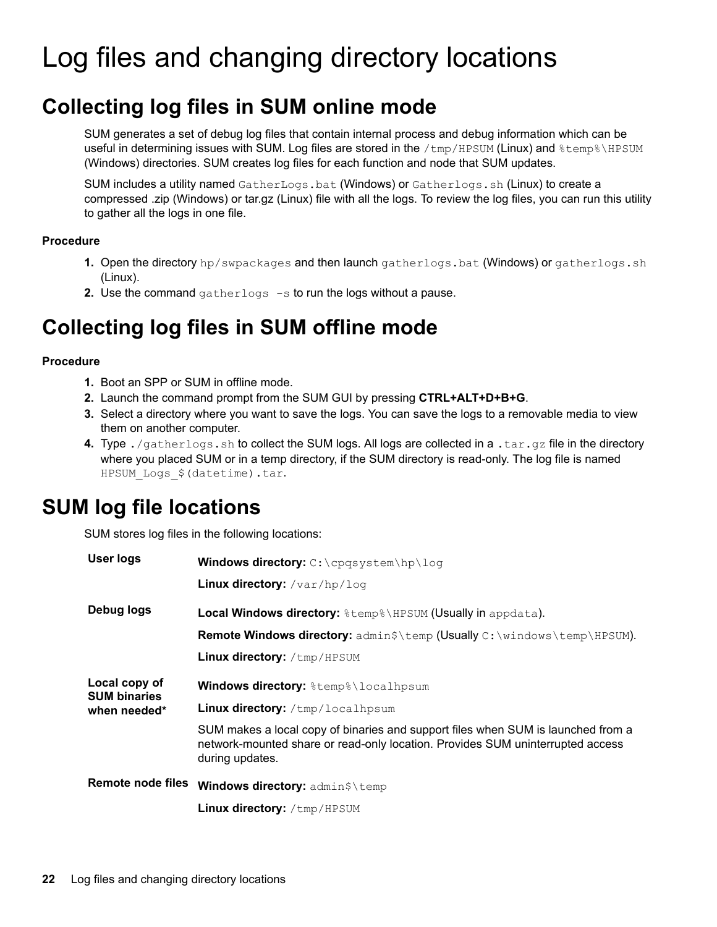# <span id="page-21-0"></span>Log files and changing directory locations

## **Collecting log files in SUM online mode**

SUM generates a set of debug log files that contain internal process and debug information which can be useful in determining issues with SUM. Log files are stored in the /tmp/ HPSUM (Linux) and  $\text{term}\$ \HPSUM (Windows) directories. SUM creates log files for each function and node that SUM updates.

SUM includes a utility named GatherLogs . bat (Windows) or Gatherlogs . sh (Linux) to create a compressed .zip (Windows) or tar.gz (Linux) file with all the logs. To review the log files, you can run this utility to gather all the logs in one file.

### **Procedure**

- **1.** Open the directory hp/swpackages and then launch gatherlogs. bat (Windows) or gatherlogs. sh  $(Linux)$ .
- **2.** Use the command gatherlogs  $-s$  to run the logs without a pause.

## **Collecting log files in SUM offline mode**

### **Procedure**

- 1. Boot an SPP or SUM in offline mode.
- 2. Launch the command prompt from the SUM GUI by pressing CTRL+ALT+D+B+G.
- 3. Select a directory where you want to save the logs. You can save the logs to a removable media to view them on another computer.
- 4. Type ./gatherlogs.sh to collect the SUM logs. All logs are collected in a .tar.gz file in the directory where you placed SUM or in a temp directory, if the SUM directory is read-only. The log file is named HPSUM Logs \$ (datetime) .tar.

## **SUM** log file locations

SUM stores log files in the following locations:

| <b>User logs</b>                     | <b>Windows directory:</b> C:\cpqsystem\hp\loq                                                                                                                                         |  |  |
|--------------------------------------|---------------------------------------------------------------------------------------------------------------------------------------------------------------------------------------|--|--|
|                                      | Linux directory: /var/hp/log                                                                                                                                                          |  |  |
| Debug logs                           | Local Windows directory: $\text{Exmp}\$ HPSUM (Usually in appdata).                                                                                                                   |  |  |
|                                      | <b>Remote Windows directory:</b> admin\$\temp (Usually C:\windows\temp\HPSUM).                                                                                                        |  |  |
|                                      | Linux directory: /tmp/HPSUM                                                                                                                                                           |  |  |
| Local copy of<br><b>SUM binaries</b> | <b>Windows directory:</b> %temp%\localhpsum                                                                                                                                           |  |  |
| when needed*                         | <b>Linux directory:</b> /tmp/localhpsum                                                                                                                                               |  |  |
|                                      | SUM makes a local copy of binaries and support files when SUM is launched from a<br>network-mounted share or read-only location. Provides SUM uninterrupted access<br>during updates. |  |  |
| <b>Remote node files</b>             | Windows directory: admin\$\temp                                                                                                                                                       |  |  |
|                                      | Linux directory: /tmp/HPSUM                                                                                                                                                           |  |  |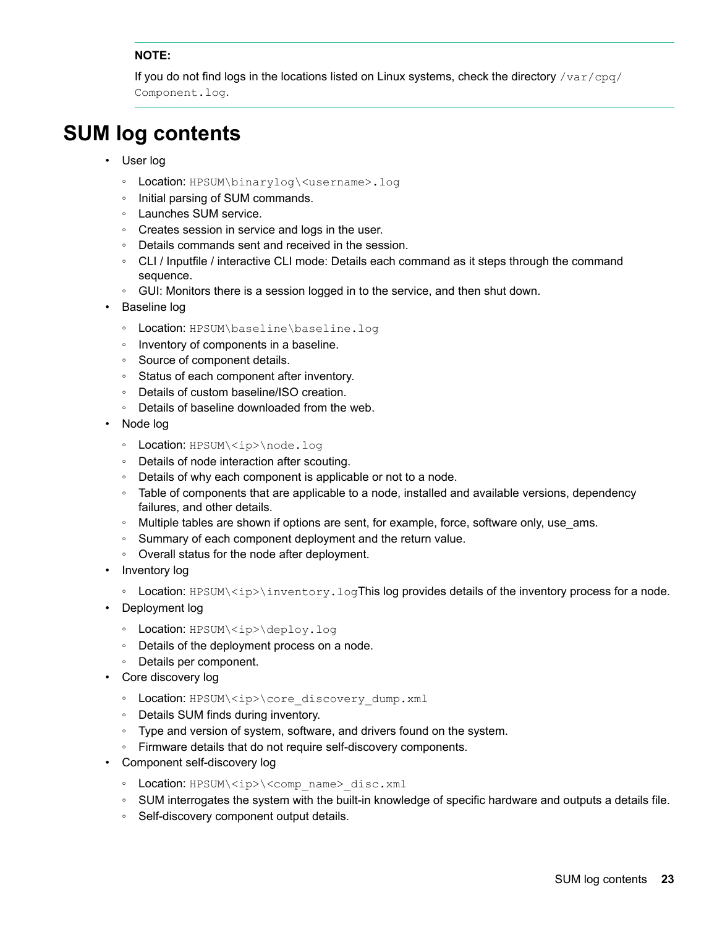### **:NOTE**

If you do not find logs in the locations listed on Linux systems, check the directory  $\sqrt{\text{var/cpq}}$ Component.log.

## <span id="page-22-0"></span>**SUM** log contents

- User log
	- Location: HPSUM\binarylog\<username>.log
	- ∘ Initial parsing of SUM commands.
	- ∘ Launches SUM service.
	- ∘ Creates session in service and logs in the user.
	- ∘ Details commands sent and received in the session.
	- © CLI / Inputfile / interactive CLI mode: Details each command as it steps through the command sequence.
	- ⊙ GUI: Monitors there is a session logged in to the service, and then shut down.
- Baseline log
	- Location: HPSUM\baseline\baseline.loq
	- ∘ Inventory of components in a baseline.
	- ∘ Source of component details.
	- ∘ Status of each component after inventory.
	- ∘ Details of custom baseline/ISO creation.
	- ∘ Details of baseline downloaded from the web.
- Node log
	- Location: HPSUM\<ip>\node.loq
	- ∘ Details of node interaction after scouting.
	- . Details of why each component is applicable or not to a node.
	- ∘ Table of components that are applicable to a node, installed and available versions, dependency failures, and other details.
	- ∘ Multiple tables are shown if options are sent, for example, force, software only, use ams.
	- ∘ Summary of each component deployment and the return value.
	- ∘ Overall status for the node after deployment.
- Inventory log
	- . Location: HPSUM\<ip>\inventory.logThis log provides details of the inventory process for a node.
- Deployment log
	- Location: HPSUM\<ip>\deploy.log
	- ∘ Details of the deployment process on a node.
	- ∘ Details per component.
- Core discovery log
	- Location: HPSUM\<ip>\core discovery dump.xml
	- ∘ Details SUM finds during inventory.
	- ∘ Type and version of system, software, and drivers found on the system.
	- ∘ Firmware details that do not require self-discovery components.
- Component self-discovery log
	- Location: HPSUM\<ip>\<comp name> disc.xml
	- ∘ SUM interrogates the system with the built-in knowledge of specific hardware and outputs a details file.
	- ∘ Self-discovery component output details.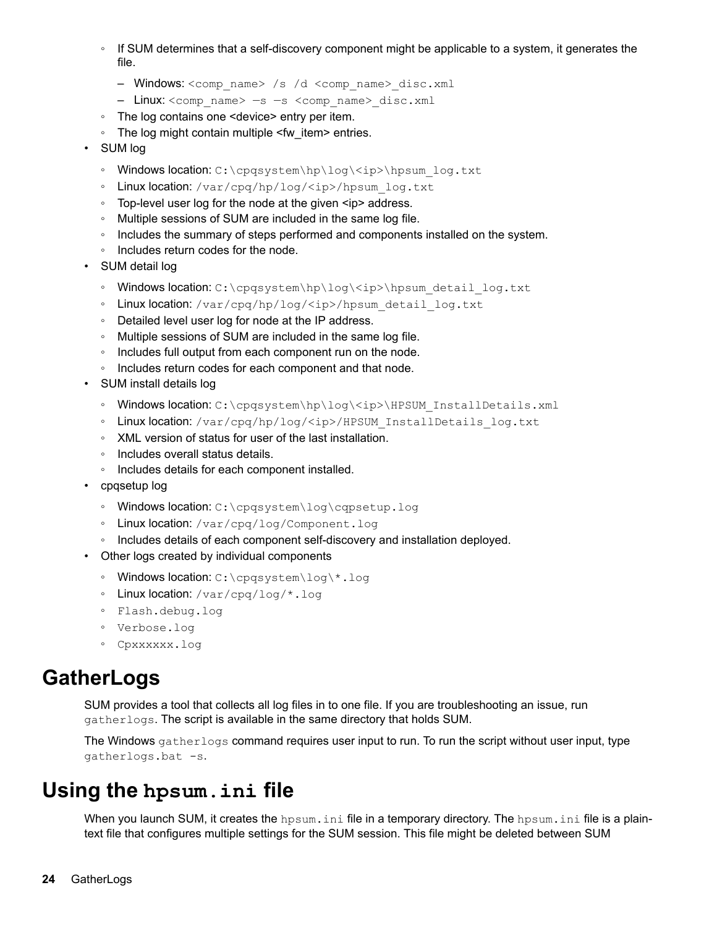- <span id="page-23-0"></span>• If SUM determines that a self-discovery component might be applicable to a system, it generates the file.
	- Windows: <comp name> /s /d <comp name> disc.xml
	- Linux: < comp name> -s -s < comp name> disc.xml
- The log contains one <device> entry per item.
- The log might contain multiple <fw item> entries.
- SUM log
	- Windows location: C:\cpqsystem\hp\log\<ip>\hpsum log.txt
	- ∘ Linux location: /var/cpq/hp/log/<ip>/hpsum log.txt
	- ∘ Top-level user log for the node at the given <ip> address.
	- ∘ Multiple sessions of SUM are included in the same log file.
	- ∘ Includes the summary of steps performed and components installed on the system.
	- ∘ Includes return codes for the node.
- SUM detail log
	- Windows location: C:\cpqsystem\hp\log\<ip>\hpsum detail log.txt
	- ∘ Linux location: /var/cpq/hp/loq/<ip>/hpsum detail loq.txt
	- . Detailed level user log for node at the IP address.
	- ∘ Multiple sessions of SUM are included in the same log file.
	- ∘ Includes full output from each component run on the node.
	- ∘ Includes return codes for each component and that node.
- SUM install details log
	- Windows location: C:\cpqsystem\hp\log\<ip>\HPSUM InstallDetails.xml
	- ∘ Linux location: /var/cpq/hp/log/<ip>/HPSUM InstallDetails log.txt
	- ∘ XML version of status for user of the last installation.
	- ∘ Includes overall status details.
	- ∘ Includes details for each component installed.
- cpqsetup log
	- Windows location: C:\cpqsystem\log\cqpsetup.log
	- ∘ Linux location: /var/cpq/log/Component.log
	- ∘ Includes details of each component self-discovery and installation deployed.
- Other logs created by individual components
	- ∘ Windows location: C:\cpqsystem\loq\\*.loq
	- ∘ Linux location: /var/ cpq/log/\*.log
	- ∘ Flash.debug.log
	- ∘ Verbose.log
	- ° Cpxxxxxx.log

## **GatherLogs**

SUM provides a tool that collects all log files in to one file. If you are troubleshooting an issue, run gatherlogs. The script is available in the same directory that holds SUM.

The Windows  $q$ atherlogs command requires user input to run. To run the script without user input, type gatherlogs.bat -s.

## **Using the hpsum**, ini file

When you launch SUM, it creates the <code>hpsum.ini</code> file in a temporary directory. The <code>hpsum.ini</code> file is a plain-<br>text file that configures multiple settings for the SUM session. This file might be deleted between SUM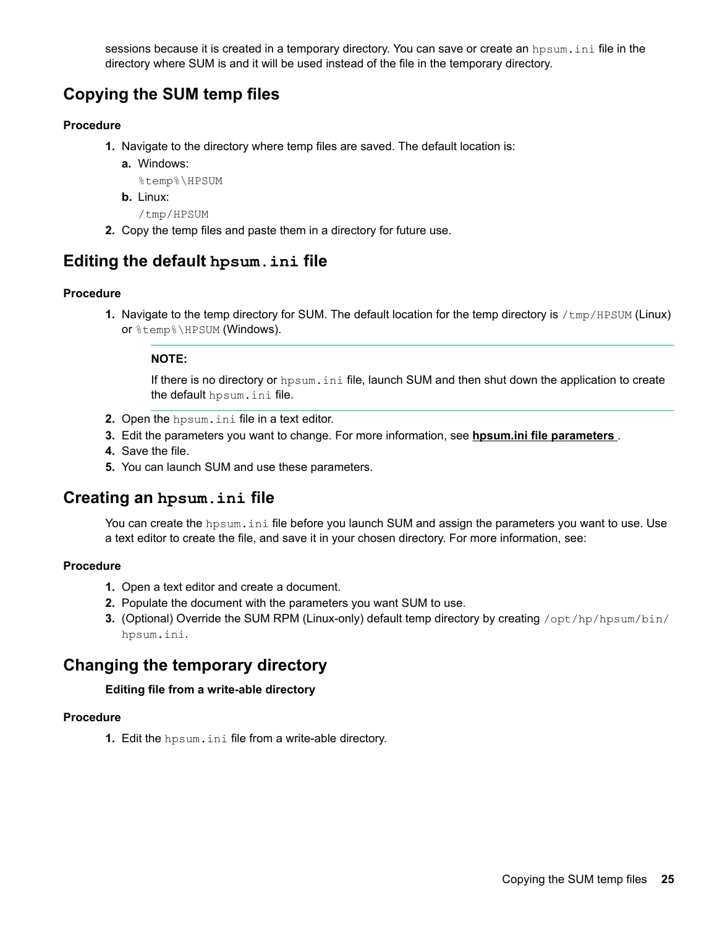sessions because it is created in a temporary directory. You can save or create an hosum, ini file in the directory where SUM is and it will be used instead of the file in the temporary directory.

### <span id="page-24-0"></span>**Copying the SUM temp files**

### **Procedure**

- 1. Navigate to the directory where temp files are saved. The default location is:
	- a. Windows:

%temp%\HPSUM

- b. Linux:
	- /tmp/HPSUM
- 2. Copy the temp files and paste them in a directory for future use.

### *<u>Editing the default hpsum. ini file*</u>

### **Procedure**

1. Navigate to the temp directory for SUM. The default location for the temp directory is /tmp/ HPSUM (Linux) or  $\textrm{thm}(Windows)$ .

### **:NOTE**

If there is no directory or hpsum. ini file, launch SUM and then shut down the application to create the default hpsum. ini file.

- 2. Open the hpsum.ini file in a text editor.
- **3.** Edit the parameters you want to change. For more information, see hpsum ini file parameters .
- 4. Save the file.
- 5. You can launch SUM and use these parameters.

### *<u>file</u> file dia an hpsum an initie*

You can create the hpsum, ini file before you launch SUM and assign the parameters you want to use. Use a text editor to create the file, and save it in your chosen directory. For more information, see:

### **Procedure**

- 1. Open a text editor and create a document.
- 2. Populate the document with the parameters you want SUM to use.
- 3. (Optional) Override the SUM RPM (Linux-only) default temp directory by creating /opt/hp/hpsum/bin/ hpsum.ini.

### **Changing the temporary directory**

### **Editing file from a write-able directory**

### **Procedure**

**1.** Edit the hpsum, ini file from a write-able directory.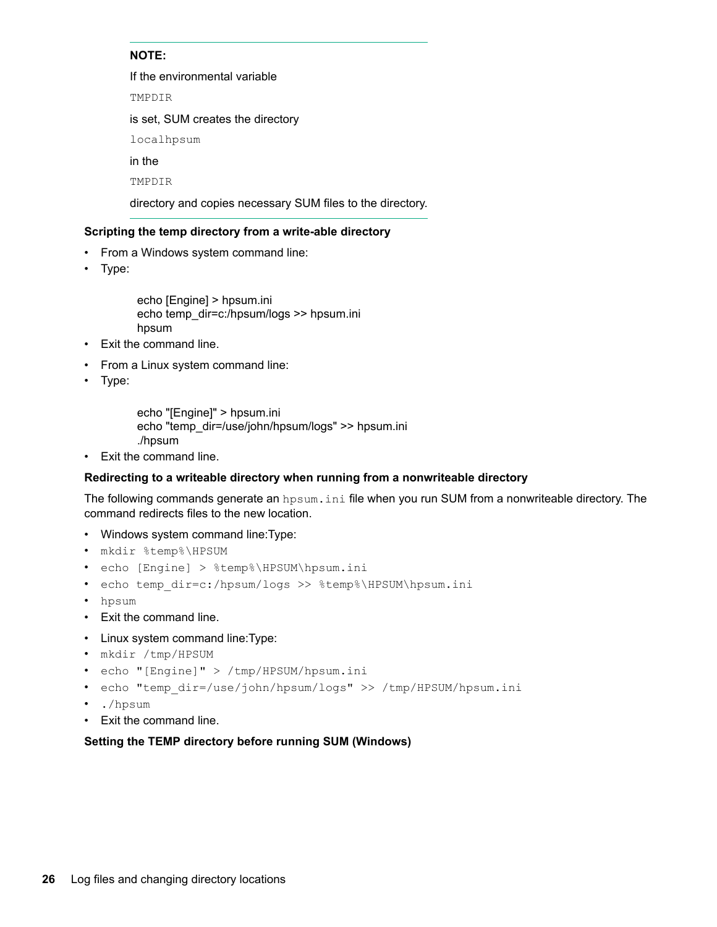### **:NOTE**

If the environmental variable

TMPDIR

is set, SUM creates the directory

localhpsum

in the

TMPDIR

directory and copies necessary SUM files to the directory.

### Scripting the temp directory from a write-able directory

- From a Windows system command line:
- Type:

```
echo [Engine] > hpsum.ini
echo temp_dir=c:/hpsum/logs >> hpsum.ini
hpsum
```
- Exit the command line.
- From a Linux system command line:
- $\cdot$  Type:

echo "[Engine]" > hpsum.ini echo "temp\_dir=/use/john/hpsum/logs" >> hpsum.ini hpsum./

• Exit the command line.

### **Redirecting to a writeable directory when running from a nonwriteable directory**

The following commands generate an hpsum, ini file when you run SUM from a nonwriteable directory. The command redirects files to the new location.

- Windows system command line: Type:
- mkdir %temp% \HPSUM
- echo [Engine] > %temp%\HPSUM\hpsum.ini
- echo temp dir=c:/hpsum/logs >> %temp%\HPSUM\hpsum.ini
- hpsum•
- Exit the command line.
- Linux system command line: Type:
- mkdir /tmp/ HPSUM
- echo "[Engine]" > /tmp/HPSUM/hpsum.ini
- echo "temp dir=/use/john/hpsum/logs" >> /tmp/HPSUM/hpsum.ini
- ./hpsum
- Exit the command line.

### Setting the TEMP directory before running SUM (Windows)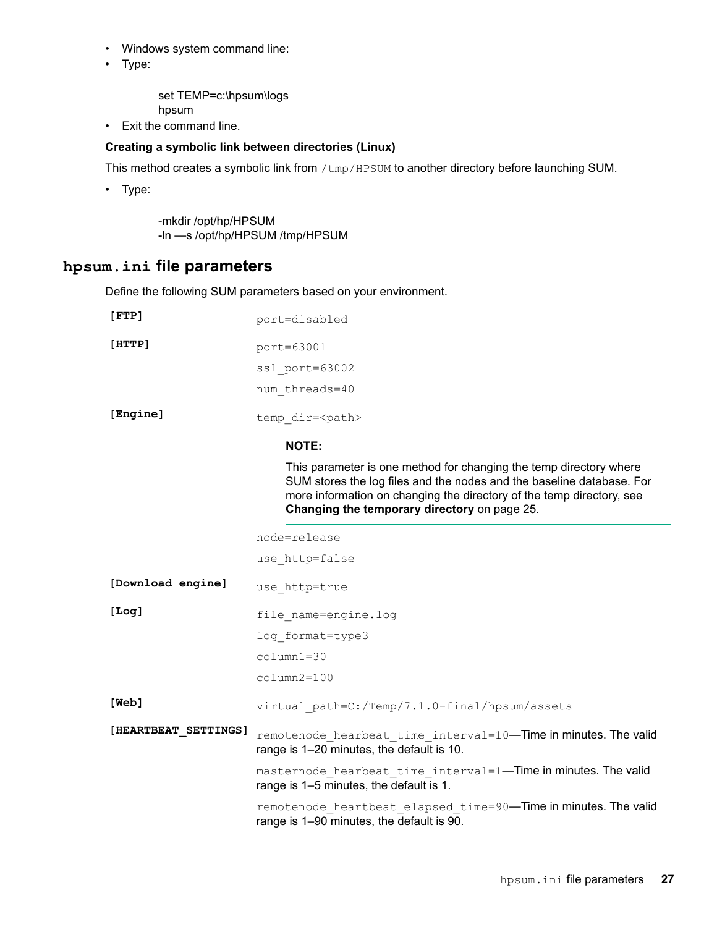- <span id="page-26-0"></span>• Windows system command line:
- Type:

set TEMP=c:\hpsum\logs hpsum

• Exit the command line.

### **Creating a symbolic link between directories (Linux)**

This method creates a symbolic link from /tmp/ HPSUM to another directory before launching SUM.

• Type:

-mkdir /opt/hp/HPSUM -In -s /opt/hp/HPSUM /tmp/HPSUM

### hpsum.ini file parameters

Define the following SUM parameters based on your environment.

| [FTP]                | port=disabled                                                                                                                                                                                                                                                        |  |  |
|----------------------|----------------------------------------------------------------------------------------------------------------------------------------------------------------------------------------------------------------------------------------------------------------------|--|--|
| [HTTP]               | port=63001                                                                                                                                                                                                                                                           |  |  |
|                      | ssl port=63002                                                                                                                                                                                                                                                       |  |  |
|                      | num threads=40                                                                                                                                                                                                                                                       |  |  |
| [Engine]             | temp dir= <path></path>                                                                                                                                                                                                                                              |  |  |
|                      | <b>NOTE:</b>                                                                                                                                                                                                                                                         |  |  |
|                      | This parameter is one method for changing the temp directory where<br>SUM stores the log files and the nodes and the baseline database. For<br>more information on changing the directory of the temp directory, see<br>Changing the temporary directory on page 25. |  |  |
|                      | node=release                                                                                                                                                                                                                                                         |  |  |
|                      | use http=false                                                                                                                                                                                                                                                       |  |  |
| [Download engine]    | use http=true                                                                                                                                                                                                                                                        |  |  |
| [Log]                | file name=engine.log                                                                                                                                                                                                                                                 |  |  |
|                      | log format=type3                                                                                                                                                                                                                                                     |  |  |
|                      | $column1=30$                                                                                                                                                                                                                                                         |  |  |
|                      | $column2=100$                                                                                                                                                                                                                                                        |  |  |
| [Web]                | virtual path=C:/Temp/7.1.0-final/hpsum/assets                                                                                                                                                                                                                        |  |  |
| [HEARTBEAT SETTINGS] | remotenode_hearbeat_time interval=10-Time in minutes. The valid<br>range is 1-20 minutes, the default is 10.                                                                                                                                                         |  |  |
|                      | masternode_hearbeat_time interval=1-Time in minutes. The valid<br>range is 1–5 minutes, the default is 1.                                                                                                                                                            |  |  |
|                      | remotenode_heartbeat elapsed time=90-Time in minutes. The valid<br>range is 1-90 minutes, the default is 90.                                                                                                                                                         |  |  |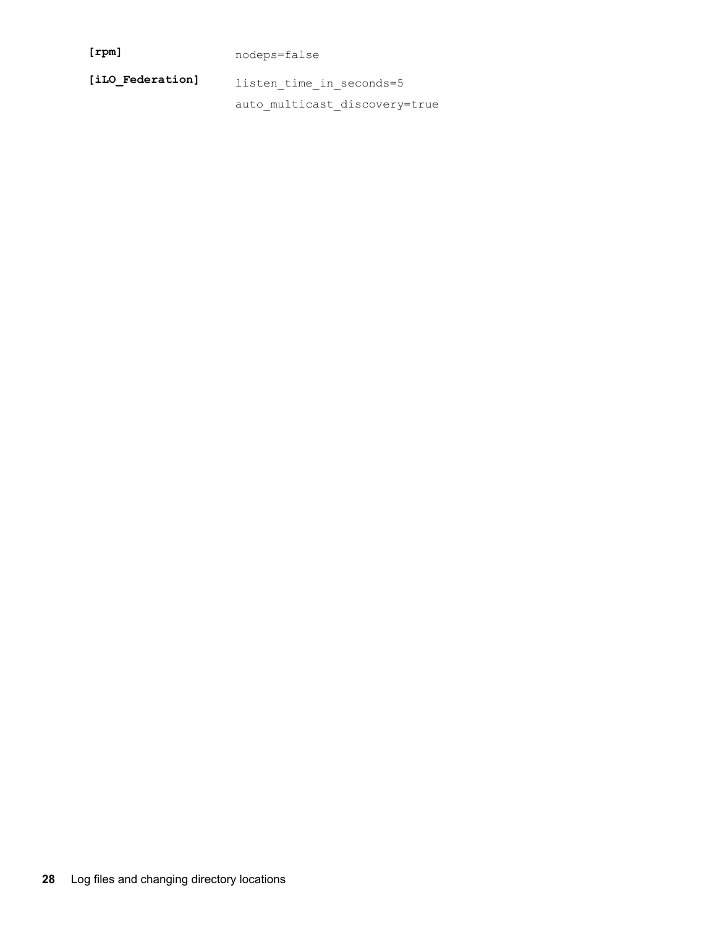| [ <i>rpm</i> ]   | nodeps=false                  |  |
|------------------|-------------------------------|--|
| [iLO Federation] | listen time in seconds=5      |  |
|                  | auto multicast discovery=true |  |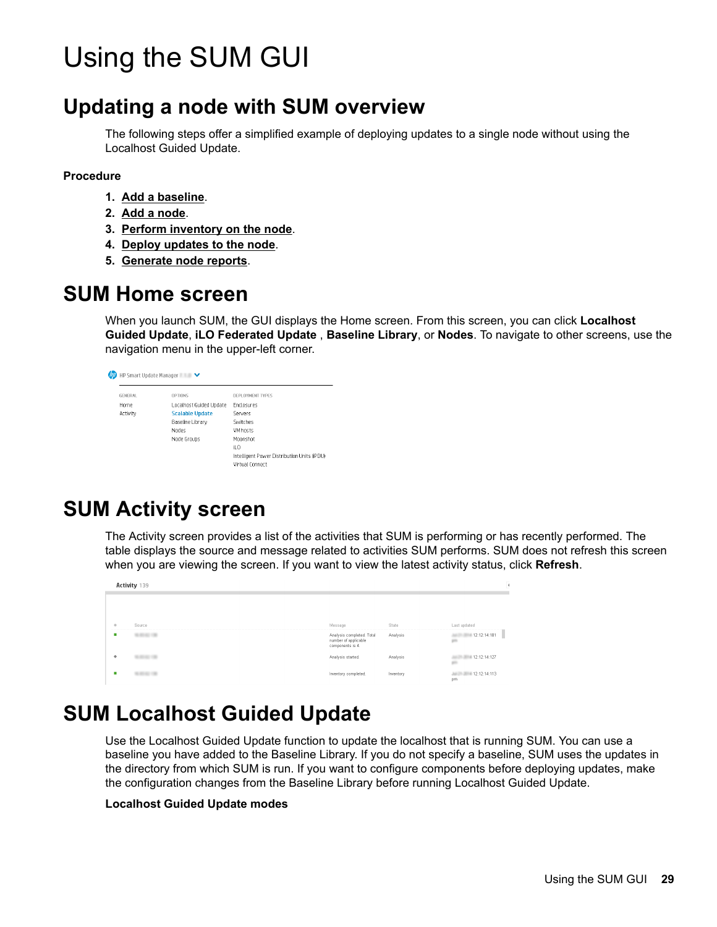# <span id="page-28-0"></span>Using the SUM GUI

## **Updating a node with SUM overview**

The following steps offer a simplified example of deploying updates to a single node without using the Localhost Guided Update.

#### **Procedure**

- 1. Add a baseline.
- 2. Add a node.
- 3. Perform inventory on the node.
- 4. Deploy updates to the node.
- **5. Generate node reports.**

### **SUM Home screen**

When you launch SUM, the GUI displays the Home screen. From this screen, you can click **Localhost** Guided Update, iLO Federated Update, Baseline Library, or Nodes. To navigate to other screens, use the navigation menu in the upper-left corner.

| <b>GENERAL</b> | <b>OPTIONS</b>          | DEPLOYMENT TYPES                            |
|----------------|-------------------------|---------------------------------------------|
| Hnme           | Localhost Guided Update | <b>Enclosures</b>                           |
| Activity       | <b>Scalable Update</b>  | Servers                                     |
|                | Baseline Library        | Switches                                    |
|                | Nodes                   | <b>VM</b> hosts                             |
|                | Node Groups             | Mnnnshnt                                    |
|                |                         | iLO                                         |
|                |                         | Intelligent Power Distribution Units (IPDU) |
|                |                         | Virtual Connect                             |

## **SUM Activity screen**

The Activity screen provides a list of the activities that SUM is performing or has recently performed. The table displays the source and message related to activities SUM performs. SUM does not refresh this screen when you are viewing the screen. If you want to view the latest activity status, click **Refresh**.

|   | Activity 139 |                                                                       |           |                    |
|---|--------------|-----------------------------------------------------------------------|-----------|--------------------|
|   |              |                                                                       |           |                    |
| × | Source       | Message                                                               | State     | Last updated       |
|   |              | Analysis completed. Total<br>number of applicable<br>components is 4. | Analysis  | 12:12:14:181       |
|   |              | Analysis started.                                                     | Analysis  | 12:12:14:127       |
|   |              | Inventory completed.                                                  | Inventory | 12:12:14:113<br>pm |

## **SUM Localhost Guided Update**

Use the Localhost Guided Update function to update the localhost that is running SUM. You can use a baseline you have added to the Baseline Library. If you do not specify a baseline, SUM uses the updates in the directory from which SUM is run. If you want to configure components before deploying updates, make the configuration changes from the Baseline Library before running Localhost Guided Update.

#### **Localhost Guided Update modes**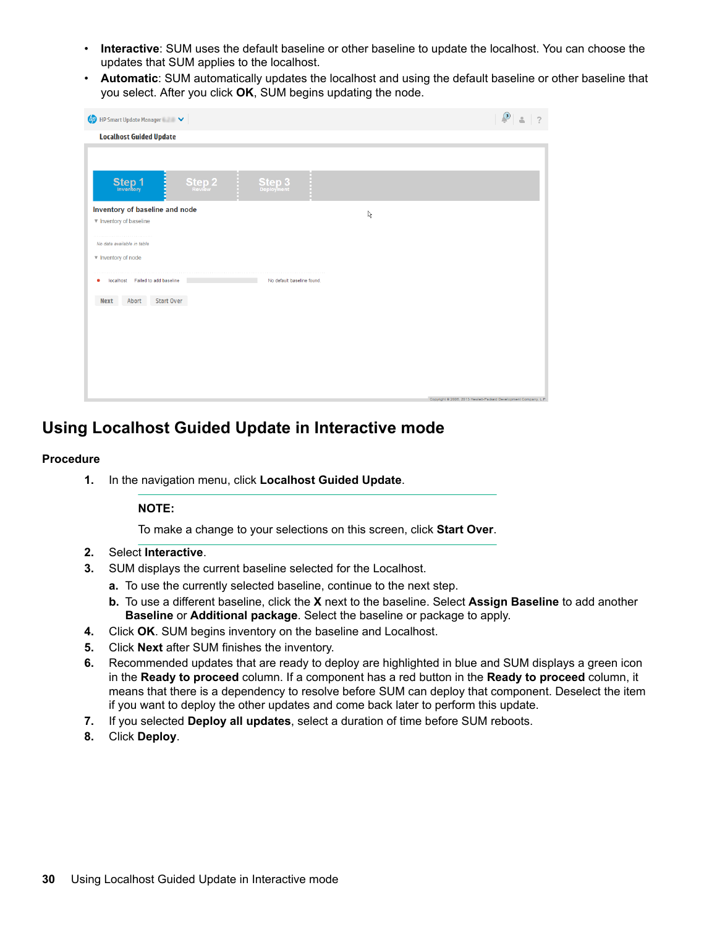- **the choose Choose Choose** the default baseline or other baseline to update the localhost. You can choose the updates that SUM applies to the localhost.
- Automatic: SUM automatically updates the localhost and using the default baseline or other baseline that you select. After you click OK, SUM begins updating the node.

| $\n  QD\n  HP Smart Update Manager  \triangleright$                 | $\bigcirc$<br>$\overline{\phantom{a}}$<br>$\overline{a}$         |
|---------------------------------------------------------------------|------------------------------------------------------------------|
| <b>Localhost Guided Update</b>                                      |                                                                  |
| ť.<br><b>Step 1</b><br><b>Step 2</b><br><b>Step 3</b><br>Deployment |                                                                  |
| Inventory of baseline and node<br>ß                                 |                                                                  |
| ▼ Inventory of baseline                                             |                                                                  |
| No data available in table                                          |                                                                  |
| ▼ Inventory of node                                                 |                                                                  |
| localhost Failed to add baseline<br>No default baseline found.<br>٠ |                                                                  |
| Start Over<br>Abort<br><b>Next</b>                                  |                                                                  |
|                                                                     |                                                                  |
|                                                                     |                                                                  |
|                                                                     |                                                                  |
|                                                                     |                                                                  |
|                                                                     |                                                                  |
|                                                                     |                                                                  |
|                                                                     | Copyright @ 2006, 2013 Hewlett-Packard Development Company, L.P. |

### **Using Localhost Guided Update in Interactive mode**

### **Procedure**

1. In the navigation menu, click Localhost Guided Update.

### **:NOTE**

To make a change to your selections on this screen, click **Start Over**.

- 2. Select **Interactive**.
- 3. SUM displays the current baseline selected for the Localhost.
	- a. To use the currently selected baseline, continue to the next step.
	- **b.** To use a different baseline, click the **X** next to the baseline. Select **Assign Baseline** to add another Baseline or Additional package. Select the baseline or package to apply.
- 4. Click OK. SUM begins inventory on the baseline and Localhost.
- 5. Click **Next** after SUM finishes the inventory.
- 6. Recommended updates that are ready to deploy are highlighted in blue and SUM displays a green icon in the Ready to proceed column. If a component has a red button in the Ready to proceed column, it means that there is a dependency to resolve before SUM can deploy that component. Deselect the item if you want to deploy the other updates and come back later to perform this update.
- 7. If you selected Deploy all updates, select a duration of time before SUM reboots.
- 8. Click **Deploy**.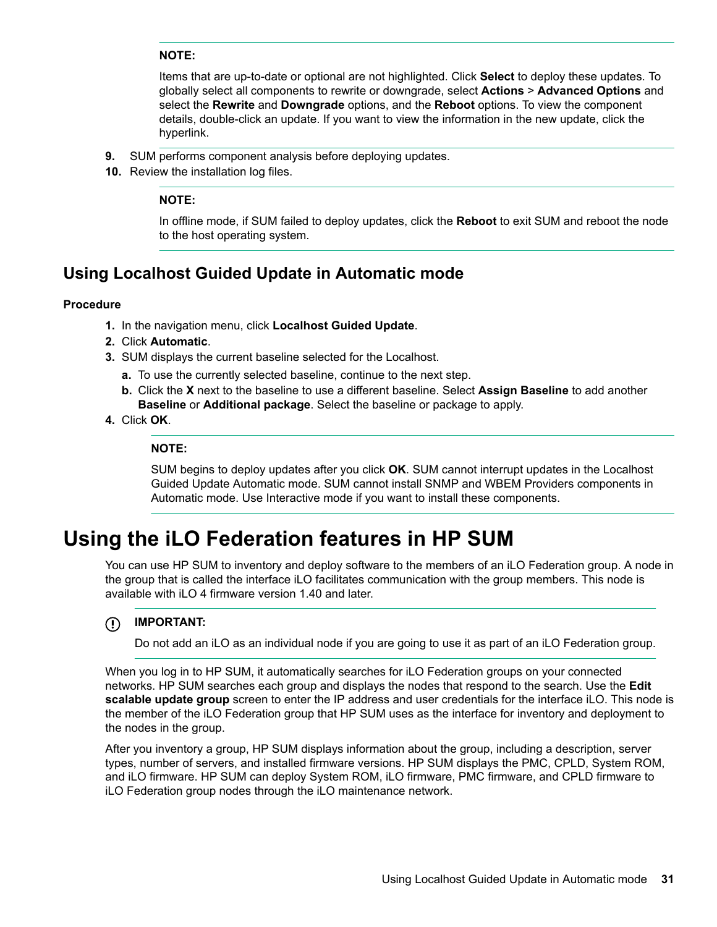### <span id="page-30-0"></span>**:NOTE**

Items that are up-to-date or optional are not highlighted. Click **Select** to deploy these updates. To globally select all components to rewrite or downgrade, select **Actions > Advanced Options** and select the **Rewrite** and **Downgrade** options, and the **Reboot** options. To view the component details, double-click an update. If you want to view the information in the new update, click the .hyperlink

- **9.** SUM performs component analysis before deploying updates.
- 10. Review the installation log files.

#### **:NOTE**

In offline mode, if SUM failed to deploy updates, click the **Reboot** to exit SUM and reboot the node to the host operating system.

### **Using Localhost Guided Update in Automatic mode**

### **Procedure**

- 1. In the navigation menu, click Localhost Guided Update.
- 2. Click **Automatic**.
- 3. SUM displays the current baseline selected for the Localhost.
	- **a.** To use the currently selected baseline, continue to the next step.
	- **b.** Click the **X** next to the baseline to use a different baseline. Select **Assign Baseline** to add another Baseline or Additional package. Select the baseline or package to apply.
- 4. Click OK.

#### **:NOTE**

SUM begins to deploy updates after you click OK. SUM cannot interrupt updates in the Localhost Guided Update Automatic mode. SUM cannot install SNMP and WBEM Providers components in Automatic mode. Use Interactive mode if you want to install these components.

## Using the **iLO** Federation features in HP SUM

You can use HP SUM to inventory and deploy software to the members of an iLO Federation group. A node in the group that is called the interface iLO facilitates communication with the group members. This node is available with iLO 4 firmware version 1.40 and later.

#### **:IMPORTANT**  $\circledR$

Do not add an iLO as an individual node if you are going to use it as part of an iLO Federation group.

When you log in to HP SUM, it automatically searches for iLO Federation groups on your connected networks. HP SUM searches each group and displays the nodes that respond to the search. Use the **Edit** scalable update group screen to enter the IP address and user credentials for the interface iLO. This node is the member of the iLO Federation group that HP SUM uses as the interface for inventory and deployment to the nodes in the group.

After you inventory a group, HP SUM displays information about the group, including a description, server types, number of servers, and installed firmware versions. HP SUM displays the PMC, CPLD, System ROM, and iLO firmware. HP SUM can deploy System ROM, iLO firmware, PMC firmware, and CPLD firmware to iLO Federation group nodes through the iLO maintenance network.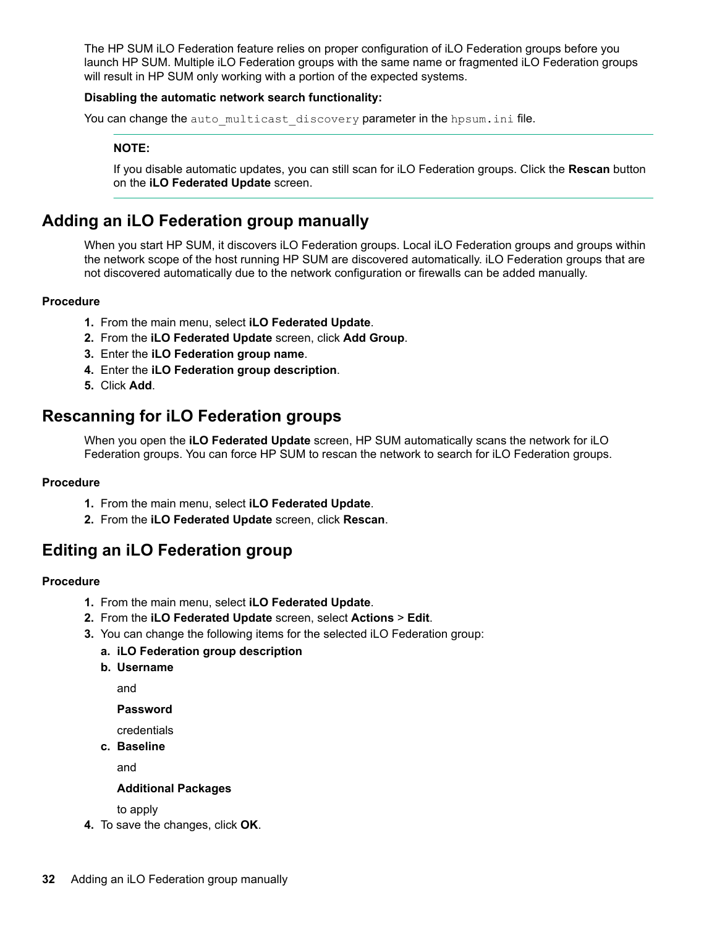The HP SUM ILO Federation feature relies on proper configuration of ILO Federation groups before you launch HP SUM. Multiple iLO Federation groups with the same name or fragmented iLO Federation groups will result in HP SUM only working with a portion of the expected systems.

#### **Disabling the automatic network search functionality:**

You can change the auto multicast discovery parameter in the hpsum.inifile.

### **:NOTE**

If you disable automatic updates, you can still scan for iLO Federation groups. Click the Rescan button on the **iLO Federated Update** screen.

### **Adding an iLO Federation group manually**

When you start HP SUM, it discovers iLO Federation groups. Local iLO Federation groups and groups within the network scope of the host running HP SUM are discovered automatically. iLO Federation groups that are not discovered automatically due to the network configuration or firewalls can be added manually.

#### **Procedure**

- 1. From the main menu, select iLO Federated Update.
- 2. From the **iLO Federated Update** screen, click Add Group.
- 3. Enter the iLO Federation group name.
- 4. Enter the **iLO Federation group description**.
- **5.** Click **Add**.

### **Rescanning for iLO Federation groups**

When you open the **iLO Federated Update** screen, HP SUM automatically scans the network for iLO Federation groups. You can force HP SUM to rescan the network to search for iLO Federation groups.

#### **Procedure**

- 1. From the main menu, select iLO Federated Update.
- 2. From the **iLO Federated Update** screen, click Rescan.

### **Editing an iLO Federation group**

#### **Procedure**

- 1. From the main menu, select **iLO** Federated Update.
- 2. From the iLO Federated Update screen, select Actions > Edit.
- 3. You can change the following items for the selected iLO Federation group:

### **a. iLO Federation group description**

**b.** Username

and

**Password**

credentials

**c.** Baseline

and

#### **Additional Packages**

to apply

4. To save the changes, click OK.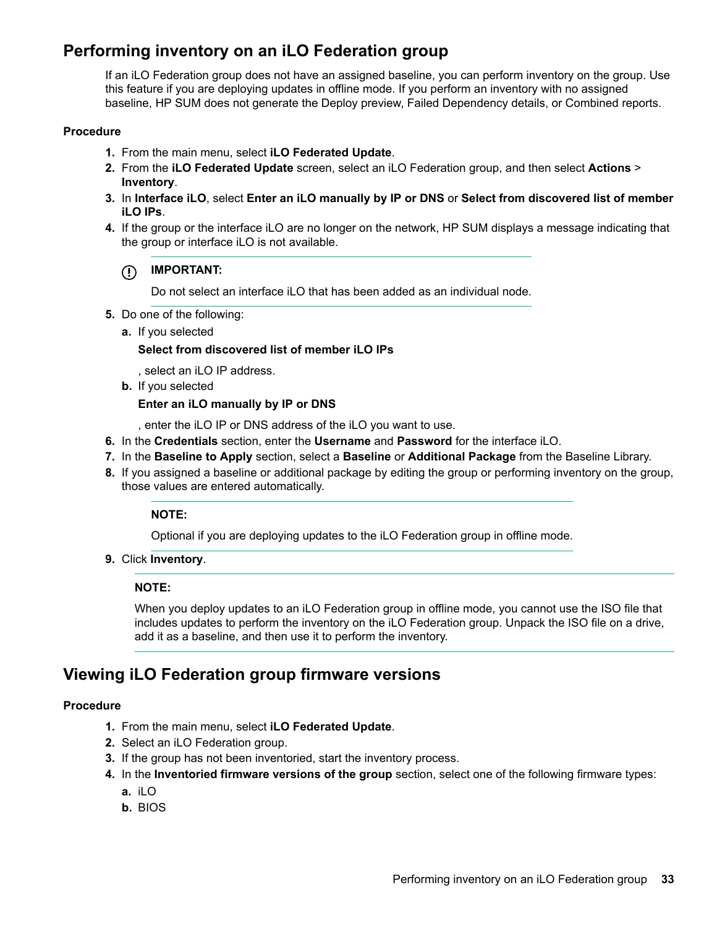### **Performing inventory on an iLO Federation group**

If an iLO Federation group does not have an assigned baseline, you can perform inventory on the group. Use this feature if you are deploying updates in offline mode. If you perform an inventory with no assigned baseline, HP SUM does not generate the Deploy preview, Failed Dependency details, or Combined reports.

### **Procedure**

- 1. From the main menu, select iLO Federated Update.
- 2. From the **iLO Federated Update** screen, select an iLO Federation group, and then select Actions > .**Inventory**
- **3.** In Interface iLO, select Enter an iLO manually by IP or DNS or Select from discovered list of member iLO IPs.
- 4. If the group or the interface iLO are no longer on the network, HP SUM displays a message indicating that the group or interface iLO is not available.

#### $\Omega$ **:IMPORTANT**

Do not select an interface iLO that has been added as an individual node.

- 5. Do one of the following:
	- a. If you selected

#### **Select from discovered list of member iLO IPs**

, select an iLO IP address.

**b.** If you selected

#### **Enter an iLO manually by IP or DNS**

, enter the iLO IP or DNS address of the iLO you want to use.

- 6. In the Credentials section, enter the Username and Password for the interface iLO.
- 7. In the Baseline to Apply section, select a Baseline or Additional Package from the Baseline Library.
- 8. If you assigned a baseline or additional package by editing the group or performing inventory on the group, those values are entered automatically.

#### **:NOTE**

Optional if you are deploying updates to the iLO Federation group in offline mode.

9. Click **Inventory**.

#### **:NOTE**

When you deploy updates to an iLO Federation group in offline mode, you cannot use the ISO file that includes updates to perform the inventory on the iLO Federation group. Unpack the ISO file on a drive, add it as a baseline, and then use it to perform the inventory.

### **Viewing iLO Federation group firmware versions**

#### **Procedure**

- 1. From the main menu, select iLO Federated Update.
- 2. Select an iLO Federation group.
- 3. If the group has not been inventoried, start the inventory process.
- 4. In the **Inventoried firmware versions of the group** section, select one of the following firmware types:
	- **a.** iLO
	- **b.** BIOS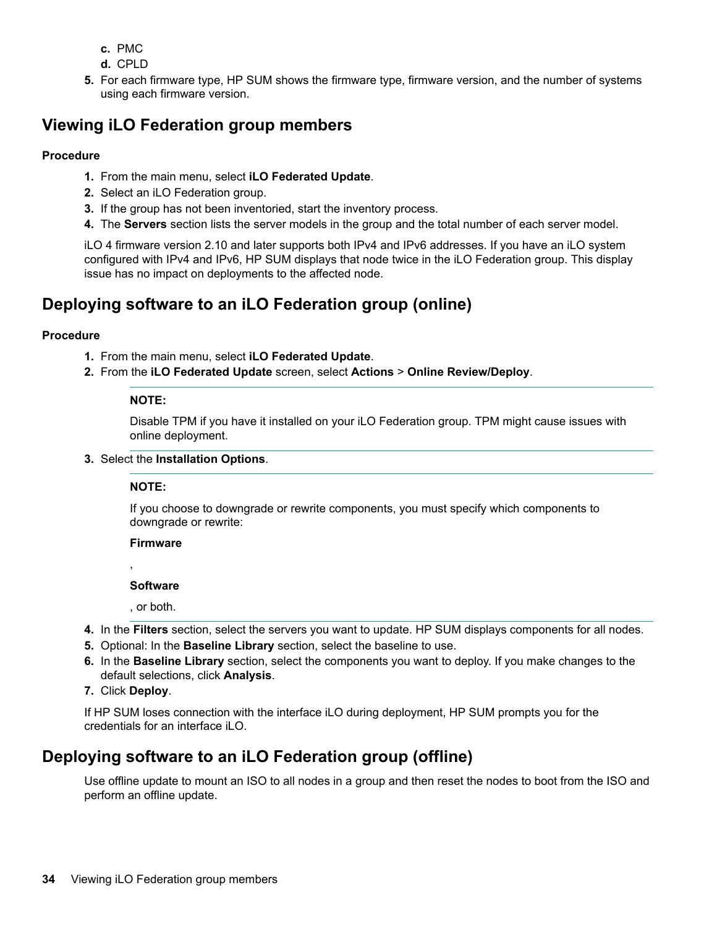- PMC **.c**
- d. CPLD
- 5. For each firmware type, HP SUM shows the firmware type, firmware version, and the number of systems using each firmware version.

### **Wiewing iLO Federation group members**

### **Procedure**

- 1. From the main menu, select **iLO** Federated Update.
- 2. Select an iLO Federation group.
- 3. If the group has not been inventoried, start the inventory process.
- 4. The Servers section lists the server models in the group and the total number of each server model.

iLO 4 firmware version 2.10 and later supports both IPv4 and IPv6 addresses. If you have an iLO system configured with IPv4 and IPv6, HP SUM displays that node twice in the iLO Federation group. This display issue has no impact on deployments to the affected node.

### **Deploying software to an iLO Federation group (online)**

### **Procedure**

- 1. From the main menu, select iLO Federated Update.
- 2. From the iLO Federated Update screen, select Actions > Online Review/Deploy.

### **:NOTE**

Disable TPM if you have it installed on your iLO Federation group. TPM might cause issues with online deployment.

**3.** Select the Installation Options.

### **:NOTE**

If you choose to downgrade or rewrite components, you must specify which components to downgrade or rewrite:

#### **Firmware**

,

### **Software**

. or both.

- 4. In the Filters section, select the servers you want to update. HP SUM displays components for all nodes.
- 5. Optional: In the Baseline Library section, select the baseline to use.
- 6. In the **Baseline Library** section, select the components you want to deploy. If you make changes to the default selections, click Analysis.
- 7. Click Deploy.

If HP SUM loses connection with the interface iLO during deployment, HP SUM prompts you for the credentials for an interface iLO.

### Deploying software to an iLO Federation group (offline)

Use offline update to mount an ISO to all nodes in a group and then reset the nodes to boot from the ISO and perform an offline update.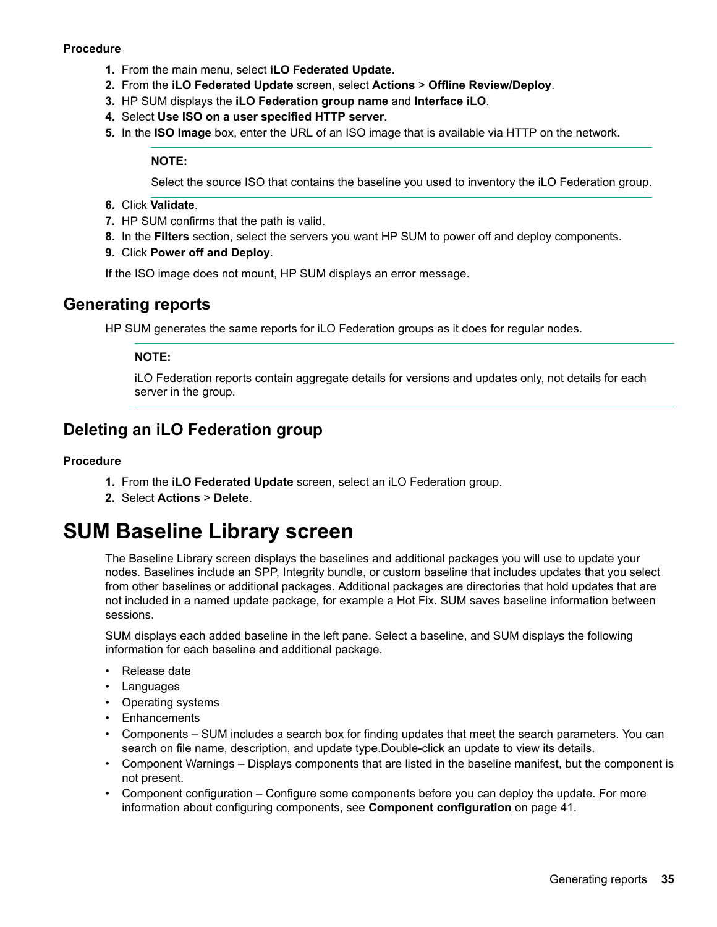### <span id="page-34-0"></span>**Procedure**

- 1. From the main menu, select iLO Federated Update.
- 2. From the **iLO Federated Update** screen, select **Actions** > Offline Review/Deploy.
- 3. HP SUM displays the **iLO Federation group name** and Interface iLO.
- 4. Select Use ISO on a user specified HTTP server.
- **5.** In the **ISO Image** box, enter the URL of an ISO image that is available via HTTP on the network.

#### **:NOTE**

Select the source ISO that contains the baseline you used to inventory the iLO Federation group.

- 6. Click **Validate**.
- 7. HP SUM confirms that the path is valid.
- 8. In the **Filters** section, select the servers you want HP SUM to power off and deploy components.
- 9. Click Power off and Deploy.

If the ISO image does not mount, HP SUM displays an error message.

### **Generating reports**

HP SUM generates the same reports for iLO Federation groups as it does for regular nodes.

### **:NOTE**

iLO Federation reports contain aggregate details for versions and updates only, not details for each server in the group.

### **Deleting an iLO Federation group**

#### **Procedure**

- 1. From the **iLO Federated Update** screen, select an iLO Federation group.
- 2. Select **Actions** > Delete.

## **SUM Baseline Library screen**

The Baseline Library screen displays the baselines and additional packages you will use to update your nodes. Baselines include an SPP, Integrity bundle, or custom baseline that includes updates that you select from other baselines or additional packages. Additional packages are directories that hold updates that are not included in a named update package, for example a Hot Fix. SUM saves baseline information between .sessions

SUM displays each added baseline in the left pane. Select a baseline, and SUM displays the following information for each baseline and additional package.

- Release date
- Languages
- Operating systems
- Enhancements
- Components SUM includes a search box for finding updates that meet the search parameters. You can search on file name, description, and update type Double-click an update to view its details.
- Component Warnings Displays components that are listed in the baseline manifest, but the component is not present.
- Component configuration Configure some components before you can deploy the update. For more information about configuring components, see **Component configuration** on page 41.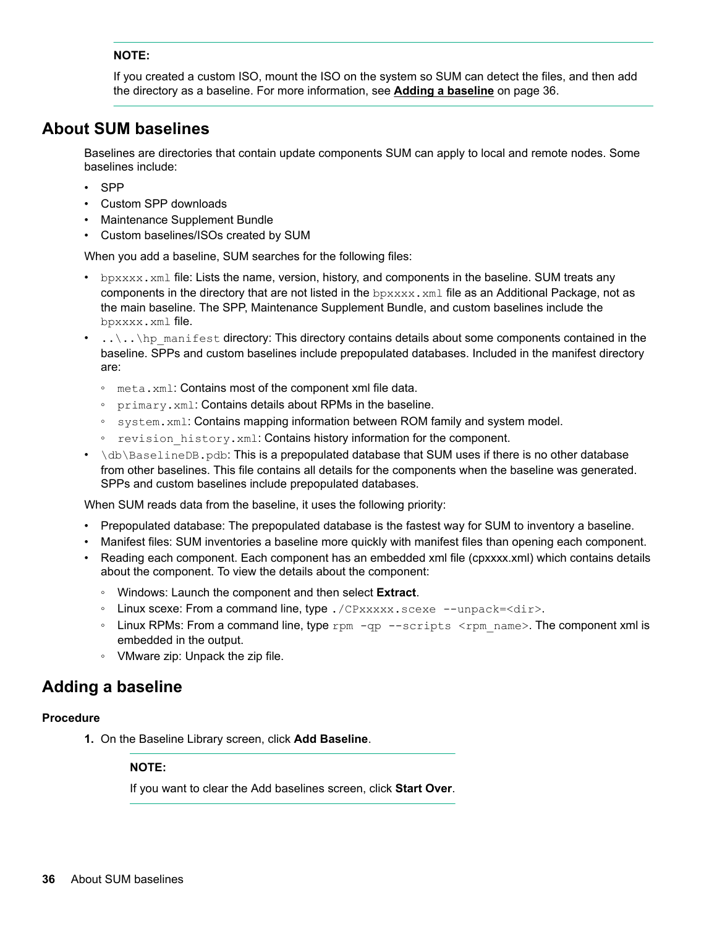### <span id="page-35-0"></span>**:NOTE**

If you created a custom ISO, mount the ISO on the system so SUM can detect the files, and then add the directory as a baseline. For more information, see **Adding a baseline** on page 36.

### **About SUM baselines**

Baselines are directories that contain update components SUM can apply to local and remote nodes. Some baselines include:

- SPP
- Custom SPP downloads
- Maintenance Supplement Bundle
- Custom baselines/ISOs created by SUM

When you add a baseline, SUM searches for the following files:

- bexxxx, xml file: Lists the name, version, history, and components in the baseline. SUM treats any components in the directory that are not listed in the  $bpxxxx$ , xml. file as an Additional Package, not as the main baseline. The SPP, Maintenance Supplement Bundle, and custom baselines include the bpxxxx.xml file.
- $t_1, t_2, t_3, t_4$  in contained components some about some components contained in the baseline. SPPs and custom baselines include prepopulated databases. Included in the manifest directory :are
	- . meta.xml: Contains most of the component xml file data.
	- ∘ primary.xml: Contains details about RPMs in the baseline.
	- system. xml: Contains mapping information between ROM family and system model.
	- ∘ revision history.xml: Contains history information for the component.
- $\delta$ db $\beta$ aselineDB. pdb: This is a prepopulated database that SUM uses if there is no other database from other baselines. This file contains all details for the components when the baseline was generated. SPPs and custom baselines include prepopulated databases.

When SUM reads data from the baseline, it uses the following priority:

- Prepopulated database: The prepopulated database is the fastest way for SUM to inventory a baseline.
- . Manifest files: SUM inventories a baseline more quickly with manifest files than opening each component.
- Reading each component. Each component has an embedded xml file (cpxxxx.xml) which contains details about the component. To view the details about the component:
	- **EXTEREM** SEPER SERIM INCOCIDE THE COMPONENT And then select **Extract**.
	- Linux scexe: From a command line, type . /CPxxxxx. scexe --unpack=<dir>.
	- Linux RPMs: From a command line, type rpm -qp --scripts <rpm name>. The component xml is embedded in the output.
	- ∘ VMware zip: Unpack the zip file.

### **baseline a Adding**

#### **Procedure**

1. On the Baseline Library screen, click Add Baseline.

#### **:NOTE**

If you want to clear the Add baselines screen, click Start Over.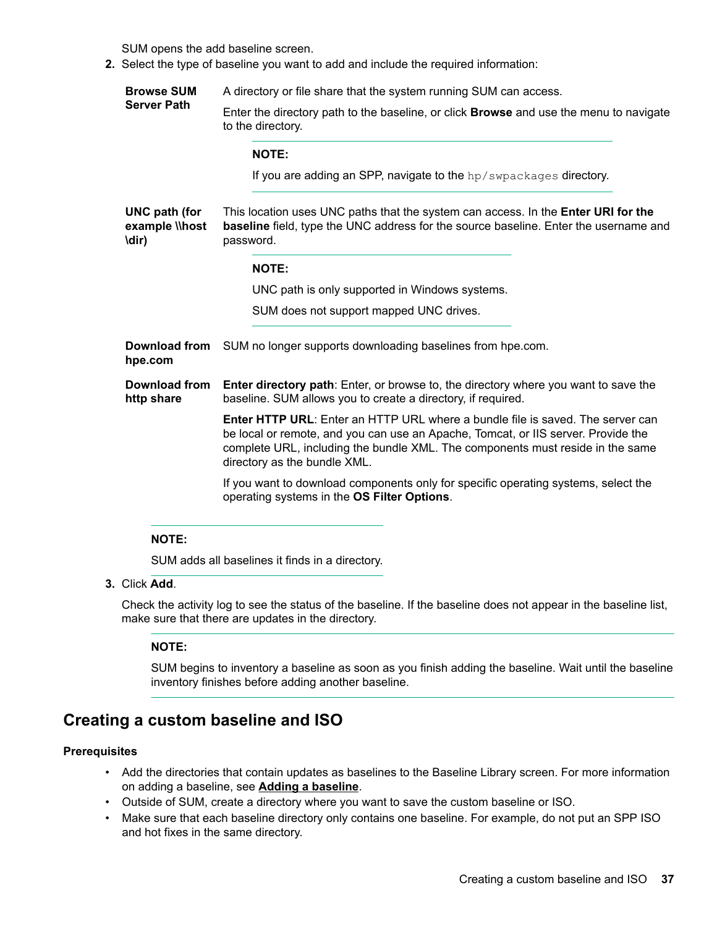SUM opens the add baseline screen.

2. Select the type of baseline you want to add and include the required information:

**Browse SUM Server Path** A directory or file share that the system running SUM can access. Enter the directory path to the baseline, or click **Browse** and use the menu to navigate to the directory. **:NOTE** If you are adding an SPP, navigate to the  $hp/swpackages$  directory. **UNC** path (for **example** \\host **(dir\** This location uses UNC paths that the system can access. In the **Enter URI for the** baseline field, type the UNC address for the source baseline. Enter the username and password. **:NOTE** UNC path is only supported in Windows systems. SUM does not support mapped UNC drives. **Download from** SUM no longer supports downloading baselines from hpe.com. hpe.com **Download from** Enter directory path: Enter, or browse to, the directory where you want to save the http share baseline. SUM allows you to create a directory, if required. **Enter HTTP URL:** Enter an HTTP URL where a bundle file is saved. The server can be local or remote, and you can use an Apache, Tomcat, or IIS server. Provide the complete URL, including the bundle XML. The components must reside in the same directory as the bundle XML. If you want to download components only for specific operating systems, select the operating systems in the OS Filter Options.

#### **:NOTE**

SUM adds all baselines it finds in a directory.

3. Click Add.

Check the activity log to see the status of the baseline. If the baseline does not appear in the baseline list, make sure that there are updates in the directory.

#### **:NOTE**

SUM begins to inventory a baseline as soon as you finish adding the baseline. Wait until the baseline inventory finishes before adding another baseline.

### **Creating a custom baseline and ISO**

#### **Prerequisites**

- Add the directories that contain updates as baselines to the Baseline Library screen. For more information on adding a baseline, see **Adding a baseline**.
- . Outside of SUM, create a directory where you want to save the custom baseline or ISO.
- ISO Make sure that each baseline directory only contains one baseline. For example, do not put an SPP ISO and hot fixes in the same directory.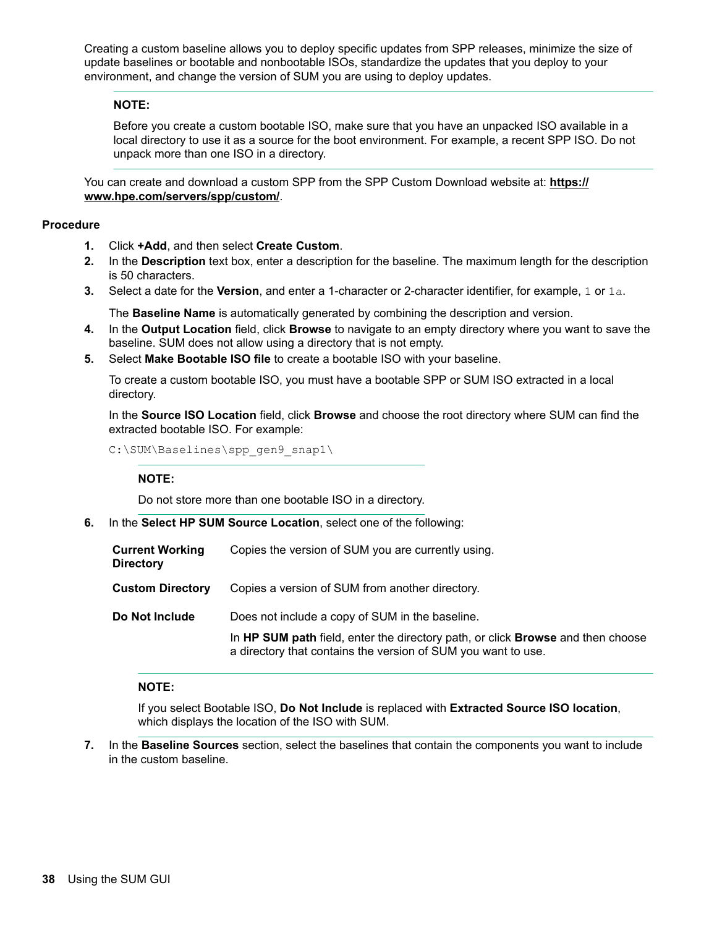Creating a custom baseline allows you to deploy specific updates from SPP releases, minimize the size of update baselines or bootable and nonbootable ISOs, standardize the updates that you deploy to your environment, and change the version of SUM you are using to deploy updates.

#### **:NOTE**

Before you create a custom bootable ISO, make sure that you have an unpacked ISO available in a local directory to use it as a source for the boot environment. For example, a recent SPP ISO. Do not unpack more than one ISO in a directory.

You can create and download a custom SPP from the SPP Custom Download website at: **https:// www.hpe.com/servers/spp/custom/.** 

#### **Procedure**

- 1. Click **+Add**, and then select **Create Custom**.
- **2.** In the Description text box, enter a description for the baseline. The maximum length for the description is 50 characters.
- **3.** Select a date for the **Version**, and enter a 1-character or 2-character identifier, for example, 1 or 1a.

The **Baseline Name** is automatically generated by combining the description and version.

- 4. In the **Output Location** field, click **Browse** to navigate to an empty directory where you want to save the baseline. SUM does not allow using a directory that is not empty.
- 5. Select Make Bootable ISO file to create a bootable ISO with your baseline.

To create a custom bootable ISO, you must have a bootable SPP or SUM ISO extracted in a local directory.

In the Source ISO Location field, click Browse and choose the root directory where SUM can find the extracted bootable ISO. For example:

C:\SUM\Baselines\spp gen9 snap1\

#### **:NOTE**

Do not store more than one bootable ISO in a directory.

6. In the **Select HP SUM Source Location**, select one of the following:

| <b>Current Working</b><br><b>Directory</b> | Copies the version of SUM you are currently using.                                                                                                                                                  |
|--------------------------------------------|-----------------------------------------------------------------------------------------------------------------------------------------------------------------------------------------------------|
| <b>Custom Directory</b>                    | Copies a version of SUM from another directory.                                                                                                                                                     |
| Do Not Include                             | Does not include a copy of SUM in the baseline.<br>In HP SUM path field, enter the directory path, or click Browse and then choose<br>a directory that contains the version of SUM you want to use. |

#### **:NOTE**

If you select Bootable ISO, Do Not Include is replaced with Extracted Source ISO location, which displays the location of the ISO with SUM.

7. In the Baseline Sources section, select the baselines that contain the components you want to include in the custom baseline.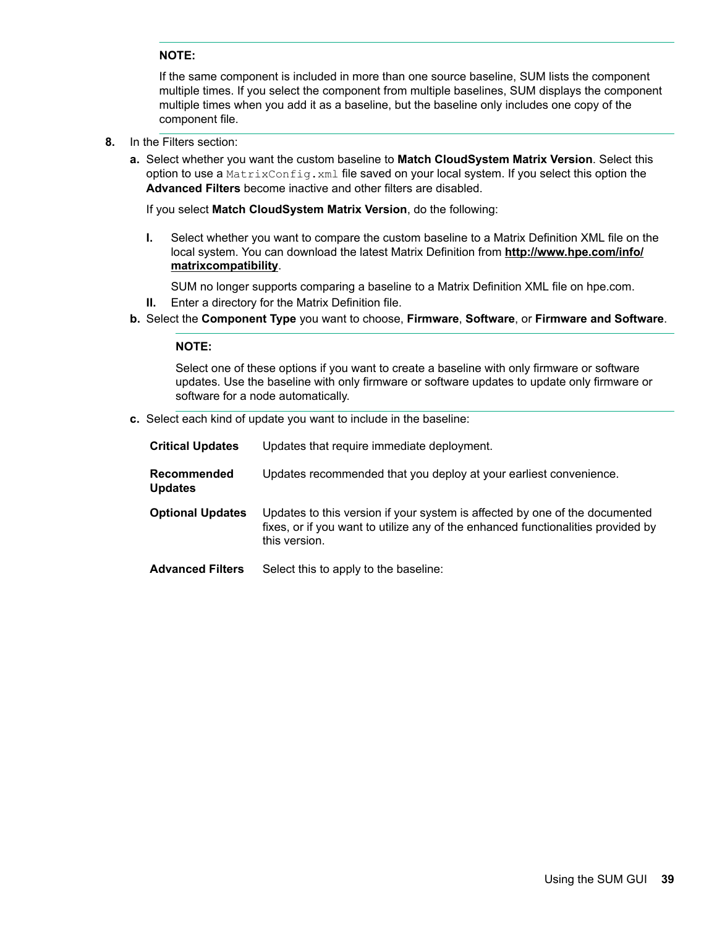#### **:NOTE**

If the same component is included in more than one source baseline, SUM lists the component multiple times. If you select the component from multiple baselines, SUM displays the component multiple times when you add it as a baseline, but the baseline only includes one copy of the component file.

- 8. In the Filters section:
	- a. Select whether you want the custom baseline to **Match CloudSystem Matrix Version**. Select this option to use a MatrixConfig. xml file saved on your local system. If you select this option the Advanced Filters become inactive and other filters are disabled.

If you select **Match CloudSystem Matrix Version**, do the following:

**I.** Select whether you want to compare the custom baseline to a Matrix Definition XML file on the local system. You can download the latest Matrix Definition from **http://www.hpe.com/info/** .**[matrixcompatibility](http://www.hpe.com/info/matrixcompatibility)**

SUM no longer supports comparing a baseline to a Matrix Definition XML file on hpe.com.

- **II.** Enter a directory for the Matrix Definition file.
- **b.** Select the Component Type you want to choose, Firmware, Software, or Firmware and Software.

#### **:NOTE**

Select one of these options if you want to create a baseline with only firmware or software updates. Use the baseline with only firmware or software updates to update only firmware or software for a node automatically.

c. Select each kind of update you want to include in the baseline:

| <b>Critical Updates</b>              | Updates that require immediate deployment.                                                                                                                                       |
|--------------------------------------|----------------------------------------------------------------------------------------------------------------------------------------------------------------------------------|
| <b>Recommended</b><br><b>Updates</b> | Updates recommended that you deploy at your earliest convenience.                                                                                                                |
| <b>Optional Updates</b>              | Updates to this version if your system is affected by one of the documented<br>fixes, or if you want to utilize any of the enhanced functionalities provided by<br>this version. |
| <b>Advanced Filters</b>              | Select this to apply to the baseline:                                                                                                                                            |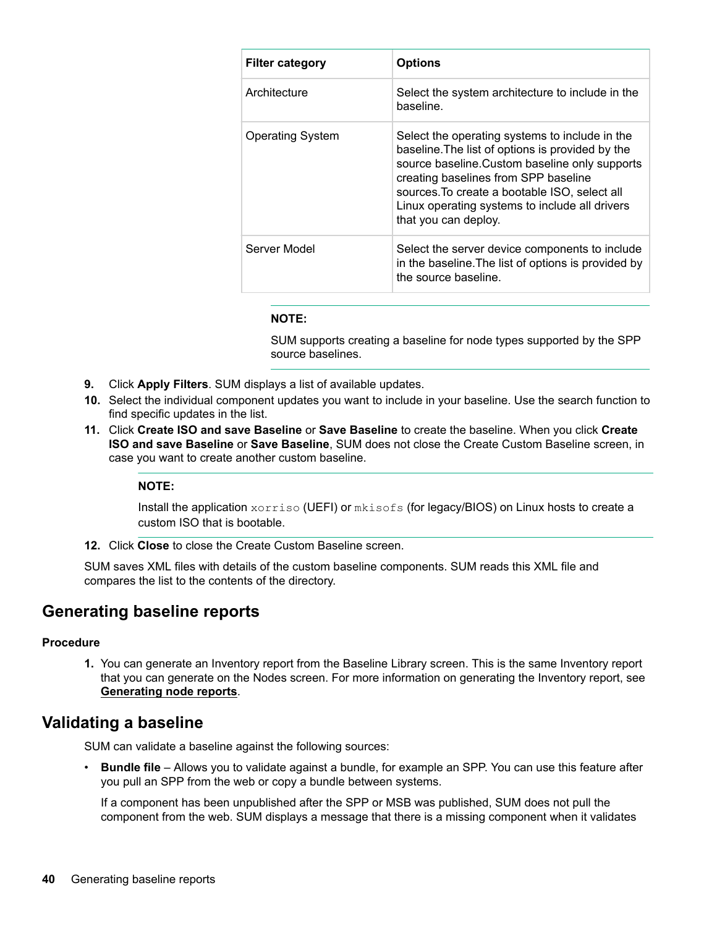| <b>Filter category</b>  | <b>Options</b>                                                                                                                                                                                                                                                                                                          |  |  |  |
|-------------------------|-------------------------------------------------------------------------------------------------------------------------------------------------------------------------------------------------------------------------------------------------------------------------------------------------------------------------|--|--|--|
| Architecture            | Select the system architecture to include in the<br>baseline.                                                                                                                                                                                                                                                           |  |  |  |
| <b>Operating System</b> | Select the operating systems to include in the<br>baseline. The list of options is provided by the<br>source baseline. Custom baseline only supports<br>creating baselines from SPP baseline<br>sources. To create a bootable ISO, select all<br>Linux operating systems to include all drivers<br>that you can deploy. |  |  |  |
| Server Model            | Select the server device components to include<br>in the baseline. The list of options is provided by<br>the source baseline.                                                                                                                                                                                           |  |  |  |

#### **:NOTE**

SUM supports creating a baseline for node types supported by the SPP source baselines.

- 9. Click Apply Filters. SUM displays a list of available updates.
- 10. Select the individual component updates you want to include in your baseline. Use the search function to find specific updates in the list.
- **11.** Click Create ISO and save Baseline or Save Baseline to create the baseline. When you click Create **ISO and save Baseline or Save Baseline**, SUM does not close the Create Custom Baseline screen, in case you want to create another custom baseline.

#### **:NOTE**

Install the application  $x \circ r \text{riso}$  (UEFI) or  $mk \text{isofs}$  (for legacy/BIOS) on Linux hosts to create a custom ISO that is bootable.

**12.** Click Close to close the Create Custom Baseline screen.

SUM saves XML files with details of the custom baseline components. SUM reads this XML file and compares the list to the contents of the directory.

### **Generating baseline reports**

#### **Procedure**

1. You can generate an Inventory report from the Baseline Library screen. This is the same Inventory report that you can generate on the Nodes screen. For more information on generating the Inventory report, see Generating node reports.

### **baseline a Validating**

SUM can validate a baseline against the following sources:

• Bundle file – Allows you to validate against a bundle, for example an SPP. You can use this feature after you pull an SPP from the web or copy a bundle between systems.

If a component has been unpublished after the SPP or MSB was published, SUM does not pull the component from the web. SUM displays a message that there is a missing component when it validates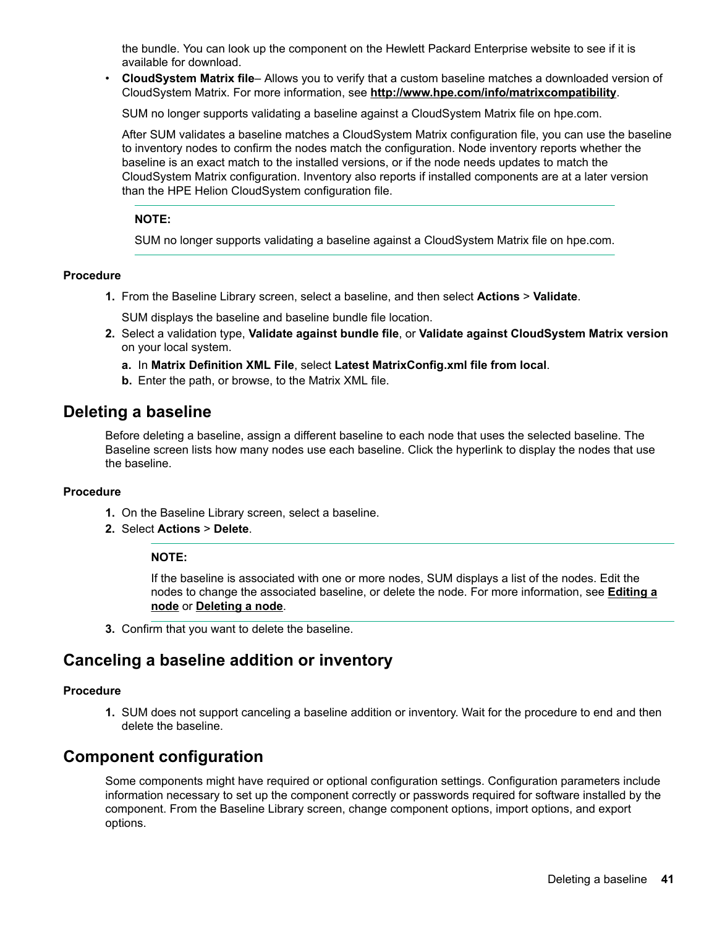the bundle. You can look up the component on the Hewlett Packard Enterprise website to see if it is available for download.

**CloudSystem Matrix file--** Allows you to verify that a custom baseline matches a downloaded version of CloudSystem Matrix. For more information, see http://www.hpe.com/info/matrixcompatibility.

SUM no longer supports validating a baseline against a CloudSystem Matrix file on hpe.com.

After SUM validates a baseline matches a CloudSystem Matrix configuration file, you can use the baseline to inventory nodes to confirm the nodes match the configuration. Node inventory reports whether the baseline is an exact match to the installed versions, or if the node needs updates to match the CloudSystem Matrix configuration. Inventory also reports if installed components are at a later version than the HPE Helion CloudSystem configuration file.

#### **:NOTE**

SUM no longer supports validating a baseline against a CloudSystem Matrix file on hpe.com.

#### **Procedure**

1. From the Baseline Library screen, select a baseline, and then select **Actions > Validate**.

SUM displays the baseline and baseline bundle file location.

- **2.** Select a validation type, Validate against bundle file, or Validate against CloudSystem Matrix version on your local system.
	- a. In Matrix Definition XML File, select Latest MatrixConfig.xml file from local.
	- **b.** Enter the path, or browse, to the Matrix XML file.

### **baseling** a baseline

Before deleting a baseline, assign a different baseline to each node that uses the selected baseline. The Baseline screen lists how many nodes use each baseline. Click the hyperlink to display the nodes that use the baseline.

#### **Procedure**

- 1. On the Baseline Library screen, select a baseline.
- 2. Select **Actions** > Delete.

#### **:NOTE**

If the baseline is associated with one or more nodes, SUM displays a list of the nodes. Edit the nodes to change the associated baseline, or delete the node. For more information, see **Editing a [node](#page-49-0) or Deleting a node.** 

3. Confirm that you want to delete the baseline.

### **Canceling a baseline addition or inventory**

#### **Procedure**

1. SUM does not support canceling a baseline addition or inventory. Wait for the procedure to end and then delete the baseline.

### **Component configuration**

Some components might have required or optional configuration settings. Configuration parameters include information necessary to set up the component correctly or passwords required for software installed by the component. From the Baseline Library screen, change component options, import options, and export options.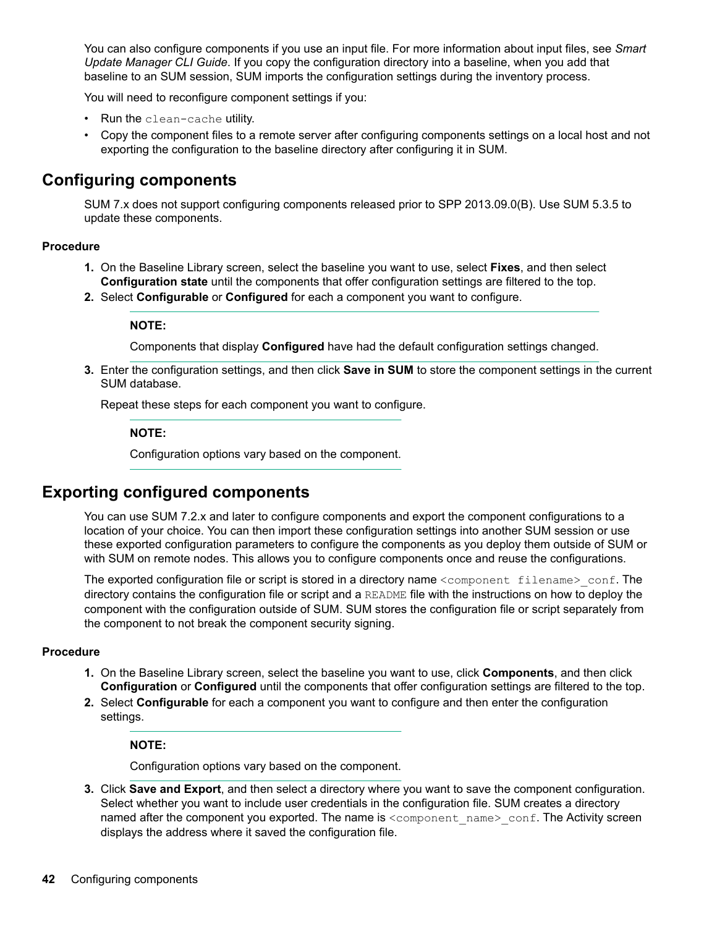You can also configure components if you use an input file. For more information about input files, see Smart Update Manager CLI Guide. If you copy the configuration directory into a baseline, when you add that baseline to an SUM session, SUM imports the configuration settings during the inventory process.

You will need to reconfigure component settings if you:

- Run the clean-cache utility.
- Copy the component files to a remote server after configuring components settings on a local host and not exporting the configuration to the baseline directory after configuring it in SUM.

### **components Configuring**

SUM 7.x does not support configuring components released prior to SPP 2013.09.0(B). Use SUM 5.3.5 to update these components.

#### **Procedure**

- 1. On the Baseline Library screen, select the baseline you want to use, select **Fixes**, and then select **Configuration state** until the components that offer configuration settings are filtered to the top.
- 2. Select **Configurable** or **Configured** for each a component you want to configure.

#### **:NOTE**

Components that display Configured have had the default configuration settings changed.

3. Enter the configuration settings, and then click **Save in SUM** to store the component settings in the current SUM database.

Repeat these steps for each component you want to configure.

#### **:NOTE**

Configuration options vary based on the component.

## **Exporting configured components**

You can use SUM 7.2.x and later to configure components and export the component configurations to a location of your choice. You can then import these configuration settings into another SUM session or use these exported configuration parameters to configure the components as you deploy them outside of SUM or with SUM on remote nodes. This allows you to configure components once and reuse the configurations.

The exported configuration file or script is stored in a directory name <component filename> conf. The directory contains the configuration file or script and a README file with the instructions on how to deploy the component with the configuration outside of SUM. SUM stores the configuration file or script separately from the component to not break the component security signing.

#### **Procedure**

- 1. On the Baseline Library screen, select the baseline you want to use, click **Components**, and then click **Configuration** or **Configured** until the components that offer configuration settings are filtered to the top.
- 2. Select **Configurable** for each a component you want to configure and then enter the configuration settings.

#### **:NOTE**

Configuration options vary based on the component.

3. Click Save and Export, and then select a directory where you want to save the component configuration. Select whether you want to include user credentials in the configuration file. SUM creates a directory named after the component you exported. The name is <component name> conf. The Activity screen displays the address where it saved the configuration file.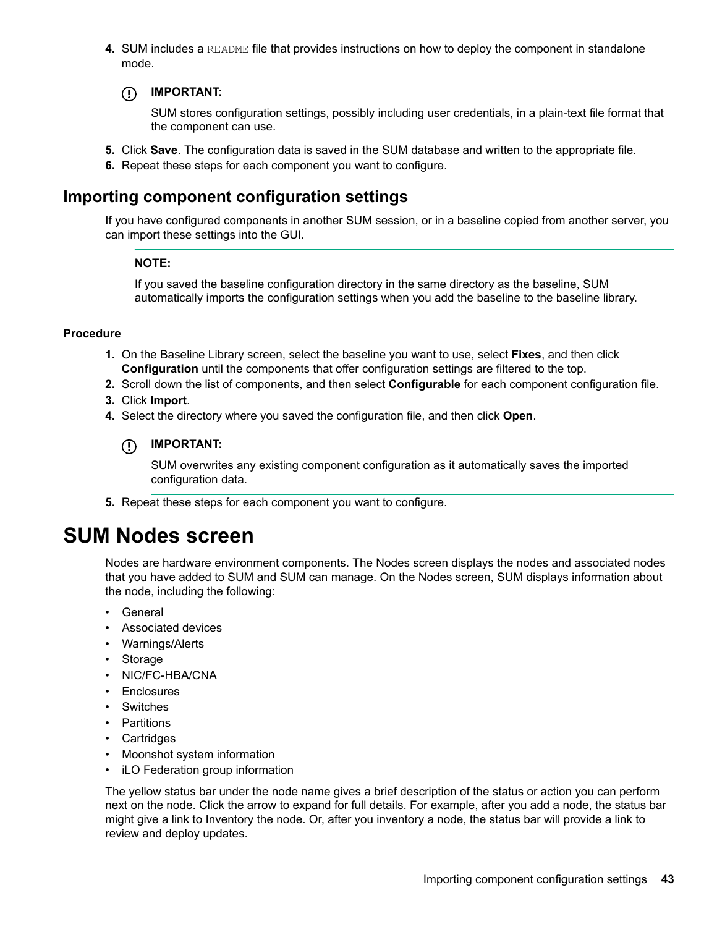**4.** SUM includes a README file that provides instructions on how to deploy the component in standalone .mode

#### **:IMPORTANT**  $\bigcirc$

SUM stores configuration settings, possibly including user credentials, in a plain-text file format that the component can use.

- 5. Click Save. The configuration data is saved in the SUM database and written to the appropriate file.
- 6. Repeat these steps for each component you want to configure.

### **Importing component configuration settings**

If you have configured components in another SUM session, or in a baseline copied from another server, you can import these settings into the GUI.

#### **:NOTE**

If you saved the baseline configuration directory in the same directory as the baseline, SUM automatically imports the configuration settings when you add the baseline to the baseline library.

#### **Procedure**

- 1. On the Baseline Library screen, select the baseline you want to use, select **Fixes**, and then click **Configuration** until the components that offer configuration settings are filtered to the top.
- 2. Scroll down the list of components, and then select **Configurable** for each component configuration file.
- 3. Click **Import**.
- 4. Select the directory where you saved the configuration file, and then click Open.

#### **:IMPORTANT**  $\bigcirc$

SUM overwrites any existing component configuration as it automatically saves the imported configuration data.

5. Repeat these steps for each component you want to configure.

## **screen Nodes SUM**

Nodes are hardware environment components. The Nodes screen displays the nodes and associated nodes that you have added to SUM and SUM can manage. On the Nodes screen, SUM displays information about the node, including the following:

- General
- Associated devices
- Warnings/Alerts
- Storage
- NIC/FC-HBA/CNA
- Enclosures
- Switches
- Partitions
- Cartridges
- Moonshot system information
- iLO Federation group information

The yellow status bar under the node name gives a brief description of the status or action you can perform next on the node. Click the arrow to expand for full details. For example, after you add a node, the status bar might give a link to Inventory the node. Or, after you inventory a node, the status bar will provide a link to review and deploy updates.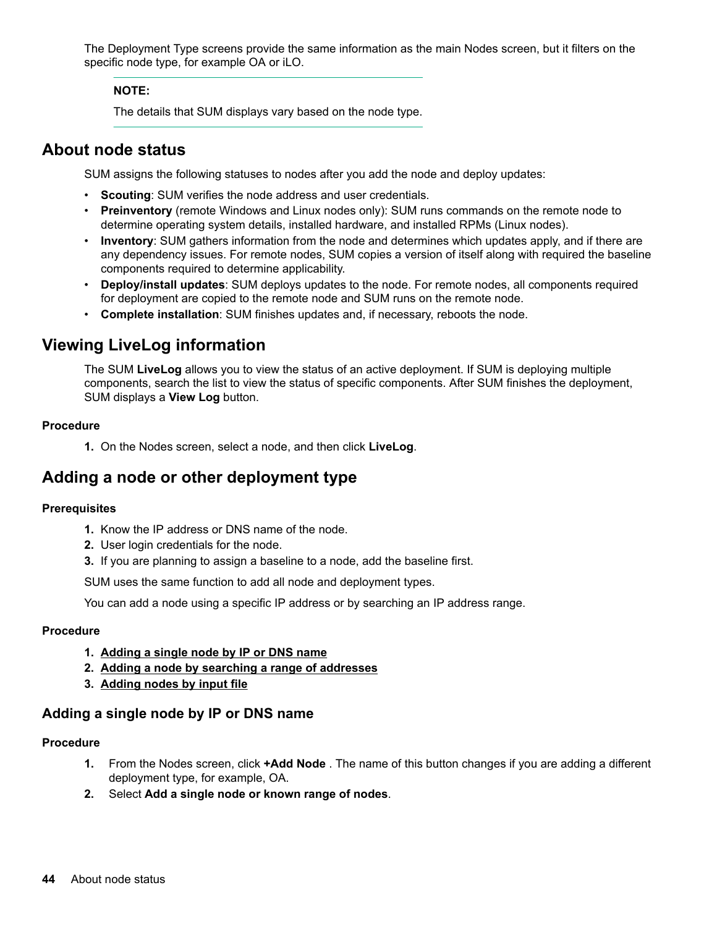<span id="page-43-0"></span>The Deployment Type screens provide the same information as the main Nodes screen, but it filters on the specific node type, for example OA or iLO.

#### **:NOTE**

The details that SUM displays vary based on the node type.

### **About node status**

SUM assigns the following statuses to nodes after you add the node and deploy updates:

- Scouting: SUM verifies the node address and user credentials.
- Preinventory (remote Windows and Linux nodes only): SUM runs commands on the remote node to determine operating system details, installed hardware, and installed RPMs (Linux nodes).
- **Inventory**: SUM gathers information from the node and determines which updates apply, and if there are any dependency issues. For remote nodes, SUM copies a version of itself along with required the baseline components required to determine applicability.
- Deploy/install updates: SUM deploys updates to the node. For remote nodes, all components required for deployment are copied to the remote node and SUM runs on the remote node.
- Complete installation: SUM finishes updates and, if necessary, reboots the node.

## **Viewing LiveLog information**

The SUM LiveLog allows you to view the status of an active deployment. If SUM is deploying multiple components, search the list to view the status of specific components. After SUM finishes the deployment, SUM displays a **View Log** button.

#### **Procedure**

1. On the Nodes screen, select a node, and then click **LiveLog**.

## Adding a node or other deployment type

#### **Prerequisites**

- 1. Know the IP address or DNS name of the node.
- 2. User login credentials for the node.
- 3. If you are planning to assign a baseline to a node, add the baseline first.

SUM uses the same function to add all node and deployment types.

You can add a node using a specific IP address or by searching an IP address range.

#### **Procedure**

- 1. Adding a single node by IP or DNS name
- 2. Adding a node by searching a range of addresses
- **filte 3.** Adding nodes by input file

### Adding a single node by IP or DNS name

#### **Procedure**

- 1. From the Nodes screen, click +Add Node . The name of this button changes if you are adding a different deployment type, for example, OA.
- 2. Select Add a single node or known range of nodes.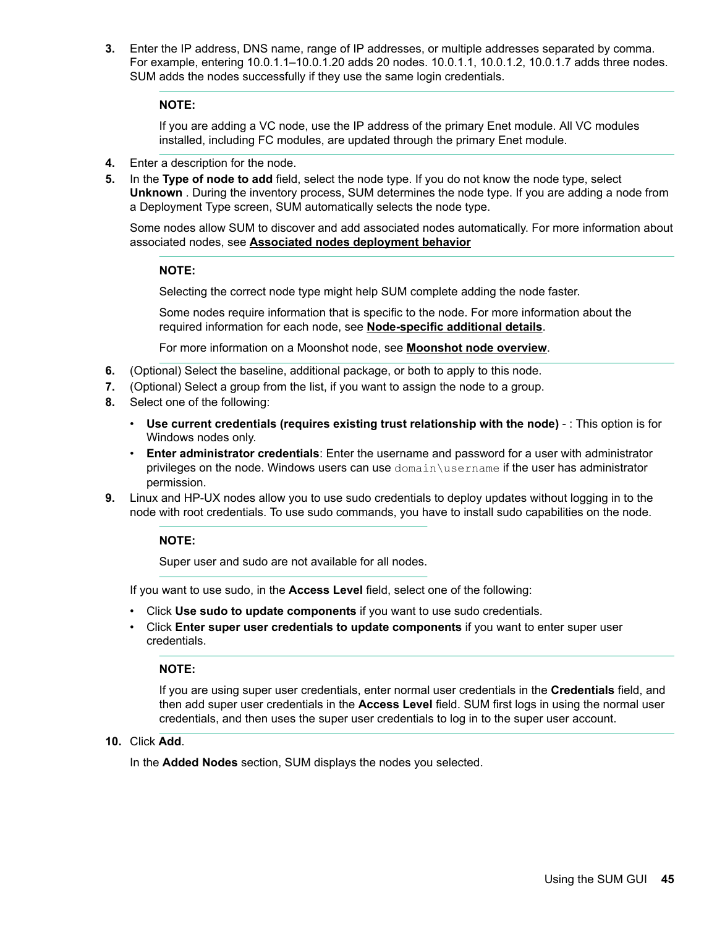3. Enter the IP address, DNS name, range of IP addresses, or multiple addresses separated by comma. For example, entering 10.0.1.1–10.0.1.20 adds 20 nodes. 10.0.1.1, 10.0.1.2, 10.0.1.7 adds three nodes. SUM adds the nodes successfully if they use the same login credentials.

#### **:NOTE**

If you are adding a VC node, use the IP address of the primary Enet module. All VC modules installed, including FC modules, are updated through the primary Enet module.

- 4. Enter a description for the node.
- 5. In the Type of node to add field, select the node type. If you do not know the node type, select Unknown . During the inventory process, SUM determines the node type. If you are adding a node from a Deployment Type screen, SUM automatically selects the node type.

Some nodes allow SUM to discover and add associated nodes automatically. For more information about associated nodes, see **Associated nodes deployment behavior** 

#### **:NOTE**

Selecting the correct node type might help SUM complete adding the node faster.

Some nodes require information that is specific to the node. For more information about the required information for each node, see Node-specific additional details.

For more information on a Moonshot node, see **Moonshot node overview**.

- 6. (Optional) Select the baseline, additional package, or both to apply to this node.
- 7. (Optional) Select a group from the list, if you want to assign the node to a group.
- 8. Select one of the following:
	- Use current credentials (requires existing trust relationship with the node) : This option is for Windows nodes only.
	- Enter administrator credentials: Enter the username and password for a user with administrator privileges on the node. Windows users can use domain username if the user has administrator permission.
- **9.** Linux and HP-UX nodes allow you to use sudo credentials to deploy updates without logging in to the node with root credentials. To use sudo commands, you have to install sudo capabilities on the node.

#### **:NOTE**

Super user and sudo are not available for all nodes.

If you want to use sudo, in the **Access Level** field, select one of the following:

- . Click Use sudo to update components if you want to use sudo credentials.
- Click **Enter super user credentials to update components** if you want to enter super user .credentials

**:NOTE**

If you are using super user credentials, enter normal user credentials in the **Credentials** field, and then add super user credentials in the **Access Level** field. SUM first logs in using the normal user . credentials, and then uses the super user credentials to log in to the super user account.

10. Click **Add**.

In the **Added Nodes** section, SUM displays the nodes you selected.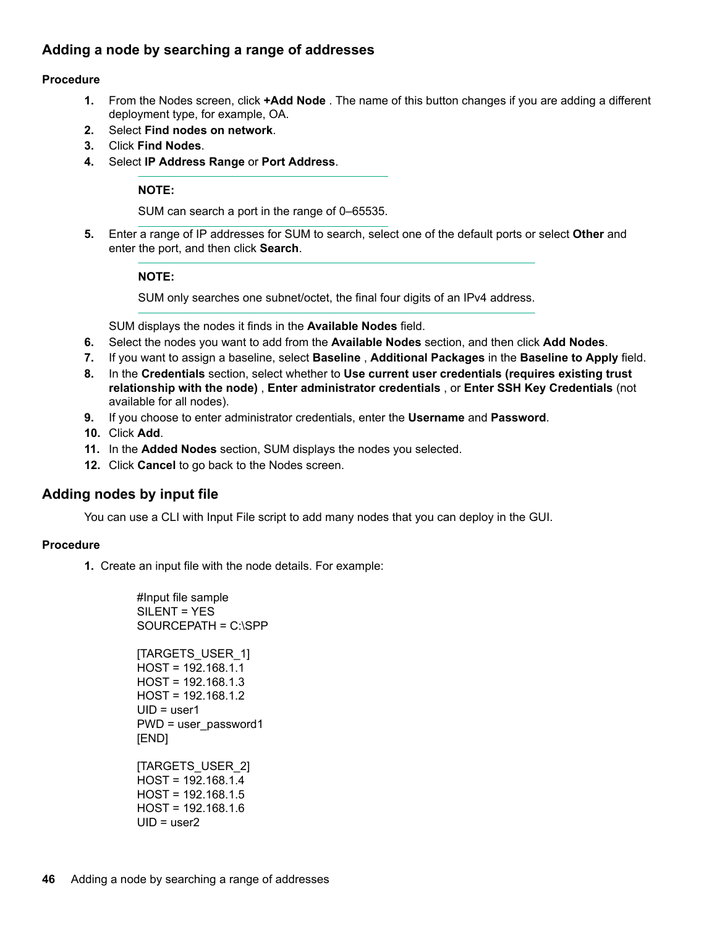### <span id="page-45-0"></span>Adding a node by searching a range of addresses

#### **Procedure**

- 1. From the Nodes screen, click **+Add Node**. The name of this button changes if you are adding a different deployment type, for example, OA.
- 2. Select **Find nodes on network**.
- 3. Click **Find Nodes**.
- 4. Select **IP Address Range or Port Address**.

#### **:NOTE**

SUM can search a port in the range of 0-65535.

5. Enter a range of IP addresses for SUM to search, select one of the default ports or select **Other** and enter the port, and then click **Search**.

#### **:NOTE**

SUM only searches one subnet/octet, the final four digits of an IPv4 address.

SUM displays the nodes it finds in the **Available Nodes** field.

- 6. Select the nodes you want to add from the **Available Nodes** section, and then click **Add Nodes**.
- 7. If you want to assign a baseline, select **Baseline**, **Additional Packages** in the **Baseline to Apply** field.
- **8.** In the Credentials section, select whether to Use current user credentials (requires existing trust relationship with the node), Enter administrator credentials, or Enter SSH Key Credentials (not available for all nodes).
- **9.** If you choose to enter administrator credentials, enter the Username and Password.
- 10. Click **Add**.
- 11. In the Added Nodes section, SUM displays the nodes you selected.
- 12. Click **Cancel** to go back to the Nodes screen.

### **Adding nodes by input file**

You can use a CLI with Input File script to add many nodes that you can deploy in the GUI.

#### **Procedure**

1. Create an input file with the node details. For example:

#Input file sample SILENT = YES SOURCEPATH = C:\SPP [TARGETS USER 1]  $HOST = 192.168.1.1$  $HOST = 192.168.1.3$  $HOST = 192.168.1.2$  $UID = user1$  $PWD = user$  password1 [END[ [TARGETS\_USER\_2]  $HOST = 192.168.1.4$  $HOST = 192.168.1.5$  $HOST = 192.168.1.6$  $UID = user2$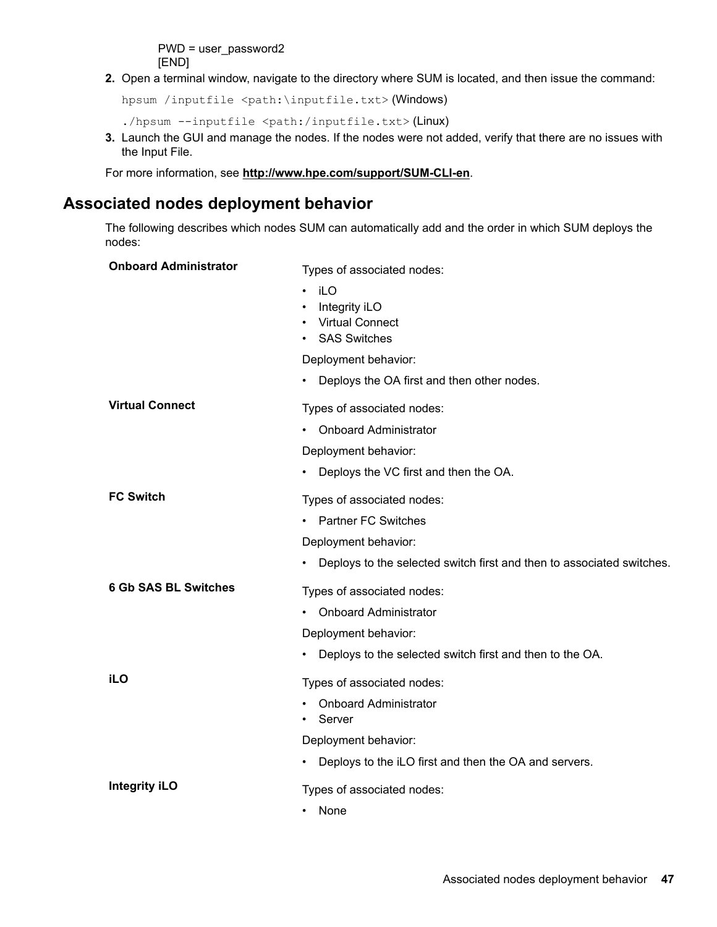$PWD = user$  password2 [END[

<span id="page-46-0"></span>2. Open a terminal window, navigate to the directory where SUM is located, and then issue the command:

```
hpsum /inputfile <path:\inputfile.txt>(Windows)
```

```
./hpsum --inputfile <path:/inputfile.txt>(Linux)
```
3. Launch the GUI and manage the nodes. If the nodes were not added, verify that there are no issues with the Input File.

For more information, see http://www.hpe.com/support/SUM-CLI-en.

## **Associated nodes deployment behavior**

The following describes which nodes SUM can automatically add and the order in which SUM deploys the nodes:

| <b>Onboard Administrator</b> | Types of associated nodes:                                                         |
|------------------------------|------------------------------------------------------------------------------------|
|                              | iLO<br>$\bullet$<br>Integrity iLO<br><b>Virtual Connect</b><br><b>SAS Switches</b> |
|                              | Deployment behavior:                                                               |
|                              | Deploys the OA first and then other nodes.<br>$\bullet$                            |
| <b>Virtual Connect</b>       | Types of associated nodes:                                                         |
|                              | <b>Onboard Administrator</b>                                                       |
|                              | Deployment behavior:                                                               |
|                              | Deploys the VC first and then the OA.<br>$\bullet$                                 |
| <b>FC Switch</b>             | Types of associated nodes:                                                         |
|                              | <b>Partner FC Switches</b>                                                         |
|                              | Deployment behavior:                                                               |
|                              | Deploys to the selected switch first and then to associated switches.<br>٠         |
| <b>6 Gb SAS BL Switches</b>  | Types of associated nodes:                                                         |
|                              | <b>Onboard Administrator</b>                                                       |
|                              | Deployment behavior:                                                               |
|                              | Deploys to the selected switch first and then to the OA.<br>٠                      |
| <b>iLO</b>                   | Types of associated nodes:                                                         |
|                              | <b>Onboard Administrator</b><br>Server                                             |
|                              | Deployment behavior:                                                               |
|                              | Deploys to the iLO first and then the OA and servers.<br>٠                         |
| <b>Integrity iLO</b>         | Types of associated nodes:                                                         |
|                              | None<br>$\bullet$                                                                  |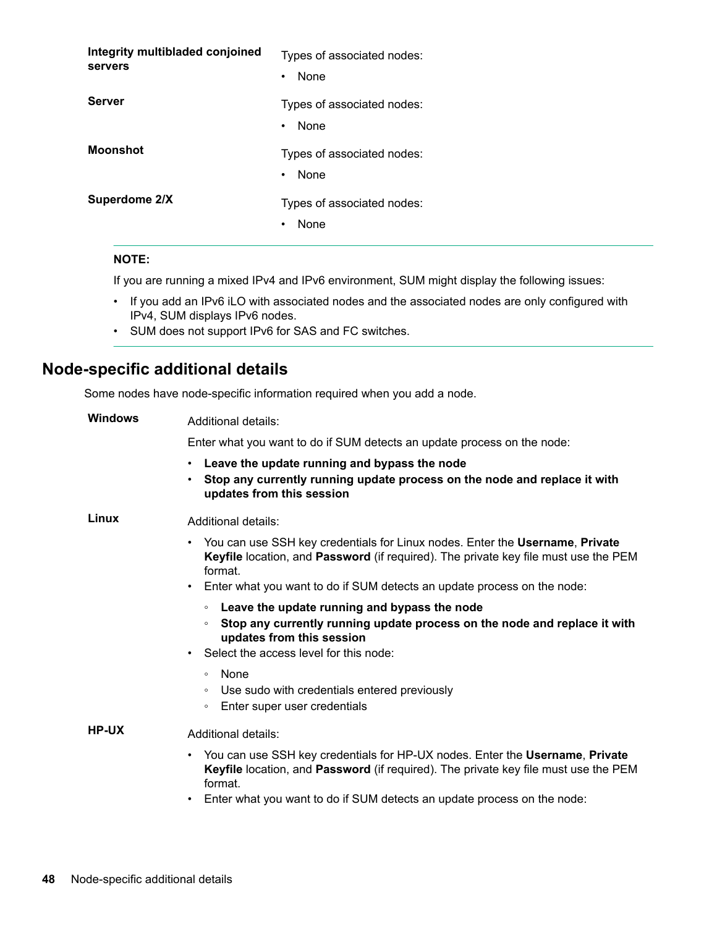<span id="page-47-0"></span>

| Integrity multibladed conjoined<br>servers | Types of associated nodes:<br>None<br>٠         |
|--------------------------------------------|-------------------------------------------------|
| <b>Server</b>                              | Types of associated nodes:<br>None<br>$\bullet$ |
| <b>Moonshot</b>                            | Types of associated nodes:<br>None<br>$\bullet$ |
| Superdome 2/X                              | Types of associated nodes:<br>None<br>٠         |

#### **:NOTE**

If you are running a mixed IPv4 and IPv6 environment, SUM might display the following issues:

- If you add an IPv6 iLO with associated nodes and the associated nodes are only configured with IPv4, SUM displays IPv6 nodes.
- SUM does not support IPv6 for SAS and FC switches.

## **Node-specific additional details**

Some nodes have node-specific information required when you add a node.

| <b>Windows</b> | Additional details:                                                                                                                                                                                                                                              |
|----------------|------------------------------------------------------------------------------------------------------------------------------------------------------------------------------------------------------------------------------------------------------------------|
|                | Enter what you want to do if SUM detects an update process on the node:                                                                                                                                                                                          |
|                | Leave the update running and bypass the node<br>$\bullet$<br>Stop any currently running update process on the node and replace it with<br>updates from this session                                                                                              |
| Linux          | Additional details:                                                                                                                                                                                                                                              |
|                | • You can use SSH key credentials for Linux nodes. Enter the Username, Private<br>Keyfile location, and Password (if required). The private key file must use the PEM<br>format.                                                                                 |
|                | Enter what you want to do if SUM detects an update process on the node:<br>$\bullet$                                                                                                                                                                             |
|                | Leave the update running and bypass the node<br>$\circ$<br>Stop any currently running update process on the node and replace it with<br>$\circ$<br>updates from this session<br>Select the access level for this node:<br>$\bullet$                              |
|                | None<br>$\circ$<br>Use sudo with credentials entered previously<br>$\circ$<br>Enter super user credentials<br>$\circ$                                                                                                                                            |
| HP-UX          | Additional details:                                                                                                                                                                                                                                              |
|                | • You can use SSH key credentials for HP-UX nodes. Enter the Username, Private<br>Keyfile location, and Password (if required). The private key file must use the PEM<br>format.<br>Enter what you want to do if SUM detects an update process on the node:<br>٠ |
|                |                                                                                                                                                                                                                                                                  |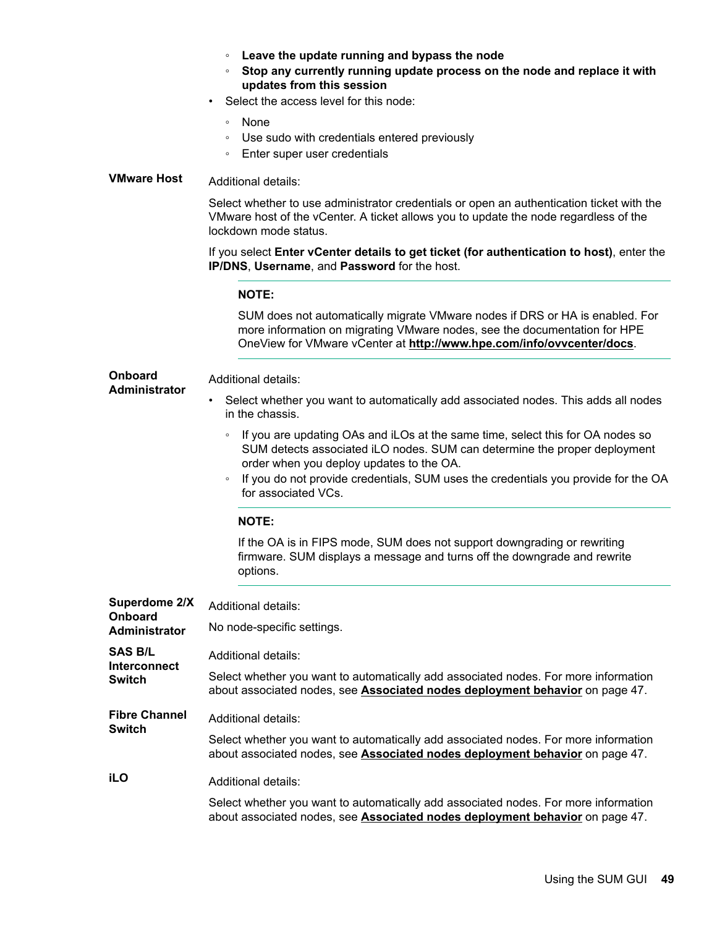|  |  |  |  |  |  |  | Leave the update running and bypass the node |
|--|--|--|--|--|--|--|----------------------------------------------|
|--|--|--|--|--|--|--|----------------------------------------------|

- **EXECT IT STOP INO** Stop any currently running update process on the node and replace it with **updates from this session**
- Select the access level for this node:
	- None
	- ∘ Use sudo with credentials entered previously
	- ∘ Enter super user credentials

### **VMware Host** Additional details:

**Onboard**

Select whether to use administrator credentials or open an authentication ticket with the VMware host of the vCenter. A ticket allows you to update the node regardless of the lockdown mode status.

#### If you select **Enter vCenter details to get ticket (for authentication to host)**, enter the **IP/DNS, Username, and Password** for the host.

#### **:NOTE**

SUM does not automatically migrate VMware nodes if DRS or HA is enabled. For more information on migrating VMware nodes, see the documentation for HPE OneView for VMware vCenter at http://www.hpe.com/info/ovvcenter/docs. **Administrator** Additional details: Select whether you want to automatically add associated nodes. This adds all nodes in the chassis.

- ∘ If you are updating OAs and iLOs at the same time, select this for OA nodes so SUM detects associated iLO nodes. SUM can determine the proper deployment order when you deploy updates to the OA.
- ∘ If you do not provide credentials, SUM uses the credentials you provide for the OA for associated VCs.

#### **:NOTE**

If the OA is in FIPS mode, SUM does not support downgrading or rewriting firmware. SUM displays a message and turns off the downgrade and rewrite .options

| Superdome 2/X<br>Onboard       | Additional details:                                                                                                                                                 |
|--------------------------------|---------------------------------------------------------------------------------------------------------------------------------------------------------------------|
| Administrator                  | No node-specific settings.                                                                                                                                          |
| SAS B/L<br><b>Interconnect</b> | Additional details:                                                                                                                                                 |
| Switch                         | Select whether you want to automatically add associated nodes. For more information<br>about associated nodes, see Associated nodes deployment behavior on page 47. |
| <b>Fibre Channel</b><br>Switch | Additional details:                                                                                                                                                 |
|                                | Select whether you want to automatically add associated nodes. For more information<br>about associated nodes, see Associated nodes deployment behavior on page 47. |
| iLO                            | Additional details:                                                                                                                                                 |
|                                | Select whether you want to automatically add associated nodes. For more information<br>about associated nodes, see Associated nodes deployment behavior on page 47. |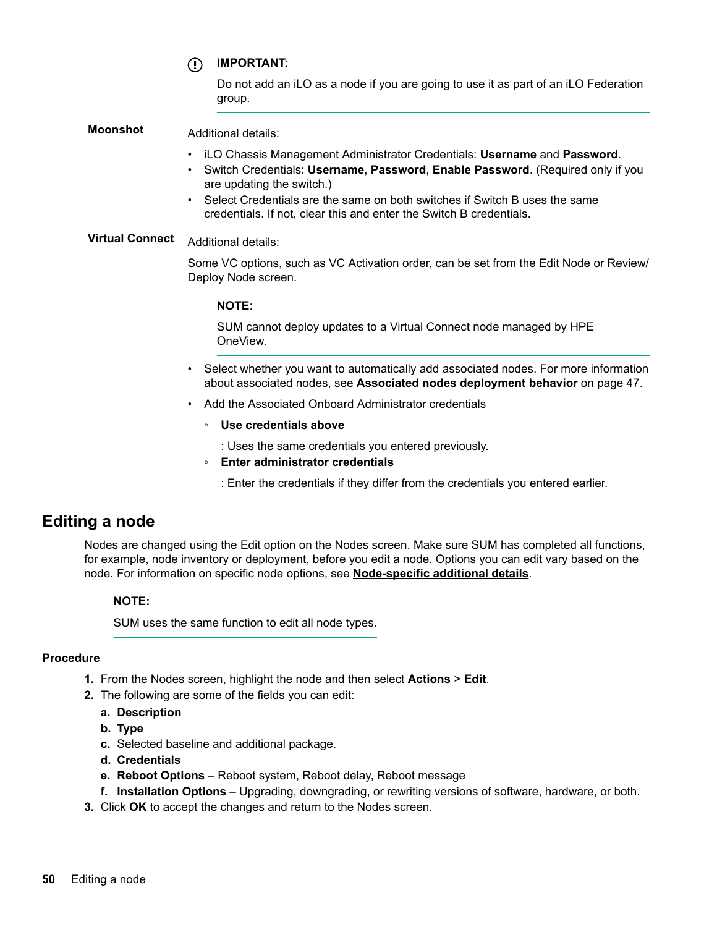**:IMPORTANT**  $\left( \mathbf{I} \right)$ 

> Do not add an iLO as a node if you are going to use it as part of an iLO Federation .group

<span id="page-49-0"></span>**Moonshot Additional details:** 

- **iLO Chassis Management Administrator Credentials: Username and Password.**
- Switch Credentials: Username, Password, Enable Password. (Required only if you are updating the switch.)
- Select Credentials are the same on both switches if Switch B uses the same credentials. If not, clear this and enter the Switch B credentials.

**Virtual Connect** Additional details:

Some VC options, such as VC Activation order, can be set from the Edit Node or Review/ Deploy Node screen.

#### **:NOTE**

SUM cannot deploy updates to a Virtual Connect node managed by HPE .OneView

- Select whether you want to automatically add associated nodes. For more information about associated nodes, see **Associated nodes deployment behavior** on page 47.
- Add the Associated Onboard Administrator credentials
	- Use credentials above

: Uses the same credentials you entered previously.

- *<b>Enter administrator credentials* 
	- : Enter the credentials if they differ from the credentials you entered earlier.

## **Editing a node**

Nodes are changed using the Edit option on the Nodes screen. Make sure SUM has completed all functions, for example, node inventory or deployment, before you edit a node. Options you can edit vary based on the node. For information on specific node options, see **Node-specific additional details**.

#### **:NOTE**

SUM uses the same function to edit all node types.

#### **Procedure**

- **1.** From the Nodes screen, highlight the node and then select **Actions** > Edit.
- 2. The following are some of the fields you can edit:
	- **Description .a**
	- **b.** Type
	- **c.** Selected baseline and additional package.
	- d. Credentials
	- **e. Reboot Options** Reboot system, Reboot delay, Reboot message
	- f. Installation Options Upgrading, downgrading, or rewriting versions of software, hardware, or both.
- **3.** Click OK to accept the changes and return to the Nodes screen.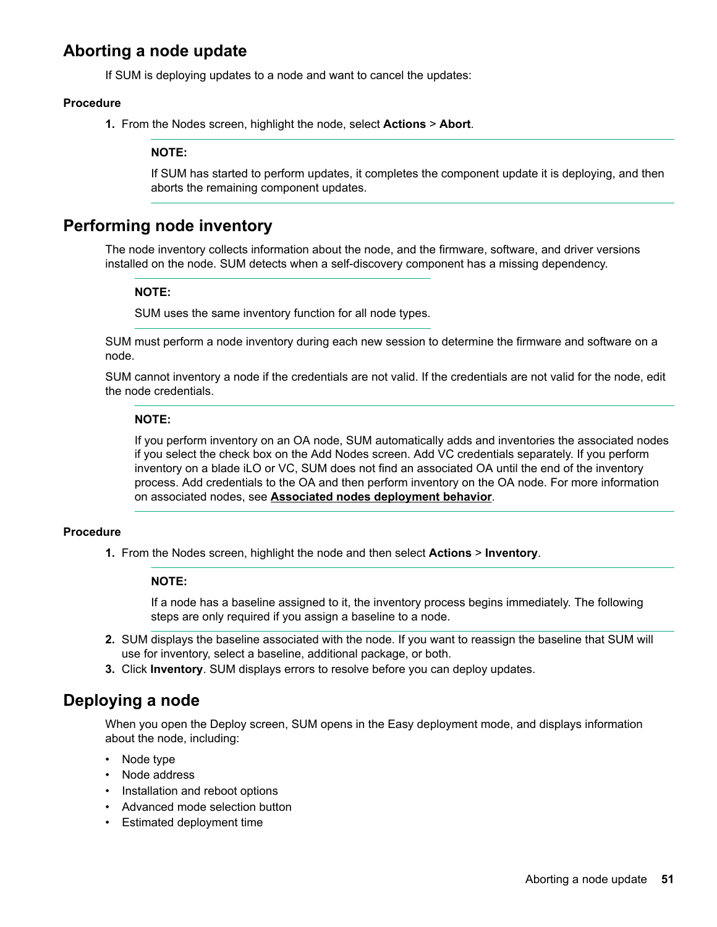## <span id="page-50-0"></span>**Aborting a node update**

If SUM is deploying updates to a node and want to cancel the updates:

#### **Procedure**

1. From the Nodes screen, highlight the node, select **Actions** > Abort.

#### **:NOTE**

If SUM has started to perform updates, it completes the component update it is deploying, and then aborts the remaining component updates.

### **Performing node inventory**

The node inventory collects information about the node, and the firmware, software, and driver versions installed on the node. SUM detects when a self-discovery component has a missing dependency.

#### **:NOTE**

SUM uses the same inventory function for all node types.

SUM must perform a node inventory during each new session to determine the firmware and software on a .node

SUM cannot inventory a node if the credentials are not valid. If the credentials are not valid for the node, edit the node credentials.

#### **:NOTE**

If you perform inventory on an OA node. SUM automatically adds and inventories the associated nodes if you select the check box on the Add Nodes screen. Add VC credentials separately. If you perform inventory on a blade iLO or VC, SUM does not find an associated OA until the end of the inventory process. Add credentials to the OA and then perform inventory on the OA node. For more information on associated nodes, see **Associated nodes deployment behavior**.

#### **Procedure**

1. From the Nodes screen, highlight the node and then select **Actions > Inventory**.

#### **:NOTE**

If a node has a baseline assigned to it, the inventory process begins immediately. The following steps are only required if you assign a baseline to a node.

- 2. SUM displays the baseline associated with the node. If you want to reassign the baseline that SUM will use for inventory, select a baseline, additional package, or both.
- 3. Click Inventory. SUM displays errors to resolve before you can deploy updates.

### **Deploying a node**

When you open the Deploy screen, SUM opens in the Easy deployment mode, and displays information about the node, including:

- Node type
- Node address
- Installation and reboot options
- Advanced mode selection button
- Estimated deployment time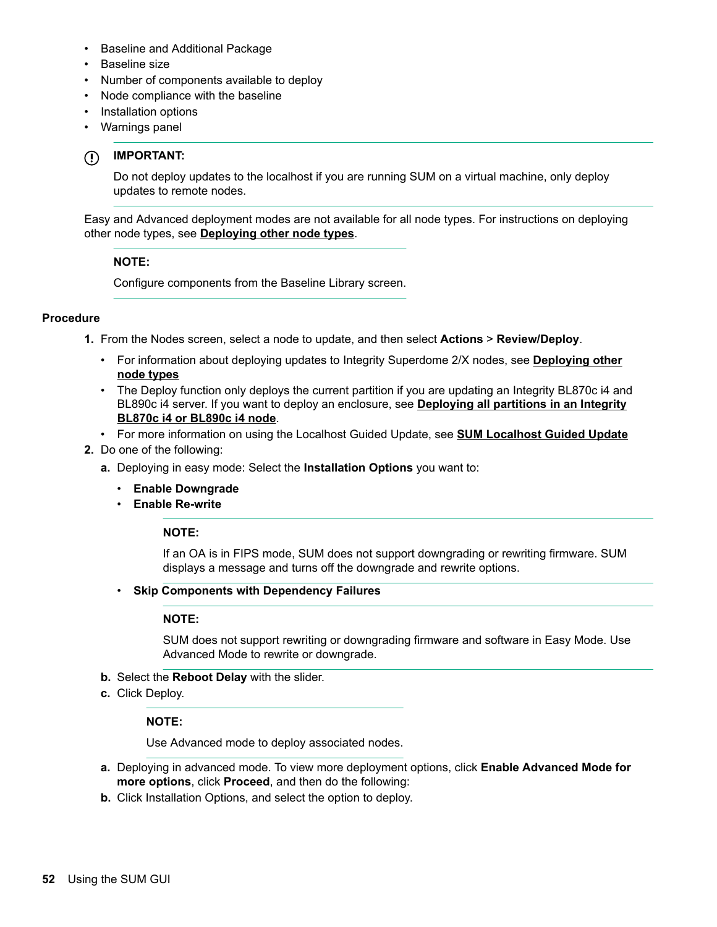- Baseline and Additional Package
- Baseline size
- Number of components available to deploy
- Node compliance with the baseline
- Installation options
- Warnings panel

#### **:IMPORTANT**  $\Omega$

Do not deploy updates to the localhost if you are running SUM on a virtual machine, only deploy updates to remote nodes.

Easy and Advanced deployment modes are not available for all node types. For instructions on deploying other node types, see **Deploying other node types**.

#### **:NOTE**

Configure components from the Baseline Library screen.

#### **Procedure**

- **1.** From the Nodes screen, select a node to update, and then select **Actions > Review/Deploy.** 
	- For information about deploying updates to Integrity Superdome 2/X nodes, see **Deploying other [types node](#page-53-0)**
	- The Deploy function only deploys the current partition if you are updating an Integrity BL870c i4 and BL890c i4 server. If you want to deploy an enclosure, see **Deploying all partitions in an Integrity BL870c i4 or BL890c i4 node.**
	- For more information on using the Localhost Guided Update, see **SUM Localhost Guided Update**
- 2. Do one of the following:
	- a. Deploying in easy mode: Select the Installation Options you want to:
		- **Enable Downgrade**
		- **•** Enable Re-write

#### **:NOTE**

If an OA is in FIPS mode, SUM does not support downgrading or rewriting firmware. SUM displays a message and turns off the downgrade and rewrite options.

**• Skip Components with Dependency Failures** 

#### **:NOTE**

SUM does not support rewriting or downgrading firmware and software in Easy Mode. Use Advanced Mode to rewrite or downgrade.

- **b.** Select the Reboot Delay with the slider.
- c. Click Deploy.

#### **:NOTE**

Use Advanced mode to deploy associated nodes.

- a. Deploying in advanced mode. To view more deployment options, click **Enable Advanced Mode for more options, click Proceed, and then do the following:**
- **b.** Click Installation Options, and select the option to deploy.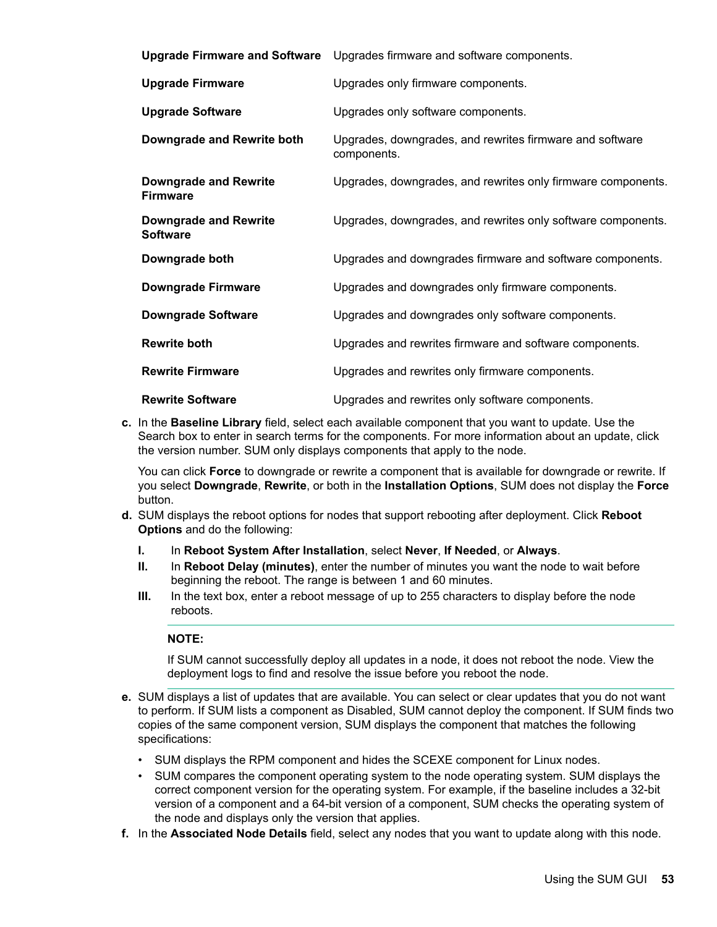|                                                 | Upgrade Firmware and Software Upgrades firmware and software components. |
|-------------------------------------------------|--------------------------------------------------------------------------|
| <b>Upgrade Firmware</b>                         | Upgrades only firmware components.                                       |
| <b>Upgrade Software</b>                         | Upgrades only software components.                                       |
| Downgrade and Rewrite both                      | Upgrades, downgrades, and rewrites firmware and software<br>components.  |
| <b>Downgrade and Rewrite</b><br><b>Firmware</b> | Upgrades, downgrades, and rewrites only firmware components.             |
| <b>Downgrade and Rewrite</b><br><b>Software</b> | Upgrades, downgrades, and rewrites only software components.             |
| Downgrade both                                  | Upgrades and downgrades firmware and software components.                |
| <b>Downgrade Firmware</b>                       | Upgrades and downgrades only firmware components.                        |
| <b>Downgrade Software</b>                       | Upgrades and downgrades only software components.                        |
| <b>Rewrite both</b>                             | Upgrades and rewrites firmware and software components.                  |
| <b>Rewrite Firmware</b>                         | Upgrades and rewrites only firmware components.                          |
| <b>Rewrite Software</b>                         | Upgrades and rewrites only software components.                          |

**c.** In the Baseline Library field, select each available component that you want to update. Use the Search box to enter in search terms for the components. For more information about an update, click the version number. SUM only displays components that apply to the node.

You can click Force to downgrade or rewrite a component that is available for downgrade or rewrite. If **Fourmal Summanus Communism of the display of the display of the display the Force** or  $\theta$  and  $\theta$  and  $\theta$  and  $\theta$  and  $\theta$  and  $\theta$  and  $\theta$  and  $\theta$  and  $\theta$  and  $\theta$  and  $\theta$  and  $\theta$  and  $\theta$  and  $\theta$  and  $\theta$  and button.

- **d.** SUM displays the reboot options for nodes that support rebooting after deployment. Click Reboot **Options** and do the following:
	- **I.** In Reboot System After Installation, select Never, If Needed, or Always.
	- **II.** In Reboot Delay (minutes), enter the number of minutes you want the node to wait before beginning the reboot. The range is between 1 and 60 minutes.
	- **III.** In the text box, enter a reboot message of up to 255 characters to display before the node .reboots

#### **:NOTE**

If SUM cannot successfully deploy all updates in a node, it does not reboot the node. View the deployment logs to find and resolve the issue before you reboot the node.

- e. SUM displays a list of updates that are available. You can select or clear updates that you do not want to perform. If SUM lists a component as Disabled, SUM cannot deploy the component. If SUM finds two copies of the same component version, SUM displays the component that matches the following :specifications
	- SUM displays the RPM component and hides the SCEXE component for Linux nodes.
	- SUM compares the component operating system to the node operating system. SUM displays the correct component version for the operating system. For example, if the baseline includes a 32-bit version of a component and a 64-bit version of a component, SUM checks the operating system of the node and displays only the version that applies.
- f. In the **Associated Node Details** field, select any nodes that you want to update along with this node.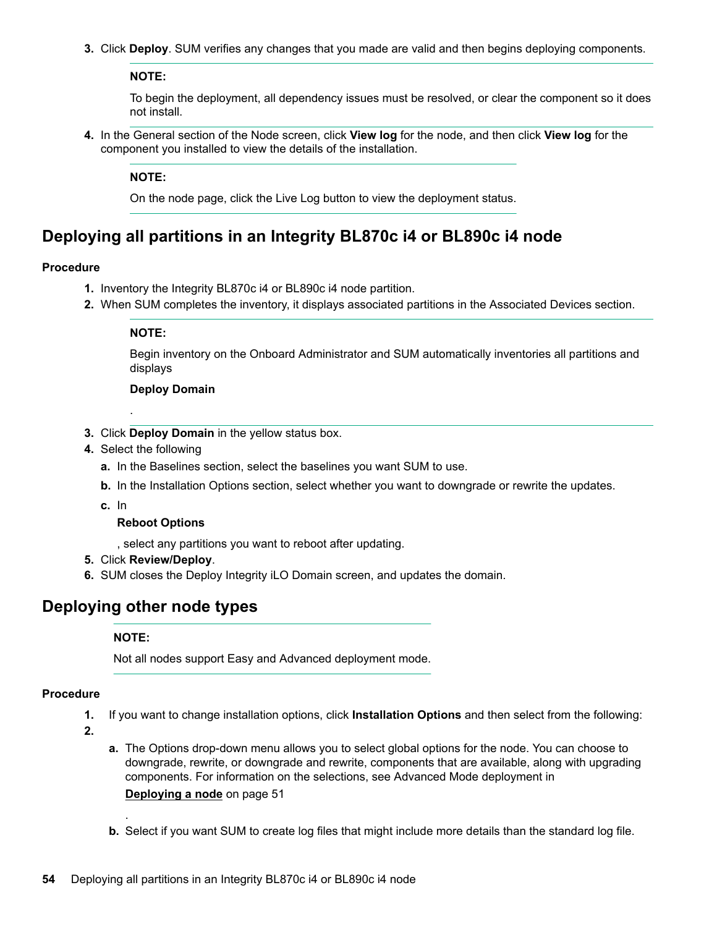<span id="page-53-0"></span>**3.** Click Deploy. SUM verifies any changes that you made are valid and then begins deploying components.

#### **:NOTE**

To begin the deployment, all dependency issues must be resolved, or clear the component so it does not install.

4. In the General section of the Node screen, click View log for the node, and then click View log for the component you installed to view the details of the installation.

#### **:NOTE**

On the node page, click the Live Log button to view the deployment status.

### Deploying all partitions in an Integrity BL870c i4 or BL890c i4 node

#### **Procedure**

- 1. Inventory the Integrity BL870c i4 or BL890c i4 node partition.
- 2. When SUM completes the inventory, it displays associated partitions in the Associated Devices section.

#### **:NOTE**

Begin inventory on the Onboard Administrator and SUM automatically inventories all partitions and displays

#### **Deploy Domain**

- 3. Click Deploy Domain in the yellow status box.
- 4. Select the following

.

- a. In the Baselines section, select the baselines you want SUM to use.
- **b.** In the Installation Options section, select whether you want to downgrade or rewrite the updates.
- In **.c**

#### **Reboot Options**

. select any partitions you want to reboot after updating.

- 5. Click **Review/Deploy.**
- 6. SUM closes the Deploy Integrity iLO Domain screen, and updates the domain.

### **Deploying other node types**

#### **:NOTE**

.

Not all nodes support Easy and Advanced deployment mode.

#### **Procedure**

- 1. If you want to change installation options, click Installation Options and then select from the following:
- **2.**
- a. The Options drop-down menu allows you to select global options for the node. You can choose to downgrade, rewrite, or downgrade and rewrite, components that are available, along with upgrading components. For information on the selections, see Advanced Mode deployment in **Deploying a node on page 51**
- **b.** Select if you want SUM to create log files that might include more details than the standard log file.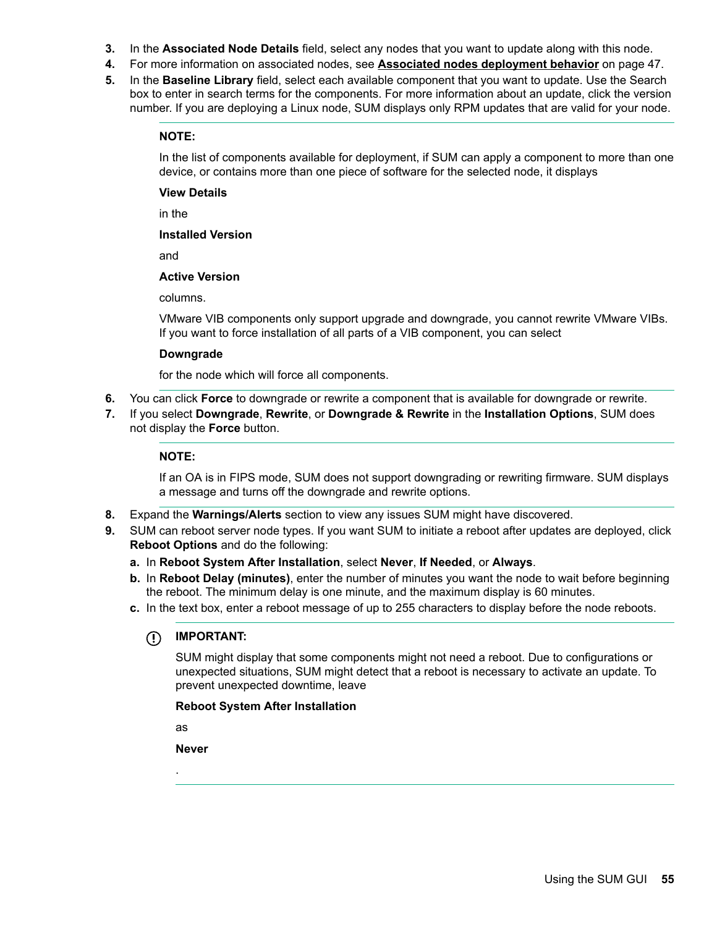- **3.** In the **Associated Node Details** field, select any nodes that you want to update along with this node.
- 4. For more information on associated nodes, see **Associated nodes deployment behavior** on page 47.
- 5. In the Baseline Library field, select each available component that you want to update. Use the Search box to enter in search terms for the components. For more information about an update, click the version number. If you are deploying a Linux node, SUM displays only RPM updates that are valid for your node.

#### **:NOTE**

In the list of components available for deployment, if SUM can apply a component to more than one device, or contains more than one piece of software for the selected node, it displays

#### **View Details**

in the

#### **Installed Version**

and

#### **Active Version**

.columns

VMware VIB components only support upgrade and downgrade, you cannot rewrite VMware VIBs. If you want to force installation of all parts of a VIB component, you can select

#### **Downgrade**

for the node which will force all components.

- 6. You can click Force to downgrade or rewrite a component that is available for downgrade or rewrite.
- 7. If you select **Downgrade**, Rewrite, or Downgrade & Rewrite in the Installation Options, SUM does not display the **Force** button.

#### **:NOTE**

If an OA is in FIPS mode, SUM does not support downgrading or rewriting firmware. SUM displays a message and turns off the downgrade and rewrite options.

- 8. Expand the Warnings/Alerts section to view any issues SUM might have discovered.
- **9.** SUM can reboot server node types. If you want SUM to initiate a reboot after updates are deployed, click **Reboot Options and do the following:** 
	- a. In Reboot System After Installation, select Never, If Needed, or Always.
	- **b.** In Reboot Delay (minutes), enter the number of minutes you want the node to wait before beginning the reboot. The minimum delay is one minute, and the maximum display is 60 minutes.
	- c. In the text box, enter a reboot message of up to 255 characters to display before the node reboots.

#### $\mathbb{O}$ **:IMPORTANT**

SUM might display that some components might not need a reboot. Due to configurations or unexpected situations, SUM might detect that a reboot is necessary to activate an update. To prevent unexpected downtime, leave

#### **Reboot System After Installation**

as

.

**Never**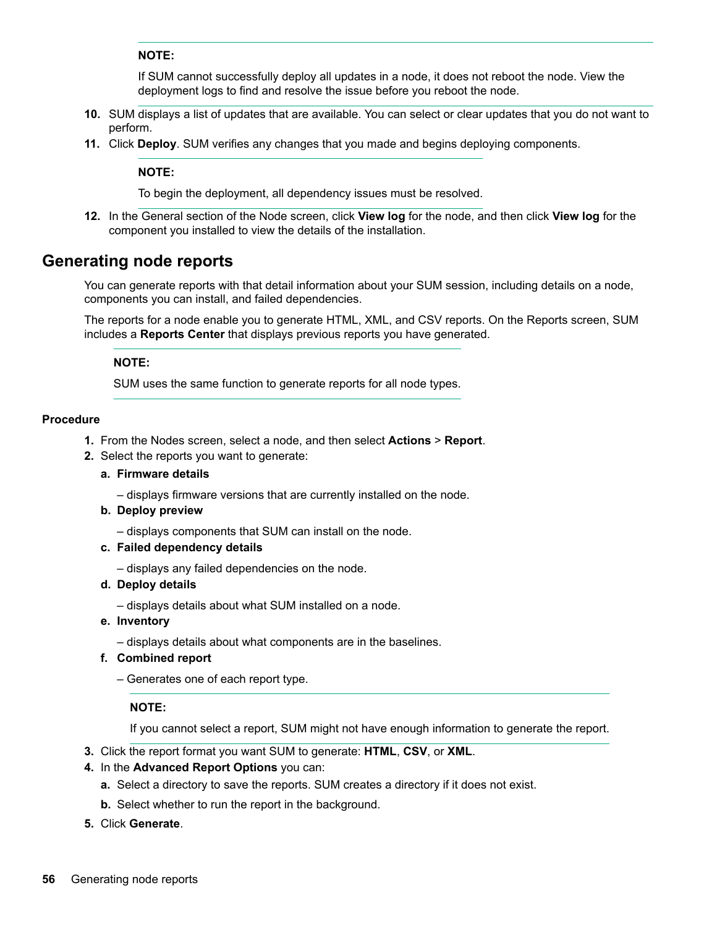#### **:NOTE**

If SUM cannot successfully deploy all updates in a node, it does not reboot the node. View the deployment logs to find and resolve the issue before you reboot the node.

- <span id="page-55-0"></span>10. SUM displays a list of updates that are available. You can select or clear updates that you do not want to .perform
- 11. Click Deploy. SUM verifies any changes that you made and begins deploying components.

#### **:NOTE**

To begin the deployment, all dependency issues must be resolved.

12. In the General section of the Node screen, click View log for the node, and then click View log for the component you installed to view the details of the installation.

### **Generating node reports**

You can generate reports with that detail information about your SUM session, including details on a node, components you can install, and failed dependencies.

The reports for a node enable you to generate HTML, XML, and CSV reports. On the Reports screen, SUM includes a Reports Center that displays previous reports you have generated.

#### **:NOTE**

SUM uses the same function to generate reports for all node types.

#### **Procedure**

- 1. From the Nodes screen, select a node, and then select **Actions** > Report.
- 2. Select the reports you want to generate:

#### **a.** Firmware details

- displays firmware versions that are currently installed on the node.

#### **b.** Deploy preview

- displays components that SUM can install on the node.

#### **c.** Failed dependency details

- displays any failed dependencies on the node.

#### d. Deploy details

- displays details about what SUM installed on a node.

- **e.** Inventory
	- displays details about what components are in the baselines.
- **f.** Combined report

 $-$  Generates one of each report type.

#### **:NOTE**

If you cannot select a report, SUM might not have enough information to generate the report.

- 3. Click the report format you want SUM to generate: HTML, CSV, or XML.
- 4. In the Advanced Report Options you can:
	- a. Select a directory to save the reports. SUM creates a directory if it does not exist.
	- **b.** Select whether to run the report in the background.
- 5. Click **Generate**.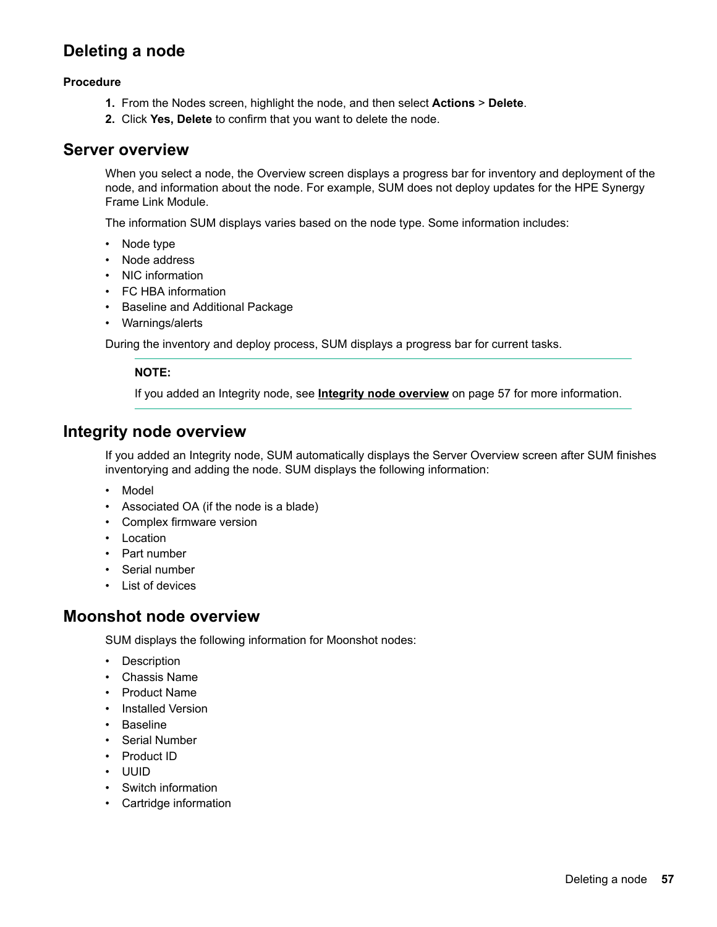## <span id="page-56-0"></span>**Deleting a node**

#### **Procedure**

- 1. From the Nodes screen, highlight the node, and then select Actions > Delete.
- 2. Click Yes, Delete to confirm that you want to delete the node.

### **Server overview**

When you select a node, the Overview screen displays a progress bar for inventory and deployment of the node, and information about the node. For example, SUM does not deploy updates for the HPE Synergy Frame Link Module.

The information SUM displays varies based on the node type. Some information includes:

- Node type
- Node address
- NIC information
- FC HBA information
- Baseline and Additional Package
- Warnings/alerts

During the inventory and deploy process, SUM displays a progress bar for current tasks.

#### **:NOTE**

If you added an Integrity node, see **Integrity node overview** on page 57 for more information.

### **Integrity node overview**

If you added an Integrity node, SUM automatically displays the Server Overview screen after SUM finishes inventorying and adding the node. SUM displays the following information:

- Model
- Associated OA (if the node is a blade)
- Complex firmware version
- Location
- Part number
- Serial number
- List of devices

### **Moonshot node overview**

SUM displays the following information for Moonshot nodes:

- Description
- Chassis Name
- Product Name
- Installed Version
- Baseline
- Serial Number
- Product ID
- UUID
- Switch information
- Cartridge information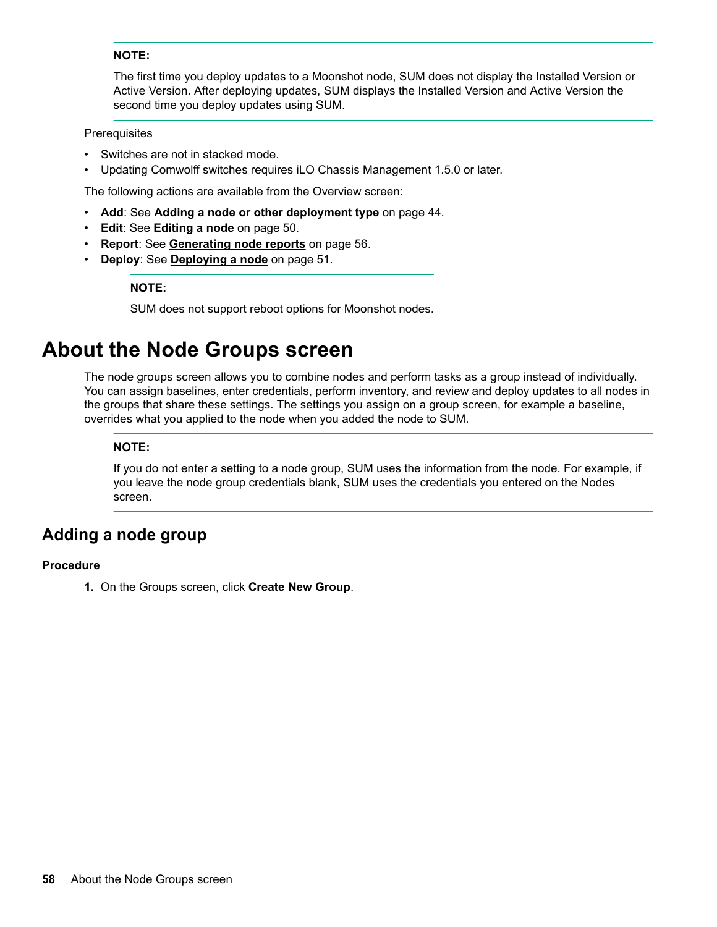#### **:NOTE**

The first time you deploy updates to a Moonshot node, SUM does not display the Installed Version or Active Version. After deploying updates, SUM displays the Installed Version and Active Version the second time you deploy updates using SUM.

#### **Prerequisites**

- Switches are not in stacked mode.
- Updating Comwolff switches requires iLO Chassis Management 1.5.0 or later.

The following actions are available from the Overview screen:

- Add: See **Adding a node or other deployment type** on page 44.
- **Edit:** See **Editing a node** on page 50.
- Report: See Generating node reports on page 56.
- Deploy: See Deploying a node on page 51.

#### **:NOTE**

SUM does not support reboot options for Moonshot nodes.

## **About the Node Groups screen**

The node groups screen allows you to combine nodes and perform tasks as a group instead of individually. You can assign baselines, enter credentials, perform inventory, and review and deploy updates to all nodes in the groups that share these settings. The settings you assign on a group screen, for example a baseline, overrides what you applied to the node when you added the node to SUM.

#### **:NOTE**

If you do not enter a setting to a node group, SUM uses the information from the node. For example, if you leave the node group credentials blank, SUM uses the credentials you entered on the Nodes screen.

### **Adding a node group**

#### **Procedure**

1. On the Groups screen, click **Create New Group**.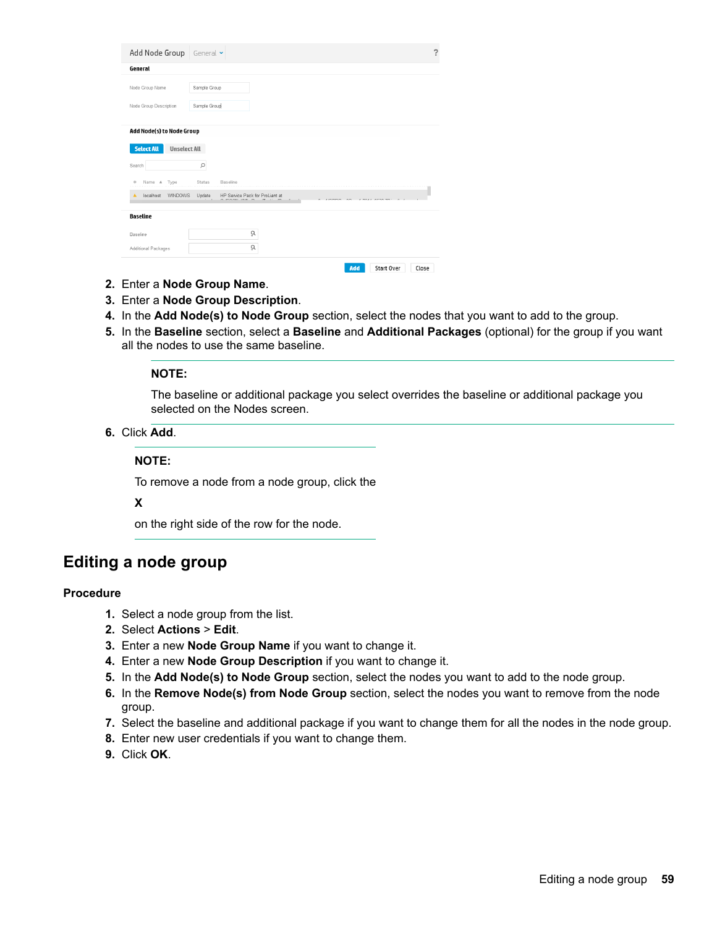| Add Node Group                                                        | General v                                                                                                            |
|-----------------------------------------------------------------------|----------------------------------------------------------------------------------------------------------------------|
| General                                                               |                                                                                                                      |
| Node Group Name                                                       | Sample Group                                                                                                         |
| Node Group Description                                                | Sample Group                                                                                                         |
| Add Node(s) to Node Group<br><b>Select All</b><br><b>Unselect All</b> |                                                                                                                      |
| Search<br>Type<br>Name A<br>$\circ$                                   | Q<br>Status<br>Baseline                                                                                              |
| <b>WINDOWS</b><br>localhost<br>٨                                      | Update<br>HP Service Pack for ProLiant at<br>OFOOLIVER O<br>$\sim$<br>$\sqrt{2}$<br>100000<br>1.00111.0000<br>$\sim$ |
| Baseline                                                              |                                                                                                                      |
| Baseline                                                              | ò,                                                                                                                   |
| Additional Packages                                                   | à                                                                                                                    |
|                                                                       | Start Over<br>Add<br>Close                                                                                           |

- 2. Enter a Node Group Name.
- 3. Enter a Node Group Description.
- 4. In the Add Node(s) to Node Group section, select the nodes that you want to add to the group.
- 5. In the Baseline section, select a Baseline and Additional Packages (optional) for the group if you want all the nodes to use the same baseline.

#### **:NOTE**

The baseline or additional package you select overrides the baseline or additional package you selected on the Nodes screen.

6. Click Add.

#### **:NOTE**

To remove a node from a node group, click the

#### **X**

on the right side of the row for the node.

## **Editing a node group**

#### **Procedure**

- 1. Select a node group from the list.
- 2. Select **Actions** > Edit.
- 3. Enter a new **Node Group Name** if you want to change it.
- 4. Enter a new Node Group Description if you want to change it.
- 5. In the Add Node(s) to Node Group section, select the nodes you want to add to the node group.
- 6. In the Remove Node(s) from Node Group section, select the nodes you want to remove from the node .group
- 7. Select the baseline and additional package if you want to change them for all the nodes in the node group.
- 8. Enter new user credentials if you want to change them.
- 9. Click OK.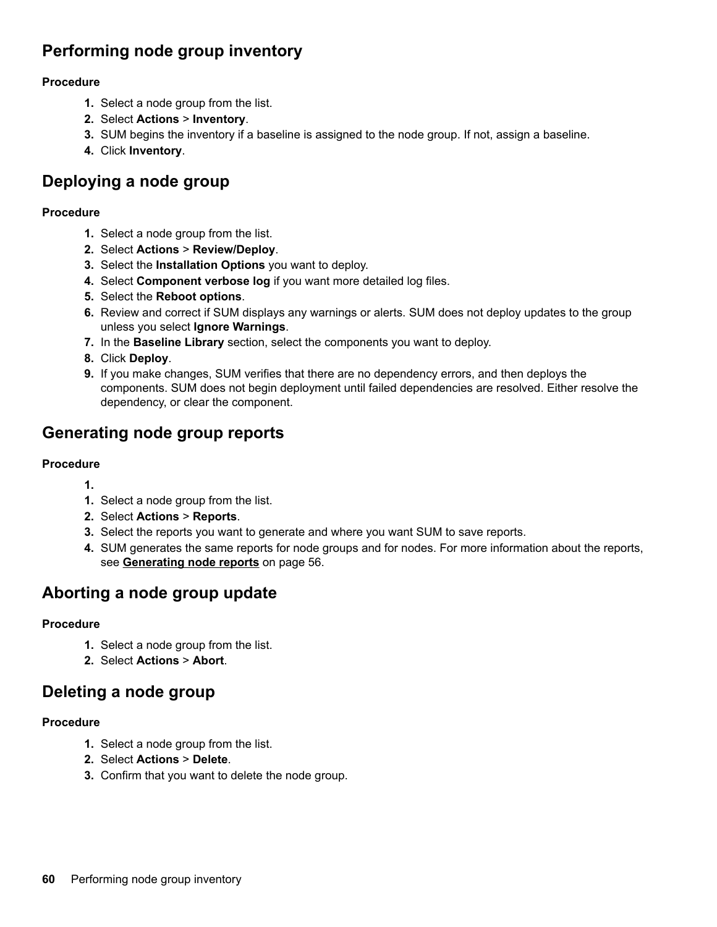## **Performing node group inventory**

#### **Procedure**

- 1. Select a node group from the list.
- 2. Select **Actions** > Inventory.
- 3. SUM begins the inventory if a baseline is assigned to the node group. If not, assign a baseline.
- 4. Click **Inventory**.

## **Deploying a node group**

#### **Procedure**

- 1. Select a node group from the list.
- 2. Select **Actions** > **Review/Deploy.**
- 3. Select the **Installation Options** you want to deploy.
- 4. Select **Component verbose log** if you want more detailed log files.
- 5. Select the Reboot options.
- 6. Review and correct if SUM displays any warnings or alerts. SUM does not deploy updates to the group unless you select Ignore Warnings.
- 7. In the **Baseline Library** section, select the components you want to deploy.
- 8. Click Deploy.
- **9.** If you make changes, SUM verifies that there are no dependency errors, and then deploys the components. SUM does not begin deployment until failed dependencies are resolved. Either resolve the dependency, or clear the component.

## **Generating node group reports**

#### **Procedure**

- **1.**
- 1. Select a node group from the list.
- 2. Select **Actions** > **Reports**.
- 3. Select the reports you want to generate and where you want SUM to save reports.
- 4. SUM generates the same reports for node groups and for nodes. For more information about the reports, see **Generating node reports** on page 56.

## Aborting a node group update

#### **Procedure**

- 1. Select a node group from the list.
- 2. Select **Actions** > Abort

## **Deleting a node group**

#### **Procedure**

- 1. Select a node group from the list.
- 2. Select **Actions** > Delete.
- 3. Confirm that you want to delete the node group.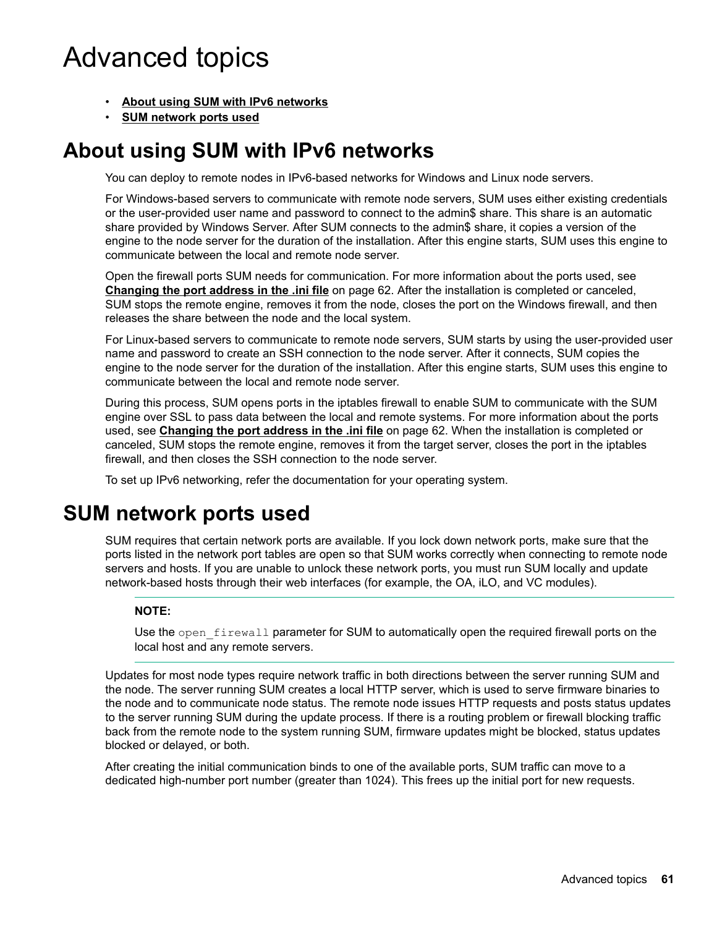# **Advanced topics**

- **About using SUM with IPv6 networks**
- **SUM network ports used**

## **About using SUM with IPv6 networks**

You can deploy to remote nodes in IPv6-based networks for Windows and Linux node servers.

For Windows-based servers to communicate with remote node servers, SUM uses either existing credentials or the user-provided user name and password to connect to the admin\$ share. This share is an automatic share provided by Windows Server. After SUM connects to the admin\$ share, it copies a version of the engine to the node server for the duration of the installation. After this engine starts, SUM uses this engine to communicate between the local and remote node server.

Open the firewall ports SUM needs for communication. For more information about the ports used, see Changing the port address in the .ini file on page 62. After the installation is completed or canceled, SUM stops the remote engine, removes it from the node, closes the port on the Windows firewall, and then releases the share between the node and the local system.

For Linux-based servers to communicate to remote node servers. SUM starts by using the user-provided user name and password to create an SSH connection to the node server. After it connects, SUM copies the engine to the node server for the duration of the installation. After this engine starts, SUM uses this engine to communicate between the local and remote node server.

During this process, SUM opens ports in the iptables firewall to enable SUM to communicate with the SUM engine over SSL to pass data between the local and remote systems. For more information about the ports used, see **Changing the port address in the .ini file** on page 62. When the installation is completed or canceled, SUM stops the remote engine, removes it from the target server, closes the port in the iptables firewall, and then closes the SSH connection to the node server.

To set up IPv6 networking, refer the documentation for your operating system.

## **SUM network ports used**

SUM requires that certain network ports are available. If you lock down network ports, make sure that the ports listed in the network port tables are open so that SUM works correctly when connecting to remote node servers and hosts. If you are unable to unlock these network ports, you must run SUM locally and update network-based hosts through their web interfaces (for example, the OA, iLO, and VC modules).

### **:NOTE**

Use the open firewall parameter for SUM to automatically open the required firewall ports on the local host and any remote servers.

Updates for most node types require network traffic in both directions between the server running SUM and the node. The server running SUM creates a local HTTP server, which is used to serve firmware binaries to the node and to communicate node status. The remote node issues HTTP requests and posts status updates to the server running SUM during the update process. If there is a routing problem or firewall blocking traffic back from the remote node to the system running SUM, firmware updates might be blocked, status updates blocked or delayed, or both.

After creating the initial communication binds to one of the available ports, SUM traffic can move to a dedicated high-number port number (greater than 1024). This frees up the initial port for new requests.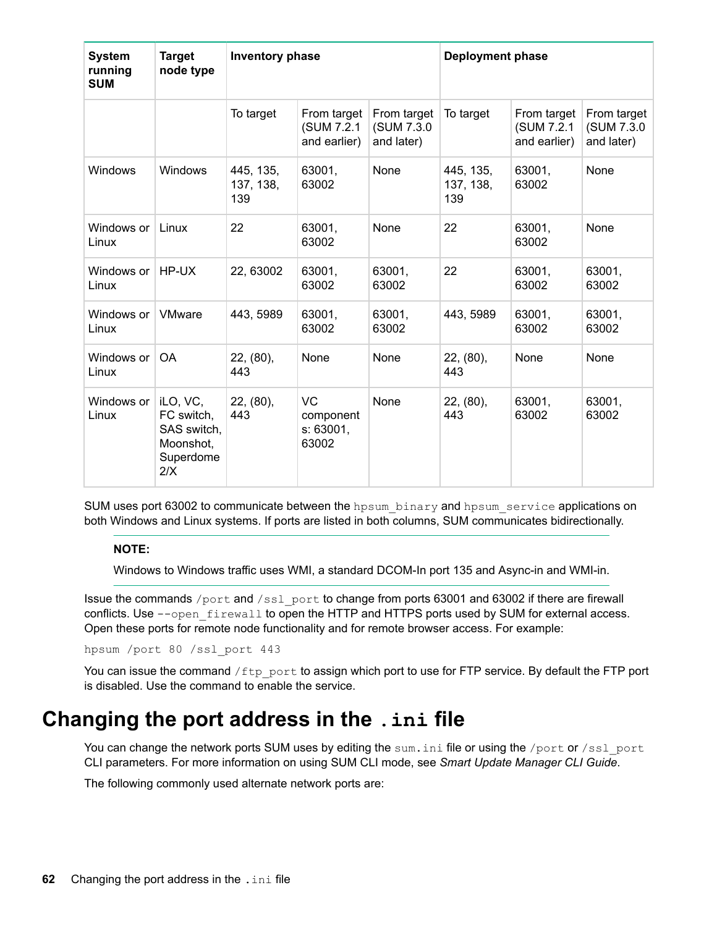<span id="page-61-0"></span>

| <b>System</b><br>running<br><b>SUM</b> | <b>Target</b><br>node type                                             | <b>Inventory phase</b>        |                                              | <b>Deployment phase</b>                  |                               |                                           |                                          |
|----------------------------------------|------------------------------------------------------------------------|-------------------------------|----------------------------------------------|------------------------------------------|-------------------------------|-------------------------------------------|------------------------------------------|
|                                        |                                                                        | To target                     | From target<br>(SUM 7.2.1<br>and earlier)    | From target<br>(SUM 7.3.0)<br>and later) | To target                     | From target<br>(SUM 7.2.1<br>and earlier) | From target<br>(SUM 7.3.0)<br>and later) |
| Windows                                | <b>Windows</b>                                                         | 445, 135,<br>137, 138,<br>139 | 63001,<br>63002                              | None                                     | 445, 135,<br>137, 138,<br>139 | 63001,<br>63002                           | None                                     |
| Windows or<br>Linux                    | Linux                                                                  | 22                            | 63001,<br>63002                              | None                                     | 22                            | 63001.<br>63002                           | None                                     |
| Windows or<br>Linux                    | HP-UX                                                                  | 22, 63002                     | 63001,<br>63002                              | 63001,<br>63002                          | 22                            | 63001,<br>63002                           | 63001,<br>63002                          |
| Windows or<br>Linux                    | <b>VMware</b>                                                          | 443, 5989                     | 63001,<br>63002                              | 63001,<br>63002                          | 443, 5989                     | 63001,<br>63002                           | 63001,<br>63002                          |
| Windows or<br>Linux                    | <b>OA</b>                                                              | 22, (80),<br>443              | None                                         | None                                     | 22, (80),<br>443              | None                                      | None                                     |
| Windows or<br>Linux                    | iLO, VC,<br>FC switch,<br>SAS switch,<br>Moonshot,<br>Superdome<br>2/X | 22, (80),<br>443              | <b>VC</b><br>component<br>s: 63001,<br>63002 | None                                     | 22, (80),<br>443              | 63001,<br>63002                           | 63001,<br>63002                          |

SUM uses port 63002 to communicate between the hpsum binary and hpsum service applications on both Windows and Linux systems. If ports are listed in both columns, SUM communicates bidirectionally.

### **:NOTE**

Windows to Windows traffic uses WMI, a standard DCOM-In port 135 and Async-in and WMI-in.

Issue the commands /port and /ssl port to change from ports 63001 and 63002 if there are firewall conflicts. Use  $-\text{-open}$  firewall to open the HTTP and HTTPS ports used by SUM for external access. Open these ports for remote node functionality and for remote browser access. For example:

hpsum /port 80 /ssl port 443

You can issue the command /ftp port to assign which port to use for FTP service. By default the FTP port is disabled. Use the command to enable the service.

## **Changing the port address in the . ini file**

You can change the network ports SUM uses by editing the sum. ini file or using the /port or /ssl port CLI parameters. For more information on using SUM CLI mode, see Smart Update Manager CLI Guide.

The following commonly used alternate network ports are: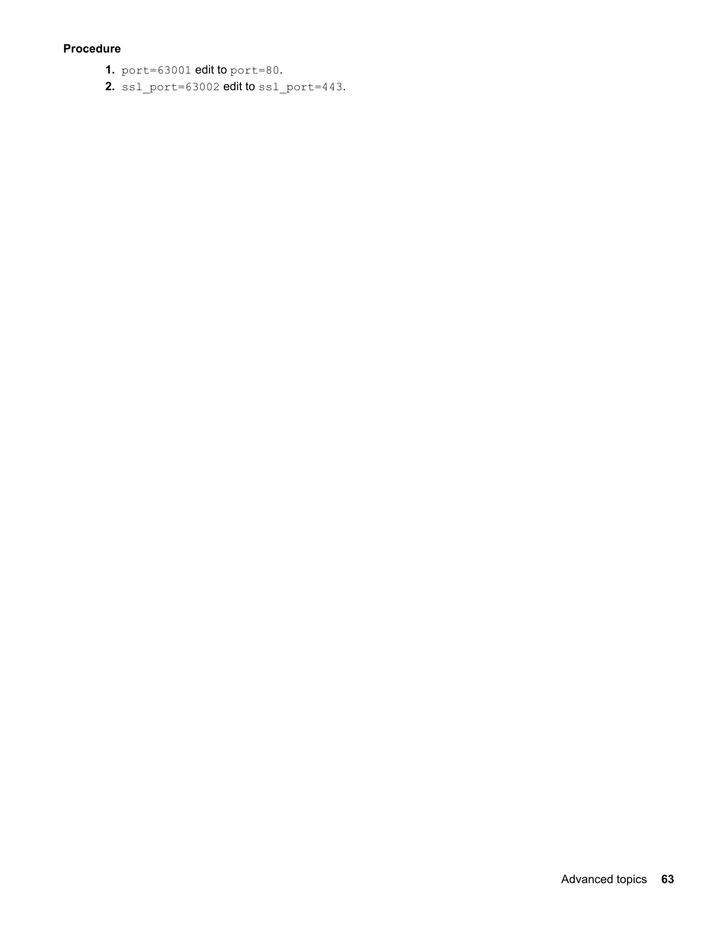#### **Procedure**

- **1.** port = 63001 **edit to** port = 80.
- 2.  $ssl$  port=63002 edit to  $ssl$  port=443.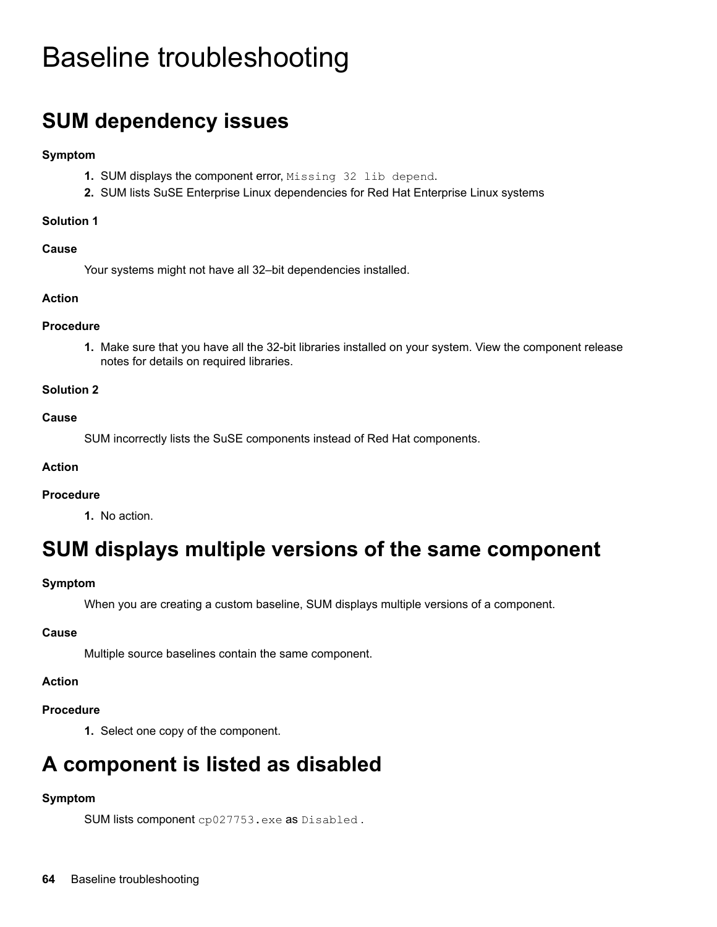# **Baseline troubleshooting**

# **SUM dependency issues**

#### **Symptom**

- 1. SUM displays the component error, Missing 32 lib depend.
- 2. SUM lists SuSE Enterprise Linux dependencies for Red Hat Enterprise Linux systems

#### **Solution 1**

#### **Cause**

Your systems might not have all 32-bit dependencies installed.

#### **Action**

#### **Procedure**

1. Make sure that you have all the 32-bit libraries installed on your system. View the component release notes for details on required libraries.

#### **2 Solution**

#### **Cause**

SUM incorrectly lists the SuSE components instead of Red Hat components.

#### **Action**

#### **Procedure**

1. No action.

## **SUM displays multiple versions of the same component**

#### **Symptom**

When you are creating a custom baseline, SUM displays multiple versions of a component.

#### **Cause**

Multiple source baselines contain the same component.

#### **Action**

#### **Procedure**

1. Select one copy of the component.

## **A component is listed as disabled**

#### **Symptom**

```
SUM lists component cp027753.exe as Disabled.
```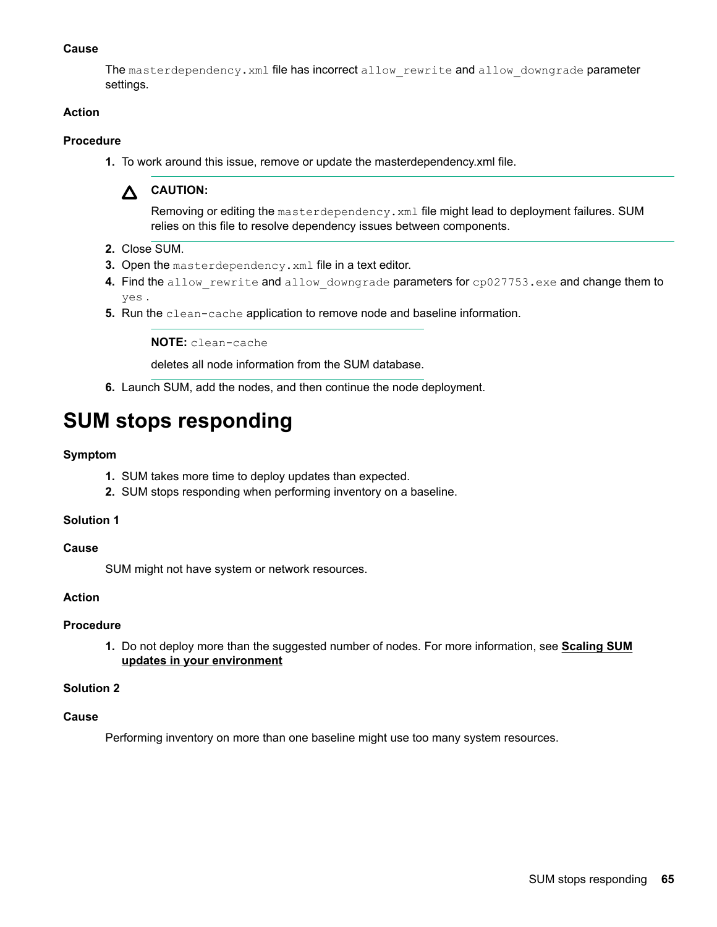#### **Cause**

The masterdependency. xml file has incorrect allow rewrite and allow downgrade parameter settings.

#### **Action**

#### **Procedure**

1. To work around this issue, remove or update the masterdependency *xml* file.



Removing or editing the masterdependency. xml file might lead to deployment failures. SUM relies on this file to resolve dependency issues between components.

- 2. Close SUM.
- 3. Open the masterdependency. xml file in a text editor.
- 4. Find the allow rewrite and allow downgrade parameters for cp027753.exe and change them to . yes
- 5. Run the clean-cache application to remove node and baseline information.

NOTE: clean-cache

deletes all node information from the SUM database.

6. Launch SUM, add the nodes, and then continue the node deployment.

## **SUM stops responding**

#### **Symptom**

- 1. SUM takes more time to deploy updates than expected.
- 2. SUM stops responding when performing inventory on a baseline.

#### **1 Solution**

#### **Cause**

SUM might not have system or network resources.

#### **Action**

#### **Procedure**

**1.** Do not deploy more than the suggested number of nodes. For more information, see **Scaling SUM updates in your environment** 

#### **2 Solution**

#### **Cause**

Performing inventory on more than one baseline might use too many system resources.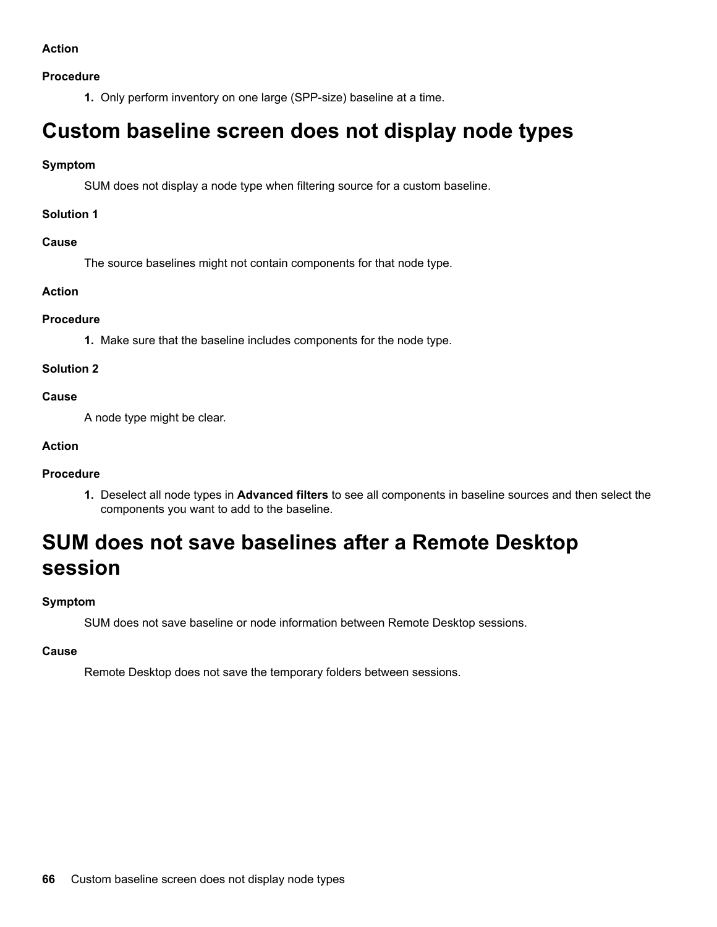#### **Procedure**

1. Only perform inventory on one large (SPP-size) baseline at a time.

## **Custom baseline screen does not display node types**

#### **Symptom**

SUM does not display a node type when filtering source for a custom baseline.

#### **1 Solution**

#### **Cause**

The source baselines might not contain components for that node type.

#### **Action**

#### **Procedure**

1. Make sure that the baseline includes components for the node type.

#### **2 Solution**

#### **Cause**

A node type might be clear.

#### **Action**

### **Procedure**

1. Deselect all node types in Advanced filters to see all components in baseline sources and then select the components you want to add to the baseline.

## **SUM does not save baselines after a Remote Desktop session**

### **Symptom**

SUM does not save baseline or node information between Remote Desktop sessions.

#### **Cause**

Remote Desktop does not save the temporary folders between sessions.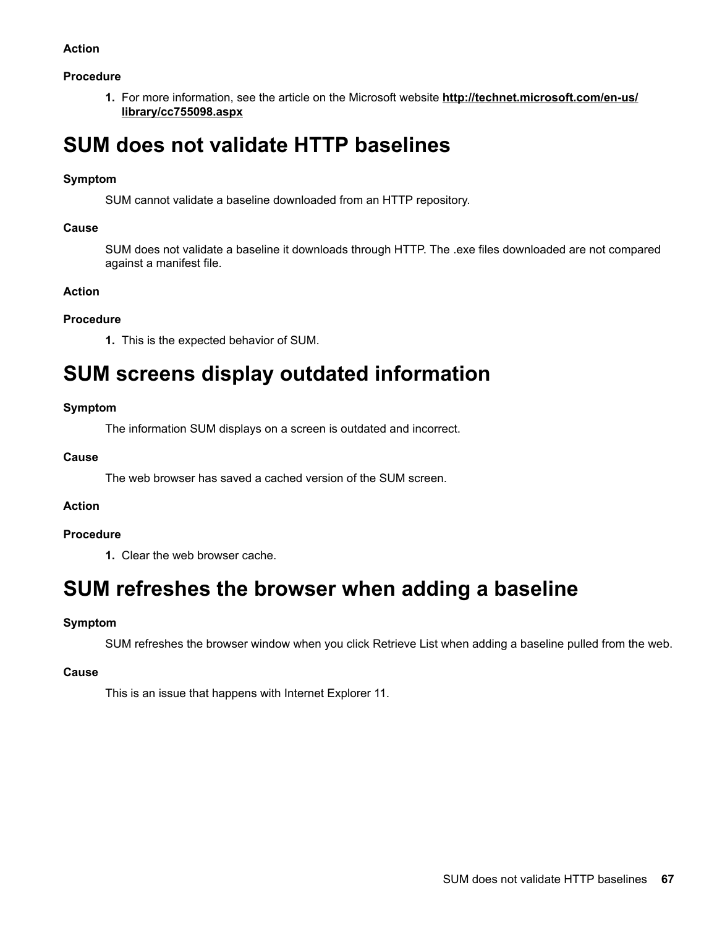#### **Procedure**

**1.** For more information, see the article on the Microsoft website http://technet.microsoft.com/en-us/ library/cc755098.aspx

## **SUM does not validate HTTP baselines**

#### **Symptom**

SUM cannot validate a baseline downloaded from an HTTP repository.

#### **Cause**

SUM does not validate a baseline it downloads through HTTP. The .exe files downloaded are not compared against a manifest file.

#### **Action**

#### **Procedure**

1. This is the expected behavior of SUM.

## **SUM** screens display outdated information

#### **Symptom**

The information SUM displays on a screen is outdated and incorrect.

#### **Cause**

The web browser has saved a cached version of the SUM screen.

#### **Action**

#### **Procedure**

1. Clear the web browser cache.

## **SUM refreshes the browser when adding a baseline**

#### **Symptom**

SUM refreshes the browser window when you click Retrieve List when adding a baseline pulled from the web.

#### **Cause**

This is an issue that happens with Internet Explorer 11.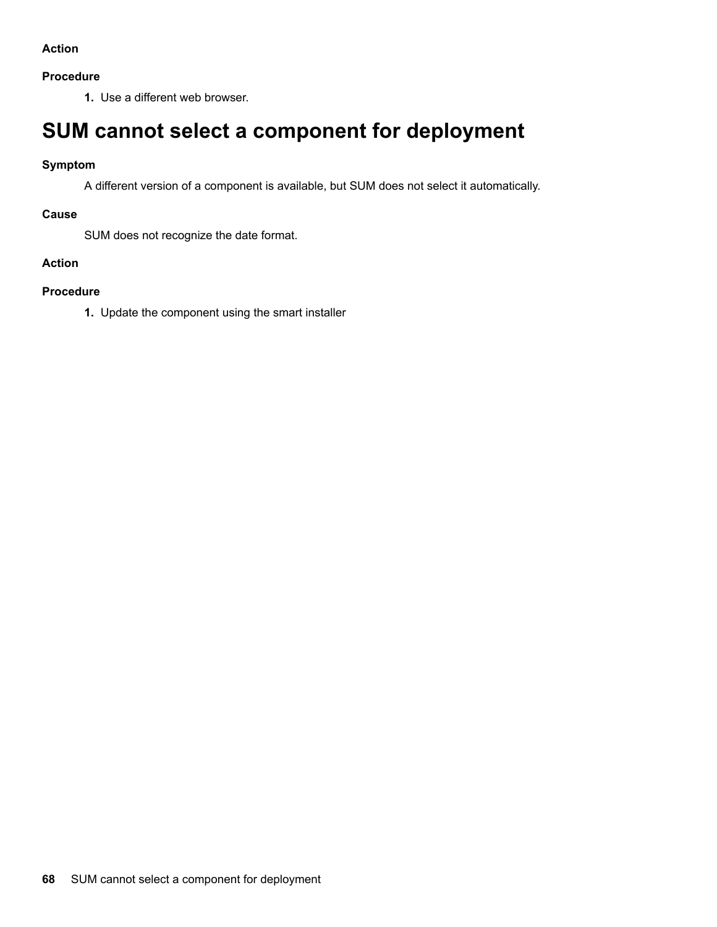#### **Procedure**

1. Use a different web browser.

## **SUM cannot select a component for deployment**

#### **Symptom**

A different version of a component is available, but SUM does not select it automatically.

#### **Cause**

SUM does not recognize the date format.

### **Action**

#### **Procedure**

1. Update the component using the smart installer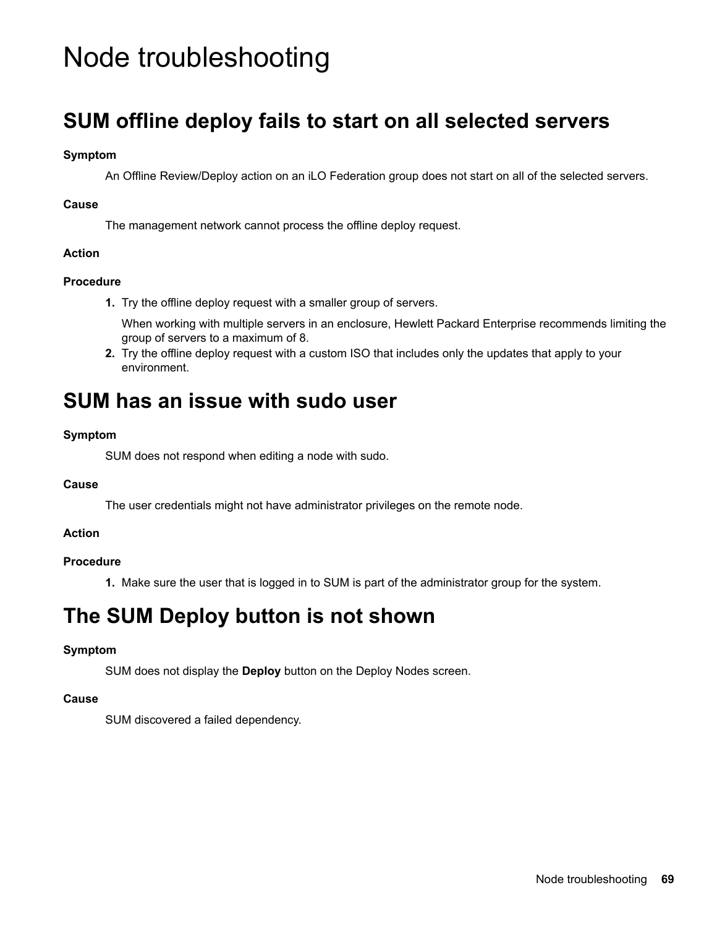# Node troubleshooting

## **SUM offline deploy fails to start on all selected servers**

#### **Symptom**

An Offline Review/Deploy action on an iLO Federation group does not start on all of the selected servers.

#### **Cause**

The management network cannot process the offline deploy request.

#### **Action**

#### **Procedure**

1. Try the offline deploy request with a smaller group of servers.

When working with multiple servers in an enclosure, Hewlett Packard Enterprise recommends limiting the group of servers to a maximum of 8.

2. Try the offline deploy request with a custom ISO that includes only the updates that apply to your .environment

## **SUM** has an issue with sudo user

#### **Symptom**

SUM does not respond when editing a node with sudo.

#### **Cause**

The user credentials might not have administrator privileges on the remote node.

#### **Action**

#### **Procedure**

1. Make sure the user that is logged in to SUM is part of the administrator group for the system.

## **The SUM Deploy button is not shown**

### **Symptom**

SUM does not display the **Deploy** button on the Deploy Nodes screen.

#### **Cause**

SUM discovered a failed dependency.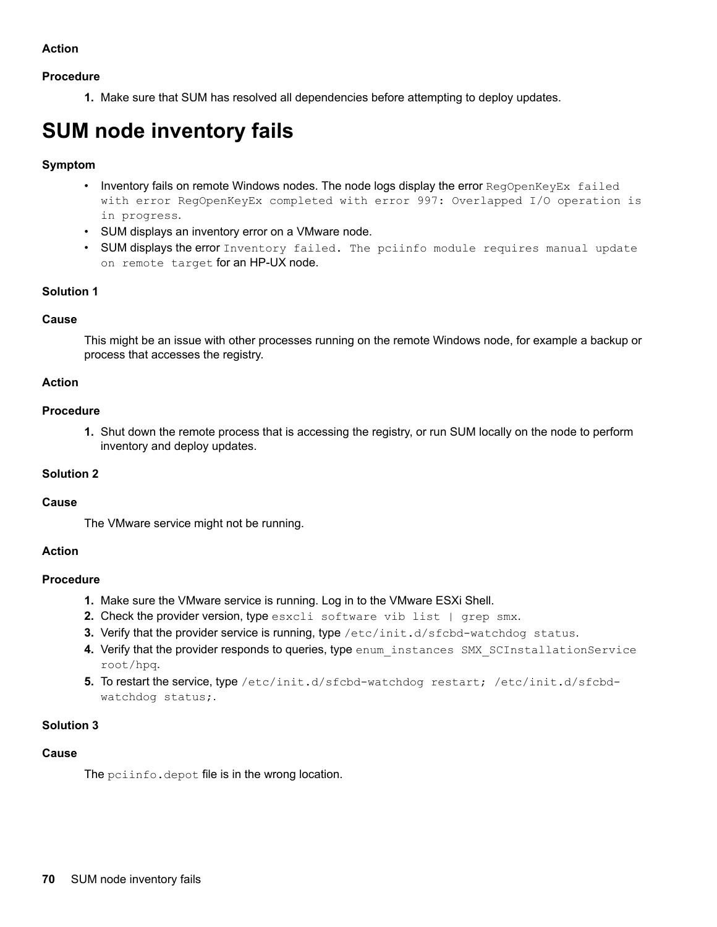#### **Procedure**

1. Make sure that SUM has resolved all dependencies before attempting to deploy updates.

# **SUM** node inventory fails

#### **Symptom**

- Inventory fails on remote Windows nodes. The node logs display the error RegOpenKeyEx failed with error ReqOpenKeyEx completed with error 997: Overlapped I/O operation is in progress.
- SUM displays an inventory error on a VMware node.
- SUM displays the error Inventory failed. The pciinfo module requires manual update on remote target for an HP-UX node.

#### **1 Solution**

#### **Cause**

This might be an issue with other processes running on the remote Windows node, for example a backup or process that accesses the registry.

#### **Action**

#### **Procedure**

1. Shut down the remote process that is accessing the registry, or run SUM locally on the node to perform inventory and deploy updates.

#### **2 Solution**

#### **Cause**

The VMware service might not be running.

#### **Action**

#### **Procedure**

- 1. Make sure the VMware service is running. Log in to the VMware ESXi Shell.
- 2. Check the provider version, type esxcli software vib list | grep smx.
- 3. Verify that the provider service is running, type /etc/init.d/sfcbd-watchdog status.
- 4. Verify that the provider responds to queries, type enum\_instances SMX\_SCInstallationService root/hpq.
- 5. To restart the service, type /etc/init.d/sfcbd-watchdog restart; /etc/init.d/sfcbd-watchdog status;

#### **3 Solution**

#### **Cause**

The polinfo. depot file is in the wrong location.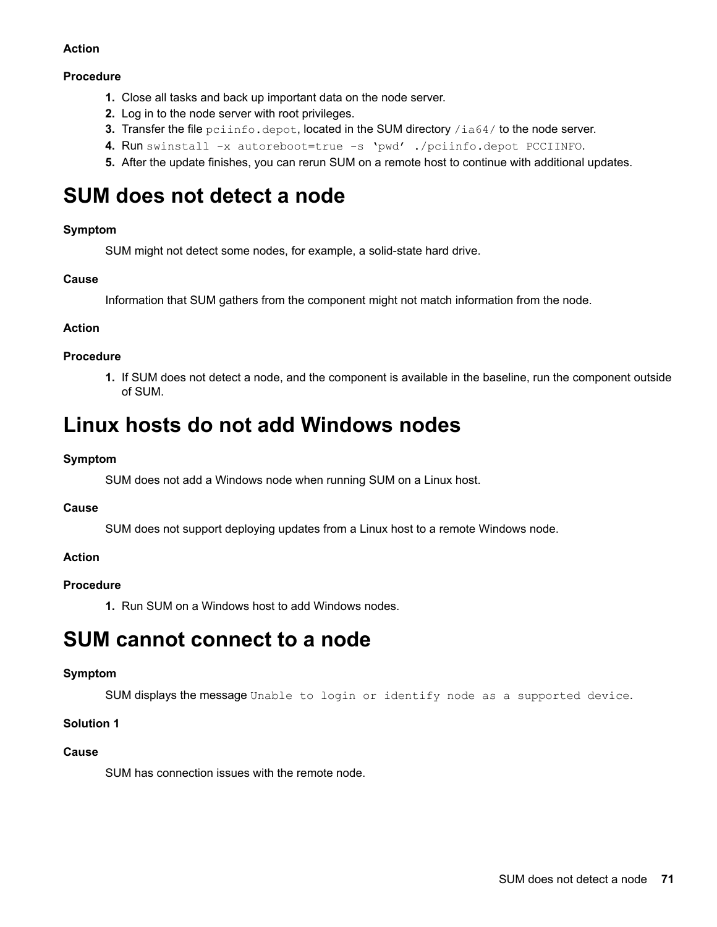#### **Procedure**

- 1. Close all tasks and back up important data on the node server.
- **2.** Log in to the node server with root privileges.
- 3. Transfer the file pciinfo.depot, located in the SUM directory /ia64/to the node server.
- 4. Run swinstall -x autoreboot=true -s 'pwd' ./pciinfo.depot PCCIINFO.
- **5.** After the update finishes, you can rerun SUM on a remote host to continue with additional updates.

## **SUM** does not detect a node

#### **Symptom**

SUM might not detect some nodes, for example, a solid-state hard drive.

#### **Cause**

Information that SUM gathers from the component might not match information from the node.

#### **Action**

#### **Procedure**

1. If SUM does not detect a node, and the component is available in the baseline, run the component outside of SUM.

## **Linux hosts do not add Windows nodes**

#### **Symptom**

SUM does not add a Windows node when running SUM on a Linux host.

#### **Cause**

SUM does not support deploying updates from a Linux host to a remote Windows node.

### **Action**

#### **Procedure**

1. Run SUM on a Windows host to add Windows nodes.

## **SUM** cannot connect to a node

#### **Symptom**

SUM displays the message Unable to login or identify node as a supported device.

#### **1 Solution**

#### **Cause**

SUM has connection issues with the remote node.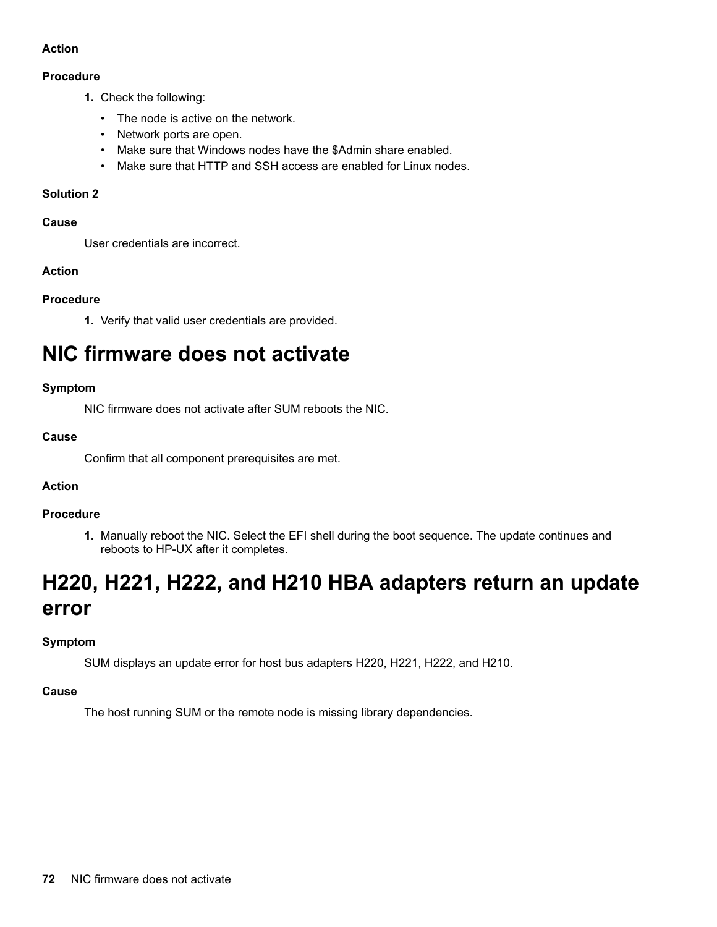#### **Procedure**

- 1. Check the following:
	- The node is active on the network.
	- Network ports are open.
	- Make sure that Windows nodes have the \$Admin share enabled.
	- Make sure that HTTP and SSH access are enabled for Linux nodes.

#### **2 Solution**

#### **Cause**

User credentials are incorrect.

#### **Action**

#### **Procedure**

1. Verify that valid user credentials are provided.

## **NIC firmware does not activate**

#### **Symptom**

NIC firmware does not activate after SUM reboots the NIC.

#### **Cause**

Confirm that all component prerequisites are met.

### **Action**

#### **Procedure**

1. Manually reboot the NIC. Select the EFI shell during the boot sequence. The update continues and reboots to HP-UX after it completes.

# H220, H221, H222, and H210 HBA adapters return an update **error**

### **Symptom**

SUM displays an update error for host bus adapters H220, H221, H222, and H210.

#### **Cause**

The host running SUM or the remote node is missing library dependencies.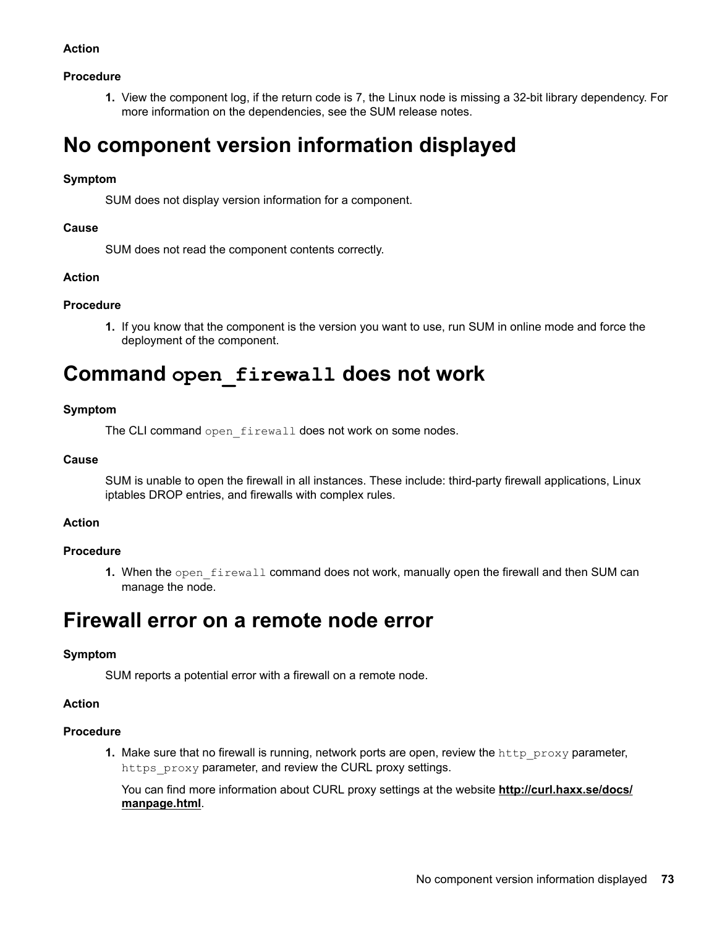### **Action**

### **Procedure**

1. View the component log, if the return code is 7, the Linux node is missing a 32-bit library dependency. For more information on the dependencies, see the SUM release notes.

# **No component version information displayed**

### **Symptom**

SUM does not display version information for a component.

### **Cause**

SUM does not read the component contents correctly.

### **Action**

### **Procedure**

1. If you know that the component is the version you want to use, run SUM in online mode and force the deployment of the component.

# **Command** open firewall does not work

### **Symptom**

The CLI command open firewall does not work on some nodes.

### **Cause**

SUM is unable to open the firewall in all instances. These include: third-party firewall applications, Linux iptables DROP entries, and firewalls with complex rules.

#### **Action**

# **Procedure**

1. When the open firewall command does not work, manually open the firewall and then SUM can manage the node.

# **Firewall error on a remote node error**

# **Symptom**

SUM reports a potential error with a firewall on a remote node.

#### **Action**

#### **Procedure**

1. Make sure that no firewall is running, network ports are open, review the  $h_{\text{ttp}}$  proxy parameter, https proxy parameter, and review the CURL proxy settings.

You can find more information about CURL proxy settings at the website **http://curl.haxx.se/docs/** manpage.html.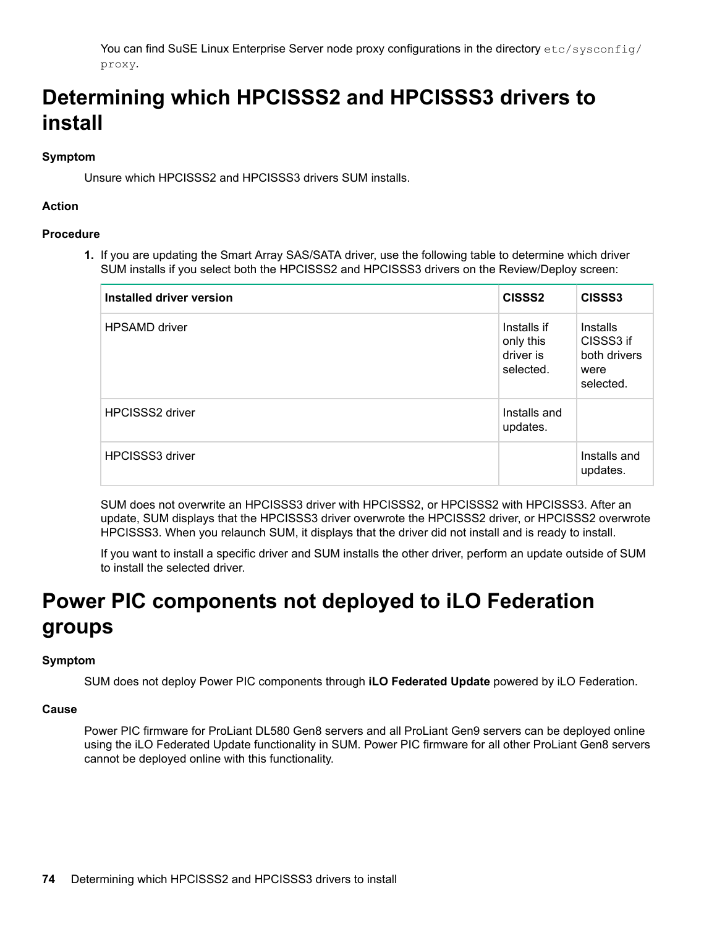You can find SuSE Linux Enterprise Server node proxy configurations in the directory  $etc/sysconfiq$ .proxy

# Determining which HPCISSS2 and HPCISSS3 drivers to **install**

# **Symptom**

Unsure which HPCISSS2 and HPCISSS3 drivers SUM installs.

# **Action**

# **Procedure**

1. If you are updating the Smart Array SAS/SATA driver, use the following table to determine which driver SUM installs if you select both the HPCISSS2 and HPCISSS3 drivers on the Review/Deploy screen:

| Installed driver version | CISSS <sub>2</sub>                                 | CISSS3                                                     |
|--------------------------|----------------------------------------------------|------------------------------------------------------------|
| <b>HPSAMD</b> driver     | Installs if<br>only this<br>driver is<br>selected. | Installs<br>CISSS3 if<br>both drivers<br>were<br>selected. |
| <b>HPCISSS2 driver</b>   | Installs and<br>updates.                           |                                                            |
| <b>HPCISSS3 driver</b>   |                                                    | Installs and<br>updates.                                   |

SUM does not overwrite an HPCISSS3 driver with HPCISSS2, or HPCISSS2 with HPCISSS3. After an update, SUM displays that the HPCISSS3 driver overwrote the HPCISSS2 driver, or HPCISSS2 overwrote HPCISSS3. When you relaunch SUM, it displays that the driver did not install and is ready to install.

If you want to install a specific driver and SUM installs the other driver, perform an update outside of SUM to install the selected driver.

# **Power PIC components not deployed to iLO Federation groups**

# **Symptom**

SUM does not deploy Power PIC components through iLO Federated Update powered by iLO Federation.

# **Cause**

Power PIC firmware for ProLiant DL580 Gen8 servers and all ProLiant Gen9 servers can be deployed online using the iLO Federated Update functionality in SUM. Power PIC firmware for all other ProLiant Gen8 servers cannot be deployed online with this functionality.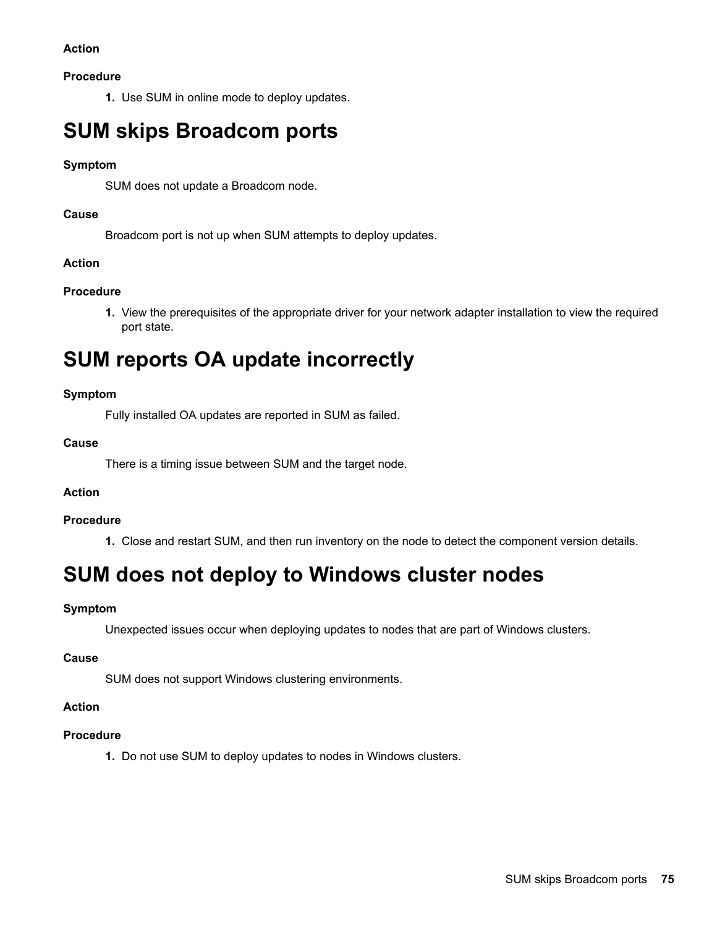# **Action**

# **Procedure**

1. Use SUM in online mode to deploy updates.

# **SUM skips Broadcom ports**

# **Symptom**

SUM does not update a Broadcom node.

# **Cause**

Broadcom port is not up when SUM attempts to deploy updates.

# **Action**

# **Procedure**

1. View the prerequisites of the appropriate driver for your network adapter installation to view the required port state.

# **SUM reports OA update incorrectly**

# **Symptom**

Fully installed OA updates are reported in SUM as failed.

### **Cause**

There is a timing issue between SUM and the target node.

# **Action**

#### **Procedure**

1. Close and restart SUM, and then run inventory on the node to detect the component version details.

# **SUM does not deploy to Windows cluster nodes**

# **Symptom**

Unexpected issues occur when deploying updates to nodes that are part of Windows clusters.

#### **Cause**

SUM does not support Windows clustering environments.

# **Action**

# **Procedure**

1. Do not use SUM to deploy updates to nodes in Windows clusters.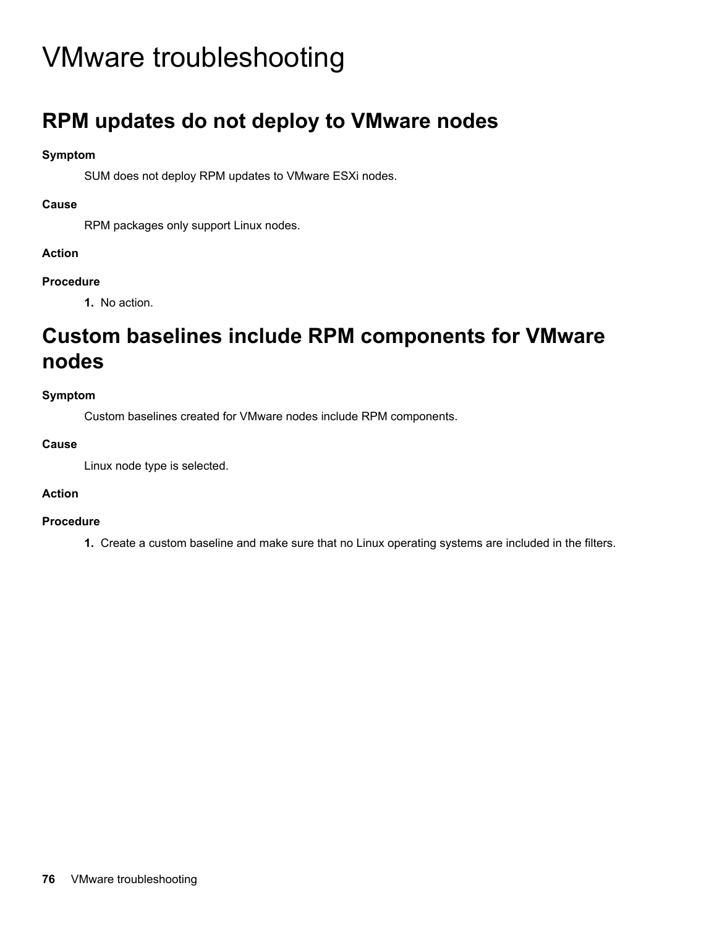# VMware troubleshooting

# **RPM** updates do not deploy to VMware nodes

# **Symptom**

SUM does not deploy RPM updates to VMware ESXi nodes.

# **Cause**

RPM packages only support Linux nodes.

# **Action**

# **Procedure**

1. No action.

# **Custom baselines include RPM components for VMware nodes**

# **Symptom**

Custom baselines created for VMware nodes include RPM components.

# **Cause**

Linux node type is selected.

# **Action**

# **Procedure**

1. Create a custom baseline and make sure that no Linux operating systems are included in the filters.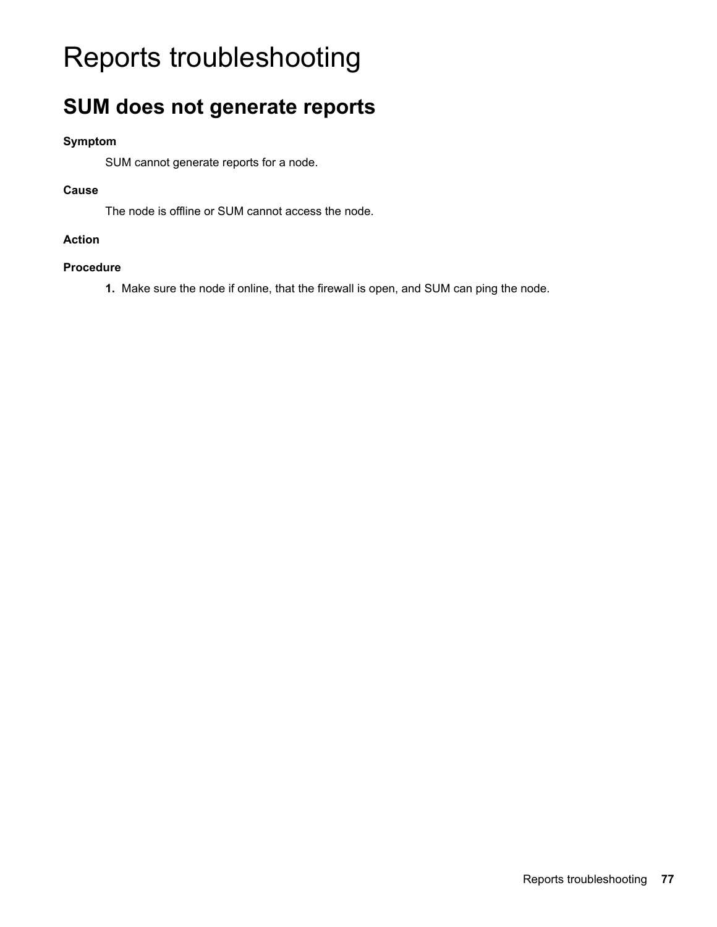# Reports troubleshooting

# **SUM** does not generate reports

# **Symptom**

SUM cannot generate reports for a node.

# **Cause**

The node is offline or SUM cannot access the node.

# **Action**

# **Procedure**

1. Make sure the node if online, that the firewall is open, and SUM can ping the node.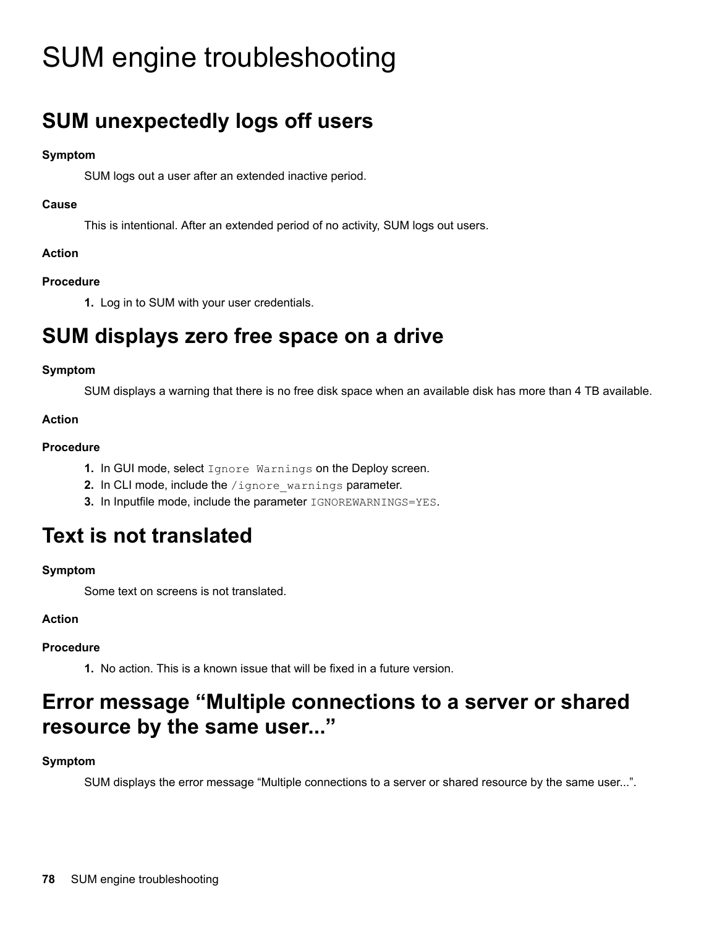# SUM engine troubleshooting

# **SUM** unexpectedly logs off users

# **Symptom**

SUM logs out a user after an extended inactive period.

# **Cause**

This is intentional. After an extended period of no activity, SUM logs out users.

# **Action**

# **Procedure**

1. Log in to SUM with your user credentials.

# **SUM** displays zero free space on a drive

# **Symptom**

SUM displays a warning that there is no free disk space when an available disk has more than 4 TB available.

# **Action**

# **Procedure**

- 1. In GUI mode, select Ignore Warnings on the Deploy screen.
- 2. In CLI mode, include the /ignore warnings parameter.
- 3. In Inputfile mode, include the parameter **IGNOREWARNINGS=YES**.

# **Text is not translated**

# **Symptom**

Some text on screens is not translated.

# **Action**

# **Procedure**

1. No action. This is a known issue that will be fixed in a future version.

# **Error message "Multiple connections to a server or shared** resource by the same user..."

# **Symptom**

SUM displays the error message "Multiple connections to a server or shared resource by the same user...".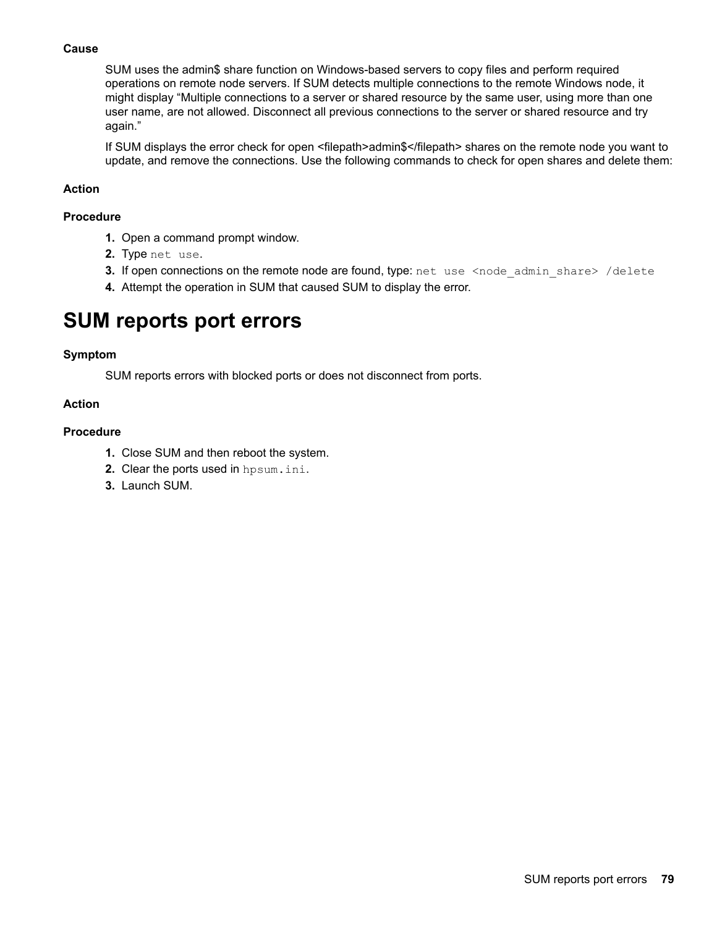### **Cause**

SUM uses the admin\$ share function on Windows-based servers to copy files and perform required operations on remote node servers. If SUM detects multiple connections to the remote Windows node, it might display "Multiple connections to a server or shared resource by the same user, using more than one user name, are not allowed. Disconnect all previous connections to the server or shared resource and try again."

If SUM displays the error check for open <filepath>admin\$</filepath> shares on the remote node you want to update, and remove the connections. Use the following commands to check for open shares and delete them:

### **Action**

### **Procedure**

- 1. Open a command prompt window.
- 2. Type net use.
- **3.** If open connections on the remote node are found, type: net use <node admin share> /delete
- 4. Attempt the operation in SUM that caused SUM to display the error.

# **SUM** reports port errors

### **Symptom**

SUM reports errors with blocked ports or does not disconnect from ports.

### **Action**

### **Procedure**

- 1. Close SUM and then reboot the system.
- 2. Clear the ports used in hpsum.ini.
- 3. Launch SUM.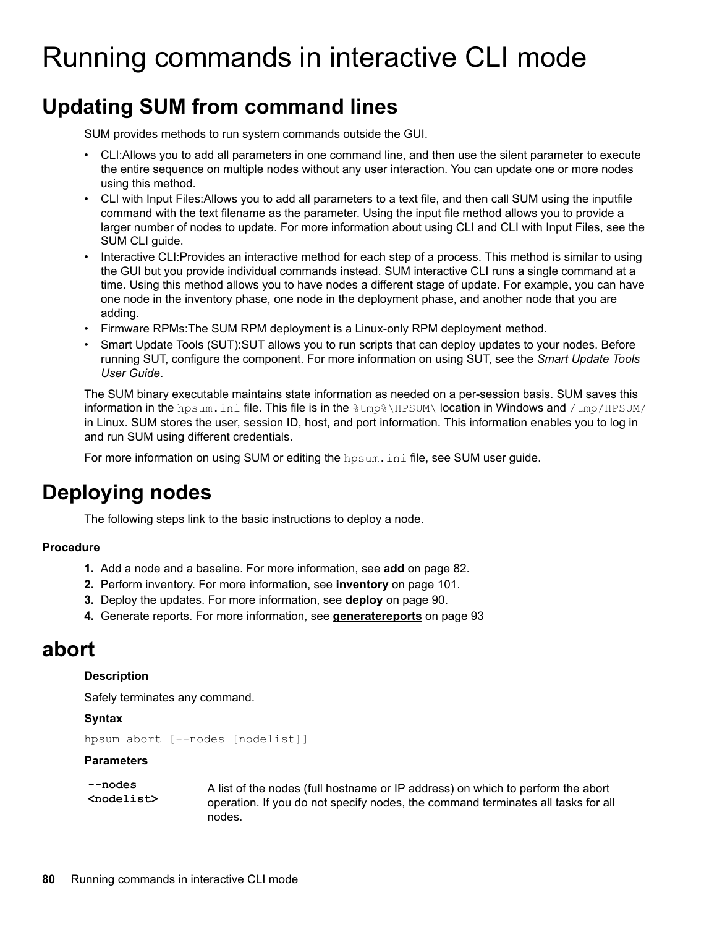# Running commands in interactive CLI mode

# **Updating SUM from command lines**

SUM provides methods to run system commands outside the GUI.

- CLI:Allows you to add all parameters in one command line, and then use the silent parameter to execute the entire sequence on multiple nodes without any user interaction. You can update one or more nodes using this method.
- CLI with Input Files: Allows you to add all parameters to a text file, and then call SUM using the inputfile command with the text filename as the parameter. Using the input file method allows you to provide a larger number of nodes to update. For more information about using CLI and CLI with Input Files, see the SUM CLI quide.
- Interactive CLI: Provides an interactive method for each step of a process. This method is similar to using the GUI but you provide individual commands instead. SUM interactive CLI runs a single command at a time. Using this method allows you to have nodes a different stage of update. For example, you can have one node in the inventory phase, one node in the deployment phase, and another node that you are .adding
- Firmware RPMs: The SUM RPM deployment is a Linux-only RPM deployment method.
- Smart Update Tools (SUT):SUT allows you to run scripts that can deploy updates to your nodes. Before running SUT, configure the component. For more information on using SUT, see the Smart Update Tools .*Guide User*

The SUM binary executable maintains state information as needed on a per-session basis. SUM saves this information in the hpsum, ini file. This file is in the  $\tan\theta$  the  $\theta$  in instantion in Windows and /tmp/HPSUM/ in Linux. SUM stores the user, session ID, host, and port information. This information enables you to log in and run SUM using different credentials.

For more information on using SUM or editing the hpsum, initile, see SUM user quide.

# **Deploying nodes**

The following steps link to the basic instructions to deploy a node.

# **Procedure**

- **1.** Add a node and a baseline. For more information, see **[add](#page-81-0)** on page 82.
- 2. Perform [inventory](#page-100-0). For more information, see **inventory** on page 101.
- 3. Deploy the updates. For more information, see **[deploy](#page-89-0)** on page 90.
- 4. Generate reports. For more information, see [generatereports](#page-92-0) on page 93

# **abort**

# **Description**

Safely terminates any command.

# **Syntax**

```
hpsum abort [--nodes [nodelist]]
```
# **Parameters**

```
nodes--
<nodelist<
```
A list of the nodes (full hostname or IP address) on which to perform the abort operation. If you do not specify nodes, the command terminates all tasks for all nodes.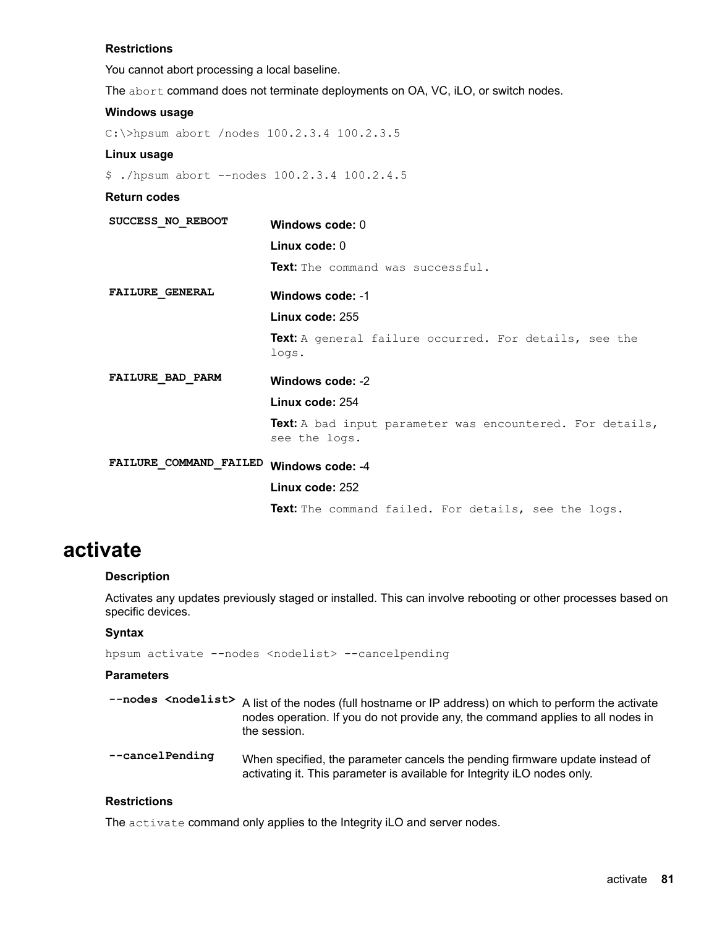#### **Restrictions**

You cannot abort processing a local baseline.

The abort command does not terminate deployments on OA, VC, iLO, or switch nodes.

# **Windows** usage

C:\>hpsum abort /nodes 100.2.3.4 100.2.3.5

#### **Linux** usage

 $$./hpsum abort --nodes 100.2.3.4 100.2.4.5$ 

#### **Return** codes

| SUCCESS NO REBOOT      | Windows code: 0<br>Linux code: $0$<br>Text: The command was successful.    |
|------------------------|----------------------------------------------------------------------------|
| <b>FAILURE GENERAL</b> | Windows code: -1                                                           |
|                        | Linux code: 255                                                            |
|                        | Text: A general failure occurred. For details, see the<br>logs.            |
| FAILURE BAD PARM       | Windows code: -2                                                           |
|                        | Linux code: 254                                                            |
|                        | Text: A bad input parameter was encountered. For details,<br>see the logs. |
| FAILURE COMMAND FAILED | Windows code: -4                                                           |
|                        | Linux code: 252                                                            |
|                        | <b>Text:</b> The command failed. For details, see the logs.                |

# **activate**

#### **Description**

Activates any updates previously staged or installed. This can involve rebooting or other processes based on specific devices.

#### **Syntax**

hpsum activate --nodes <nodelist> --cancelpending

# **Parameters**

- --nodes <nodelist> A list of the nodes (full hostname or IP address) on which to perform the activate nodes operation. If you do not provide any, the command applies to all nodes in the session.
- --cancel Pending When specified, the parameter cancels the pending firmware update instead of activating it. This parameter is available for Integrity iLO nodes only.

# **Restrictions**

The activate command only applies to the Integrity iLO and server nodes.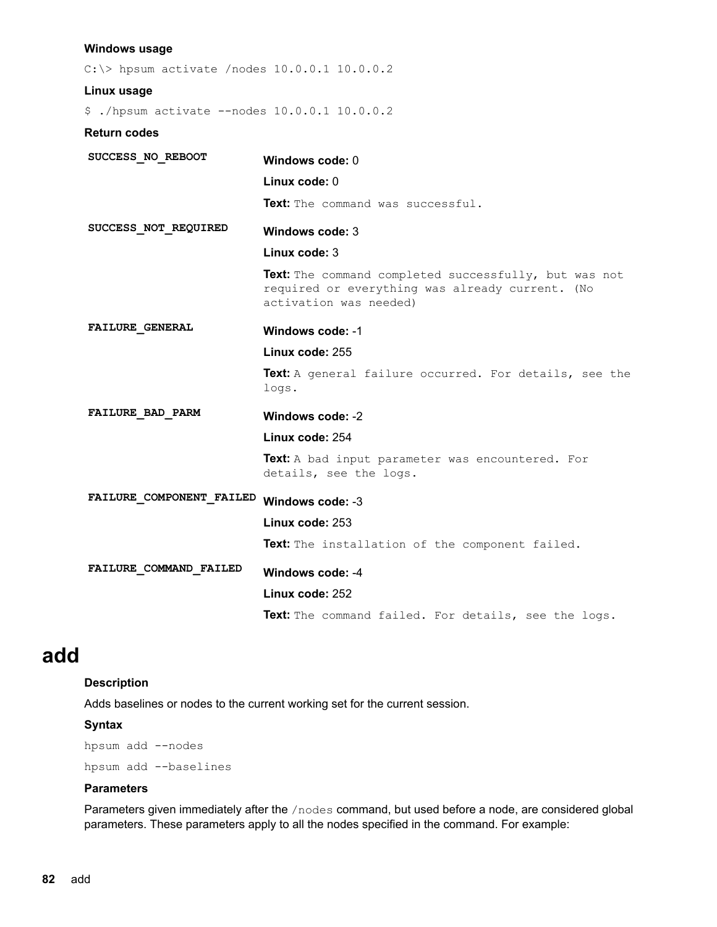#### <span id="page-81-0"></span>**Windows** usage

 $C:\rangle$  hpsum activate /nodes 10.0.0.1 10.0.0.2 **Linux** usage \$ ./hpsum activate --nodes 10.0.0.1 10.0.0.2 **Return** codes SUCCESS\_NO\_REBOOT Windows code: 0 **Linux** code: 0 Text: The command was successful.  $SUCCES_NOT\_REQUIRED$  Windows code: 3 **Linux** code: 3 Text: The command completed successfully, but was not required or everything was already current. (No activation was needed) FAILURE\_GENERAL Windows code: -1 **Linux code: 255** Text: A general failure occurred. For details, see the .logs -2 **:code Windows PARM\_BAD\_FAILURE** Linux code: 254 Text: A bad input parameter was encountered. For details, see the logs. FAILURE\_COMPONENT\_FAILED Windows code: -3 **Linux code: 253** Text: The installation of the component failed. FAILURE\_COMMAND\_FAILED\_\_Windows code: -4 **Linux code: 252** Text: The command failed. For details, see the logs.

# **add**

#### **Description**

Adds baselines or nodes to the current working set for the current session.

#### **Syntax**

hpsum add --nodes hpsum add --baselines

#### **Parameters**

Parameters given immediately after the /nodes command, but used before a node, are considered global parameters. These parameters apply to all the nodes specified in the command. For example: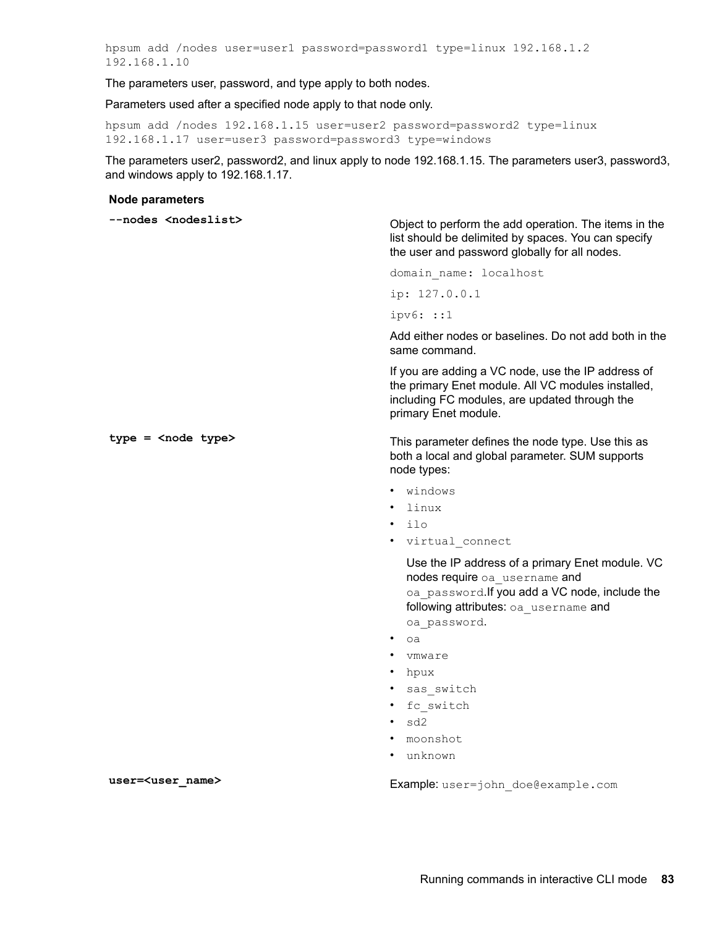hpsum add /nodes user=user1 password=password1 type=linux 192.168.1.2 192.168.1.10

The parameters user, password, and type apply to both nodes.

Parameters used after a specified node apply to that node only.

hpsum add /nodes 192.168.1.15 user=user2 password=password2 type=linux 192.168.1.17 user=user3 password=password3 type=windows

The parameters user2, password2, and linux apply to node 192.168.1.15. The parameters user3, password3, and windows apply to  $192.168.1.17$ .

#### **Node parameters**

| --nodes <nodeslist></nodeslist> | Object to perform the add operation. The items in the<br>list should be delimited by spaces. You can specify<br>the user and password globally for all nodes.                     |
|---------------------------------|-----------------------------------------------------------------------------------------------------------------------------------------------------------------------------------|
|                                 | domain name: localhost                                                                                                                                                            |
|                                 | ip: $127.0.0.1$                                                                                                                                                                   |
|                                 | $i$ pv $6:$ : $1$                                                                                                                                                                 |
|                                 | Add either nodes or baselines. Do not add both in the<br>same command.                                                                                                            |
|                                 | If you are adding a VC node, use the IP address of<br>the primary Enet module. All VC modules installed,<br>including FC modules, are updated through the<br>primary Enet module. |
| $type =$ < node $type$          | This parameter defines the node type. Use this as<br>both a local and global parameter. SUM supports<br>node types:                                                               |
|                                 | windows                                                                                                                                                                           |
|                                 | linux                                                                                                                                                                             |

Use the IP address of a primary Enet module. VC nodes require oa username and oa password. If you add a VC node, include the following attributes: oa username and oa password.

oa•

ilo•

• virtual connect

- vmware
- hpux
- sas switch
- fc switch
- $sd2$
- moonshot
- unknown•

user=<user\_name> **name> has Example**: user=john doe@example.com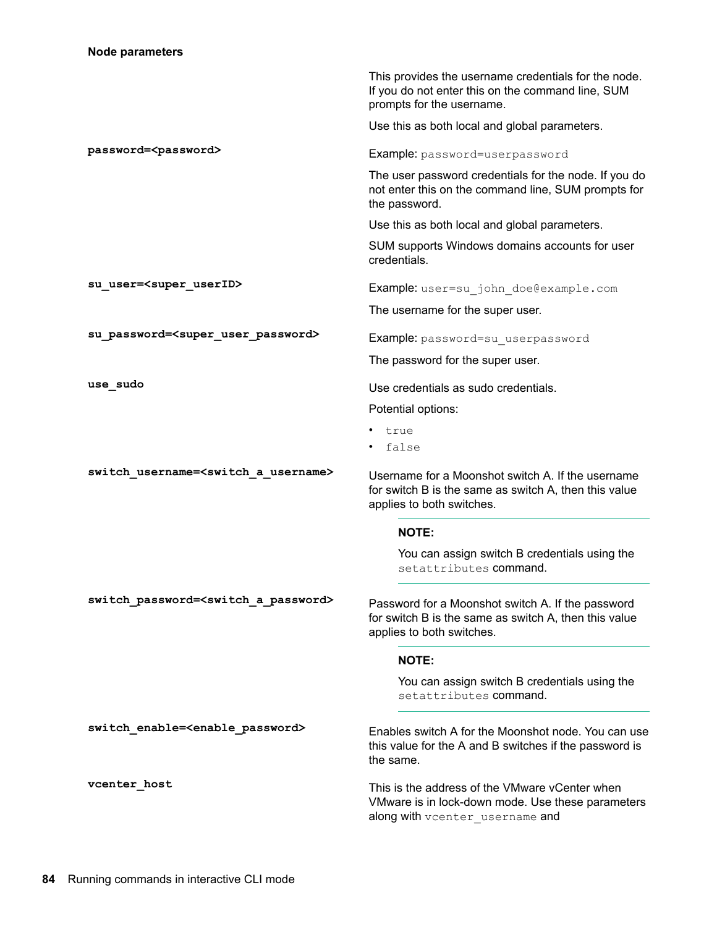|                                                          | This provides the username credentials for the node.<br>If you do not enter this on the command line, SUM<br>prompts for the username.  |
|----------------------------------------------------------|-----------------------------------------------------------------------------------------------------------------------------------------|
|                                                          | Use this as both local and global parameters.                                                                                           |
| password= <password></password>                          | Example: password=userpassword                                                                                                          |
|                                                          | The user password credentials for the node. If you do<br>not enter this on the command line, SUM prompts for<br>the password.           |
|                                                          | Use this as both local and global parameters.                                                                                           |
|                                                          | SUM supports Windows domains accounts for user<br>credentials.                                                                          |
| su user= <super userid=""></super>                       | Example: user=su john doe@example.com                                                                                                   |
|                                                          | The username for the super user.                                                                                                        |
| su_password= <super_user_password></super_user_password> | Example: password=su userpassword                                                                                                       |
|                                                          | The password for the super user.                                                                                                        |
| use_sudo                                                 | Use credentials as sudo credentials.                                                                                                    |
|                                                          | Potential options:                                                                                                                      |
|                                                          | true                                                                                                                                    |
|                                                          | false                                                                                                                                   |
| switch username= <switch a="" username=""></switch>      | Username for a Moonshot switch A. If the username<br>for switch B is the same as switch A, then this value<br>applies to both switches. |
|                                                          | <b>NOTE:</b>                                                                                                                            |
|                                                          | You can assign switch B credentials using the<br>setattributes command.                                                                 |
| switch password= <switch a="" password=""></switch>      | Password for a Moonshot switch A. If the password<br>for switch B is the same as switch A, then this value<br>applies to both switches. |
|                                                          | <b>NOTE:</b>                                                                                                                            |
|                                                          | You can assign switch B credentials using the<br>setattributes command.                                                                 |
| switch enable= <enable password=""></enable>             | Enables switch A for the Moonshot node. You can use<br>this value for the A and B switches if the password is<br>the same.              |
| vcenter host                                             | This is the address of the VMware vCenter when<br>VMware is in lock-down mode. Use these parameters<br>along with vcenter_username and  |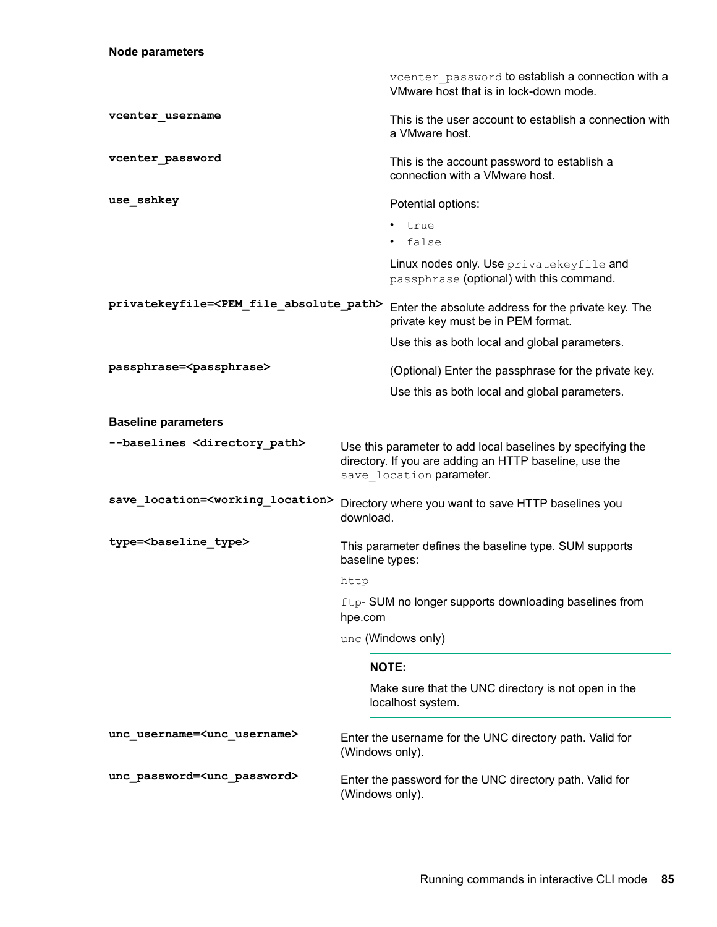|                                                         |                 | vcenter password to establish a connection with a<br>VMware host that is in lock-down mode.                                                       |
|---------------------------------------------------------|-----------------|---------------------------------------------------------------------------------------------------------------------------------------------------|
| vcenter username                                        |                 | This is the user account to establish a connection with<br>a VMware host.                                                                         |
| vcenter_password                                        |                 | This is the account password to establish a<br>connection with a VMware host.                                                                     |
| use sshkey                                              |                 | Potential options:                                                                                                                                |
|                                                         |                 | • true<br>false                                                                                                                                   |
|                                                         |                 | Linux nodes only. Use privatekeyfile and<br>passphrase (optional) with this command.                                                              |
| privatekeyfile= <pem absolute="" file="" path=""></pem> |                 | Enter the absolute address for the private key. The<br>private key must be in PEM format.                                                         |
|                                                         |                 | Use this as both local and global parameters.                                                                                                     |
| passphrase= <passphrase></passphrase>                   |                 | (Optional) Enter the passphrase for the private key.                                                                                              |
|                                                         |                 | Use this as both local and global parameters.                                                                                                     |
| <b>Baseline parameters</b>                              |                 |                                                                                                                                                   |
| --baselines <directory path=""></directory>             |                 | Use this parameter to add local baselines by specifying the<br>directory. If you are adding an HTTP baseline, use the<br>save location parameter. |
| save location= <working location=""></working>          | download.       | Directory where you want to save HTTP baselines you                                                                                               |
| type= <baseline_type></baseline_type>                   | baseline types: | This parameter defines the baseline type. SUM supports                                                                                            |
|                                                         | http            |                                                                                                                                                   |
|                                                         | hpe.com         | ftp-SUM no longer supports downloading baselines from                                                                                             |
|                                                         |                 | unc (Windows only)                                                                                                                                |
|                                                         |                 | <b>NOTE:</b>                                                                                                                                      |
|                                                         |                 | Make sure that the UNC directory is not open in the<br>localhost system.                                                                          |
| unc username= <unc username=""></unc>                   | (Windows only). | Enter the username for the UNC directory path. Valid for                                                                                          |
| unc password= <unc password=""></unc>                   | (Windows only). | Enter the password for the UNC directory path. Valid for                                                                                          |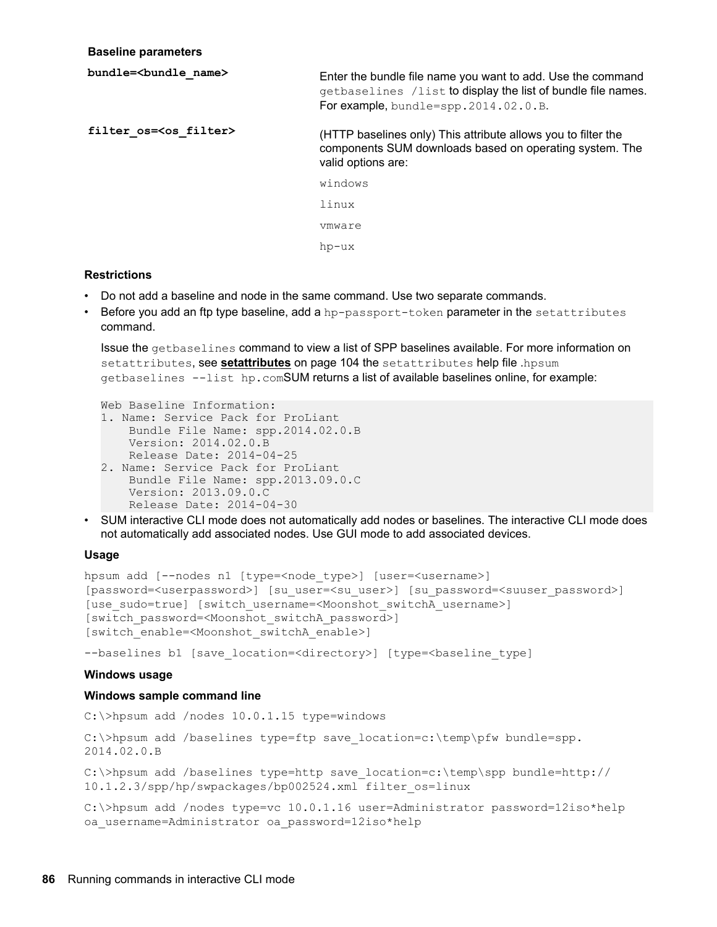#### **parameters Baseline**

| bundle=<br>bundle name>        | Enter the bundle file name you want to add. Use the command<br>getbaselines /list to display the list of bundle file names.<br>For example, bundle=spp.2014.02.0.B. |
|--------------------------------|---------------------------------------------------------------------------------------------------------------------------------------------------------------------|
| filter os= <os filter=""></os> | (HTTP baselines only) This attribute allows you to filter the<br>components SUM downloads based on operating system. The<br>valid options are:                      |
|                                | windows                                                                                                                                                             |
|                                | linux                                                                                                                                                               |
|                                | vmware                                                                                                                                                              |
|                                | hp-ux                                                                                                                                                               |

# **Restrictions**

- Do not add a baseline and node in the same command. Use two separate commands.
- Before you add an ftp type baseline, add a hp-passport-token parameter in the setattributes .command

Issue the getbaselines command to view a list of SPP baselines available. For more information on [setattributes](#page-103-0), see setattributes on page 104 the setattributes help file .hpsum getbaselines --list hp.comSUM returns a list of available baselines online, for example:

```
Web Baseline Information:
1. Name: Service Pack for ProLiant
   Bundle File Name: spp.2014.02.0.B
   Version: 2014.02.0. B
   Release Date: 2014-04-25
2. Name: Service Pack for ProLiant
   Bundle File Name: spp.2013.09.0.C
   Version: 2013.09.0.C
   Release Date: 2014-04-30
```
• SUM interactive CLI mode does not automatically add nodes or baselines. The interactive CLI mode does not automatically add associated nodes. Use GUI mode to add associated devices.

#### **Usage**

```
hpsum add [--nodes n1 [type=<node type>] [user=<username>]
[password=<userpassword>] [su user=<su user>] [su password=<suuser password>]
[use sudo=true] [switch username=<Moonshot switchA username>]
[switch password=<Moonshot switchA password>]
[switch enable=<Moonshot switchA enable>]
```
--baselines b1 [save location=<directory>] [type=<br/>baseline type]

#### **Windows** usage

### **Windows sample command line**

 $C:\rangle$ hpsum add /nodes 10.0.1.15 type=windows

C:\>hpsum add /baselines type=ftp save location=c:\temp\pfw bundle=spp. 2014.02.0.B

C:\>hpsum add /baselines type=http save location=c:\temp\spp bundle=http:// 10.1.2.3/spp/hp/swpackages/bp002524.xml filter os=linux

C:\>hpsum add /nodes type=vc 10.0.1.16 user=Administrator password=12iso\*help oa username=Administrator oa password=12iso\*help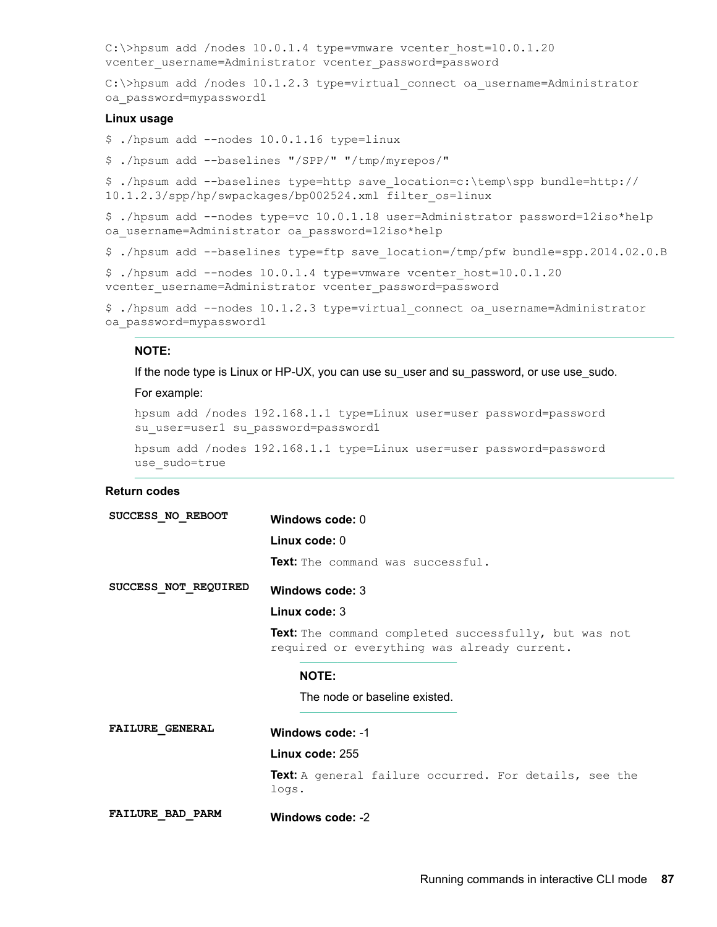```
C:\\Phi_0:0.1.20 and /nodes 10.0.1.4 type=vmware vcenter host=10.0.1.20
vcenter username=Administrator vcenter password=password
```
C: \>hpsum add /nodes 10.1.2.3 type=virtual connect oa username=Administrator oa password=mypassword1

#### **Linux** usage

- $$./hpsum$  add --nodes  $10.0.1.16$  type=linux
- \$ ./hpsum add --baselines "/SPP/" "/tmp/myrepos/"

 $\frac{1}{p}$ :/hpsum add --baselines type=http save location=c:\temp\spp bundle=http:// 10.1.2.3/spp/hp/swpackages/bp002524.xml filter os=linux

\$ ./hpsum add --nodes type=vc 10.0.1.18 user=Administrator password=12iso\*help oa username=Administrator oa password=12iso\*help

\$./hpsum add --baselines type=ftp save location=/tmp/pfw bundle=spp.2014.02.0.B

\$ ./hpsum add --nodes  $10.0.1.4$  type=vmware vcenter host= $10.0.1.20$ vcenter username=Administrator vcenter password=password

```
$ ./hpsum add --nodes 10.1.2.3 type=virtual connect oa username=Administrator
oa password=mypassword1
```
#### **:NOTE**

If the node type is Linux or HP-UX, you can use su\_user and su\_password, or use use\_sudo.

#### For example:

hpsum add /nodes  $192.168.1.1$  type=Linux user=user password=password su user=user1 su password=password1

hpsum add /nodes 192.168.1.1 type=Linux user=user password=password use sudo=true

| SUCCESS NO REBOOT       | Windows code: 0                                                                                      |
|-------------------------|------------------------------------------------------------------------------------------------------|
|                         | Linux code: $0$                                                                                      |
|                         | <b>Text:</b> The command was successful.                                                             |
| SUCCESS NOT REQUIRED    | Windows code: 3                                                                                      |
|                         | Linux code: 3                                                                                        |
|                         | Text: The command completed successfully, but was not<br>required or everything was already current. |
|                         | <b>NOTE:</b>                                                                                         |
|                         | The node or baseline existed.                                                                        |
| <b>FAILURE GENERAL</b>  | Windows code: -1                                                                                     |
|                         | Linux code: 255                                                                                      |
|                         | Text: A general failure occurred. For details, see the<br>logs.                                      |
| <b>FAILURE BAD PARM</b> | Windows code: -2                                                                                     |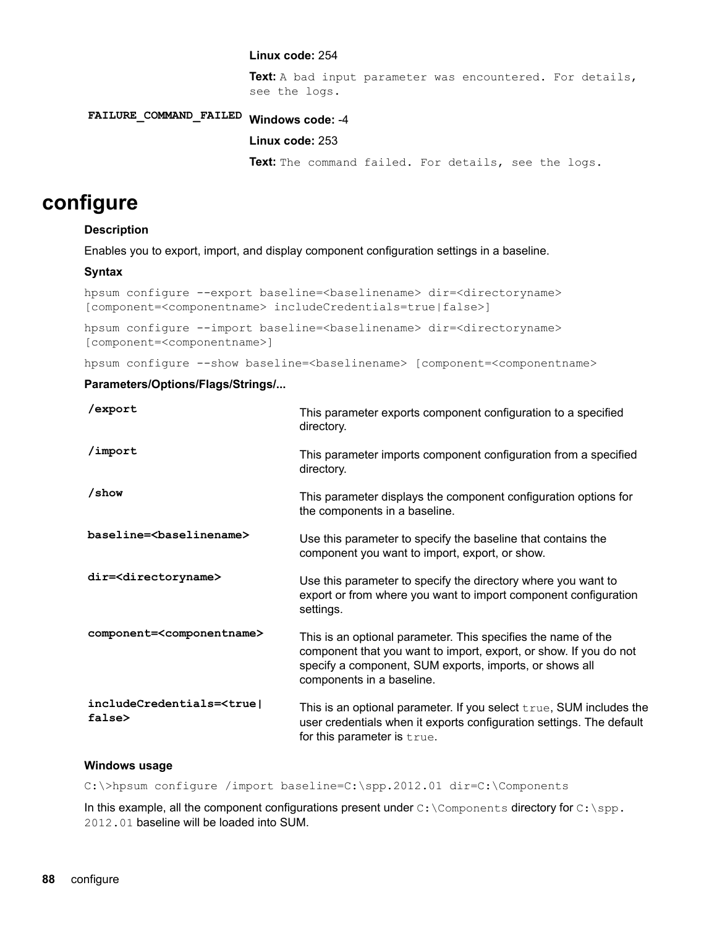#### Linux code: 254

Text: A bad input parameter was encountered. For details, see the logs.

# -4 **:code Windows FAILED\_COMMAND\_FAILURE**

#### **Linux code: 253**

Text: The command failed. For details, see the logs.

# **configure**

#### **Description**

Enables you to export, import, and display component configuration settings in a baseline.

#### **Syntax**

```
hpsum configure --export baseline=<br/>baselinename> dir=<directoryname>
[component=<componentname> includeCredentials=true|false>]
```
hpsum configure --import baseline=<br/>baselinename> dir=<directoryname> [component=<componentname>]

hpsum configure --show baseline=<br/>baselinename> [component=<componentname>

### Parameters/Options/Flags/Strings/...

| /export                                            | This parameter exports component configuration to a specified<br>directory.                                                                                                                                                |
|----------------------------------------------------|----------------------------------------------------------------------------------------------------------------------------------------------------------------------------------------------------------------------------|
| /import                                            | This parameter imports component configuration from a specified<br>directory.                                                                                                                                              |
| /show                                              | This parameter displays the component configuration options for<br>the components in a baseline.                                                                                                                           |
| baseline=<br>baselinename>                         | Use this parameter to specify the baseline that contains the<br>component you want to import, export, or show.                                                                                                             |
| dir= <directoryname></directoryname>               | Use this parameter to specify the directory where you want to<br>export or from where you want to import component configuration<br>settings.                                                                              |
| component= <componentname></componentname>         | This is an optional parameter. This specifies the name of the<br>component that you want to import, export, or show. If you do not<br>specify a component, SUM exports, imports, or shows all<br>components in a baseline. |
| includeCredentials= <true <br>false&gt;</true <br> | This is an optional parameter. If you select $true$ , SUM includes the<br>user credentials when it exports configuration settings. The default<br>for this parameter is true.                                              |

#### **Windows** usage

C:\>hpsum configure /import baseline=C:\spp.2012.01 dir=C:\Components

In this example, all the component configurations present under  $C:\Components$  directory for  $C:\Spp$ . 2012.01 baseline will be loaded into SUM.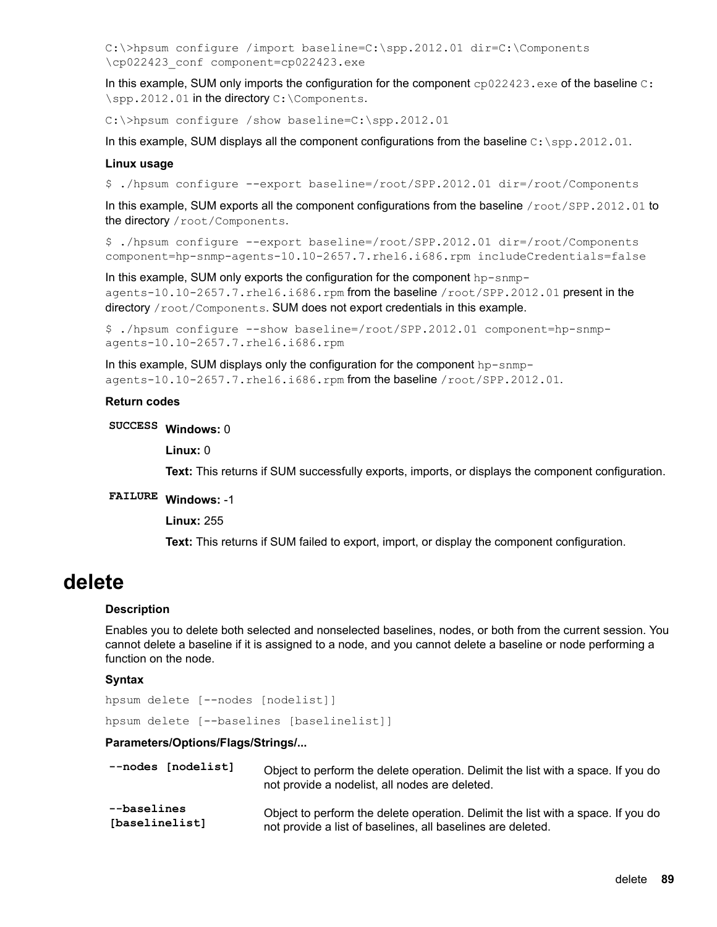```
C:\>hpsum configure /import baseline=C:\spp.2012.01 dir=C:\Components
\cp022423 conf component=cp022423.exe
```
In this example, SUM only imports the configuration for the component  $cp022423$ .exe of the baseline  $c$ :  $\simeq$  .2012.01 in the directory  $C:\Components$ .

C:\>hpsum configure /show baseline=C:\spp.2012.01

In this example, SUM displays all the component configurations from the baseline  $C:\$  spp. 2012.01.

#### **Linux** usage

\$ ./hpsum configure --export baseline=/root/SPP.2012.01 dir=/root/Components

In this example, SUM exports all the component configurations from the baseline  $/root/SPP.2012.01$  to the directory / root/ Components.

\$ ./hpsum configure --export baseline=/root/SPP.2012.01 dir=/root/Components component=hp-snmp-agents-10.10-2657.7.rhel6.i686.rpm includeCredentials=false

agents-10.10-2657.7.rhel6.i686.rpm from the baseline /root/SPP.2012.01 present in the In this example, SUM only exports the configuration for the component hp-snmpdirectory / root/Components. SUM does not export credentials in this example.

```
$ ./hpsum configure --show baseline=/root/SPP.2012.01 component=hp-snmp-<br>agents-10.10-2657.7.rhel6.i686.rpm
```
agents-10.10-2657.7.rhel6.i686.rpm from the baseline /root/SPP.2012.01. In this example, SUM displays only the configuration for the component  $hp-snmp-$ 

#### **Return** codes

0 **:Windows SUCCESS**

**Linux: 0** 

Text: This returns if SUM successfully exports, imports, or displays the component configuration.

# **FAILURE Windows: -1**

**Linux: 255** 

Text: This returns if SUM failed to export, import, or display the component configuration.

# **delete**

#### **Description**

Enables you to delete both selected and nonselected baselines, nodes, or both from the current session. You cannot delete a baseline if it is assigned to a node, and you cannot delete a baseline or node performing a function on the node.

#### **Syntax**

hpsum delete [--nodes [nodelist]]

hpsum delete [--baselines [baselinelist]]

#### Parameters/Options/Flags/Strings/...

| --nodes [nodelist] | Object to perform the delete operation. Delimit the list with a space. If you do<br>not provide a nodelist, all nodes are deleted. |
|--------------------|------------------------------------------------------------------------------------------------------------------------------------|
| --baselines        | Object to perform the delete operation. Delimit the list with a space. If you do                                                   |
| [baselinelist]     | not provide a list of baselines, all baselines are deleted.                                                                        |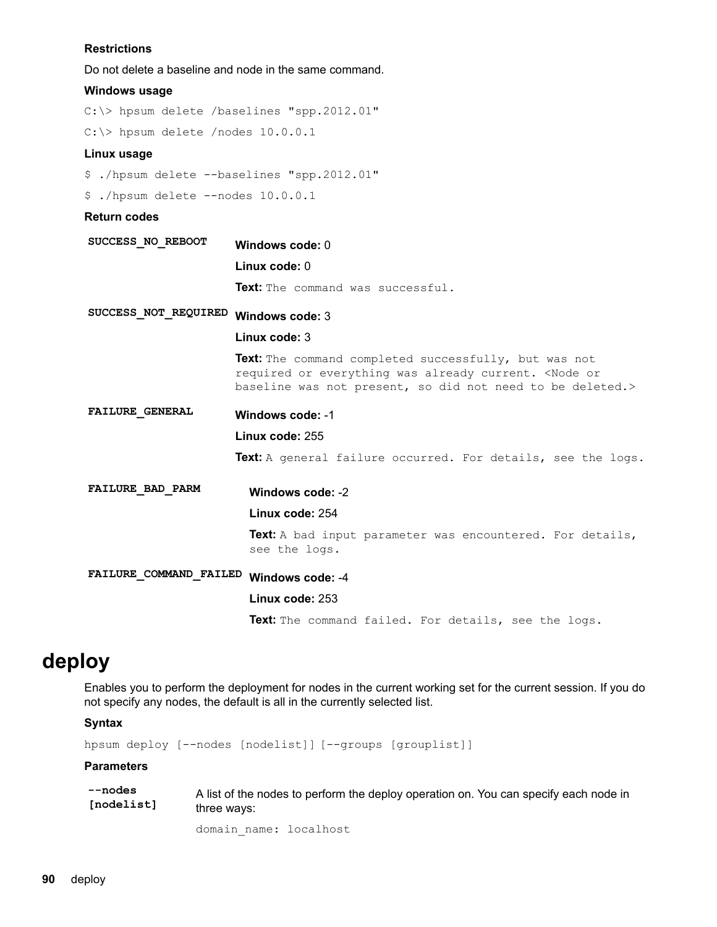#### <span id="page-89-0"></span>**Restrictions**

Do not delete a baseline and node in the same command.

### **Windows** usage

 $C:\rangle$  hpsum delete /baselines "spp.2012.01"

 $C:\rangle$  hpsum delete /nodes 10.0.0.1

#### **Linux** usage

```
$ ./hpsum delete --baselines "spp.2012.01"
```

```
$./hpsum delete --nodes 10.0.0.1
```
#### **Return** codes

| SUCCESS NO REBOOT       | Windows code: 0                                                                                                                                                                    |
|-------------------------|------------------------------------------------------------------------------------------------------------------------------------------------------------------------------------|
|                         | Linux code: 0                                                                                                                                                                      |
|                         | <b>Text:</b> The command was successful.                                                                                                                                           |
| SUCCESS NOT REQUIRED    | Windows code: 3                                                                                                                                                                    |
|                         | Linux code: 3                                                                                                                                                                      |
|                         | <b>Text:</b> The command completed successfully, but was not<br>required or everything was already current. < Node or<br>baseline was not present, so did not need to be deleted.> |
| <b>FAILURE GENERAL</b>  | Windows code: -1                                                                                                                                                                   |
|                         | Linux code: 255                                                                                                                                                                    |
|                         | <b>Text:</b> A general failure occurred. For details, see the logs.                                                                                                                |
| <b>FAILURE BAD PARM</b> | Windows code: -2                                                                                                                                                                   |
|                         | Linux code: 254                                                                                                                                                                    |
|                         | <b>Text:</b> A bad input parameter was encountered. For details,<br>see the logs.                                                                                                  |
| FAILURE COMMAND FAILED  | Windows code: -4                                                                                                                                                                   |
|                         | Linux code: 253                                                                                                                                                                    |
|                         | Text: The command failed. For details, see the logs.                                                                                                                               |

# **deploy**

Enables you to perform the deployment for nodes in the current working set for the current session. If you do not specify any nodes, the default is all in the currently selected list.

#### **Syntax**

hpsum deploy [--nodes [nodelist]] [--groups [grouplist]]

#### **Parameters**

| --nodes    | A list of the nodes to perform the deploy operation on. You can specify each node in |
|------------|--------------------------------------------------------------------------------------|
| [nodelist] | three ways:                                                                          |

domain\_name: localhost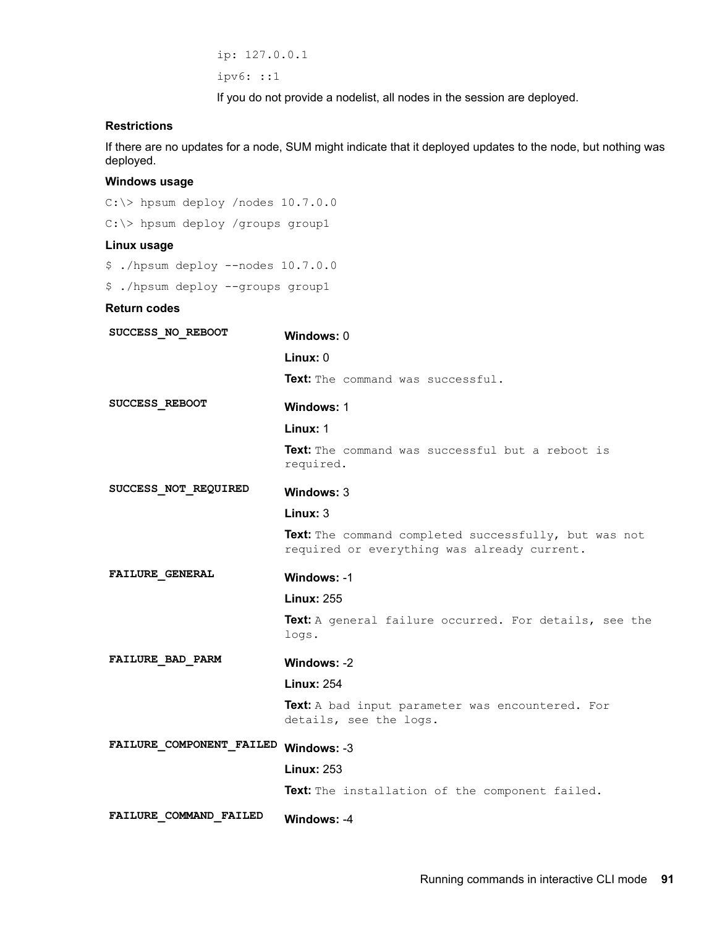ip:  $127.0.0.1$ ipv6: ::1

If you do not provide a nodelist, all nodes in the session are deployed.

# **Restrictions**

If there are no updates for a node, SUM might indicate that it deployed updates to the node, but nothing was .deployed

#### **Windows** usage

 $C:\rangle$  hpsum deploy /nodes 10.7.0.0 C: \> hpsum deploy /groups group1

#### **Linux** usage

\$ ./hpsum deploy --nodes 10.7.0.0

\$ ./hpsum deploy --groups group1

| <b>SUCCESS NO REBOOT</b>             | Windows: 0                                                                                           |
|--------------------------------------|------------------------------------------------------------------------------------------------------|
|                                      | Linux: 0                                                                                             |
|                                      | <b>Text:</b> The command was successful.                                                             |
| <b>SUCCESS REBOOT</b>                | Windows: 1                                                                                           |
|                                      | Linux: 1                                                                                             |
|                                      | Text: The command was successful but a reboot is<br>required.                                        |
| <b>SUCCESS NOT REQUIRED</b>          | Windows: 3                                                                                           |
|                                      | Linux: $3$                                                                                           |
|                                      | Text: The command completed successfully, but was not<br>required or everything was already current. |
| <b>FAILURE GENERAL</b>               | Windows: -1                                                                                          |
|                                      | <b>Linux: 255</b>                                                                                    |
|                                      | Text: A general failure occurred. For details, see the<br>logs.                                      |
| <b>FAILURE BAD PARM</b>              | Windows: -2                                                                                          |
|                                      | <b>Linux: 254</b>                                                                                    |
|                                      | Text: A bad input parameter was encountered. For<br>details, see the logs.                           |
| FAILURE_COMPONENT_FAILED Windows: -3 |                                                                                                      |
|                                      | <b>Linux: 253</b>                                                                                    |
|                                      | Text: The installation of the component failed.                                                      |
| <b>FAILURE COMMAND FAILED</b>        | Windows: -4                                                                                          |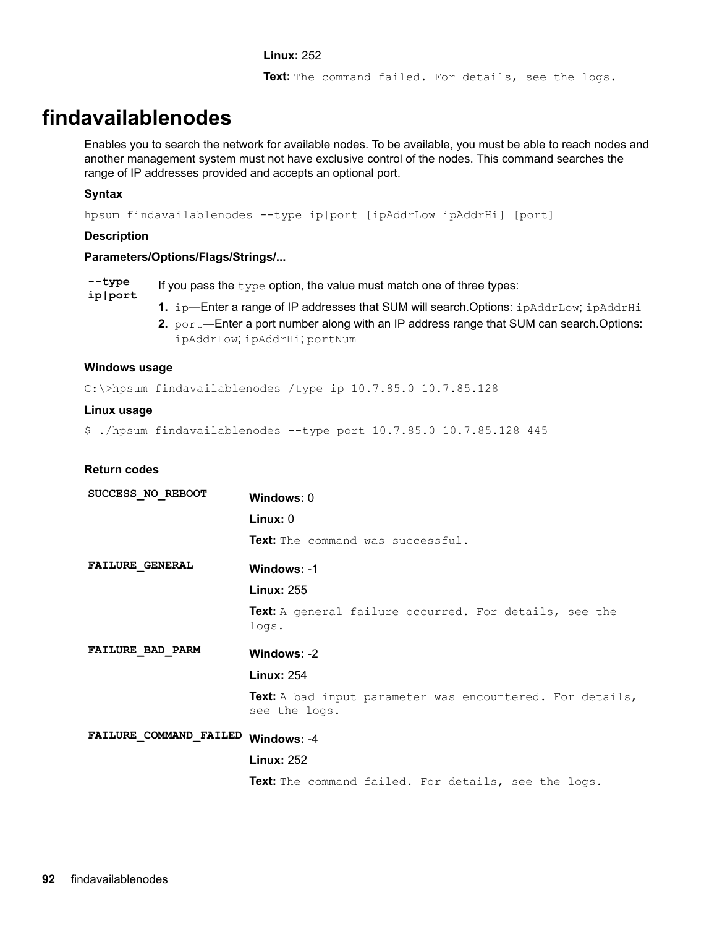#### 252 **:Linux**

Text: The command failed. For details, see the logs.

# **findavailablenodes**

Enables you to search the network for available nodes. To be available, you must be able to reach nodes and another management system must not have exclusive control of the nodes. This command searches the range of IP addresses provided and accepts an optional port.

### **Syntax**

hpsum findavailablenodes --type ip | port [ip AddrLow ip AddrHi] [port]

#### **Description**

#### Parameters/Options/Flags/Strings/...

**type- port|ip** If you pass the  $type$  option, the value must match one of three types:

- **1.** ip—Enter a range of IP addresses that SUM will search Options: ipAddrLow; ipAddrHi
- 2. port—Enter a port number along with an IP address range that SUM can search Options: ipAddrLow; ipAddrHi; portNum

#### **usage Windows**

 $C:\mathrm{b}$ psum findavailablenodes /type ip 10.7.85.0 10.7.85.128

#### **Linux** usage

\$ ./hpsum findavailablenodes --type port 10.7.85.0 10.7.85.128 445

| SUCCESS NO REBOOT       | Windows: 0                                                                 |  |
|-------------------------|----------------------------------------------------------------------------|--|
|                         | Linux: 0                                                                   |  |
|                         | <b>Text:</b> The command was successful.                                   |  |
| <b>FAILURE GENERAL</b>  | Windows: -1                                                                |  |
|                         | <b>Linux: 255</b>                                                          |  |
|                         | <b>Text:</b> A general failure occurred. For details, see the<br>logs.     |  |
| <b>FAILURE BAD PARM</b> | Windows: -2                                                                |  |
|                         | <b>Linux: 254</b>                                                          |  |
|                         | Text: A bad input parameter was encountered. For details,<br>see the logs. |  |
| FAILURE COMMAND FAILED  | Windows: -4                                                                |  |
|                         | <b>Linux: 252</b>                                                          |  |
|                         | Text: The command failed. For details, see the logs.                       |  |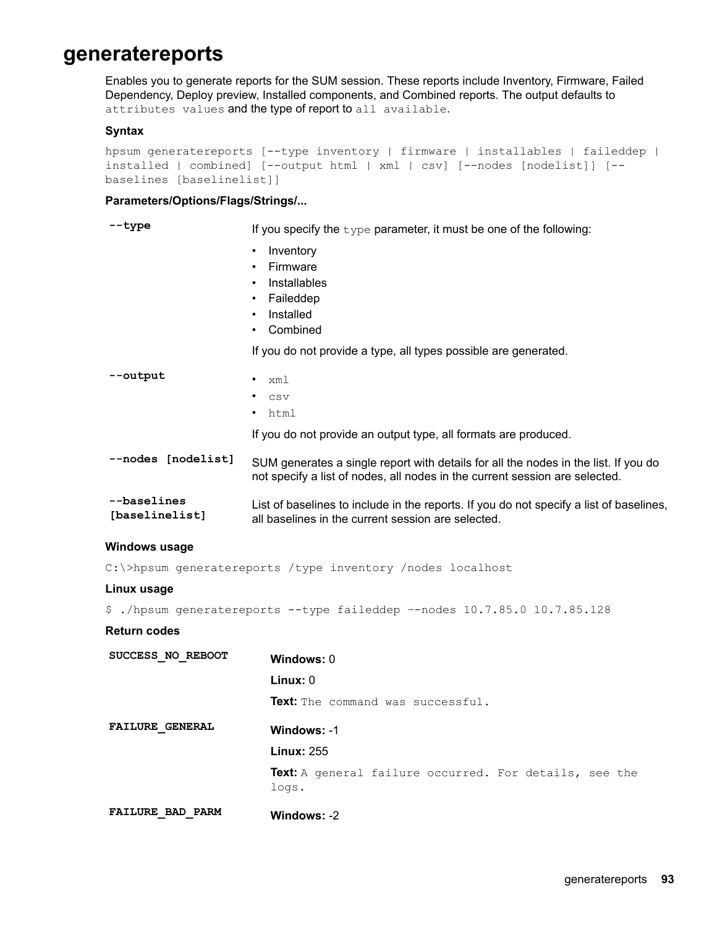# <span id="page-92-0"></span>**generatereports**

Enables you to generate reports for the SUM session. These reports include Inventory, Firmware, Failed Dependency, Deploy preview, Installed components, and Combined reports. The output defaults to attributes values and the type of report to all available.

#### **Syntax**

```
hpsum generatereports [--type inventory | firmware | installables | faileddep |
installed | combined] [--output html | xml | csv] [--nodes [nodelist]] [--
baselines [baselinelist]]
```
#### Parameters/Options/Flags/Strings/...

--type **the of one of one of one of one of the following:** 

- Inventory
- Firmware
- Installables
- Faileddep
- Installed
- Combined

If you do not provide a type, all types possible are generated.

| --output                      | xml                                                                                                                                                                |
|-------------------------------|--------------------------------------------------------------------------------------------------------------------------------------------------------------------|
|                               | CSV                                                                                                                                                                |
|                               | html                                                                                                                                                               |
|                               | If you do not provide an output type, all formats are produced.                                                                                                    |
| --nodes [nodelist]            | SUM generates a single report with details for all the nodes in the list. If you do<br>not specify a list of nodes, all nodes in the current session are selected. |
| --baselines<br>[baselinelist] | List of baselines to include in the reports. If you do not specify a list of baselines,<br>all baselines in the current session are selected.                      |

#### **Windows** usage

C: \>hpsum generatereports / type inventory / nodes localhost

#### **Linux** usage

\$ ./hpsum generatereports --type faileddep --nodes  $10.7.85.0$   $10.7.85.128$ 

| SUCCESS NO REBOOT       | Windows: 0                                                      |
|-------------------------|-----------------------------------------------------------------|
|                         | Linux: 0                                                        |
|                         | <b>Text:</b> The command was successful.                        |
| <b>FAILURE GENERAL</b>  | Windows: -1                                                     |
|                         | <b>Linux: 255</b>                                               |
|                         | Text: A general failure occurred. For details, see the<br>logs. |
| <b>FAILURE BAD PARM</b> | Windows: -2                                                     |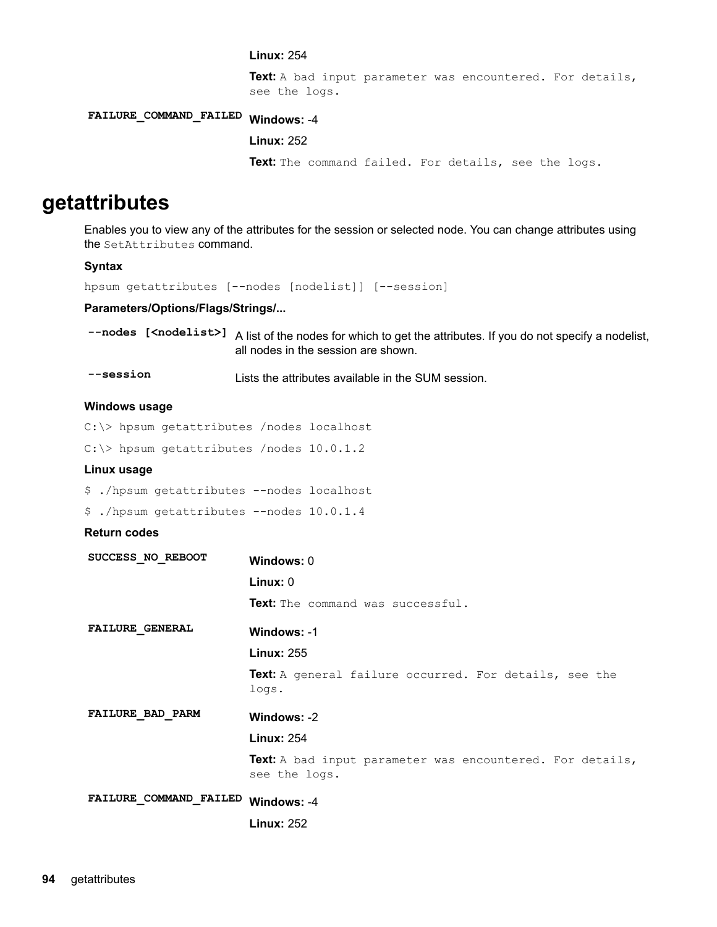#### **Linux: 254**

Text: A bad input parameter was encountered. For details, see the logs.

# FAILURE\_COMMAND\_FAILED Windows: -4

#### 252 **:Linux**

Text: The command failed. For details, see the logs.

# **getattributes**

Enables you to view any of the attributes for the session or selected node. You can change attributes using the SetAttributes command.

#### **Syntax**

hpsum getattributes [--nodes [nodelist]] [--session]

### Parameters/Options/Flags/Strings/...

--nodes [<nodelist>] A list of the nodes for which to get the attributes. If you do not specify a nodelist, all nodes in the session are shown.

```
-session Sum the in author SUM the sum the SUM session.
```
#### **Windows** usage

```
C:\rangle hpsum getattributes /nodes localhost
```

```
C:\rangle hpsum getattributes /nodes 10.0.1.2
```
#### **Linux** usage

```
$ ./hpsum getattributes --nodes localhost
```

```
$ ./hpsum getattributes --nodes 10.0.1.4
```

| SUCCESS NO REBOOT       | Windows: 0                                                                 |
|-------------------------|----------------------------------------------------------------------------|
|                         | Linux: 0                                                                   |
|                         | <b>Text:</b> The command was successful.                                   |
| <b>FAILURE GENERAL</b>  | Windows: -1                                                                |
|                         | <b>Linux: 255</b>                                                          |
|                         | Text: A general failure occurred. For details, see the<br>logs.            |
| <b>FAILURE BAD PARM</b> | Windows: -2                                                                |
|                         | <b>Linux: 254</b>                                                          |
|                         | Text: A bad input parameter was encountered. For details,<br>see the logs. |
| FAILURE COMMAND FAILED  | Windows: -4                                                                |
|                         | <b>Linux: 252</b>                                                          |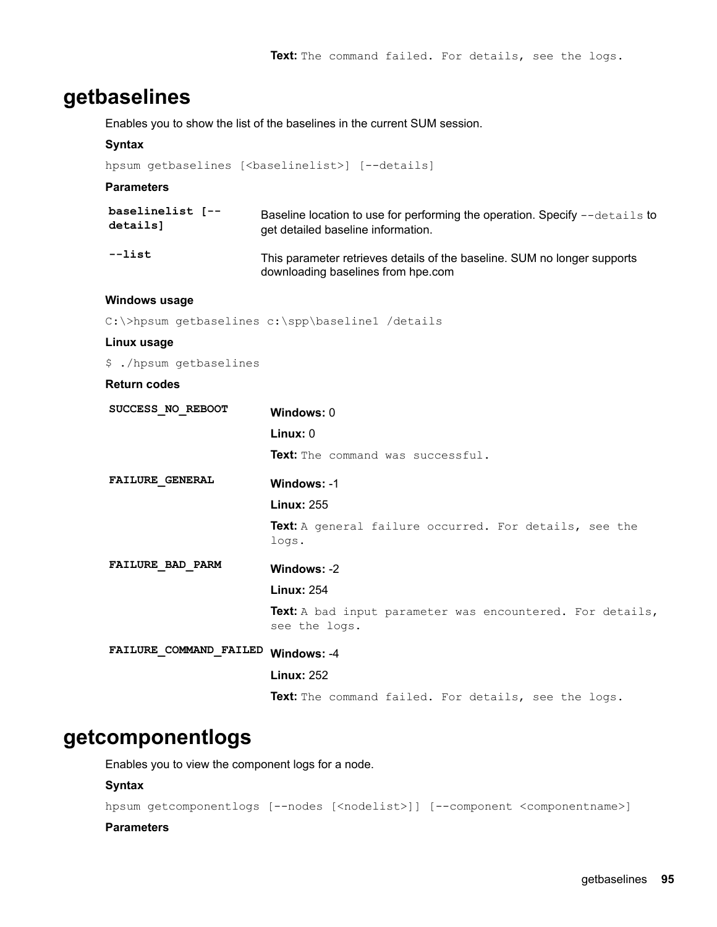# **getbaselines**

Enables you to show the list of the baselines in the current SUM session.

#### **Syntax**

hpsum getbaselines [<br/>baselinelist>] [--details]

#### **Parameters**

| baselinelist [-- | Baseline location to use for performing the operation. Specify --details to                                    |
|------------------|----------------------------------------------------------------------------------------------------------------|
| details]         | get detailed baseline information.                                                                             |
| --list           | This parameter retrieves details of the baseline. SUM no longer supports<br>downloading baselines from hpe.com |

#### **usage Windows**

C:\>hpsum getbaselines c:\spp\baseline1 /details

#### **Linux** usage

\$ ./hpsum getbaselines

### **Return** codes

| SUCCESS NO REBOOT       | Windows: 0                                                                        |  |
|-------------------------|-----------------------------------------------------------------------------------|--|
|                         | Linux: 0                                                                          |  |
|                         | Text: The command was successful.                                                 |  |
| <b>FAILURE GENERAL</b>  | Windows: -1                                                                       |  |
|                         | <b>Linux: 255</b>                                                                 |  |
|                         | Text: A general failure occurred. For details, see the<br>logs.                   |  |
| <b>FAILURE BAD PARM</b> | Windows: -2                                                                       |  |
|                         | <b>Linux: 254</b>                                                                 |  |
|                         | <b>Text:</b> A bad input parameter was encountered. For details,<br>see the logs. |  |
| FAILURE COMMAND FAILED  | Windows: -4                                                                       |  |
|                         | <b>Linux: 252</b>                                                                 |  |
|                         | Text: The command failed. For details, see the logs.                              |  |
|                         |                                                                                   |  |

# **getcomponentlogs**

Enables you to view the component logs for a node.

#### **Syntax**

hpsum getcomponentlogs [--nodes [<nodelist>]] [--component <componentname>]

#### **Parameters**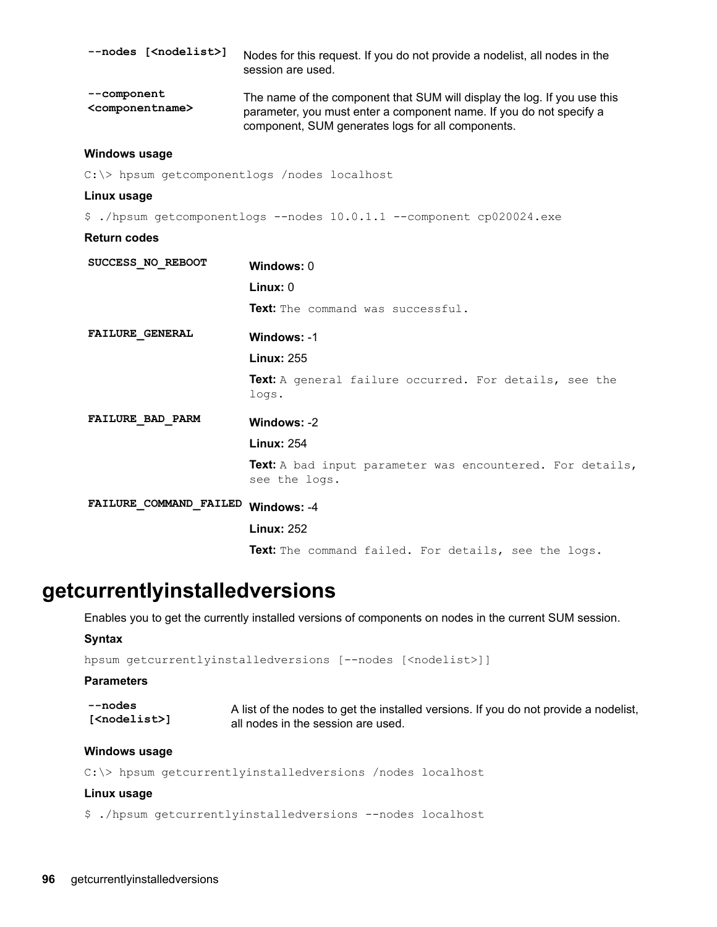| --nodes [ <nodelist>]</nodelist>               | Nodes for this request. If you do not provide a nodelist, all nodes in the<br>session are used.                                                                                                      |
|------------------------------------------------|------------------------------------------------------------------------------------------------------------------------------------------------------------------------------------------------------|
| --component<br><componentname></componentname> | The name of the component that SUM will display the log. If you use this<br>parameter, you must enter a component name. If you do not specify a<br>component, SUM generates logs for all components. |
| M <sub>1</sub>                                 |                                                                                                                                                                                                      |

#### **usage Windows**

 $C:\rangle$  hpsum getcomponentlogs /nodes localhost

#### **Linux** usage

\$ ./hpsum getcomponentlogs --nodes 10.0.1.1 --component cp020024.exe

### **Return** codes

| SUCCESS NO REBOOT       | Windows: 0                                                                 |
|-------------------------|----------------------------------------------------------------------------|
|                         | Linux: 0                                                                   |
|                         | Text: The command was successful.                                          |
| <b>FAILURE GENERAL</b>  | Windows: -1                                                                |
|                         | <b>Linux: 255</b>                                                          |
|                         | Text: A general failure occurred. For details, see the<br>logs.            |
| <b>FAILURE BAD PARM</b> | Windows: -2                                                                |
|                         | <b>Linux: 254</b>                                                          |
|                         | Text: A bad input parameter was encountered. For details,<br>see the logs. |
| FAILURE COMMAND FAILED  | Windows: -4                                                                |
|                         | <b>Linux: 252</b>                                                          |
|                         | <b>Text:</b> The command failed. For details, see the logs.                |

# **getcurrentlyinstalledversions**

Enables you to get the currently installed versions of components on nodes in the current SUM session.

#### **Syntax**

hpsum getcurrentlyinstalledversions [--nodes [<nodelist>]]

#### **Parameters**

| --nodes                  | A list of the nodes to get the installed versions. If you do not provide a nodelist, |
|--------------------------|--------------------------------------------------------------------------------------|
| [ <nodelist>]</nodelist> | all nodes in the session are used.                                                   |

#### **usage Windows**

```
C:\rangle hpsum getcurrentlyinstalledversions /nodes localhost
```
#### **Linux** usage

```
$ ./hpsum getcurrentlyinstalledversions --nodes localhost
```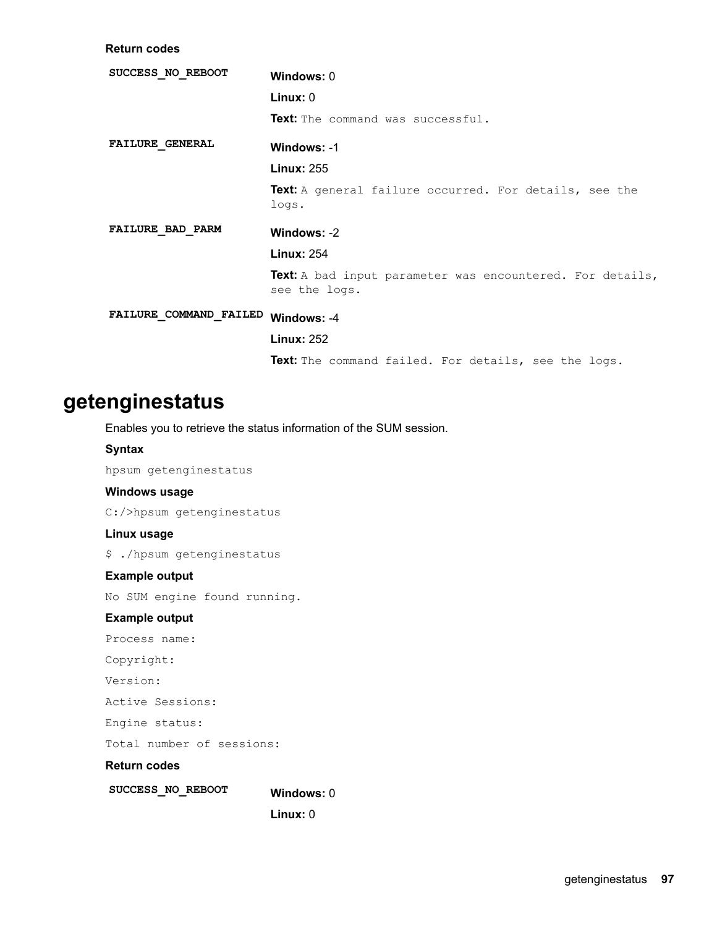**Return** codes

| SUCCESS NO REBOOT      | Windows: 0                                                                 |  |
|------------------------|----------------------------------------------------------------------------|--|
|                        | Linux: 0                                                                   |  |
|                        | Text: The command was successful.                                          |  |
| <b>FAILURE GENERAL</b> | Windows: -1                                                                |  |
|                        | <b>Linux: 255</b>                                                          |  |
|                        | Text: A general failure occurred. For details, see the<br>logs.            |  |
| FAILURE BAD PARM       | Windows: -2                                                                |  |
|                        | <b>Linux: 254</b>                                                          |  |
|                        | Text: A bad input parameter was encountered. For details,<br>see the logs. |  |
| FAILURE COMMAND FAILED | Windows: -4                                                                |  |
|                        | <b>Linux: 252</b>                                                          |  |
|                        | Text: The command failed. For details, see the logs.                       |  |
|                        |                                                                            |  |

# **getenginestatus**

Enables you to retrieve the status information of the SUM session.

#### **Syntax**

hpsum getenginestatus

### **Windows** usage

C:/>hpsum getenginestatus

# **Linux** usage

\$ ./hpsum getenginestatus

### **Example output**

No SUM engine found running.

# **Example output**

Process name:

```
:Copyright
```
Version:

Active Sessions:

Engine status:

Total number of sessions:

### **Return** codes

SUCCESS\_NO\_REBOOT Windows: 0

**Linux: 0**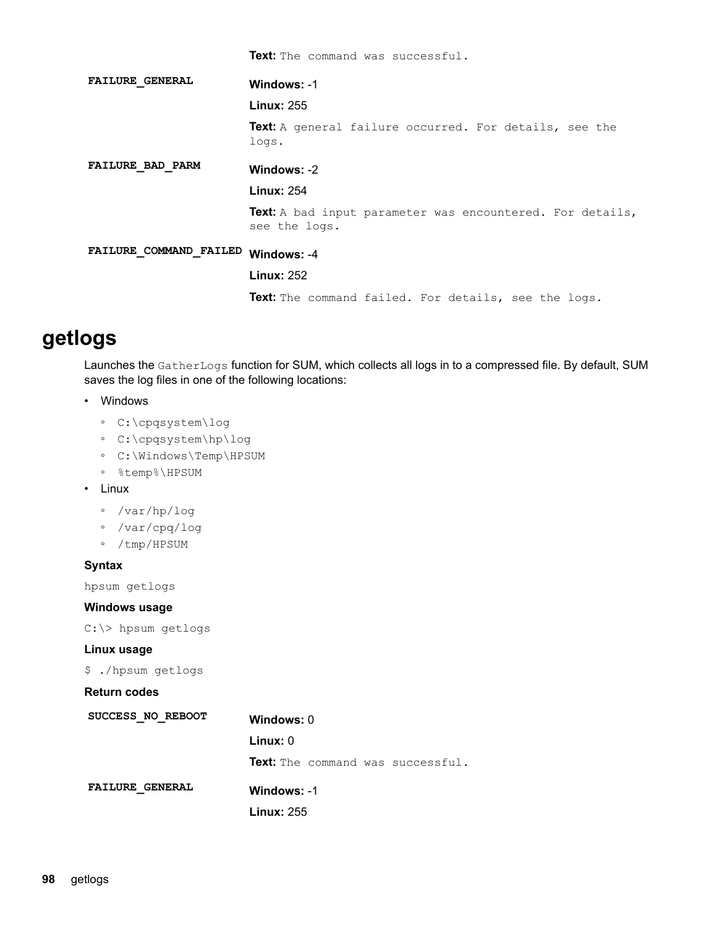|                         | Text: The command was successful.                                                 |
|-------------------------|-----------------------------------------------------------------------------------|
| <b>FAILURE GENERAL</b>  | Windows: -1                                                                       |
|                         | <b>Linux: 255</b>                                                                 |
|                         | <b>Text:</b> A general failure occurred. For details, see the<br>logs.            |
| <b>FAILURE BAD PARM</b> | Windows: -2                                                                       |
|                         | <b>Linux: 254</b>                                                                 |
|                         | <b>Text:</b> A bad input parameter was encountered. For details,<br>see the logs. |
| FAILURE COMMAND FAILED  | Windows: -4                                                                       |
|                         | <b>Linux: 252</b>                                                                 |
|                         | Text: The command failed. For details, see the logs.                              |

# **getlogs**

Launches the GatherLogs function for SUM, which collects all logs in to a compressed file. By default, SUM saves the log files in one of the following locations:

- Windows
	- ° C:\cpqsystem\log
	- ° C:\cpqsystem\hp\log
	- ° C:\Windows\Temp\HPSUM
	- ∘ %temp%∖HPSUM
- Linux
	- ∘ /var/hp/log
	- ∘ /var/cpq/log
	- ∘ /tmp/HPSUM

# **Syntax**

hpsum getlogs

#### **Windows** usage

C:\> hpsum getlogs

### **Linux** usage

\$ ./hpsum getlogs

| SUCCESS NO REBOOT      | Windows: 0                               |
|------------------------|------------------------------------------|
|                        | Linux:0                                  |
|                        | <b>Text:</b> The command was successful. |
| <b>FAILURE GENERAL</b> | Windows: -1                              |
|                        | <b>Linux: 255</b>                        |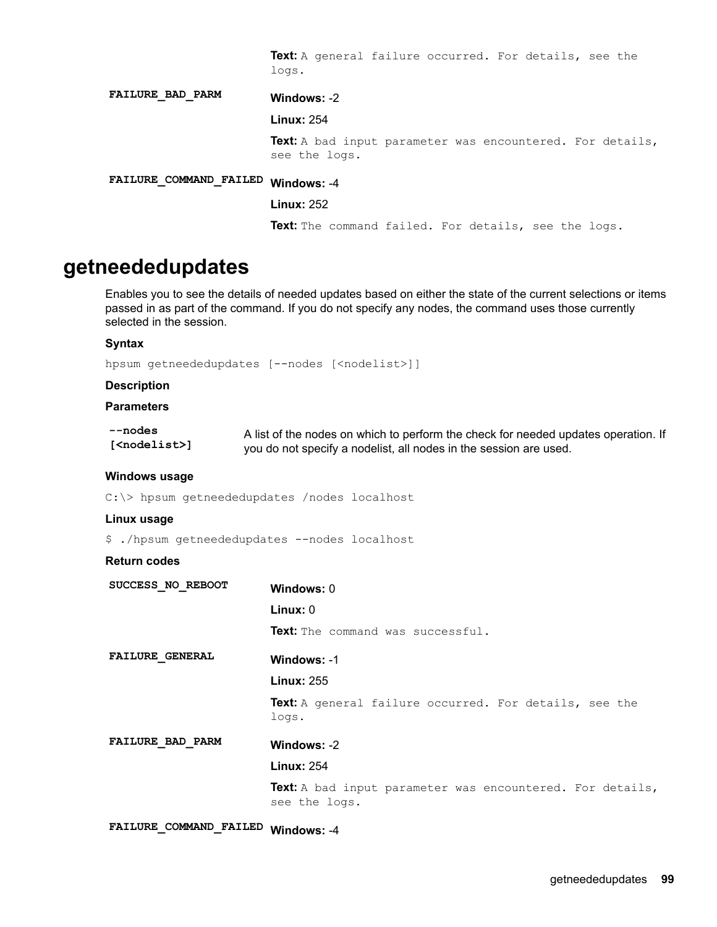Text: A general failure occurred. For details, see the .logs

-2 **:Windows PARM\_BAD\_FAILURE Linux: 254** Text: A bad input parameter was encountered. For details, see the logs. -4 **:Windows FAILED\_COMMAND\_FAILURE Linux: 252** 

Text: The command failed. For details, see the logs.

# **getneededupdates**

Enables you to see the details of needed updates based on either the state of the current selections or items passed in as part of the command. If you do not specify any nodes, the command uses those currently selected in the session.

#### **Syntax**

hpsum getneededupdates [--nodes [<nodelist>]]

#### **Description**

### **Parameters**

| --nodes                  | A list of the nodes on which to perform the check for needed updates operation. If |
|--------------------------|------------------------------------------------------------------------------------|
| [ <nodelist>]</nodelist> | you do not specify a nodelist, all nodes in the session are used.                  |

#### **Windows** usage

 $C:\rangle$  hpsum getneededupdates /nodes localhost

#### **Linux** usage

\$ ./hpsum getneededupdates --nodes localhost

#### **Return** codes

| SUCCESS NO REBOOT       | Windows: 0                                                                        |
|-------------------------|-----------------------------------------------------------------------------------|
|                         | $Linux: 0$                                                                        |
|                         | <b>Text:</b> The command was successful.                                          |
| <b>FAILURE GENERAL</b>  | Windows: -1                                                                       |
|                         | <b>Linux: 255</b>                                                                 |
|                         | <b>Text:</b> A general failure occurred. For details, see the<br>logs.            |
| <b>FAILURE BAD PARM</b> | Windows: -2                                                                       |
|                         | <b>Linux: 254</b>                                                                 |
|                         | <b>Text:</b> A bad input parameter was encountered. For details,<br>see the logs. |

FAILURE\_COMMAND\_FAILED Windows: -4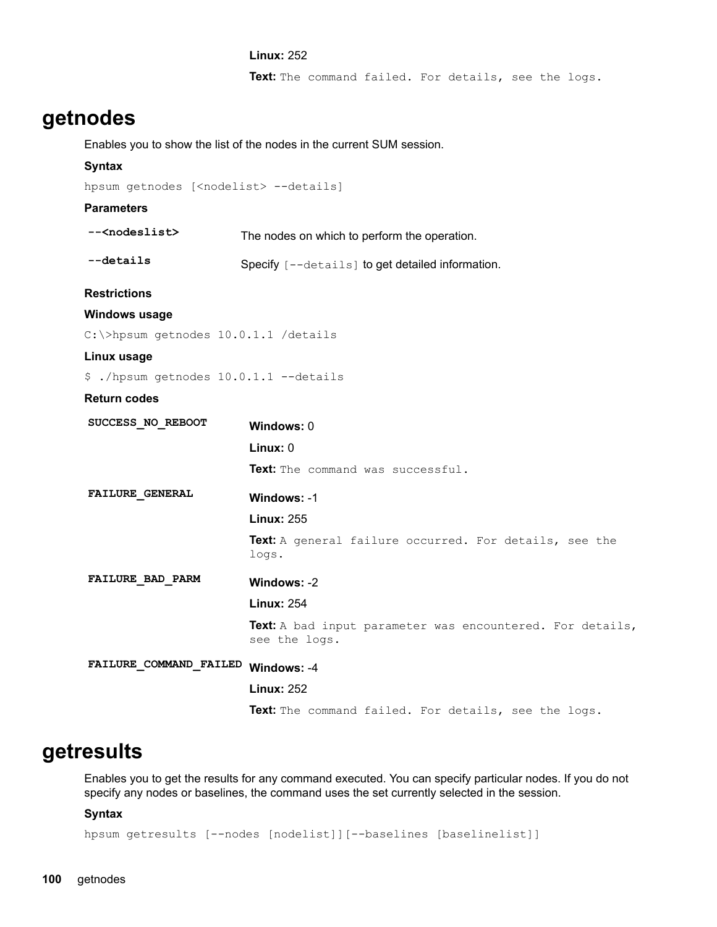#### **Linux: 252**

Text: The command failed. For details, see the logs.

# **getnodes**

Enables you to show the list of the nodes in the current SUM session.

# **Syntax**

```
hpsum getnodes [<nodelist> --details]
```
#### **Parameters**

| -- <nodeslist></nodeslist>             | The nodes on which to perform the operation.                               |
|----------------------------------------|----------------------------------------------------------------------------|
| $-\text{details}$                      | Specify [--details] to get detailed information.                           |
| <b>Restrictions</b>                    |                                                                            |
| Windows usage                          |                                                                            |
| C: \>hpsum getnodes 10.0.1.1 /details  |                                                                            |
| Linux usage                            |                                                                            |
| \$ ./hpsum getnodes 10.0.1.1 --details |                                                                            |
| <b>Return codes</b>                    |                                                                            |
| SUCCESS NO REBOOT                      | Windows: 0                                                                 |
|                                        | Linux: 0                                                                   |
|                                        | Text: The command was successful.                                          |
| <b>FAILURE GENERAL</b>                 | Windows: -1                                                                |
|                                        | <b>Linux: 255</b>                                                          |
|                                        | Text: A general failure occurred. For details, see the<br>logs.            |
| FAILURE BAD PARM                       | Windows: -2                                                                |
|                                        | <b>Linux: 254</b>                                                          |
|                                        | Text: A bad input parameter was encountered. For details,<br>see the logs. |
| FAILURE_COMMAND_FAILED Windows: -4     |                                                                            |
|                                        | <b>Linux: 252</b>                                                          |
|                                        | Text: The command failed. For details, see the logs.                       |

# **getresults**

Enables you to get the results for any command executed. You can specify particular nodes. If you do not specify any nodes or baselines, the command uses the set currently selected in the session.

# **Syntax**

hpsum getresults [--nodes [nodelist]][--baselines [baselinelist]]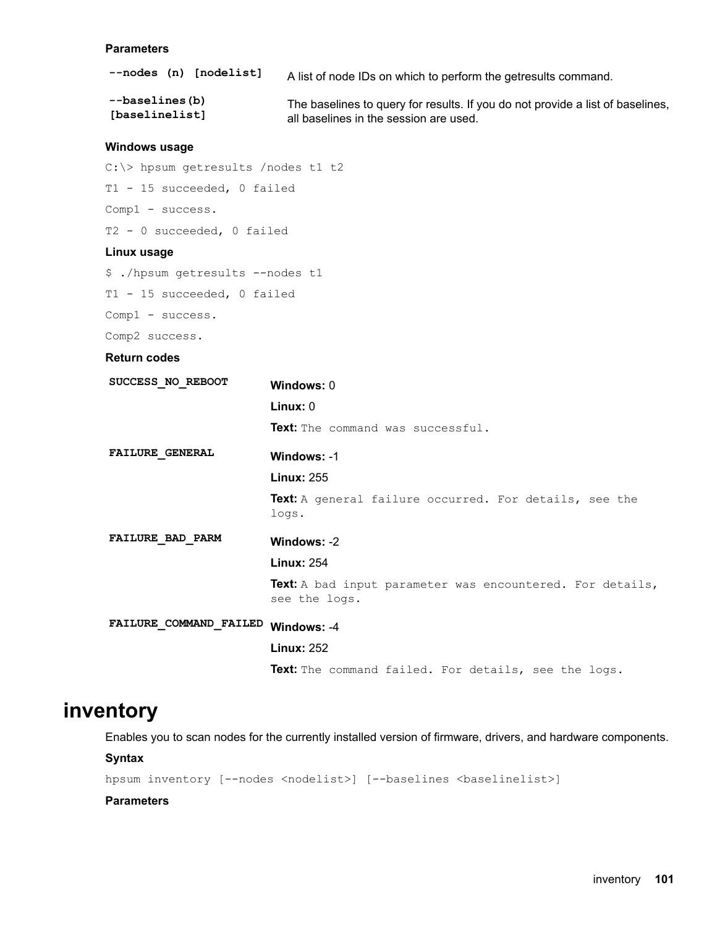#### <span id="page-100-0"></span>**Parameters**

| --nodes (n) [nodelist] | A list of node IDs on which to perform the get results command.                |
|------------------------|--------------------------------------------------------------------------------|
| --baselines(b)         | The baselines to query for results. If you do not provide a list of baselines, |
| [baselinelist]         | all baselines in the session are used.                                         |

#### **Windows** usage

```
C:\rangle hpsum getresults /nodes t1 t2
T1 - 15 succeeded, 0 failed
Comp1 - success.
```
T2 -  $0$  succeeded,  $0$  failed

#### **Linux** usage

```
$ ./hpsum getresults --nodes t1
T1 - 15 succeeded, 0 failed
```
Comp1 - success.

Comp2 success.

# **Return** codes

| SUCCESS NO REBOOT      | Windows: 0                                                    |  |  |
|------------------------|---------------------------------------------------------------|--|--|
|                        | Linux: 0                                                      |  |  |
|                        | <b>Text:</b> The command was successful.                      |  |  |
| <b>FAILURE GENERAL</b> | Windows: -1                                                   |  |  |
|                        | <b>Linux: 255</b>                                             |  |  |
|                        | <b>Text:</b> A general failure occurred. For details, see the |  |  |

.logs

# -2 **:Windows PARM\_BAD\_FAILURE**

#### 254 **:Linux**

Text: A bad input parameter was encountered. For details, see the logs.

# FAILURE\_COMMAND\_FAILED Windows: -4

### **Linux: 252**

Text: The command failed. For details, see the logs.

# **inventory**

Enables you to scan nodes for the currently installed version of firmware, drivers, and hardware components.

#### **Syntax**

hpsum inventory [--nodes <nodelist>] [--baselines <br/> <br/>selinelist>]

#### **Parameters**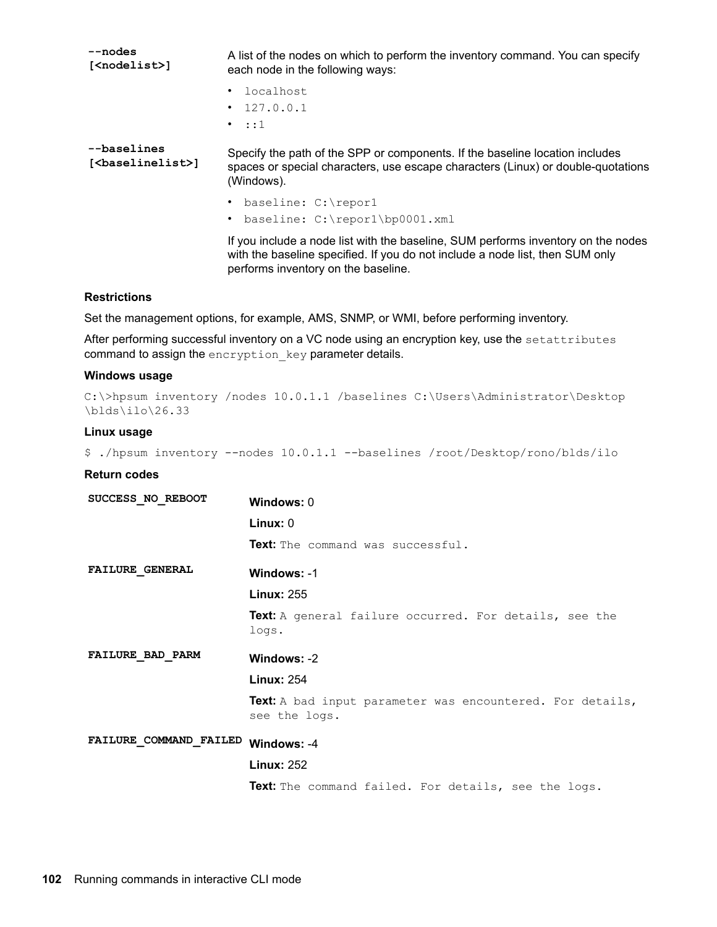| --nodes<br>[ <nodelist>]</nodelist>             | A list of the nodes on which to perform the inventory command. You can specify<br>each node in the following ways:                                                                                        |
|-------------------------------------------------|-----------------------------------------------------------------------------------------------------------------------------------------------------------------------------------------------------------|
|                                                 | localhost                                                                                                                                                                                                 |
|                                                 | $\cdot$ 127.0.0.1                                                                                                                                                                                         |
|                                                 | $\cdot$ ::1                                                                                                                                                                                               |
| --baselines<br>[ <baselinelist>]</baselinelist> | Specify the path of the SPP or components. If the baseline location includes<br>spaces or special characters, use escape characters (Linux) or double-quotations<br>(Windows).                            |
|                                                 | baseline: C:\repor1                                                                                                                                                                                       |
|                                                 | baseline: C:\repor1\bp0001.xml                                                                                                                                                                            |
|                                                 | If you include a node list with the baseline, SUM performs inventory on the nodes<br>with the baseline specified. If you do not include a node list, then SUM only<br>performs inventory on the baseline. |

### **Restrictions**

Set the management options, for example, AMS, SNMP, or WMI, before performing inventory.

After performing successful inventory on a VC node using an encryption key, use the setattributes command to assign the encryption  $key$  parameter details.

#### **Windows** usage

```
C:\>hpsum inventory /nodes 10.0.1.1 /baselines C:\Users\Administrator\Desktop
\blacksquare
```
#### **Linux** usage

```
$./hpsum inventory --nodes 10.0.1.1 --baselines /root/Desktop/rono/blds/ilo
```

| SUCCESS NO REBOOT      | Windows: $0$                                                                      |
|------------------------|-----------------------------------------------------------------------------------|
|                        | Linux: 0                                                                          |
|                        | <b>Text:</b> The command was successful.                                          |
| <b>FAILURE GENERAL</b> | Windows: -1                                                                       |
|                        | <b>Linux: 255</b>                                                                 |
|                        | <b>Text:</b> A general failure occurred. For details, see the<br>logs.            |
| FAILURE BAD PARM       | Windows: -2                                                                       |
|                        | <b>Linux: 254</b>                                                                 |
|                        | <b>Text:</b> A bad input parameter was encountered. For details,<br>see the logs. |
| FAILURE COMMAND FAILED | Windows: -4                                                                       |
|                        | <b>Linux: 252</b>                                                                 |
|                        | Text: The command failed. For details, see the logs.                              |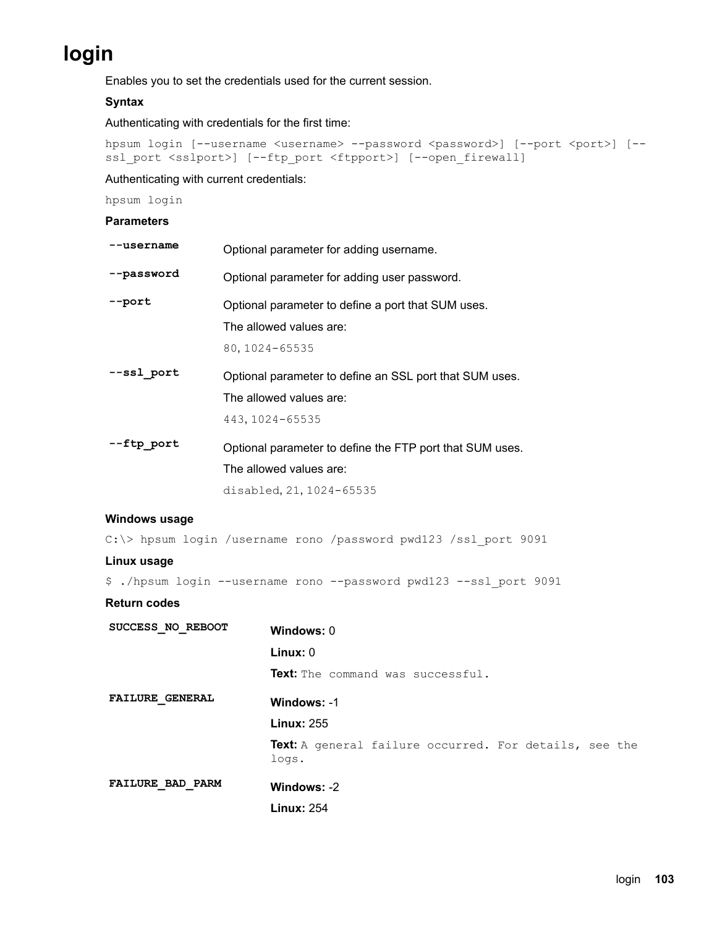# **login**

Enables you to set the credentials used for the current session.

# **Syntax**

Authenticating with credentials for the first time:

```
hpsum login [--username <username> --password <password>] [--port <port>] [--
ssl_port <sslport>] [--ftp_port <ftpport>] [--open_firewall]
```
Authenticating with current credentials:

hpsum login

# **Parameters**

| --username              | Optional parameter for adding username.                                                                         |  |
|-------------------------|-----------------------------------------------------------------------------------------------------------------|--|
| --password              | Optional parameter for adding user password.                                                                    |  |
| --port                  | Optional parameter to define a port that SUM uses.<br>The allowed values are:<br>80, 1024-65535                 |  |
| --ssl port              | Optional parameter to define an SSL port that SUM uses.<br>The allowed values are:<br>443, 1024-65535           |  |
| --ftp_port              | Optional parameter to define the FTP port that SUM uses.<br>The allowed values are:<br>disabled, 21, 1024-65535 |  |
| Windows usage           |                                                                                                                 |  |
|                         | C:\> hpsum login /username rono /password pwd123 /ssl port 9091                                                 |  |
| Linux usage             |                                                                                                                 |  |
| Return codes            | \$ ./hpsum login --username rono --password pwd123 --ssl port 9091                                              |  |
| SUCCESS NO REBOOT       | Windows: 0<br>Linux: 0<br><b>Text:</b> The command was successful.                                              |  |
| <b>FAILURE GENERAL</b>  | Windows: -1<br><b>Linux: 255</b><br>Text: A general failure occurred. For details, see the<br>logs.             |  |
| <b>FAILURE BAD PARM</b> | Windows: -2<br><b>Linux: 254</b>                                                                                |  |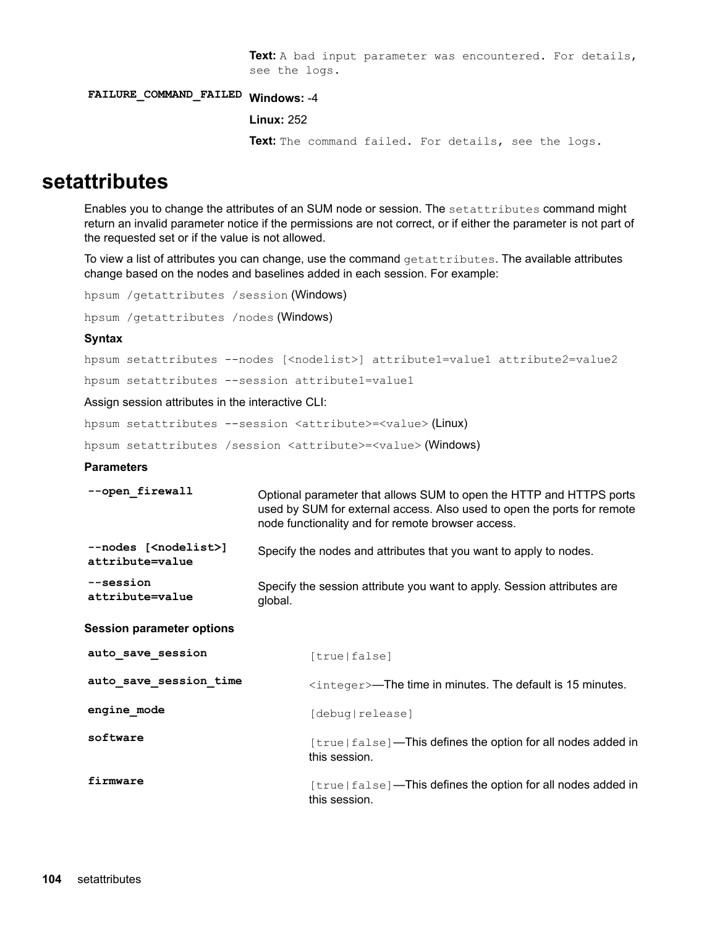Text: A bad input parameter was encountered. For details, see the logs.

<span id="page-103-0"></span>FAILURE\_COMMAND\_FAILED Windows: -4

```
Linux: 252
```
Text: The command failed. For details, see the logs.

# **setattributes**

Enables you to change the attributes of an SUM node or session. The setattributes command might return an invalid parameter notice if the permissions are not correct, or if either the parameter is not part of the requested set or if the value is not allowed.

To view a list of attributes you can change, use the command  $getattribute$ stattributes. The available attributes change based on the nodes and baselines added in each session. For example:

```
hpsum / getattributes / session (Windows)
```
hpsum / getattributes / nodes (Windows)

#### **Syntax**

hpsum setattributes --nodes [<nodelist>] attribute1=value1 attribute2=value2

hpsum setattributes -- session attributel=valuel

Assign session attributes in the interactive CLI:

hpsum setattributes --session <attribute> =<value> (Linux)

hpsum setattributes / session <attribute> =<value> (Windows)

#### **Parameters**

| --open firewall                                      | Optional parameter that allows SUM to open the HTTP and HTTPS ports<br>used by SUM for external access. Also used to open the ports for remote<br>node functionality and for remote browser access. |
|------------------------------------------------------|-----------------------------------------------------------------------------------------------------------------------------------------------------------------------------------------------------|
| --nodes [ <nodelist>]<br/>attribute=value</nodelist> | Specify the nodes and attributes that you want to apply to nodes.                                                                                                                                   |
| $-$ -session<br>attribute=value                      | Specify the session attribute you want to apply. Session attributes are<br>global.                                                                                                                  |
| <b>Session parameter options</b>                     |                                                                                                                                                                                                     |
| auto_save_session                                    | [true false]                                                                                                                                                                                        |
| auto_save_session_time                               | $\langle$ integer $\rangle$ —The time in minutes. The default is 15 minutes.                                                                                                                        |
| engine mode                                          | [debug release]                                                                                                                                                                                     |
| software                                             | $[true false]$ —This defines the option for all nodes added in<br>this session.                                                                                                                     |
| firmware                                             | $[true false]$ —This defines the option for all nodes added in<br>this session.                                                                                                                     |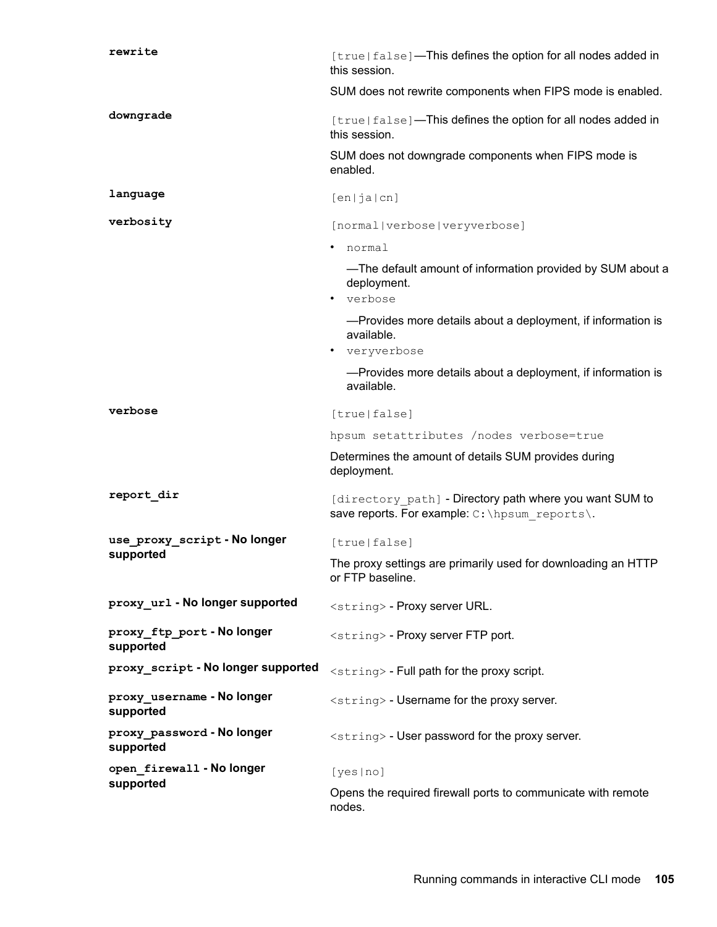| rewrite                                 | [true false]-This defines the option for all nodes added in<br>this session.                              |
|-----------------------------------------|-----------------------------------------------------------------------------------------------------------|
|                                         | SUM does not rewrite components when FIPS mode is enabled.                                                |
| downgrade                               | [true false]-This defines the option for all nodes added in<br>this session.                              |
|                                         | SUM does not downgrade components when FIPS mode is<br>enabled.                                           |
| language                                | [en ja cn]                                                                                                |
| verbosity                               | [normal verbose veryverbose]                                                                              |
|                                         | normal<br>٠                                                                                               |
|                                         | -The default amount of information provided by SUM about a<br>deployment.                                 |
|                                         | • verbose                                                                                                 |
|                                         | -Provides more details about a deployment, if information is<br>available.                                |
|                                         | veryverbose                                                                                               |
|                                         | -Provides more details about a deployment, if information is<br>available.                                |
| verbose                                 | [true false]                                                                                              |
|                                         | hpsum setattributes /nodes verbose=true                                                                   |
|                                         | Determines the amount of details SUM provides during<br>deployment.                                       |
| report dir                              | [directory path] - Directory path where you want SUM to<br>save reports. For example: C: \hpsum reports\. |
| use_proxy_script-No longer              | [true false]                                                                                              |
| supported                               | The proxy settings are primarily used for downloading an HTTP<br>or FTP baseline.                         |
| proxy url - No longer supported         | <string> - Proxy server URL.</string>                                                                     |
| proxy ftp port-No longer<br>supported   | <string> - Proxy server FTP port.</string>                                                                |
| proxy script - No longer supported      | <string> - Full path for the proxy script.</string>                                                       |
| proxy_username - No longer<br>supported | <string> - Username for the proxy server.</string>                                                        |
| proxy_password - No longer<br>supported | <string> - User password for the proxy server.</string>                                                   |
| open firewall - No longer               | [yes no]                                                                                                  |
| supported                               | Opens the required firewall ports to communicate with remote<br>nodes.                                    |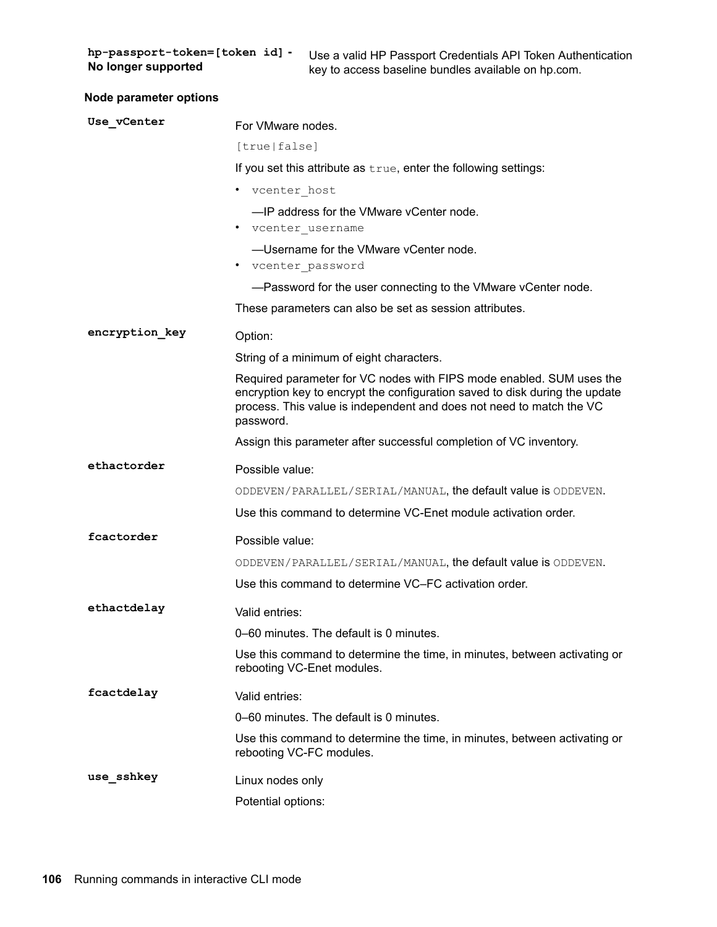hp-passport-token=[token id] -**No longer supported** 

Use a valid HP Passport Credentials API Token Authentication key to access baseline bundles available on hp.com.

| <b>Node parameter options</b> |  |
|-------------------------------|--|
|-------------------------------|--|

| Use vCenter    | For VMware nodes.                                                                                                                                                                                                                        |
|----------------|------------------------------------------------------------------------------------------------------------------------------------------------------------------------------------------------------------------------------------------|
|                | [true false]                                                                                                                                                                                                                             |
|                | If you set this attribute as true, enter the following settings:                                                                                                                                                                         |
|                | • vcenter host                                                                                                                                                                                                                           |
|                | -IP address for the VMware vCenter node.<br>• vcenter username                                                                                                                                                                           |
|                | -Username for the VMware vCenter node.<br>vcenter password                                                                                                                                                                               |
|                | -Password for the user connecting to the VMware vCenter node.                                                                                                                                                                            |
|                | These parameters can also be set as session attributes.                                                                                                                                                                                  |
| encryption key | Option:                                                                                                                                                                                                                                  |
|                | String of a minimum of eight characters.                                                                                                                                                                                                 |
|                | Required parameter for VC nodes with FIPS mode enabled. SUM uses the<br>encryption key to encrypt the configuration saved to disk during the update<br>process. This value is independent and does not need to match the VC<br>password. |
|                | Assign this parameter after successful completion of VC inventory.                                                                                                                                                                       |
| ethactorder    | Possible value:                                                                                                                                                                                                                          |
|                | ODDEVEN/PARALLEL/SERIAL/MANUAL, the default value is ODDEVEN.                                                                                                                                                                            |
|                | Use this command to determine VC-Enet module activation order.                                                                                                                                                                           |
| fcactorder     | Possible value:                                                                                                                                                                                                                          |
|                | ODDEVEN/PARALLEL/SERIAL/MANUAL, the default value is ODDEVEN.                                                                                                                                                                            |
|                | Use this command to determine VC-FC activation order.                                                                                                                                                                                    |
| ethactdelay    | Valid entries:                                                                                                                                                                                                                           |
|                | 0–60 minutes. The default is 0 minutes.                                                                                                                                                                                                  |
|                | Use this command to determine the time, in minutes, between activating or<br>rebooting VC-Enet modules.                                                                                                                                  |
| fcactdelay     | Valid entries:                                                                                                                                                                                                                           |
|                | 0-60 minutes. The default is 0 minutes.                                                                                                                                                                                                  |
|                | Use this command to determine the time, in minutes, between activating or<br>rebooting VC-FC modules.                                                                                                                                    |
| use sshkey     | Linux nodes only                                                                                                                                                                                                                         |
|                | Potential options:                                                                                                                                                                                                                       |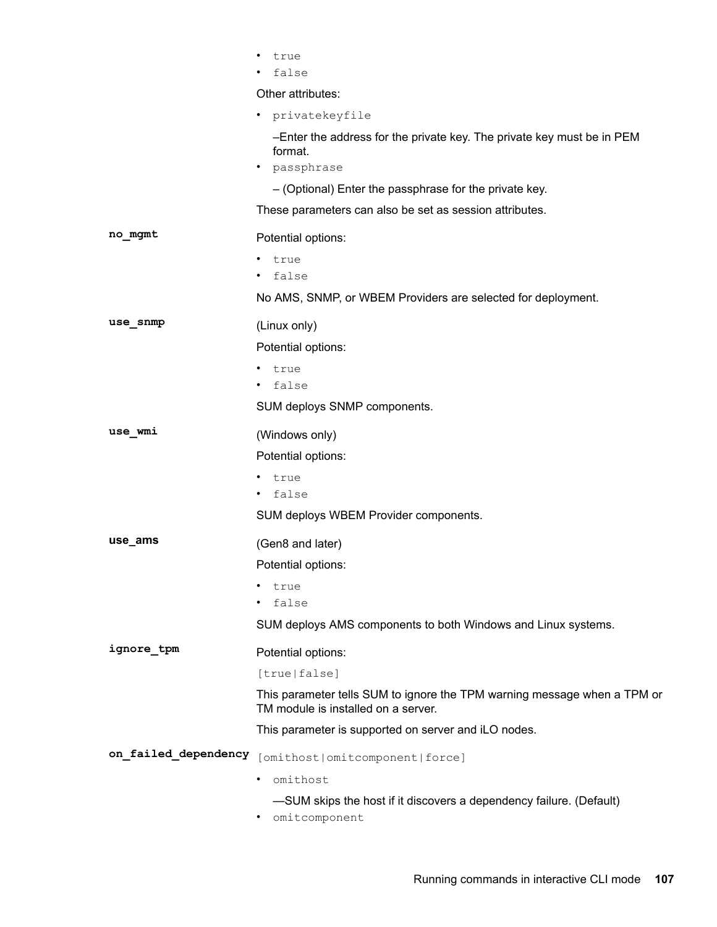|                      | true                                                                                                            |
|----------------------|-----------------------------------------------------------------------------------------------------------------|
|                      | false                                                                                                           |
|                      | Other attributes:                                                                                               |
|                      | privatekeyfile<br>٠                                                                                             |
|                      | -Enter the address for the private key. The private key must be in PEM<br>format.                               |
|                      | passphrase<br>٠                                                                                                 |
|                      | - (Optional) Enter the passphrase for the private key.                                                          |
|                      | These parameters can also be set as session attributes.                                                         |
| no_mgmt              | Potential options:                                                                                              |
|                      | true<br>٠                                                                                                       |
|                      | false                                                                                                           |
|                      | No AMS, SNMP, or WBEM Providers are selected for deployment.                                                    |
| use_snmp             | (Linux only)                                                                                                    |
|                      | Potential options:                                                                                              |
|                      | true                                                                                                            |
|                      | false                                                                                                           |
|                      | SUM deploys SNMP components.                                                                                    |
| use wmi              | (Windows only)                                                                                                  |
|                      | Potential options:                                                                                              |
|                      | true                                                                                                            |
|                      | false                                                                                                           |
|                      | SUM deploys WBEM Provider components.                                                                           |
| use_ams              | (Gen8 and later)                                                                                                |
|                      | Potential options:                                                                                              |
|                      | true                                                                                                            |
|                      | false                                                                                                           |
|                      | SUM deploys AMS components to both Windows and Linux systems.                                                   |
| ignore_tpm           | Potential options:                                                                                              |
|                      | [true false]                                                                                                    |
|                      | This parameter tells SUM to ignore the TPM warning message when a TPM or<br>TM module is installed on a server. |
|                      | This parameter is supported on server and iLO nodes.                                                            |
| on failed dependency | [omithost omitcomponent force]                                                                                  |
|                      | omithost<br>٠                                                                                                   |
|                      | -SUM skips the host if it discovers a dependency failure. (Default)                                             |
|                      |                                                                                                                 |

• omitcomponent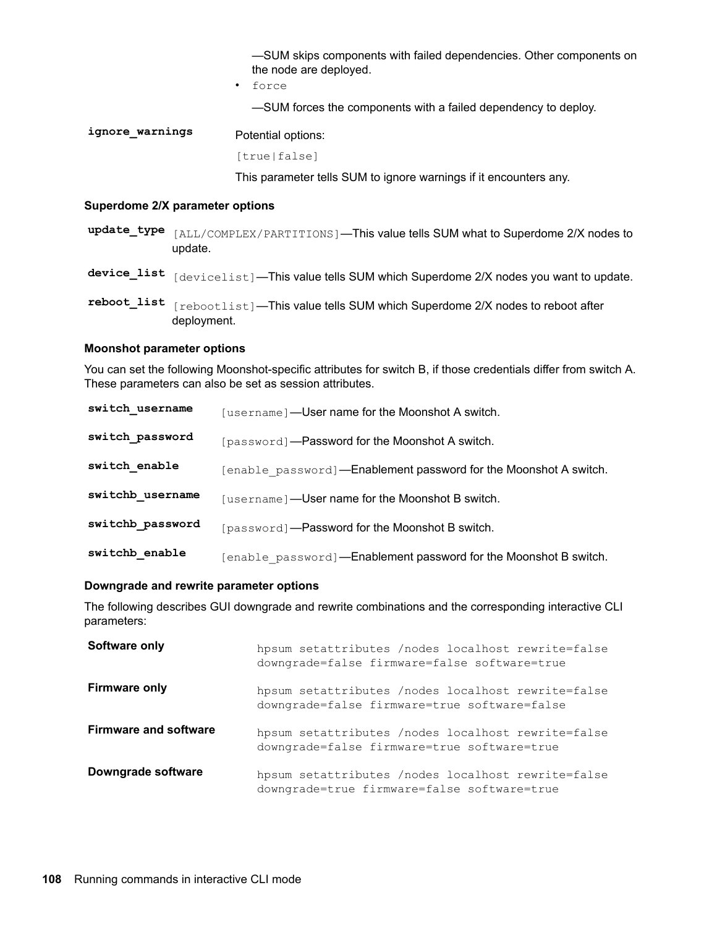-SUM skips components with failed dependencies. Other components on the node are deployed.

• force

-SUM forces the components with a failed dependency to deploy.

ignore\_warnings Potential options: [true|false]

This parameter tells SUM to ignore warnings if it encounters any.

#### **Superdome 2/X parameter options**

- update\_type [ALL/COMPLEX/PARTITIONS]—This value tells SUM what to Superdome 2/X nodes to .update
- device\_list  $_{\text{[devicelist]}}$ —This value tells SUM which Superdome 2/X nodes you want to update.
- reboot\_list  $\lceil$  rebootlist]—This value tells SUM which Superdome 2/X nodes to reboot after deployment.

#### **Moonshot parameter options**

You can set the following Moonshot-specific attributes for switch B, if those credentials differ from switch A. These parameters can also be set as session attributes.

| switch username  | [username]-User name for the Moonshot A switch.                  |
|------------------|------------------------------------------------------------------|
| switch password  | [password]—Password for the Moonshot A switch.                   |
| switch enable    | [enable password]—Enablement password for the Moonshot A switch. |
| switchb username | [username]—User name for the Moonshot B switch.                  |
| switchb password | [password]—Password for the Moonshot B switch.                   |
| switchb enable   | [enable password]—Enablement password for the Moonshot B switch. |

#### **Downgrade and rewrite parameter options**

The following describes GUI downgrade and rewrite combinations and the corresponding interactive CLI :parameters

| Software only                | hpsum setattributes /nodes localhost rewrite=false<br>downgrade=false firmware=false software=true |
|------------------------------|----------------------------------------------------------------------------------------------------|
| <b>Firmware only</b>         | hpsum setattributes /nodes localhost rewrite=false<br>downgrade=false firmware=true software=false |
| <b>Firmware and software</b> | hpsum setattributes /nodes localhost rewrite=false<br>downgrade=false firmware=true software=true  |
| Downgrade software           | hpsum setattributes /nodes localhost rewrite=false<br>downgrade=true firmware=false software=true  |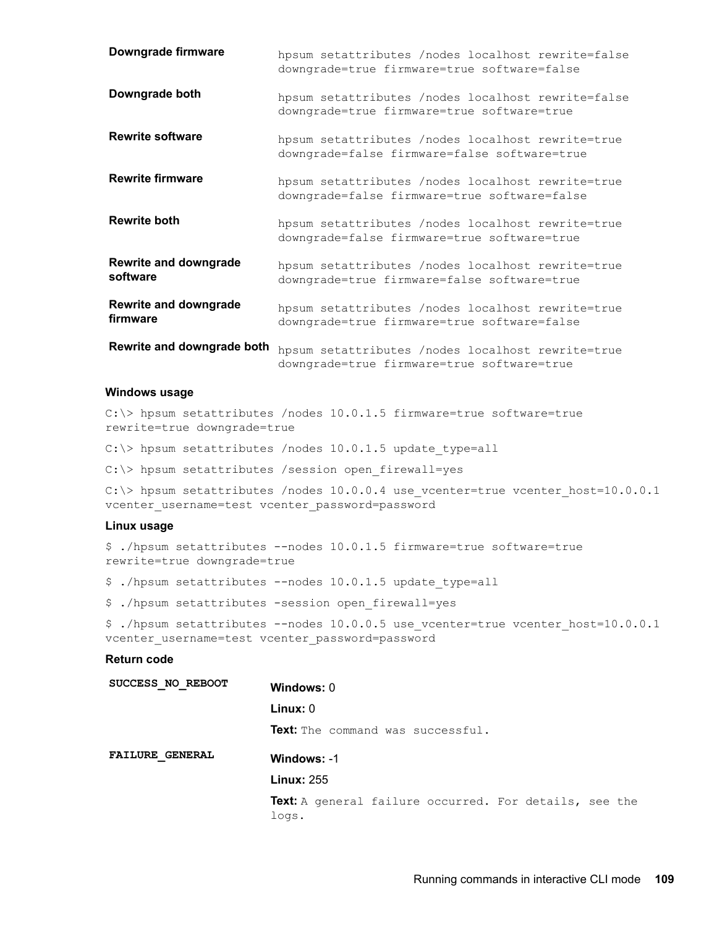| Downgrade firmware                       | hpsum setattributes /nodes localhost rewrite=false<br>downgrade=true firmware=true software=false  |
|------------------------------------------|----------------------------------------------------------------------------------------------------|
| Downgrade both                           | hpsum setattributes /nodes localhost rewrite=false<br>downgrade=true firmware=true software=true   |
| <b>Rewrite software</b>                  | hpsum setattributes /nodes localhost rewrite=true<br>downgrade=false firmware=false software=true  |
| <b>Rewrite firmware</b>                  | hpsum setattributes / nodes localhost rewrite=true<br>downgrade=false firmware=true software=false |
| <b>Rewrite both</b>                      | hpsum setattributes /nodes localhost rewrite=true<br>downgrade=false firmware=true software=true   |
| <b>Rewrite and downgrade</b><br>software | hpsum setattributes /nodes localhost rewrite=true<br>downgrade=true firmware=false software=true   |
| <b>Rewrite and downgrade</b><br>firmware | hpsum setattributes / nodes localhost rewrite=true<br>downgrade=true firmware=true software=false  |
| Rewrite and downgrade both               | hpsum setattributes /nodes localhost rewrite=true<br>downgrade=true firmware=true software=true    |

#### **Windows** usage

C: $\ge$  hpsum setattributes /nodes 10.0.1.5 firmware=true software=true rewrite=true downgrade=true

C: \> hpsum setattributes /nodes 10.0.1.5 update type=all

 $C:\rangle$  hpsum setattributes / session open firewall=yes

C: $\$  hpsum setattributes /nodes 10.0.0.4 use vcenter=true vcenter host=10.0.0.1 vcenter username=test vcenter password=password

#### **Linux** usage

\$ ./hpsum setattributes --nodes 10.0.1.5 firmware=true software=true rewrite=true downgrade=true

 $$./hpsum setattributes --nodes 10.0.1.5 update type=all$ 

\$ ./hpsum setattributes -session open firewall=yes

\$ ./hpsum setattributes --nodes 10.0.0.5 use vcenter=true vcenter host=10.0.0.1 vcenter username=test vcenter password=password

#### **Return** code

| SUCCESS NO REBOOT      | Windows: 0                                                             |
|------------------------|------------------------------------------------------------------------|
|                        | Linux: 0                                                               |
|                        | <b>Text:</b> The command was successful.                               |
| <b>FAILURE GENERAL</b> | Windows: -1                                                            |
|                        | <b>Linux: 255</b>                                                      |
|                        | <b>Text:</b> A general failure occurred. For details, see the<br>logs. |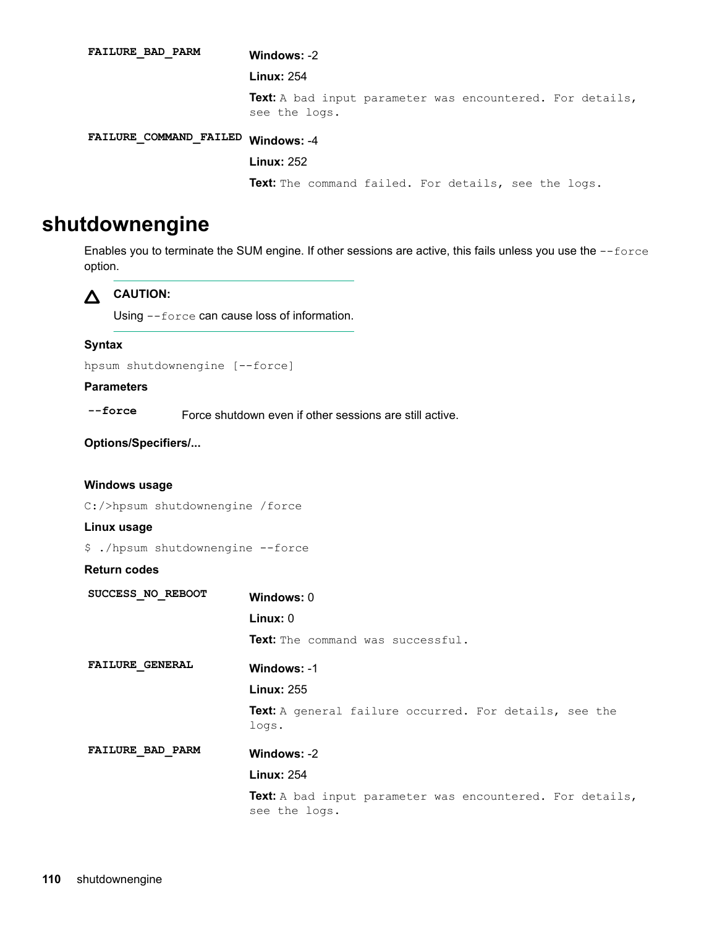-2 **:Windows PARM\_BAD\_FAILURE Linux: 254** Text: A bad input parameter was encountered. For details, see the logs. -4 **:Windows FAILED\_COMMAND\_FAILURE** 252 **:Linux** Text: The command failed. For details, see the logs.

### **shutdownengine**

Enables you to terminate the SUM engine. If other sessions are active, this fails unless you use the --force option.

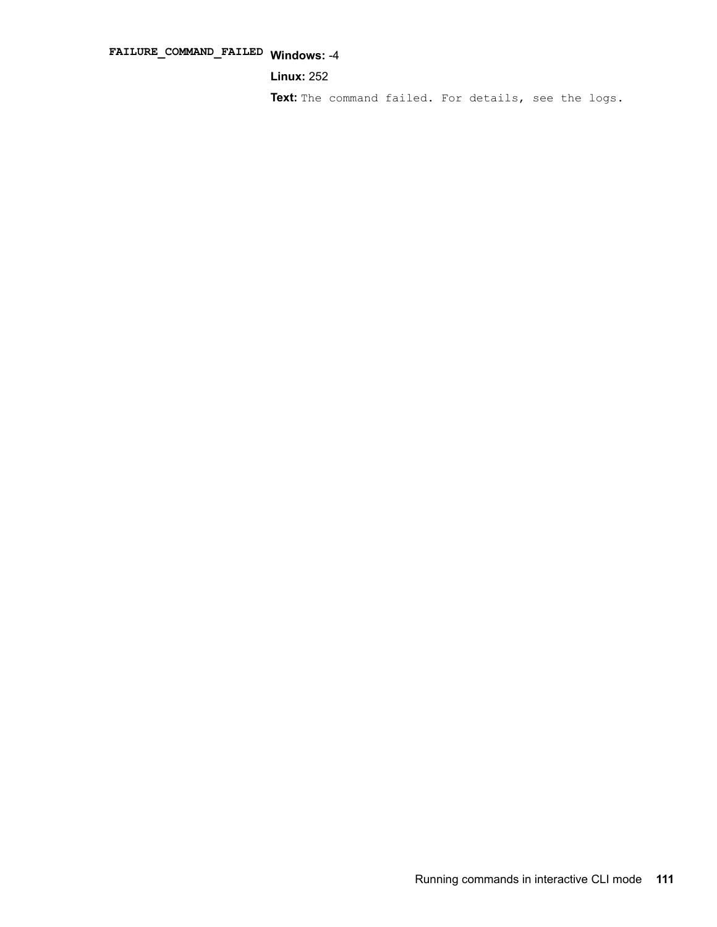## -4 **:Windows FAILED\_COMMAND\_FAILURE**

**Linux: 252** 

Text: The command failed. For details, see the logs.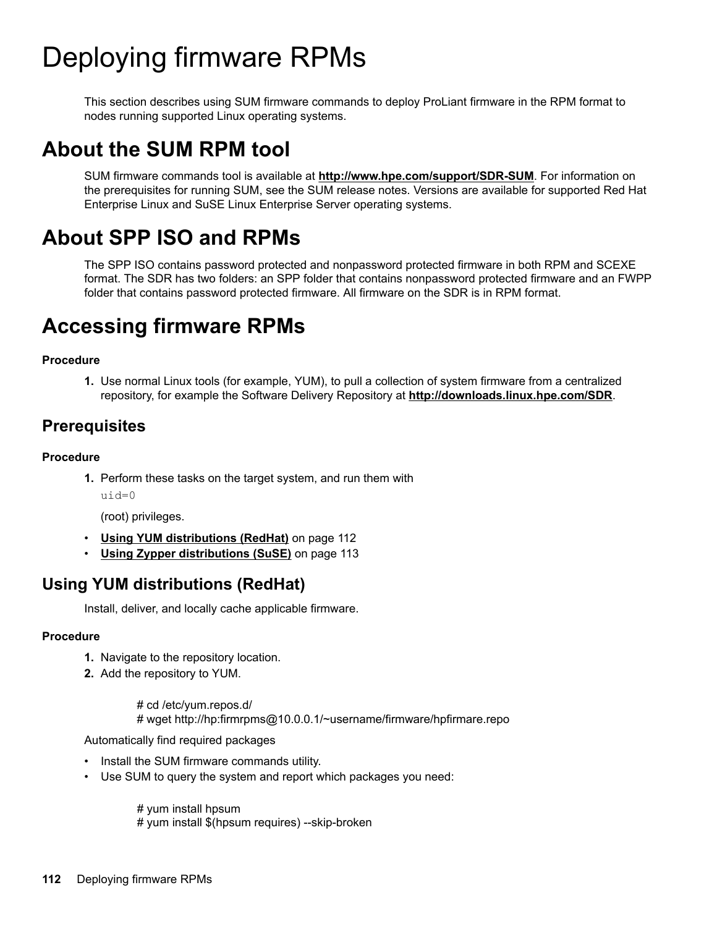# Deploying firmware RPMs

This section describes using SUM firmware commands to deploy ProLiant firmware in the RPM format to nodes running supported Linux operating systems.

## **About the SUM RPM tool**

SUM firmware commands tool is available at **http://www.hpe.com/support/SDR-SUM**. For information on the prerequisites for running SUM, see the SUM release notes. Versions are available for supported Red Hat Enterprise Linux and SuSE Linux Enterprise Server operating systems.

## **About SPP ISO and RPMs**

The SPP ISO contains password protected and nonpassword protected firmware in both RPM and SCEXE format. The SDR has two folders: an SPP folder that contains nonpassword protected firmware and an FWPP folder that contains password protected firmware. All firmware on the SDR is in RPM format.

## **Accessing firmware RPMs**

#### **Procedure**

1. Use normal Linux tools (for example, YUM), to pull a collection of system firmware from a centralized repository, for example the Software Delivery Repository at **http://downloads.linux.hpe.com/SDR**.

### **Prerequisites**

#### **Procedure**

1. Perform these tasks on the target system, and run them with  $u$ id= $0$ 

(root) privileges.

- Using YUM distributions (RedHat) on page 112
- Using Zypper distributions (SuSE) on page 113

### **Using YUM distributions (RedHat)**

Install, deliver, and locally cache applicable firmware.

#### **Procedure**

- 1. Navigate to the repository location.
- **2.** Add the repository to YUM.

# cd /etc/ yum.repos.d/ # wget http://hp:firmrpms@10.0.0.1/~username/firmware/hpfirmare.repo

Automatically find required packages

- Install the SUM firmware commands utility.
- Use SUM to query the system and report which packages you need:

 $#$  yum install hpsum # yum install \$(hpsum requires) --skip-broken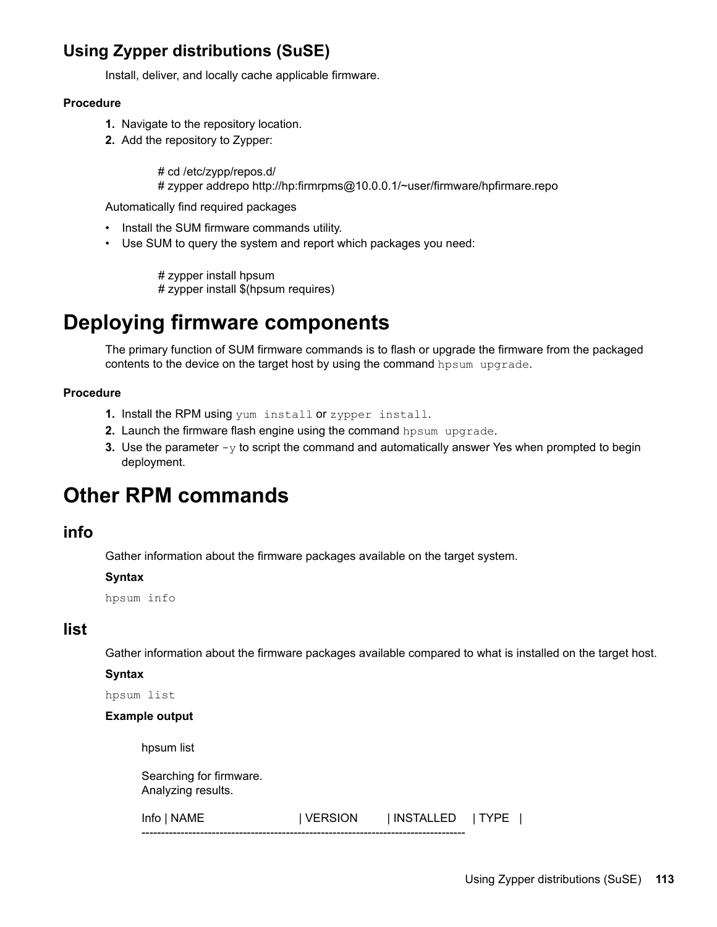### <span id="page-112-0"></span>**Using Zypper distributions (SuSE)**

Install, deliver, and locally cache applicable firmware.

#### **Procedure**

- 1. Navigate to the repository location.
- 2. Add the repository to Zypper:

# cd /etc/zypp/repos.d/ # zypper addrepo http://hp:firmrpms@10.0.0.1/~user/firmware/hpfirmare.repo

Automatically find required packages

- Install the SUM firmware commands utility.
- Use SUM to query the system and report which packages you need:

# zypper install hpsum # zypper install \$(hpsum requires)

## **Deploying firmware components**

The primary function of SUM firmware commands is to flash or upgrade the firmware from the packaged contents to the device on the target host by using the command hpsum upgrade.

#### **Procedure**

- 1. Install the RPM using yum install or zypper install.
- 2. Launch the firmware flash engine using the command hpsum upgrade.
- **3.** Use the parameter  $-\gamma$  to script the command and automatically answer Yes when prompted to begin deployment.

### **Other RPM commands**

#### **info**

Gather information about the firmware packages available on the target system.

#### **Syntax**

hpsum info

#### **list**

Gather information about the firmware packages available compared to what is installed on the target host.

#### **Syntax**

hpsum list

#### **Example output**

hpsum list

Searching for firmware. Analyzing results.

Info | NAME | | VERSION | | INSTALLED | TYPE | -----------------------------------------------------------------------------------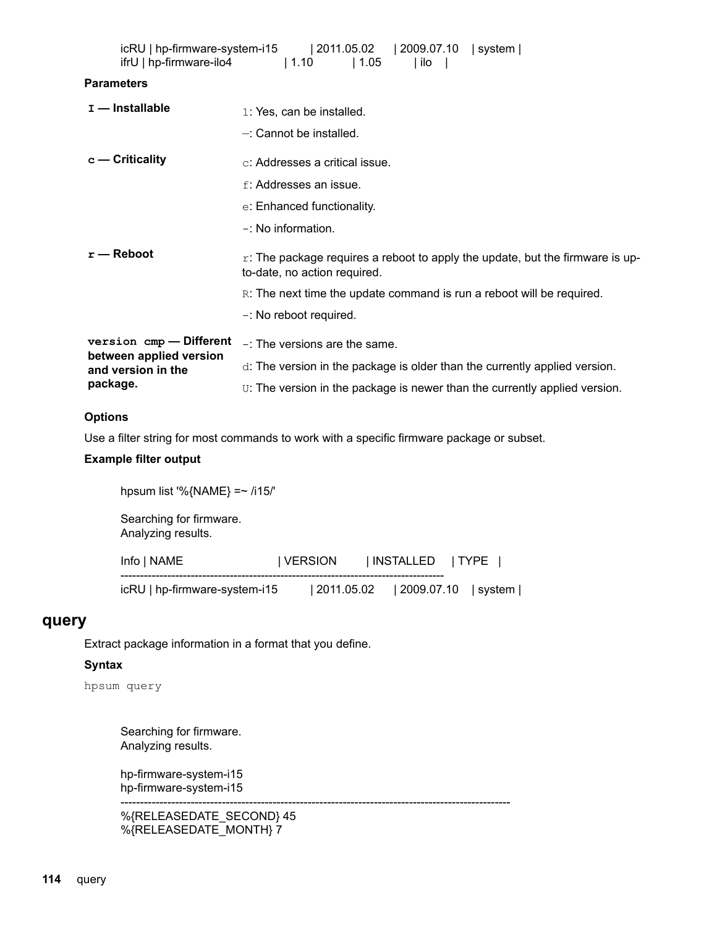| ifrU   hp-firmware-ilo4                       | icRU   hp-firmware-system-i15   2011.05.02   2009.07.10   system  <br> 1.10<br>$\vert 1.05 \vert$<br>  ilo       |
|-----------------------------------------------|------------------------------------------------------------------------------------------------------------------|
| <b>Parameters</b>                             |                                                                                                                  |
| $I$ — Installable                             | 1: Yes, can be installed.                                                                                        |
|                                               | $-$ : Cannot be installed.                                                                                       |
| $c -$ Criticality                             | c: Addresses a critical issue.                                                                                   |
|                                               | f: Addresses an issue.                                                                                           |
|                                               | e: Enhanced functionality.                                                                                       |
|                                               | $-$ : No information.                                                                                            |
| $r -$ Reboot                                  | $r$ : The package requires a reboot to apply the update, but the firmware is up-<br>to-date, no action required. |
|                                               | R: The next time the update command is run a reboot will be required.                                            |
|                                               | -: No reboot required.                                                                                           |
| version cmp - Different                       | $-$ : The versions are the same.                                                                                 |
| between applied version<br>and version in the | $d$ . The version in the package is older than the currently applied version.                                    |
| package.                                      | U: The version in the package is newer than the currently applied version.                                       |

#### **Options**

Use a filter string for most commands to work with a specific firmware package or subset.

#### **Example filter output**

hpsum list '%{NAME} =~  $/115$ /'

Searching for firmware. Analyzing results.

| Info   NAME                   | I VERSION | INSTALLED   TYPE                     |  |
|-------------------------------|-----------|--------------------------------------|--|
| icRU   hp-firmware-system-i15 |           | $ 2011.05.02 $ $ 2009.07.10 $ system |  |

----------------------------------------------------------------------------------------------------

#### **query**

Extract package information in a format that you define.

#### **Syntax**

hpsum query

Searching for firmware. Analyzing results.

hp-firmware-system-i15 hp-firmware-system-i15

%{RELEASEDATE\_SECOND} 45 %{RELEASEDATE\_MONTH} 7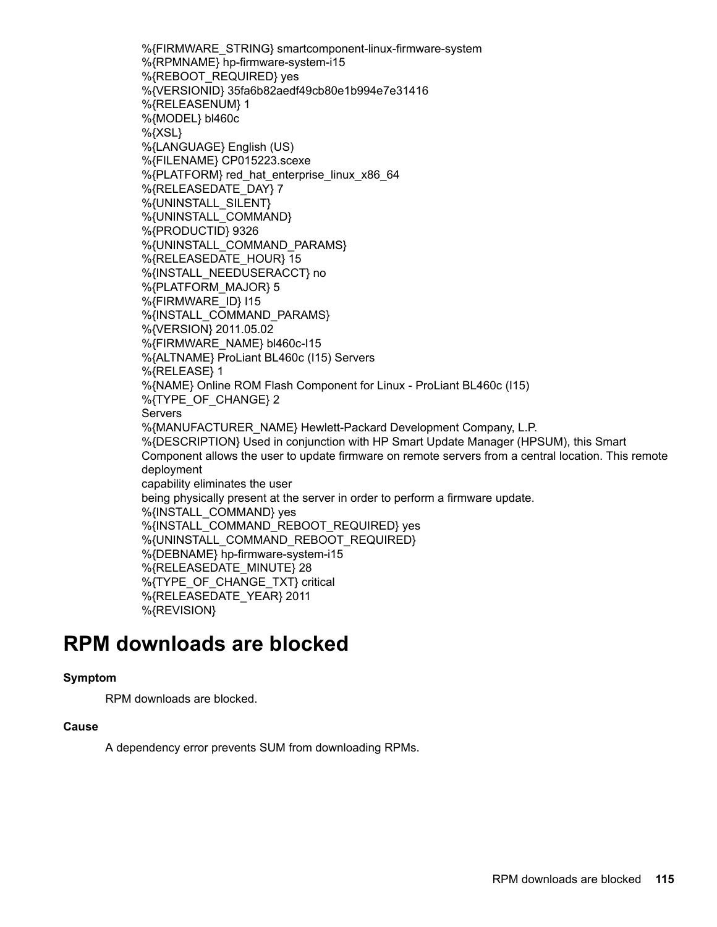%{FIRMWARE STRING} smartcomponent-linux-firmware-system %{RPMNAME} hp-firmware-system-i15 %{REBOOT REQUIRED} yes %{VERSIONID} 35fa6b82aedf49cb80e1b994e7e31416 %{RELEASENUM} 1 %{MODEL} bl460c  $%$ {XSL} %{LANGUAGE} English (US) %{FILENAME} CP015223.scexe %{PLATFORM} red hat enterprise linux x86 64 %{RELEASEDATE DAY} 7 %{UNINSTALL\_SILENT} %{UNINSTALL\_COMMAND} 9326 {PRODUCTID{% %{UNINSTALL\_COMMAND\_PARAMS} %{RELEASEDATE HOUR} 15 %{INSTALL\_NEEDUSERACCT} no %{PLATFORM MAJOR} 5 %{FIRMWARE ID} I15 %{INSTALL\_COMMAND\_PARAMS} %{VERSION} 2011.05.02 %{FIRMWARE NAME} bl460c-l15 %{ALTNAME} ProLiant BL460c (I15) Servers %{RELEASE} 1 %{NAME} Online ROM Flash Component for Linux - ProLiant BL460c (I15) %{TYPE\_OF\_CHANGE} 2 Servers %{MANUFACTURER\_NAME} Hewlett-Packard Development Company, L.P. %{DESCRIPTION} Used in conjunction with HP Smart Update Manager (HPSUM), this Smart Component allows the user to update firmware on remote servers from a central location. This remote deployment capability eliminates the user being physically present at the server in order to perform a firmware update. %{INSTALL COMMAND} yes %{INSTALL\_COMMAND\_REBOOT\_REQUIRED} yes %{UNINSTALL COMMAND REBOOT REQUIRED} %{DEBNAME} hp-firmware-system-i15 %{RELEASEDATE MINUTE} 28 %{TYPE OF CHANGE TXT} critical %{RELEASEDATE YEAR} 2011 %{REVISION}

### **RPM** downloads are blocked

#### **Symptom**

RPM downloads are blocked.

#### **Cause**

A dependency error prevents SUM from downloading RPMs.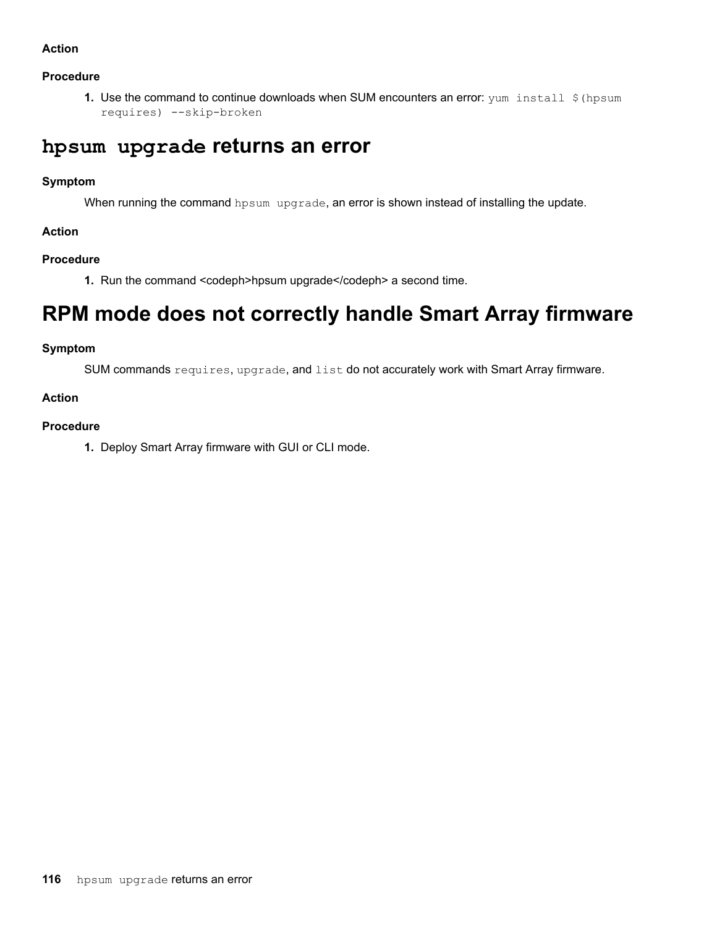#### **Action**

#### **Procedure**

**1.** Use the command to continue downloads when SUM encounters an error: yum install \$ (hpsum requires) --skip-broken

### hpsum upgrade returns an error

#### **Symptom**

When running the command hpsum upgrade, an error is shown instead of installing the update.

#### **Action**

#### **Procedure**

1. Run the command <codeph>hpsum upgrade </codeph> a second time.

## **RPM** mode does not correctly handle Smart Array firmware

#### **Symptom**

SUM commands requires, upgrade, and list do not accurately work with Smart Array firmware.

#### **Action**

#### **Procedure**

1. Deploy Smart Array firmware with GUI or CLI mode.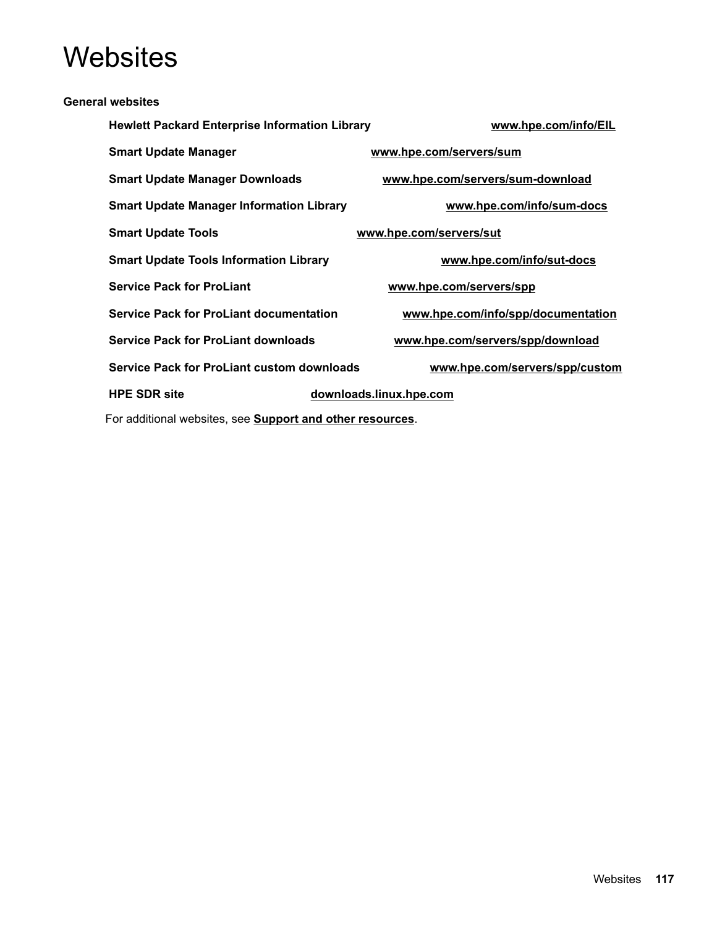# **Websites**

| <b>General websites</b>                                           |                                    |
|-------------------------------------------------------------------|------------------------------------|
| <b>Hewlett Packard Enterprise Information Library</b>             | www.hpe.com/info/EIL               |
| <b>Smart Update Manager</b>                                       | www.hpe.com/servers/sum            |
| <b>Smart Update Manager Downloads</b>                             | www.hpe.com/servers/sum-download   |
| <b>Smart Update Manager Information Library</b>                   | www.hpe.com/info/sum-docs          |
| <b>Smart Update Tools</b>                                         | www.hpe.com/servers/sut            |
| <b>Smart Update Tools Information Library</b>                     | www.hpe.com/info/sut-docs          |
| <b>Service Pack for ProLiant</b>                                  | www.hpe.com/servers/spp            |
| <b>Service Pack for ProLiant documentation</b>                    | www.hpe.com/info/spp/documentation |
| <b>Service Pack for ProLiant downloads</b>                        | www.hpe.com/servers/spp/download   |
| <b>Service Pack for ProLiant custom downloads</b>                 | www.hpe.com/servers/spp/custom     |
| <b>HPE SDR site</b>                                               | downloads.linux.hpe.com            |
| For additional websites, see <b>Support and other resources</b> . |                                    |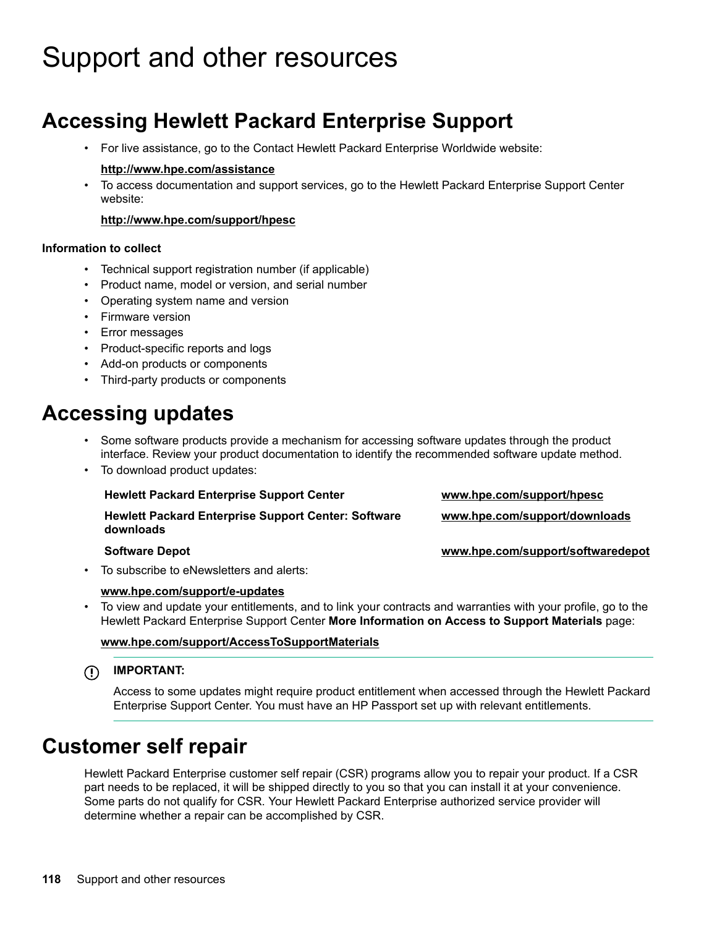# <span id="page-117-0"></span>Support and other resources

# **Accessing Hewlett Packard Enterprise Support**

• For live assistance, go to the Contact Hewlett Packard Enterprise Worldwide website:

#### http://www.hpe.com/assistance

To access documentation and support services, go to the Hewlett Packard Enterprise Support Center website:

#### http://www.hpe.com/support/hpesc

#### **Information** to collect

- Technical support registration number (if applicable)
- Product name, model or version, and serial number
- Operating system name and version
- Firmware version
- Error messages
- Product-specific reports and logs
- Add-on products or components
- Third-party products or components

### **updates Accessing**

- Some software products provide a mechanism for accessing software updates through the product interface. Review your product documentation to identify the recommended software update method.
- To download product updates:

| <b>Hewlett Packard Enterprise Support Center</b>                        | www.hpe.com/support/hpesc         |
|-------------------------------------------------------------------------|-----------------------------------|
| <b>Hewlett Packard Enterprise Support Center: Software</b><br>downloads | www.hpe.com/support/downloads     |
| <b>Software Depot</b>                                                   | www.hpe.com/support/softwaredepot |

To subscribe to eNewsletters and alerts:

#### www.hpe.com/support/e-updates

To view and update your entitlements, and to link your contracts and warranties with your profile, go to the Hewlett Packard Enterprise Support Center **More Information on Access to Support Materials** page:

#### www.hpe.com/support/AccessToSupportMaterials

#### **:IMPORTANT**  $\Omega$

Access to some updates might require product entitlement when accessed through the Hewlett Packard Enterprise Support Center. You must have an HP Passport set up with relevant entitlements.

### **Customer self repair**

Hewlett Packard Enterprise customer self repair (CSR) programs allow you to repair your product. If a CSR part needs to be replaced, it will be shipped directly to you so that you can install it at your convenience. Some parts do not qualify for CSR. Your Hewlett Packard Enterprise authorized service provider will determine whether a repair can be accomplished by CSR.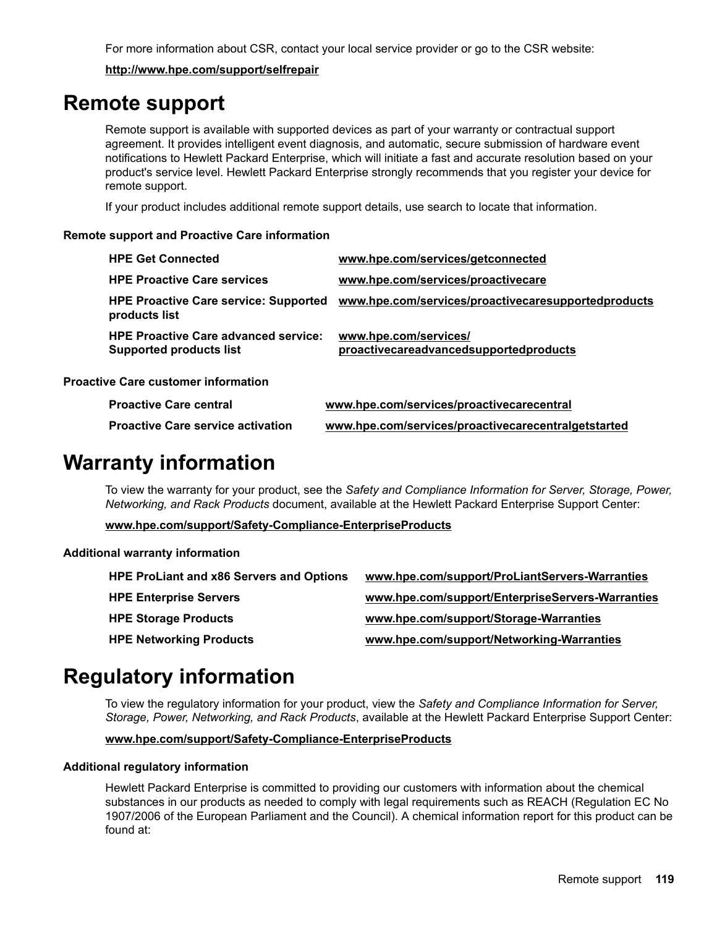For more information about CSR, contact your local service provider or go to the CSR website:

http://www.hpe.com/support/selfrepair

### **Remote support**

Remote support is available with supported devices as part of your warranty or contractual support agreement. It provides intelligent event diagnosis, and automatic, secure submission of hardware event notifications to Hewlett Packard Enterprise, which will initiate a fast and accurate resolution based on your product's service level. Hewlett Packard Enterprise strongly recommends that you register your device for remote support.

If your product includes additional remote support details, use search to locate that information.

#### **Remote support and Proactive Care information**

| <b>HPE Get Connected</b>                                                      | www.hpe.com/services/getconnected                               |
|-------------------------------------------------------------------------------|-----------------------------------------------------------------|
| <b>HPE Proactive Care services</b>                                            | www.hpe.com/services/proactivecare                              |
| <b>HPE Proactive Care service: Supported</b><br>products list                 | www.hpe.com/services/proactivecaresupportedproducts             |
| <b>HPE Proactive Care advanced service:</b><br><b>Supported products list</b> | www.hpe.com/services/<br>proactivecareadvancedsupportedproducts |
| <b>Proactive Care customer information</b>                                    |                                                                 |
| <b>Proactive Care central</b>                                                 | www.hpe.com/services/proactivecarecentral                       |

### **Proactive Care service activation www.hpe.com/services/proactivecarecentralgetstarted**

### **Warranty information**

To view the warranty for your product, see the Safety and Compliance Information for Server, Storage, Power, Networking, and Rack Products document, available at the Hewlett Packard Enterprise Support Center:

www.hpe.com/support/Safety-Compliance-EnterpriseProducts

#### **Additional warranty information**

| <b>HPE ProLiant and x86 Servers and Options</b> | www.hpe.com/support/ProLiantServers-Warranties   |
|-------------------------------------------------|--------------------------------------------------|
| <b>HPE Enterprise Servers</b>                   | www.hpe.com/support/EnterpriseServers-Warranties |
| <b>HPE Storage Products</b>                     | www.hpe.com/support/Storage-Warranties           |
| <b>HPE Networking Products</b>                  | www.hpe.com/support/Networking-Warranties        |

## **Regulatory information**

To view the regulatory information for your product, view the Safety and Compliance Information for Server, Storage, Power, Networking, and Rack Products, available at the Hewlett Packard Enterprise Support Center:

#### www.hpe.com/support/Safety-Compliance-EnterpriseProducts

#### **Additional regulatory information**

Hewlett Packard Enterprise is committed to providing our customers with information about the chemical substances in our products as needed to comply with legal requirements such as REACH (Regulation EC No 1907/2006 of the European Parliament and the Council). A chemical information report for this product can be found  $at$ :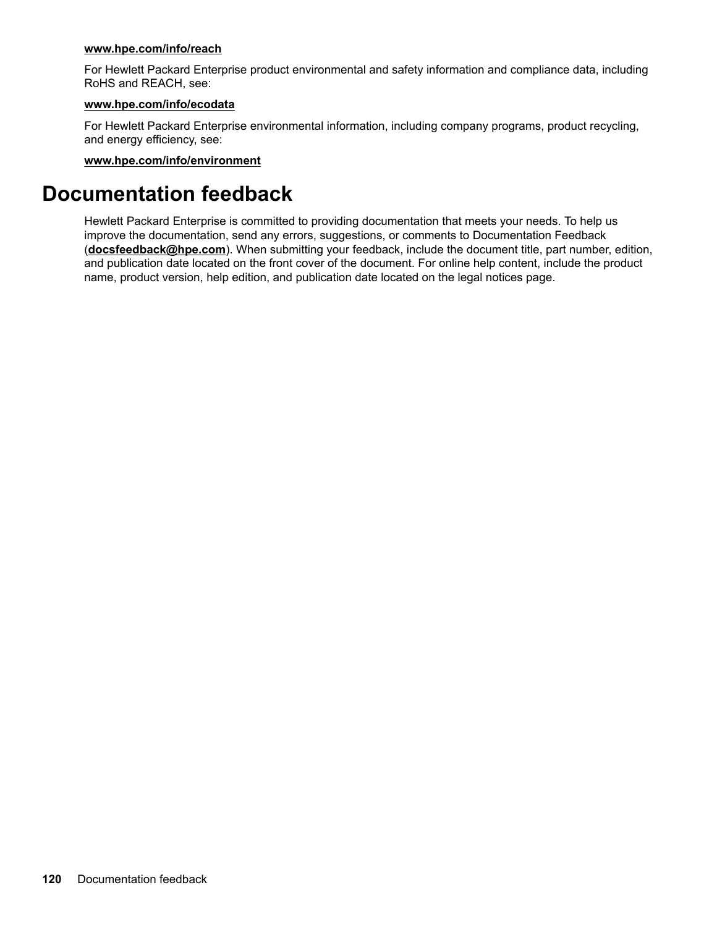#### www.hpe.com/info/reach

For Hewlett Packard Enterprise product environmental and safety information and compliance data, including RoHS and REACH, see:

#### www.hpe.com/info/ecodata

For Hewlett Packard Enterprise environmental information, including company programs, product recycling, and energy efficiency, see:

#### www.hpe.com/info/environment

### **Documentation feedback**

Hewlett Packard Enterprise is committed to providing documentation that meets your needs. To help us improve the documentation, send any errors, suggestions, or comments to Documentation Feedback (docsfeedback@hpe.com). When submitting your feedback, include the document title, part number, edition, and publication date located on the front cover of the document. For online help content, include the product hame, product version, help edition, and publication date located on the legal notices page.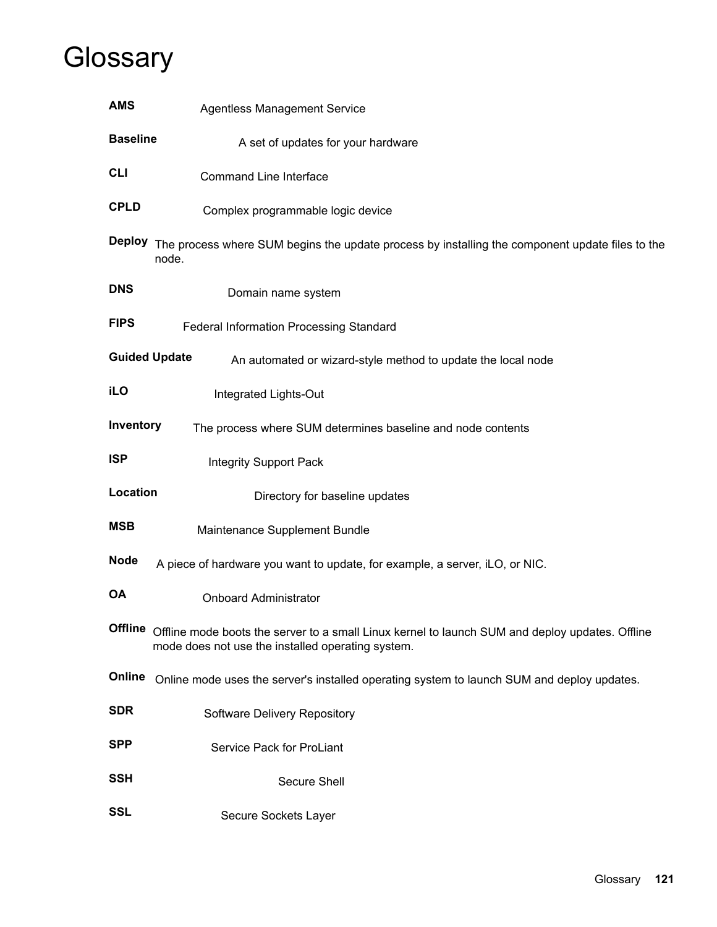# **Glossary**

| <b>AMS</b>      | <b>Agentless Management Service</b>                                                                                                                  |
|-----------------|------------------------------------------------------------------------------------------------------------------------------------------------------|
| <b>Baseline</b> | A set of updates for your hardware                                                                                                                   |
| <b>CLI</b>      | <b>Command Line Interface</b>                                                                                                                        |
| <b>CPLD</b>     | Complex programmable logic device                                                                                                                    |
|                 | Deploy The process where SUM begins the update process by installing the component update files to the<br>node.                                      |
| <b>DNS</b>      | Domain name system                                                                                                                                   |
| <b>FIPS</b>     | Federal Information Processing Standard                                                                                                              |
|                 | <b>Guided Update</b><br>An automated or wizard-style method to update the local node                                                                 |
| <b>iLO</b>      | Integrated Lights-Out                                                                                                                                |
| Inventory       | The process where SUM determines baseline and node contents                                                                                          |
| <b>ISP</b>      | <b>Integrity Support Pack</b>                                                                                                                        |
| Location        | Directory for baseline updates                                                                                                                       |
| <b>MSB</b>      | Maintenance Supplement Bundle                                                                                                                        |
| <b>Node</b>     | A piece of hardware you want to update, for example, a server, iLO, or NIC.                                                                          |
| <b>OA</b>       | <b>Onboard Administrator</b>                                                                                                                         |
| <b>Offline</b>  | Offline mode boots the server to a small Linux kernel to launch SUM and deploy updates. Offline<br>mode does not use the installed operating system. |
| Online          | Online mode uses the server's installed operating system to launch SUM and deploy updates.                                                           |
| <b>SDR</b>      | Software Delivery Repository                                                                                                                         |
| <b>SPP</b>      | Service Pack for ProLiant                                                                                                                            |
| <b>SSH</b>      | <b>Secure Shell</b>                                                                                                                                  |
| <b>SSL</b>      | Secure Sockets Layer                                                                                                                                 |